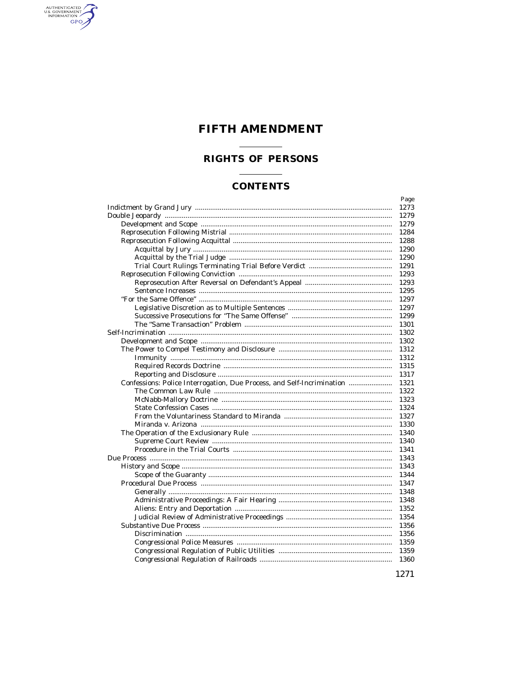# FIFTH AMENDMENT

 $\overline{\phantom{a}}$ 

AUTHENTICATED

 $\mathbf{\hat{L}}$ 

# **RIGHTS OF PERSONS**

# **CONTENTS**

|                                                                        | Page |
|------------------------------------------------------------------------|------|
|                                                                        | 1273 |
|                                                                        | 1279 |
|                                                                        | 1279 |
|                                                                        | 1284 |
|                                                                        | 1288 |
|                                                                        | 1290 |
|                                                                        | 1290 |
|                                                                        | 1291 |
|                                                                        | 1293 |
|                                                                        | 1293 |
|                                                                        | 1295 |
|                                                                        | 1297 |
|                                                                        | 1297 |
|                                                                        | 1299 |
|                                                                        | 1301 |
|                                                                        |      |
|                                                                        | 1302 |
|                                                                        | 1302 |
|                                                                        | 1312 |
|                                                                        | 1312 |
|                                                                        | 1315 |
|                                                                        | 1317 |
| Confessions: Police Interrogation, Due Process, and Self-Incrimination | 1321 |
|                                                                        | 1322 |
|                                                                        | 1323 |
|                                                                        | 1324 |
|                                                                        | 1327 |
|                                                                        | 1330 |
|                                                                        | 1340 |
|                                                                        | 1340 |
|                                                                        | 1341 |
|                                                                        | 1343 |
|                                                                        | 1343 |
|                                                                        | 1344 |
|                                                                        | 1347 |
|                                                                        | 1348 |
|                                                                        | 1348 |
|                                                                        | 1352 |
|                                                                        | 1354 |
|                                                                        | 1356 |
|                                                                        | 1356 |
|                                                                        | 1359 |
|                                                                        | 1359 |
|                                                                        | 1360 |
|                                                                        |      |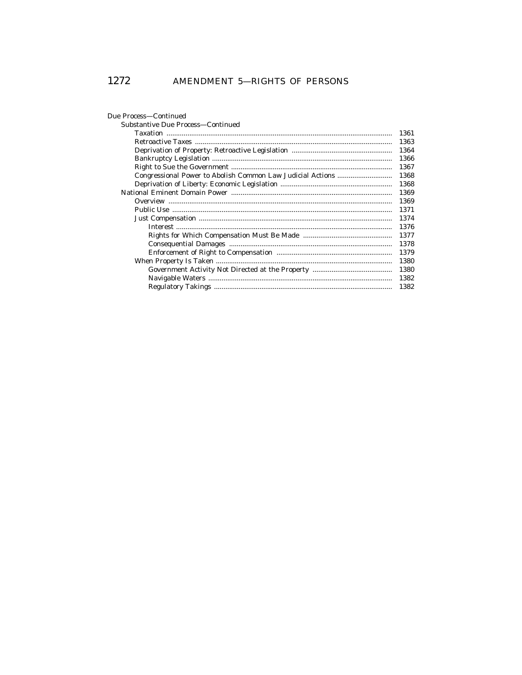# 1272 AMENDMENT 5-RIGHTS OF PERSONS

| Due Process-Continued             |      |
|-----------------------------------|------|
| Substantive Due Process—Continued |      |
| 1361                              |      |
| 1363                              |      |
| 1364                              |      |
| 1366                              |      |
| 1367                              |      |
| 1368                              |      |
| 1368                              |      |
| 1369                              |      |
| 1369                              |      |
| 1371                              |      |
| 1374                              |      |
| 1376                              |      |
| 1377                              |      |
| 1378                              |      |
| 1379                              |      |
| 1380                              |      |
| 1380                              |      |
| 1382                              |      |
|                                   | 1382 |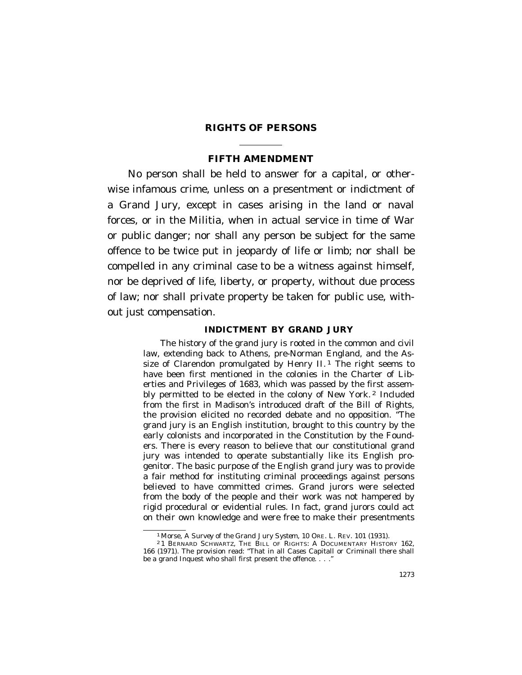## **RIGHTS OF PERSONS**

## **FIFTH AMENDMENT**

No person shall be held to answer for a capital, or otherwise infamous crime, unless on a presentment or indictment of a Grand Jury, except in cases arising in the land or naval forces, or in the Militia, when in actual service in time of War or public danger; nor shall any person be subject for the same offence to be twice put in jeopardy of life or limb; nor shall be compelled in any criminal case to be a witness against himself, nor be deprived of life, liberty, or property, without due process of law; nor shall private property be taken for public use, without just compensation.

### **INDICTMENT BY GRAND JURY**

The history of the grand jury is rooted in the common and civil law, extending back to Athens, pre-Norman England, and the Assize of Clarendon promulgated by Henry II.<sup>1</sup> The right seems to have been first mentioned in the colonies in the Charter of Liberties and Privileges of 1683, which was passed by the first assembly permitted to be elected in the colony of New York. 2 Included from the first in Madison's introduced draft of the Bill of Rights, the provision elicited no recorded debate and no opposition. ''The grand jury is an English institution, brought to this country by the early colonists and incorporated in the Constitution by the Founders. There is every reason to believe that our constitutional grand jury was intended to operate substantially like its English progenitor. The basic purpose of the English grand jury was to provide a fair method for instituting criminal proceedings against persons believed to have committed crimes. Grand jurors were selected from the body of the people and their work was not hampered by rigid procedural or evidential rules. In fact, grand jurors could act on their own knowledge and were free to make their presentments

<sup>1</sup>Morse, *A Survey of the Grand Jury System*, 10 ORE. L. REV. 101 (1931).

<sup>2</sup> 1 BERNARD SCHWARTZ, THE BILL OF RIGHTS: A DOCUMENTARY HISTORY 162, 166 (1971). The provision read: ''That in all Cases Capitall or Criminall there shall be a grand Inquest who shall first present the offence. . . .''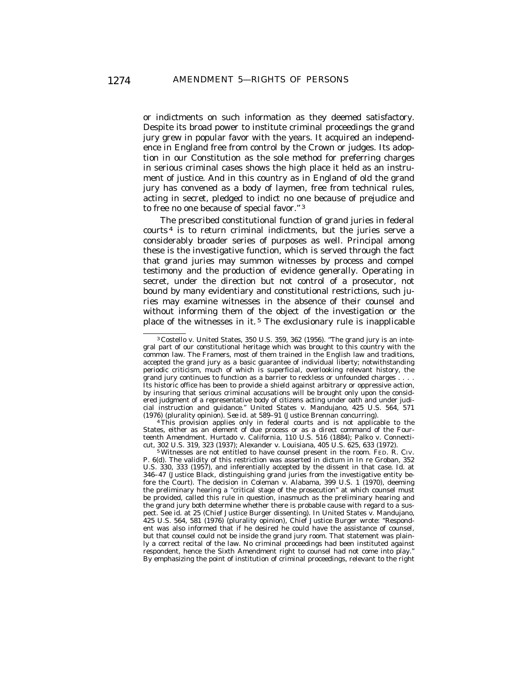or indictments on such information as they deemed satisfactory. Despite its broad power to institute criminal proceedings the grand jury grew in popular favor with the years. It acquired an independence in England free from control by the Crown or judges. Its adoption in our Constitution as the sole method for preferring charges in serious criminal cases shows the high place it held as an instrument of justice. And in this country as in England of old the grand jury has convened as a body of laymen, free from technical rules, acting in secret, pledged to indict no one because of prejudice and to free no one because of special favor."<sup>3</sup>

The prescribed constitutional function of grand juries in federal courts 4 is to return criminal indictments, but the juries serve a considerably broader series of purposes as well. Principal among these is the investigative function, which is served through the fact that grand juries may summon witnesses by process and compel testimony and the production of evidence generally. Operating in secret, under the direction but not control of a prosecutor, not bound by many evidentiary and constitutional restrictions, such juries may examine witnesses in the absence of their counsel and without informing them of the object of the investigation or the place of the witnesses in it. 5 The exclusionary rule is inapplicable

<sup>4</sup>This provision applies only in federal courts and is not applicable to the States, either as an element of due process or as a direct command of the Fourteenth Amendment. Hurtado v. California, 110 U.S. 516 (1884); Palko v. Connecticut, 302 U.S. 319, 323 (1937); Alexander v. Louisiana, 405 U.S. 625, 633 (1972). 5Witnesses are not entitled to have counsel present in the room. FED. R. CIV.

P. 6(d). The validity of this restriction was asserted in dictum in In re Groban, 352 U.S. 330, 333 (1957), and inferentially accepted by the dissent in that case. Id. at 346–47 (Justice Black, distinguishing grand juries from the investigative entity before the Court). The decision in Coleman v. Alabama, 399 U.S. 1 (1970), deeming the preliminary hearing a ''critical stage of the prosecution'' at which counsel must be provided, called this rule in question, inasmuch as the preliminary hearing and the grand jury both determine whether there is probable cause with regard to a suspect. See id. at 25 (Chief Justice Burger dissenting). In United States v. Mandujano, 425 U.S. 564, 581 (1976) (plurality opinion), Chief Justice Burger wrote: ''Respondent was also informed that if he desired he could have the assistance of counsel, but that counsel could not be inside the grand jury room. That statement was plainly a correct recital of the law. No criminal proceedings had been instituted against respondent, hence the Sixth Amendment right to counsel had not come into play.'' By emphasizing the point of institution of criminal proceedings, relevant to the right

<sup>3</sup> Costello v. United States, 350 U.S. 359, 362 (1956). ''The grand jury is an integral part of our constitutional heritage which was brought to this country with the common law. The Framers, most of them trained in the English law and traditions, accepted the grand jury as a basic guarantee of individual liberty; notwithstanding periodic criticism, much of which is superficial, overlooking relevant history, the grand jury continues to function as a barrier to reckless or unfounded charges . . . . Its historic office has been to provide a shield against arbitrary or oppressive action, by insuring that serious criminal accusations will be brought only upon the considered judgment of a representative body of citizens acting under oath and under judicial instruction and guidance." United States v. Mandujano, 425 U.S. 564, 571 (1976) (plurality opinion). See id. at 589-91 (Justice Brennan concurring).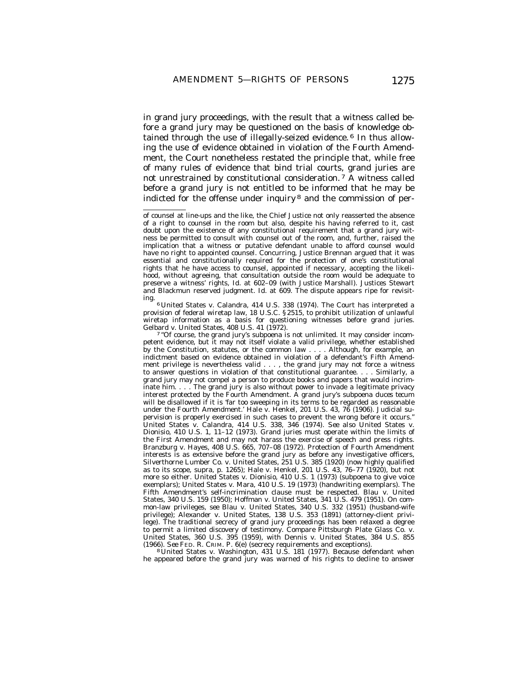in grand jury proceedings, with the result that a witness called before a grand jury may be questioned on the basis of knowledge obtained through the use of illegally-seized evidence. 6 In thus allowing the use of evidence obtained in violation of the Fourth Amendment, the Court nonetheless restated the principle that, while free of many rules of evidence that bind trial courts, grand juries are not unrestrained by constitutional consideration. 7 A witness called before a grand jury is not entitled to be informed that he may be indicted for the offense under inquiry 8 and the commission of per-

ing. <sup>6</sup> United States v. Calandra, 414 U.S. 338 (1974). The Court has interpreted a provision of federal wiretap law, 18 U.S.C. § 2515, to prohibit utilization of unlawful wiretap information as a basis for questioning witnesses before grand juries.<br>Gelbard v. United States, 408 U.S. 41 (1972).

 $7$  "Of course, the grand jury's subpoena is not unlimited. It may consider incompetent evidence, but it may not itself violate a valid privilege, whether established by the Constitution, statutes, or the common law . . . . Although, for example, an indictment based on evidence obtained in violation of a defendant's Fifth Amendment privilege is nevertheless valid . . . , the grand jury may not force a witness to answer questions in violation of that constitutional guarantee. . . . Similarly, a grand jury may not compel a person to produce books and papers that would incriminate him. . . . The grand jury is also without power to invade a legitimate privacy interest protected by the Fourth Amendment. A grand jury's subpoena *duces tecum* will be disallowed if it is 'far too sweeping in its terms to be regarded as reasonable under the Fourth Amendment.' Hale v. Henkel, 201 U.S. 43, 76 (1906). Judicial supervision is properly exercised in such cases to prevent the wrong before it occurs.'' United States v. Calandra, 414 U.S. 338, 346 (1974). *See also* United States v. Dionisio, 410 U.S. 1, 11–12 (1973). Grand juries must operate within the limits of the First Amendment and may not harass the exercise of speech and press rights. Branzburg v. Hayes, 408 U.S. 665, 707–08 (1972). Protection of Fourth Amendment interests is as extensive before the grand jury as before any investigative officers, Silverthorne Lumber Co. v. United States, 251 U.S. 385 (1920) (now highly qualified as to its scope, supra, p. 1265); Hale v. Henkel, 201 U.S. 43, 76–77 (1920), but not more so either. United States v. Dionisio, 410 U.S. 1 (1973) (subpoena to give voice exemplars); United States v. Mara, 410 U.S. 19 (1973) (handwriting exemplars). The Fifth Amendment's self-incrimination clause must be respected. Blau v. United States, 340 U.S. 159 (1950); Hoffman v. United States, 341 U.S. 479 (1951). On common-law privileges, *see* Blau v. United States, 340 U.S. 332 (1951) (husband-wife privilege); Alexander v. United States, 138 U.S. 353 (1891) (attorney-client privilege). The traditional secrecy of grand jury proceedings has been relaxed a degree to permit a limited discovery of testimony. *Compare* Pittsburgh Plate Glass Co. v. United States, 360 U.S. 395 (1959), *with* Dennis v. United States, 384 U.S. 855 (1966). *See* FED. R. CRIM. P. 6(e) (secrecy requirements and exceptions). <sup>8</sup> United States v. Washington, 431 U.S. 181 (1977). Because defendant when

he appeared before the grand jury was warned of his rights to decline to answer

of counsel at line-ups and the like, the Chief Justice not only reasserted the absence of a right to counsel in the room but also, despite his having referred to it, cast doubt upon the existence of any constitutional requirement that a grand jury witness be permitted to consult with counsel out of the room, and, further, raised the implication that a witness or putative defendant unable to afford counsel would have no right to appointed counsel. Concurring, Justice Brennan argued that it was essential and constitutionally required for the protection of one's constitutional rights that he have access to counsel, appointed if necessary, accepting the likelihood, without agreeing, that consultation outside the room would be adequate to preserve a witness' rights, Id. at 602–09 (with Justice Marshall). Justices Stewart and Blackmun reserved judgment. Id. at 609. The dispute appears ripe for revisit-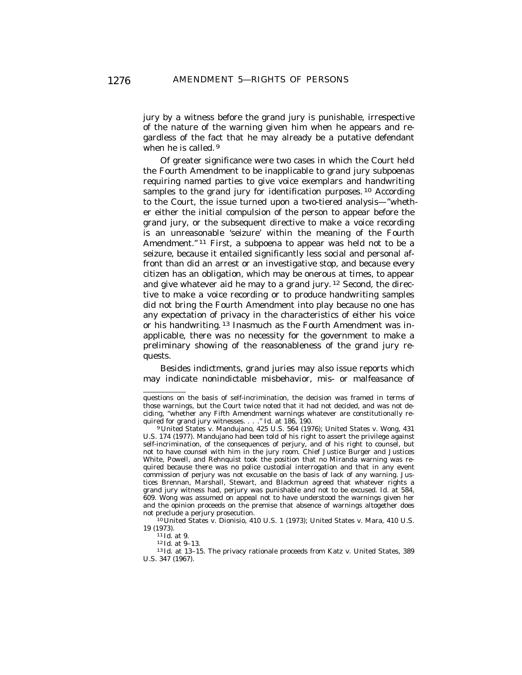jury by a witness before the grand jury is punishable, irrespective of the nature of the warning given him when he appears and regardless of the fact that he may already be a putative defendant when he is called. 9

Of greater significance were two cases in which the Court held the Fourth Amendment to be inapplicable to grand jury subpoenas requiring named parties to give voice exemplars and handwriting samples to the grand jury for identification purposes.<sup>10</sup> According to the Court, the issue turned upon a two-tiered analysis—''whether either the initial compulsion of the person to appear before the grand jury, or the subsequent directive to make a voice recording is an unreasonable 'seizure' within the meaning of the Fourth Amendment."<sup>11</sup> First, a subpoena to appear was held not to be a seizure, because it entailed significantly less social and personal affront than did an arrest or an investigative stop, and because every citizen has an obligation, which may be onerous at times, to appear and give whatever aid he may to a grand jury. 12 Second, the directive to make a voice recording or to produce handwriting samples did not bring the Fourth Amendment into play because no one has any expectation of privacy in the characteristics of either his voice or his handwriting. 13 Inasmuch as the Fourth Amendment was inapplicable, there was no necessity for the government to make a preliminary showing of the reasonableness of the grand jury requests.

Besides indictments, grand juries may also issue reports which may indicate nonindictable misbehavior, mis- or malfeasance of

questions on the basis of self-incrimination, the decision was framed in terms of those warnings, but the Court twice noted that it had not decided, and was not deciding, ''whether any Fifth Amendment warnings whatever are constitutionally required for grand jury witnesses. . . ." Id. at 186, 190.

<sup>9</sup> United States v. Mandujano, 425 U.S. 564 (1976); United States v. Wong, 431 U.S. 174 (1977). Mandujano had been told of his right to assert the privilege against self-incrimination, of the consequences of perjury, and of his right to counsel, but not to have counsel with him in the jury room. Chief Justice Burger and Justices White, Powell, and Rehnquist took the position that no *Miranda* warning was required because there was no police custodial interrogation and that in any event commission of perjury was not excusable on the basis of lack of any warning. Justices Brennan, Marshall, Stewart, and Blackmun agreed that whatever rights a grand jury witness had, perjury was punishable and not to be excused. Id. at 584, 609. Wong was assumed on appeal not to have understood the warnings given her and the opinion proceeds on the premise that absence of warnings altogether does not preclude a perjury prosecution.

<sup>10</sup> United States v. Dionisio, 410 U.S. 1 (1973); United States v. Mara, 410 U.S. 19 (1973).

<sup>11</sup> Id. at 9.

<sup>12</sup> Id. at 9–13.

<sup>13</sup> Id. at 13–15. The privacy rationale proceeds from Katz v. United States, 389 U.S. 347 (1967).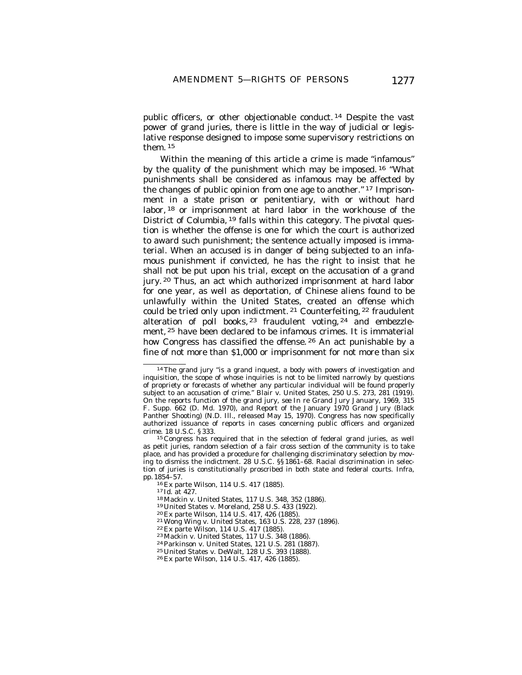public officers, or other objectionable conduct.<sup>14</sup> Despite the vast power of grand juries, there is little in the way of judicial or legislative response designed to impose some supervisory restrictions on them. 15

Within the meaning of this article a crime is made ''infamous'' by the quality of the punishment which may be imposed. 16 ''What punishments shall be considered as infamous may be affected by the changes of public opinion from one age to another.'' 17 Imprisonment in a state prison or penitentiary, with or without hard labor, 18 or imprisonment at hard labor in the workhouse of the District of Columbia, 19 falls within this category. The pivotal question is whether the offense is one for which the court is authorized to award such punishment; the sentence actually imposed is immaterial. When an accused is in danger of being subjected to an infamous punishment if convicted, he has the right to insist that he shall not be put upon his trial, except on the accusation of a grand jury. 20 Thus, an act which authorized imprisonment at hard labor for one year, as well as deportation, of Chinese aliens found to be unlawfully within the United States, created an offense which could be tried only upon indictment. 21 Counterfeiting, 22 fraudulent alteration of poll books, 23 fraudulent voting, 24 and embezzlement, 25 have been declared to be infamous crimes. It is immaterial how Congress has classified the offense. 26 An act punishable by a fine of not more than \$1,000 or imprisonment for not more than six

<sup>&</sup>lt;sup>14</sup>The grand jury "is a grand inquest, a body with powers of investigation and inquisition, the scope of whose inquiries is not to be limited narrowly by questions of propriety or forecasts of whether any particular individual will be found properly subject to an accusation of crime." Blair v. United States, 250 U.S. 273, 281 (1919). On the reports function of the grand jury, *see* In re Grand Jury January, 1969, 315 F. Supp. 662 (D. Md. 1970), and Report of the January 1970 Grand Jury (Black Panther Shooting) (N.D. Ill., released May 15, 1970). Congress has now specifically authorized issuance of reports in cases concerning public officers and organized crime. 18 U.S.C. § 333.

<sup>15</sup> Congress has required that in the selection of federal grand juries, as well as petit juries, random selection of a fair cross section of the community is to take place, and has provided a procedure for challenging discriminatory selection by moving to dismiss the indictment. 28 U.S.C. §§ 1861–68. Racial discrimination in selection of juries is constitutionally proscribed in both state and federal courts. Infra, pp. 1854–57.

<sup>16</sup> Ex parte Wilson, 114 U.S. 417 (1885).

<sup>17</sup> Id. at 427.

<sup>18</sup>Mackin v. United States, 117 U.S. 348, 352 (1886).

<sup>19</sup> United States v. Moreland, 258 U.S. 433 (1922).

<sup>20</sup> Ex parte Wilson, 114 U.S. 417, 426 (1885).

<sup>21</sup>Wong Wing v. United States, 163 U.S. 228, 237 (1896).

<sup>22</sup> Ex parte Wilson, 114 U.S. 417 (1885).

<sup>23</sup>Mackin v. United States, 117 U.S. 348 (1886).

<sup>24</sup>Parkinson v. United States, 121 U.S. 281 (1887).

<sup>25</sup> United States v. DeWalt, 128 U.S. 393 (1888).

<sup>26</sup> Ex parte Wilson, 114 U.S. 417, 426 (1885).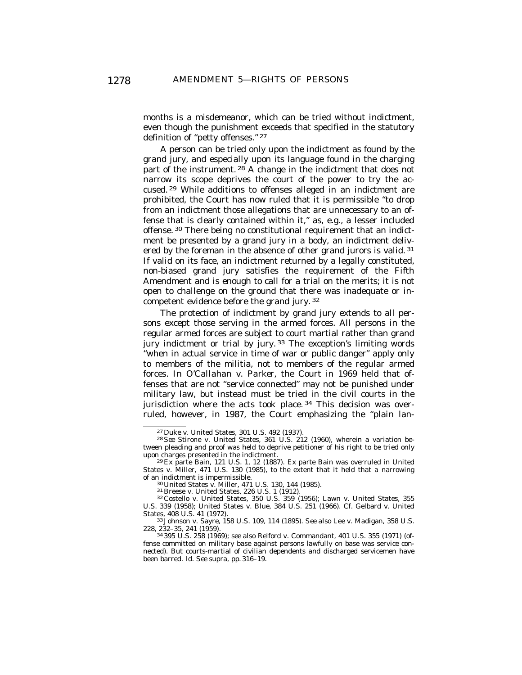months is a misdemeanor, which can be tried without indictment, even though the punishment exceeds that specified in the statutory definition of "petty offenses." 27

A person can be tried only upon the indictment as found by the grand jury, and especially upon its language found in the charging part of the instrument.<sup>28</sup> A change in the indictment that does not narrow its scope deprives the court of the power to try the accused. 29 While additions to offenses alleged in an indictment are prohibited, the Court has now ruled that it is permissible ''to drop from an indictment those allegations that are unnecessary to an offense that is clearly contained within it," as, e.g., a lesser included offense. 30 There being no constitutional requirement that an indictment be presented by a grand jury in a body, an indictment delivered by the foreman in the absence of other grand jurors is valid. 31 If valid on its face, an indictment returned by a legally constituted, non-biased grand jury satisfies the requirement of the Fifth Amendment and is enough to call for a trial on the merits; it is not open to challenge on the ground that there was inadequate or incompetent evidence before the grand jury. 32

The protection of indictment by grand jury extends to all persons except those serving in the armed forces. All persons in the regular armed forces are subject to court martial rather than grand jury indictment or trial by jury. 33 The exception's limiting words "when in actual service in time of war or public danger" apply only to members of the militia, not to members of the regular armed forces. In *O'Callahan v. Parker*, the Court in 1969 held that offenses that are not ''service connected'' may not be punished under military law, but instead must be tried in the civil courts in the jurisdiction where the acts took place.<sup>34</sup> This decision was overruled, however, in 1987, the Court emphasizing the "plain lan-

<sup>&</sup>lt;sup>27</sup> Duke v. United States, 301 U.S. 492 (1937).<br><sup>28</sup> See Stirone v. United States, 361 U.S. 212 (1960), wherein a variation between pleading and proof was held to deprive petitioner of his right to be tried only upon charges presented in the indictment.

<sup>&</sup>lt;sup>29</sup> Ex parte Bain, 121 U.S. 1, 12 (1887). Ex parte Bain was overruled in United States v. Miller, 471 U.S. 130 (1985), to the extent that it held that a narrowing

<sup>&</sup>lt;sup>30</sup> United States v. Miller, 471 U.S. 130, 144 (1985). <sup>31</sup> Breese v. United States, 226 U.S. 1 (1912). <sup>32</sup> Costello v. United States, 350 U.S. 359 (1956); Lawn v. United States, 355

U.S. 339 (1958); United States v. Blue, 384 U.S. 251 (1966). *Cf.* Gelbard v. United

States, 408 U.S. 41 (1972). <sup>33</sup> Johnson v. Sayre, 158 U.S. 109, 114 (1895). *See also* Lee v. Madigan, 358 U.S.

<sup>228, 232–35, 241 (1959).</sup> <sup>34</sup> 395 U.S. 258 (1969); *see also* Relford v. Commandant, 401 U.S. 355 (1971) (offense committed on military base against persons lawfully on base was service connected). But courts-martial of civilian dependents and discharged servicemen have been barred. Id. *See* supra, pp. 316–19.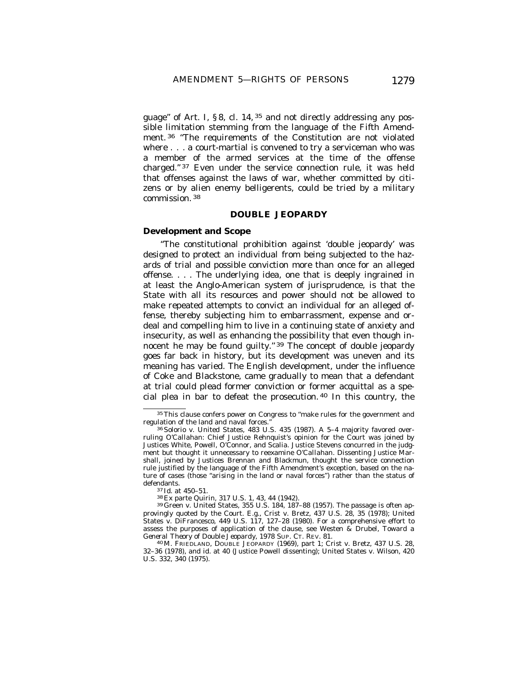guage'' of Art. I, § 8, cl. 14, 35 and not directly addressing any possible limitation stemming from the language of the Fifth Amendment. 36 ''The requirements of the Constitution are not violated where . . . a court-martial is convened to try a serviceman who was a member of the armed services at the time of the offense charged."<sup>37</sup> Even under the service connection rule, it was held that offenses against the laws of war, whether committed by citizens or by alien enemy belligerents, could be tried by a military commission. 38

#### **DOUBLE JEOPARDY**

#### **Development and Scope**

''The constitutional prohibition against 'double jeopardy' was designed to protect an individual from being subjected to the hazards of trial and possible conviction more than once for an alleged offense. . . . The underlying idea, one that is deeply ingrained in at least the Anglo-American system of jurisprudence, is that the State with all its resources and power should not be allowed to make repeated attempts to convict an individual for an alleged offense, thereby subjecting him to embarrassment, expense and ordeal and compelling him to live in a continuing state of anxiety and insecurity, as well as enhancing the possibility that even though innocent he may be found guilty."<sup>39</sup> The concept of double jeopardy goes far back in history, but its development was uneven and its meaning has varied. The English development, under the influence of Coke and Blackstone, came gradually to mean that a defendant at trial could plead former conviction or former acquittal as a special plea in bar to defeat the prosecution. 40 In this country, the

<sup>35</sup>This clause confers power on Congress to ''make rules for the government and regulation of the land and naval forces.

<sup>36</sup>Solorio v. United States, 483 U.S. 435 (1987). A 5–4 majority favored overruling *O'Callahan*: Chief Justice Rehnquist's opinion for the Court was joined by Justices White, Powell, O'Connor, and Scalia. Justice Stevens concurred in the judgment but thought it unnecessary to reexamine *O'Callahan*. Dissenting Justice Marshall, joined by Justices Brennan and Blackmun, thought the service connection rule justified by the language of the Fifth Amendment's exception, based on the nature of cases (those ''*arising in* the land or naval forces'') rather than the status of defendants.

<sup>37</sup> Id. at 450–51.

<sup>38</sup> Ex parte Quirin, 317 U.S. 1, 43, 44 (1942).

<sup>39</sup>Green v. United States, 355 U.S. 184, 187–88 (1957). The passage is often approvingly quoted by the Court. E.g., Crist v. Bretz, 437 U.S. 28, 35 (1978); United States v. DiFrancesco, 449 U.S. 117, 127–28 (1980). For a comprehensive effort to assess the purposes of application of the clause, see Westen & Drubel, *Toward a General Theory of Double Jeopardy*, 1978 SUP. CT. REV. 81.

<sup>40</sup>M. FRIEDLAND, DOUBLE JEOPARDY (1969), part 1; Crist v. Bretz, 437 U.S. 28, 32–36 (1978), and id. at 40 (Justice Powell dissenting); United States v. Wilson, 420 U.S. 332, 340 (1975).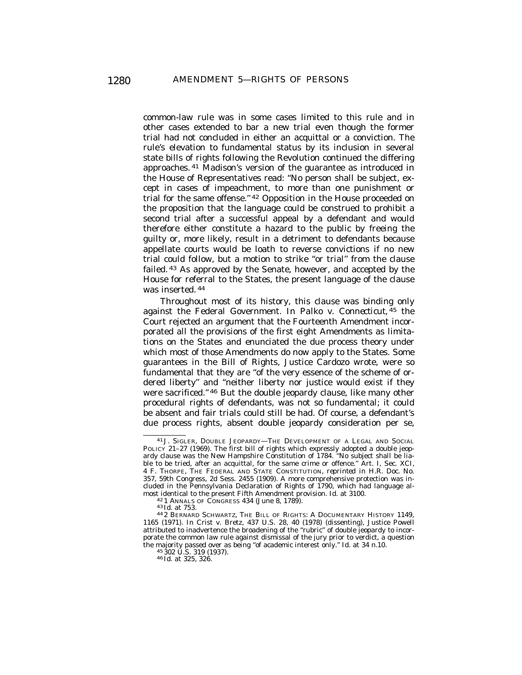common-law rule was in some cases limited to this rule and in other cases extended to bar a new trial even though the former trial had not concluded in either an acquittal or a conviction. The rule's elevation to fundamental status by its inclusion in several state bills of rights following the Revolution continued the differing approaches. 41 Madison's version of the guarantee as introduced in the House of Representatives read: ''No person shall be subject, except in cases of impeachment, to more than one punishment or trial for the same offense.'' 42 Opposition in the House proceeded on the proposition that the language could be construed to prohibit a second trial after a successful appeal by a defendant and would therefore either constitute a hazard to the public by freeing the guilty or, more likely, result in a detriment to defendants because appellate courts would be loath to reverse convictions if no new trial could follow, but a motion to strike "or trial" from the clause failed. 43 As approved by the Senate, however, and accepted by the House for referral to the States, the present language of the clause was inserted. 44

Throughout most of its history, this clause was binding only against the Federal Government. In *Palko v. Connecticut*, 45 the Court rejected an argument that the Fourteenth Amendment incorporated all the provisions of the first eight Amendments as limitations on the States and enunciated the due process theory under which most of those Amendments do now apply to the States. Some guarantees in the Bill of Rights, Justice Cardozo wrote, were so fundamental that they are ''of the very essence of the scheme of ordered liberty'' and ''neither liberty nor justice would exist if they were sacrificed.'' 46 But the double jeopardy clause, like many other procedural rights of defendants, was not so fundamental; it could be absent and fair trials could still be had. Of course, a defendant's due process rights, absent double jeopardy consideration per se,

<sup>41</sup> J. SIGLER, DOUBLE JEOPARDY—THE DEVELOPMENT OF A LEGAL AND SOCIAL POLICY 21-27 (1969). The first bill of rights which expressly adopted a double jeopardy clause was the New Hampshire Constitution of 1784. ''No subject shall be liable to be tried, after an acquittal, for the same crime or offence." Art. I, Sec. XCI, 4 F. THORPE, THE FEDERAL AND STATE CONSTITUTION, *reprinted in* H.R. Doc. No. 357, 59th Congress, 2d Sess. 2455 (1909). A more comprehensive protection was included in the Pennsylvania Declaration of Rights of 1790, which had language almost identical to the present Fifth Amendment provision. Id. at 3100.<br>
<sup>42</sup> 1 ANNALS OF CONGRESS 434 (June 8, 1789).<br>
<sup>43</sup> Id. at 753.<br>
<sup>44</sup> 2 BERNARD SCHWARTZ, THE BILL OF RIGHTS: A DOCUMENTARY HISTORY 1149,

<sup>1165 (1971).</sup> In Crist v. Bretz, 437 U.S. 28, 40 (1978) (dissenting), Justice Powell attributed to inadvertence the broadening of the ''rubric'' of double jeopardy to incorporate the common law rule against dismissal of the jury prior to verdict, a question the majority passed over as being "of academic interest only." Id. at 34 n.10. 45 302 U.S. 319 (1937).<br>
<sup>45</sup> 302 U.S. 319 (1937).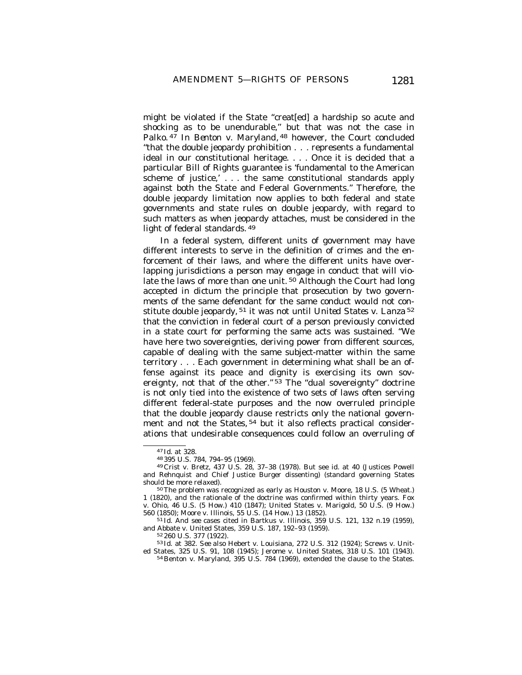might be violated if the State ''creat[ed] a hardship so acute and shocking as to be unendurable,'' but that was not the case in *Palko*. 47 In *Benton v. Maryland*, 48 however, the Court concluded ''that the double jeopardy prohibition . . . represents a fundamental ideal in our constitutional heritage. . . . Once it is decided that a particular Bill of Rights guarantee is 'fundamental to the American scheme of justice,' . . . the same constitutional standards apply against both the State and Federal Governments.'' Therefore, the double jeopardy limitation now applies to both federal and state governments and state rules on double jeopardy, with regard to such matters as when jeopardy attaches, must be considered in the light of federal standards. 49

In a federal system, different units of government may have different interests to serve in the definition of crimes and the enforcement of their laws, and where the different units have overlapping jurisdictions a person may engage in conduct that will violate the laws of more than one unit. 50 Although the Court had long accepted in dictum the principle that prosecution by two governments of the same defendant for the same conduct would not constitute double jeopardy, 51 it was not until *United States v. Lanza* 52 that the conviction in federal court of a person previously convicted in a state court for performing the same acts was sustained. ''We have here two sovereignties, deriving power from different sources, capable of dealing with the same subject-matter within the same territory . . . Each government in determining what shall be an offense against its peace and dignity is exercising its own sovereignty, not that of the other."<sup>53</sup> The "dual sovereignty" doctrine is not only tied into the existence of two sets of laws often serving different federal-state purposes and the now overruled principle that the double jeopardy clause restricts only the national government and not the States, 54 but it also reflects practical considerations that undesirable consequences could follow an overruling of

<sup>47</sup> Id. at 328.

<sup>48</sup> 395 U.S. 784, 794–95 (1969).

<sup>49</sup> Crist v. Bretz, 437 U.S. 28, 37–38 (1978). But see id. at 40 (Justices Powell and Rehnquist and Chief Justice Burger dissenting) (standard governing States should be more relaxed).

<sup>50</sup>The problem was recognized as early as Houston v. Moore, 18 U.S. (5 Wheat.) 1 (1820), and the rationale of the doctrine was confirmed within thirty years. Fox v. Ohio, 46 U.S. (5 How.) 410 (1847); United States v. Marigold, 50 U.S. (9 How.) 560 (1850); Moore v. Illinois, 55 U.S. (14 How.) 13 (1852).

<sup>51</sup> Id. *And see* cases cited in Bartkus v. Illinois, 359 U.S. 121, 132 n.19 (1959), and Abbate v. United States, 359 U.S. 187, 192–93 (1959).

<sup>52</sup> 260 U.S. 377 (1922).

<sup>53</sup> Id. at 382. *See also* Hebert v. Louisiana, 272 U.S. 312 (1924); Screws v. United States, 325 U.S. 91, 108 (1945); Jerome v. United States, 318 U.S. 101 (1943). 54 Benton v. Maryland, 395 U.S. 784 (1969), extended the clause to the States.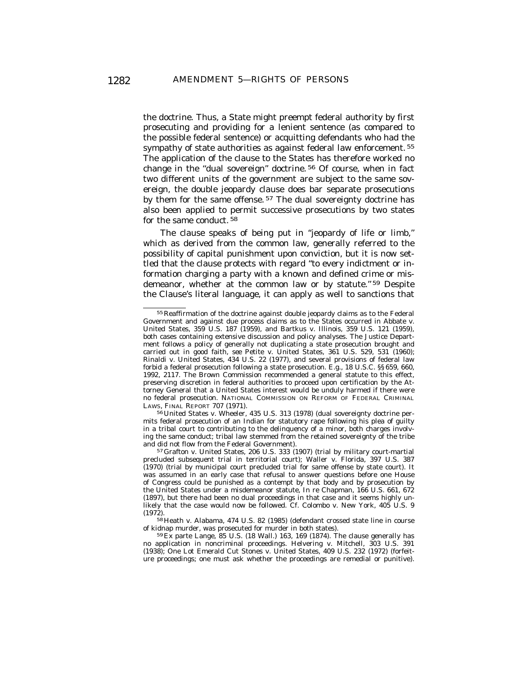the doctrine. Thus, a State might preempt federal authority by first prosecuting and providing for a lenient sentence (as compared to the possible federal sentence) or acquitting defendants who had the sympathy of state authorities as against federal law enforcement. 55 The application of the clause to the States has therefore worked no change in the ''dual sovereign'' doctrine. 56 Of course, when in fact two different units of the government are subject to the same sovereign, the double jeopardy clause does bar separate prosecutions by them for the same offense. 57 The dual sovereignty doctrine has also been applied to permit successive prosecutions by two states for the same conduct. 58

The clause speaks of being put in ''jeopardy of life or limb,'' which as derived from the common law, generally referred to the possibility of capital punishment upon conviction, but it is now settled that the clause protects with regard ''to every indictment or information charging a party with a known and defined crime or misdemeanor, whether at the common law or by statute."<sup>59</sup> Despite the Clause's literal language, it can apply as well to sanctions that

56 United States v. Wheeler, 435 U.S. 313 (1978) (dual sovereignty doctrine permits federal prosecution of an Indian for statutory rape following his plea of guilty in a tribal court to contributing to the delinquency of a minor, both charges involving the same conduct; tribal law stemmed from the retained sovereignty of the tribe and did not flow from the Federal Government).

<sup>55</sup> Reaffirmation of the doctrine against double jeopardy claims as to the Federal Government and against due process claims as to the States occurred in Abbate v. United States, 359 U.S. 187 (1959), and Bartkus v. Illinois, 359 U.S. 121 (1959), both cases containing extensive discussion and policy analyses. The Justice Department follows a policy of generally not duplicating a state prosecution brought and carried out in good faith, *see* Petite v. United States, 361 U.S. 529, 531 (1960); Rinaldi v. United States, 434 U.S. 22 (1977), and several provisions of federal law forbid a federal prosecution following a state prosecution. E.g., 18 U.S.C. §§ 659, 660, 1992, 2117. The Brown Commission recommended a general statute to this effect, preserving discretion in federal authorities to proceed upon certification by the Attorney General that a United States interest would be unduly harmed if there were no federal prosecution. NATIONAL COMMISSION ON REFORM OF FEDERAL CRIMINAL LAWS, FINAL REPORT 707 (1971).

<sup>57</sup>Grafton v. United States, 206 U.S. 333 (1907) (trial by military court-martial precluded subsequent trial in territorial court); Waller v. Florida, 397 U.S. 387 (1970) (trial by municipal court precluded trial for same offense by state court). It was assumed in an early case that refusal to answer questions before one House of Congress could be punished as a contempt by that body and by prosecution by the United States under a misdemeanor statute, In re Chapman, 166 U.S. 661, 672 (1897), but there had been no dual proceedings in that case and it seems highly unlikely that the case would now be followed. Cf. Colombo v. New York, 405 U.S. 9 (1972).

<sup>58</sup> Heath v. Alabama, 474 U.S. 82 (1985) (defendant crossed state line in course of kidnap murder, was prosecuted for murder in both states).

<sup>59</sup> Ex parte Lange, 85 U.S. (18 Wall.) 163, 169 (1874). The clause generally has no application in noncriminal proceedings. Helvering v. Mitchell, 303 U.S. 391 (1938); One Lot Emerald Cut Stones v. United States, 409 U.S. 232 (1972) (forfeiture proceedings; one must ask whether the proceedings are remedial or punitive).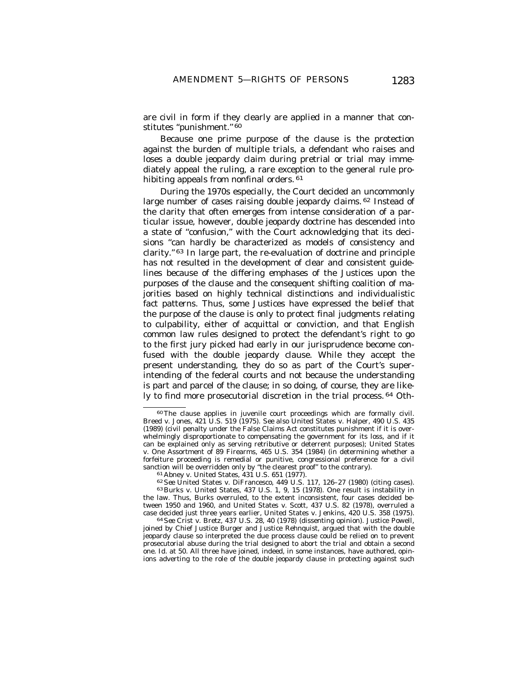are civil in form if they clearly are applied in a manner that constitutes "punishment." 60

Because one prime purpose of the clause is the protection against the burden of multiple trials, a defendant who raises and loses a double jeopardy claim during pretrial or trial may immediately appeal the ruling, a rare exception to the general rule prohibiting appeals from nonfinal orders.<sup>61</sup>

During the 1970s especially, the Court decided an uncommonly large number of cases raising double jeopardy claims. 62 Instead of the clarity that often emerges from intense consideration of a particular issue, however, double jeopardy doctrine has descended into a state of ''confusion,'' with the Court acknowledging that its decisions ''can hardly be characterized as models of consistency and clarity.'' 63 In large part, the re-evaluation of doctrine and principle has not resulted in the development of clear and consistent guidelines because of the differing emphases of the Justices upon the purposes of the clause and the consequent shifting coalition of majorities based on highly technical distinctions and individualistic fact patterns. Thus, some Justices have expressed the belief that the purpose of the clause is only to protect final judgments relating to culpability, either of acquittal or conviction, and that English common law rules designed to protect the defendant's right to go to the first jury picked had early in our jurisprudence become confused with the double jeopardy clause. While they accept the present understanding, they do so as part of the Court's superintending of the federal courts and not because the understanding is part and parcel of the clause; in so doing, of course, they are likely to find more prosecutorial discretion in the trial process. 64 Oth-

<sup>60</sup>The clause applies in juvenile court proceedings which are formally civil. Breed v. Jones, 421 U.S. 519 (1975). *See also* United States v. Halper, 490 U.S. 435 (1989) (civil penalty under the False Claims Act constitutes punishment if it is overwhelmingly disproportionate to compensating the government for its loss, and if it can be explained only as serving retributive or deterrent purposes); United States v. One Assortment of 89 Firearms, 465 U.S. 354 (1984) (in determining whether a forfeiture proceeding is remedial or punitive, congressional preference for a civil sanction will be overridden only by ''the clearest proof'' to the contrary).

<sup>61</sup> Abney v. United States, 431 U.S. 651 (1977).

<sup>62</sup>*See* United States v. DiFrancesco, 449 U.S. 117, 126–27 (1980) (citing cases). 63 Burks v. United States, 437 U.S. 1, 9, 15 (1978). One result is instability in the law. Thus, *Burks* overruled, to the extent inconsistent, four cases decided between 1950 and 1960, and United States v. Scott, 437 U.S. 82 (1978), overruled a case decided just three years earlier, United States v. Jenkins, 420 U.S. 358 (1975).

<sup>64</sup>*See* Crist v. Bretz, 437 U.S. 28, 40 (1978) (dissenting opinion). Justice Powell, joined by Chief Justice Burger and Justice Rehnquist, argued that with the double jeopardy clause so interpreted the due process clause could be relied on to prevent prosecutorial abuse during the trial designed to abort the trial and obtain a second one. Id. at 50. All three have joined, indeed, in some instances, have authored, opinions adverting to the role of the double jeopardy clause in protecting against such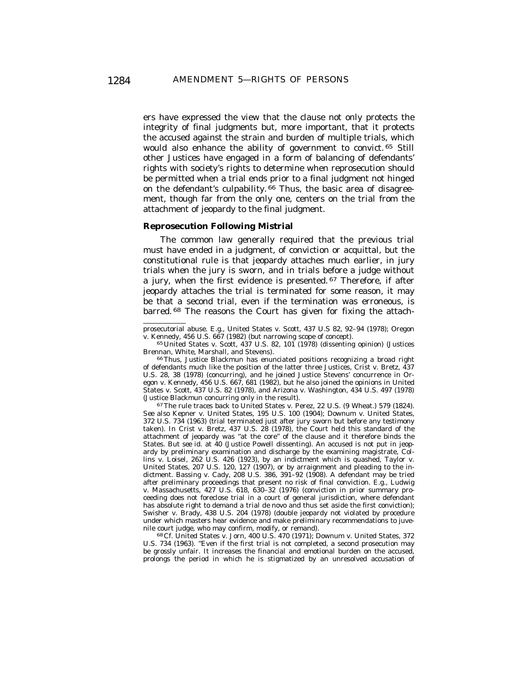ers have expressed the view that the clause not only protects the integrity of final judgments but, more important, that it protects the accused against the strain and burden of multiple trials, which would also enhance the ability of government to convict. 65 Still other Justices have engaged in a form of balancing of defendants' rights with society's rights to determine when reprosecution should be permitted when a trial ends prior to a final judgment not hinged on the defendant's culpability. 66 Thus, the basic area of disagreement, though far from the only one, centers on the trial from the attachment of jeopardy to the final judgment.

#### **Reprosecution Following Mistrial**

The common law generally required that the previous trial must have ended in a judgment, of conviction or acquittal, but the constitutional rule is that jeopardy attaches much earlier, in jury trials when the jury is sworn, and in trials before a judge without a jury, when the first evidence is presented. 67 Therefore, if after jeopardy attaches the trial is terminated for some reason, it may be that a second trial, even if the termination was erroneous, is barred. 68 The reasons the Court has given for fixing the attach-

67The rule traces back to United States v. Perez, 22 U.S. (9 Wheat.) 579 (1824). *See also* Kepner v. United States, 195 U.S. 100 (1904); Downum v. United States, 372 U.S. 734 (1963) (trial terminated just after jury sworn but before any testimony taken). In Crist v. Bretz, 437 U.S. 28 (1978), the Court held this standard of the attachment of jeopardy was ''at the core'' of the clause and it therefore binds the States. *But see* id. at 40 (Justice Powell dissenting). An accused is not put in jeopardy by preliminary examination and discharge by the examining magistrate, Collins v. Loisel, 262 U.S. 426 (1923), by an indictment which is quashed, Taylor v. United States, 207 U.S. 120, 127 (1907), or by arraignment and pleading to the indictment. Bassing v. Cady, 208 U.S. 386, 391–92 (1908). A defendant may be tried after preliminary proceedings that present no risk of final conviction. E.g., Ludwig v. Massachusetts, 427 U.S. 618, 630–32 (1976) (conviction in prior summary proceeding does not foreclose trial in a court of general jurisdiction, where defendant has absolute right to demand a trial *de novo* and thus set aside the first conviction); Swisher v. Brady, 438 U.S. 204 (1978) (double jeopardy not violated by procedure under which masters hear evidence and make preliminary recommendations to juvenile court judge, who may confirm, modify, or remand).

68 *Cf.* United States v. Jorn, 400 U.S. 470 (1971); Downum v. United States, 372 U.S. 734 (1963). "Even if the first trial is not completed, a second prosecution may be grossly unfair. It increases the financial and emotional burden on the accused, prolongs the period in which he is stigmatized by an unresolved accusation of

prosecutorial abuse. E.g., United States v. Scott, 437 U.S 82, 92–94 (1978); Oregon v. Kennedy, 456 U.S. 667 (1982) (but narrowing scope of concept).

<sup>65</sup> United States v. Scott, 437 U.S. 82, 101 (1978) (dissenting opinion) (Justices Brennan, White, Marshall, and Stevens).

<sup>66</sup>Thus, Justice Blackmun has enunciated positions recognizing a broad right of defendants much like the position of the latter three Justices, Crist v. Bretz, 437 U.S. 28, 38 (1978) (concurring), and he joined Justice Stevens' concurrence in Oregon v. Kennedy, 456 U.S. 667, 681 (1982), but he also joined the opinions in United States v. Scott, 437 U.S. 82 (1978), and Arizona v. Washington, 434 U.S. 497 (1978) (Justice Blackmun concurring only in the result).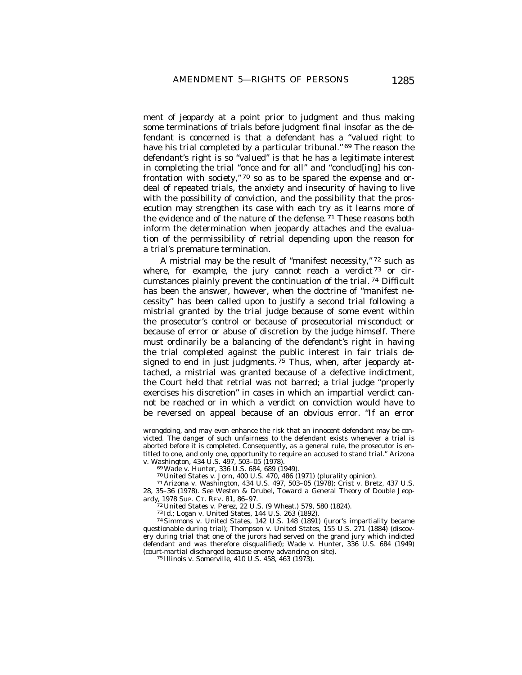ment of jeopardy at a point prior to judgment and thus making some terminations of trials before judgment final insofar as the defendant is concerned is that a defendant has a ''valued right to have his trial completed by a particular tribunal." <sup>69</sup> The reason the defendant's right is so ''valued'' is that he has a legitimate interest in completing the trial "once and for all" and "conclud[ing] his confrontation with society,"70 so as to be spared the expense and ordeal of repeated trials, the anxiety and insecurity of having to live with the possibility of conviction, and the possibility that the prosecution may strengthen its case with each try as it learns more of the evidence and of the nature of the defense. 71 These reasons both inform the determination when jeopardy attaches and the evaluation of the permissibility of retrial depending upon the reason for a trial's premature termination.

A mistrial may be the result of ''manifest necessity,'' 72 such as where, for example, the jury cannot reach a verdict<sup>73</sup> or circumstances plainly prevent the continuation of the trial. 74 Difficult has been the answer, however, when the doctrine of ''manifest necessity'' has been called upon to justify a second trial following a mistrial granted by the trial judge because of some event within the prosecutor's control or because of prosecutorial misconduct or because of error or abuse of discretion by the judge himself. There must ordinarily be a balancing of the defendant's right in having the trial completed against the public interest in fair trials designed to end in just judgments.<sup>75</sup> Thus, when, after jeopardy attached, a mistrial was granted because of a defective indictment, the Court held that retrial was not barred; a trial judge ''properly exercises his discretion'' in cases in which an impartial verdict cannot be reached or in which a verdict on conviction would have to be reversed on appeal because of an obvious error. ''If an error

wrongdoing, and may even enhance the risk that an innocent defendant may be convicted. The danger of such unfairness to the defendant exists whenever a trial is aborted before it is completed. Consequently, as a general rule, the prosecutor is entitled to one, and only one, opportunity to require an accused to stand trial.'' Arizona

<sup>&</sup>lt;sup>69</sup> Wade v. Hunter, 336 U.S. 684, 689 (1949).<br><sup>70</sup> United States v. Jorn, 400 U.S. 470, 486 (1971) (plurality opinion).<br><sup>71</sup> Arizona v. Washington, 434 U.S. 497, 503–05 (1978); Crist v. Bretz, 437 U.S. 28, 35–36 (1978). *See* Westen & Drubel, *Toward a General Theory of Double Jeop-*

*ardy*, 1978 SUP. CT. REV. 81, 86–97. <sup>72</sup> United States v. Perez, 22 U.S. (9 Wheat.) 579, 580 (1824).

<sup>73</sup> Id.; Logan v. United States, 144 U.S. 263 (1892).

<sup>74</sup>Simmons v. United States, 142 U.S. 148 (1891) (juror's impartiality became questionable during trial); Thompson v. United States, 155 U.S. 271 (1884) (discovery during trial that one of the jurors had served on the grand jury which indicted defendant and was therefore disqualified); Wade v. Hunter, 336 U.S. 684 (1949) (court-martial discharged because enemy advancing on site).

<sup>75</sup> Illinois v. Somerville, 410 U.S. 458, 463 (1973).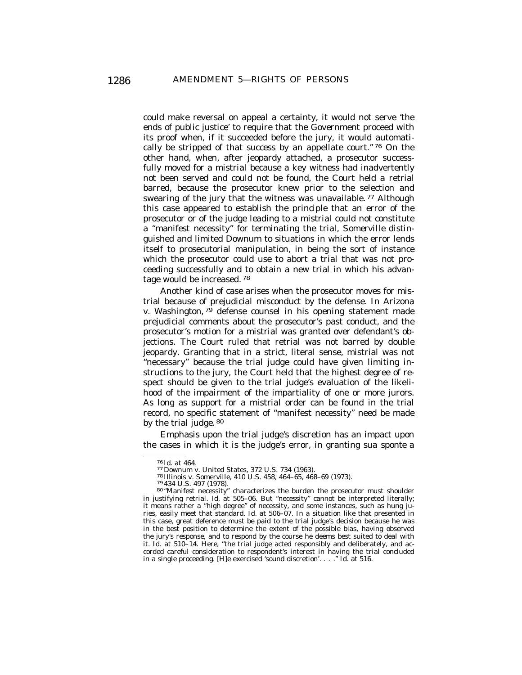could make reversal on appeal a certainty, it would not serve 'the ends of public justice' to require that the Government proceed with its proof when, if it succeeded before the jury, it would automatically be stripped of that success by an appellate court."<sup>76</sup> On the other hand, when, after jeopardy attached, a prosecutor successfully moved for a mistrial because a key witness had inadvertently not been served and could not be found, the Court held a retrial barred, because the prosecutor knew prior to the selection and swearing of the jury that the witness was unavailable. 77 Although this case appeared to establish the principle that an error of the prosecutor or of the judge leading to a mistrial could not constitute a ''manifest necessity'' for terminating the trial, *Somerville* distinguished and limited *Downum* to situations in which the error lends itself to prosecutorial manipulation, in being the sort of instance which the prosecutor could use to abort a trial that was not proceeding successfully and to obtain a new trial in which his advantage would be increased. 78

Another kind of case arises when the prosecutor moves for mistrial because of prejudicial misconduct by the defense. In *Arizona v. Washington*, 79 defense counsel in his opening statement made prejudicial comments about the prosecutor's past conduct, and the prosecutor's motion for a mistrial was granted over defendant's objections. The Court ruled that retrial was not barred by double jeopardy. Granting that in a strict, literal sense, mistrial was not ''necessary'' because the trial judge could have given limiting instructions to the jury, the Court held that the highest degree of respect should be given to the trial judge's evaluation of the likelihood of the impairment of the impartiality of one or more jurors. As long as support for a mistrial order can be found in the trial record, no specific statement of ''manifest necessity'' need be made by the trial judge. 80

Emphasis upon the trial judge's discretion has an impact upon the cases in which it is the judge's error, in granting *sua sponte* a

<sup>&</sup>lt;sup>76</sup> Id. at 464.<br><sup>77</sup> Downum v. United States, 372 U.S. 734 (1963).<br><sup>78</sup> Illinois v. Somerville, 410 U.S. 458, 464–65, 468–69 (1973).<br><sup>79</sup> 434 U.S. 497 (1978).<br><sup>80</sup> "Manifest necessity" characterizes the burden the prosecu in justifying retrial. Id. at 505–06. But ''necessity'' cannot be interpreted literally; it means rather a ''high degree'' of necessity, and some instances, such as hung juries, easily meet that standard. Id. at 506–07. In a situation like that presented in this case, great deference must be paid to the trial judge's decision because he was in the best position to determine the extent of the possible bias, having observed the jury's response, and to respond by the course he deems best suited to deal with it. Id. at 510–14. Here, ''the trial judge acted responsibly and deliberately, and accorded careful consideration to respondent's interest in having the trial concluded in a single proceeding. [H]e exercised 'sound discretion'. . . .'' Id. at 516.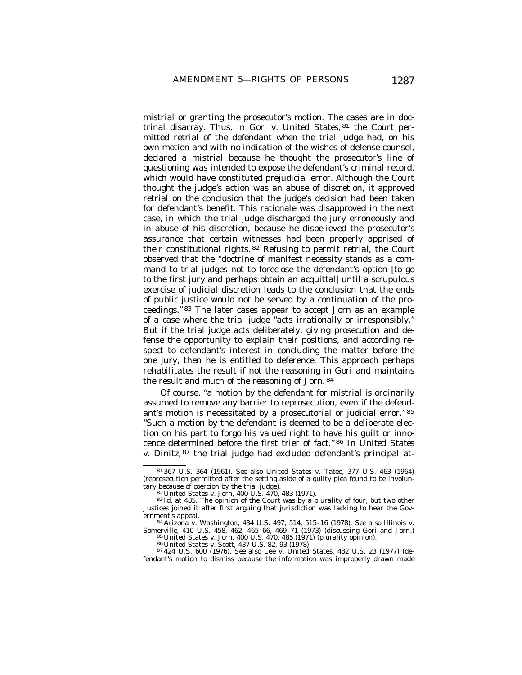mistrial or granting the prosecutor's motion. The cases are in doctrinal disarray. Thus, in *Gori v. United States*, 81 the Court permitted retrial of the defendant when the trial judge had, on his own motion and with no indication of the wishes of defense counsel, declared a mistrial because he thought the prosecutor's line of questioning was intended to expose the defendant's criminal record, which would have constituted prejudicial error. Although the Court thought the judge's action was an abuse of discretion, it approved retrial on the conclusion that the judge's decision had been taken for defendant's benefit. This rationale was disapproved in the next case, in which the trial judge discharged the jury erroneously and in abuse of his discretion, because he disbelieved the prosecutor's assurance that certain witnesses had been properly apprised of their constitutional rights. 82 Refusing to permit retrial, the Court observed that the ''doctrine of manifest necessity stands as a command to trial judges not to foreclose the defendant's option [to go to the first jury and perhaps obtain an acquittal] until a scrupulous exercise of judicial discretion leads to the conclusion that the ends of public justice would not be served by a continuation of the proceedings.'' 83 The later cases appear to accept *Jorn* as an example of a case where the trial judge ''acts irrationally or irresponsibly.'' But if the trial judge acts deliberately, giving prosecution and defense the opportunity to explain their positions, and according respect to defendant's interest in concluding the matter before the one jury, then he is entitled to deference. This approach perhaps rehabilitates the result if not the reasoning in *Gori* and maintains the result and much of the reasoning of *Jorn*. 84

Of course, ''a motion by the defendant for mistrial is ordinarily assumed to remove any barrier to reprosecution, even if the defendant's motion is necessitated by a prosecutorial or judicial error."85 ''Such a motion by the defendant is deemed to be a deliberate election on his part to forgo his valued right to have his guilt or innocence determined before the first trier of fact.'' 86 In *United States v. Dinitz*, 87 the trial judge had excluded defendant's principal at-

<sup>81</sup> 367 U.S. 364 (1961). *See also* United States v. Tateo, 377 U.S. 463 (1964) (reprosecution permitted after the setting aside of a guilty plea found to be involuntary because of coercion by the trial judge).<br>
<sup>82</sup> United States v. Jorn, 400 U.S. 470, 483 (1971).<br>
<sup>83</sup> Id. at 485. The opinion of the Court was by a plurality of four, but two other

Justices joined it after first arguing that jurisdiction was lacking to hear the Gov-

ernment's appeal. <sup>84</sup> Arizona v. Washington, 434 U.S. 497, 514, 515–16 (1978). *See also* Illinois v.

<sup>&</sup>lt;sup>85</sup> United States v. Jorn, 400 U.S. 470, 485 (1971) (plurality opinion).<br><sup>86</sup> United States v. Scott, 437 U.S. 82, 93 (1978).<br><sup>87</sup> 424 U.S. 600 (1976). *See also* Lee v. United States, 432 U.S. 23 (1977) (defendant's motion to dismiss because the information was improperly drawn made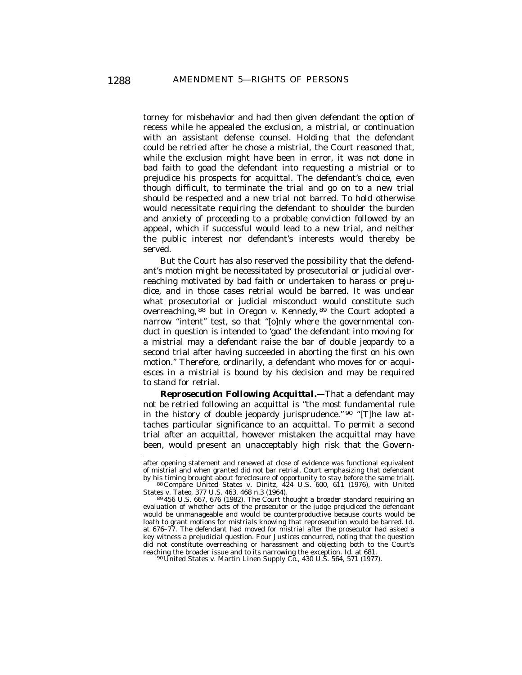torney for misbehavior and had then given defendant the option of recess while he appealed the exclusion, a mistrial, or continuation with an assistant defense counsel. Holding that the defendant could be retried after he chose a mistrial, the Court reasoned that, while the exclusion might have been in error, it was not done in bad faith to goad the defendant into requesting a mistrial or to prejudice his prospects for acquittal. The defendant's choice, even though difficult, to terminate the trial and go on to a new trial should be respected and a new trial not barred. To hold otherwise would necessitate requiring the defendant to shoulder the burden and anxiety of proceeding to a probable conviction followed by an appeal, which if successful would lead to a new trial, and neither the public interest nor defendant's interests would thereby be served.

But the Court has also reserved the possibility that the defendant's motion might be necessitated by prosecutorial or judicial overreaching motivated by bad faith or undertaken to harass or prejudice, and in those cases retrial would be barred. It was unclear what prosecutorial or judicial misconduct would constitute such overreaching, 88 but in *Oregon v. Kennedy*, 89 the Court adopted a narrow "intent" test, so that "[o]nly where the governmental conduct in question is intended to 'goad' the defendant into moving for a mistrial may a defendant raise the bar of double jeopardy to a second trial after having succeeded in aborting the first on his own motion.'' Therefore, ordinarily, a defendant who moves for or acquiesces in a mistrial is bound by his decision and may be required to stand for retrial.

*Reprosecution Following Acquittal.—*That a defendant may not be retried following an acquittal is ''the most fundamental rule in the history of double jeopardy jurisprudence." 90 "[T]he law attaches particular significance to an acquittal. To permit a second trial after an acquittal, however mistaken the acquittal may have been, would present an unacceptably high risk that the Govern-

after opening statement and renewed at close of evidence was functional equivalent of mistrial and when granted did not bar retrial, Court emphasizing that defendant by his timing brought about foreclosure of opportunity to stay before the same trial). <sup>88</sup> *Compare* United States v. Dinitz, 424 U.S. 600, 611 (1976), *with* United

 $89456$  U.S. 667, 676 (1982). The Court thought a broader standard requiring an evaluation of whether acts of the prosecutor or the judge prejudiced the defendant would be unmanageable and would be counterproductive because courts would be loath to grant motions for mistrials knowing that reprosecution would be barred. Id. at 676–77. The defendant had moved for mistrial after the prosecutor had asked a key witness a prejudicial question. Four Justices concurred, noting that the question did not constitute overreaching or harassment and objecting both to the Court's reaching the broader issue and to its narrowing the exception. Id. at 681. <sup>90</sup> United States v. Martin Linen Supply Co., 430 U.S. 564, 571 (1977).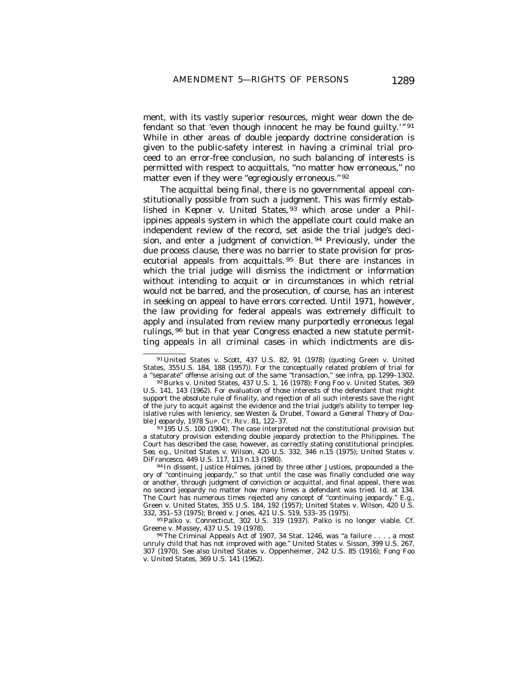ment, with its vastly superior resources, might wear down the defendant so that 'even though innocent he may be found guilty.'"91 While in other areas of double jeopardy doctrine consideration is given to the public-safety interest in having a criminal trial proceed to an error-free conclusion, no such balancing of interests is permitted with respect to acquittals, ''no matter how erroneous,'' no matter even if they were "egregiously erroneous." 92

The acquittal being final, there is no governmental appeal constitutionally possible from such a judgment. This was firmly established in *Kepner v. United States*, 93 which arose under a Philippines appeals system in which the appellate court could make an independent review of the record, set aside the trial judge's decision, and enter a judgment of conviction. 94 Previously, under the due process clause, there was no barrier to state provision for prosecutorial appeals from acquittals. 95 But there are instances in which the trial judge will dismiss the indictment or information without intending to acquit or in circumstances in which retrial would not be barred, and the prosecution, of course, has an interest in seeking on appeal to have errors corrected. Until 1971, however, the law providing for federal appeals was extremely difficult to apply and insulated from review many purportedly erroneous legal rulings, 96 but in that year Congress enacted a new statute permitting appeals in all criminal cases in which indictments are dis-

 $93\overline{1}95$  U.S. 100 (1904). The case interpreted not the constitutional provision but a statutory provision extending double jeopardy protection to the Philippines. The Court has described the case, however, as correctly stating constitutional principles. *See, e.g.*, United States v. Wilson, 420 U.S. 332, 346 n.15 (1975); United States v. DiFrancesco, 449 U.S. 117, 113 n.13 (1980).

94 In dissent, Justice Holmes, joined by three other Justices, propounded a theory of ''continuing jeopardy,'' so that until the case was finally concluded one way or another, through judgment of conviction or acquittal, and final appeal, there was no second jeopardy no matter how many times a defendant was tried. Id. at 134. The Court has numerous times rejected any concept of ''continuing jeopardy.'' E.g., Green v. United States, 355 U.S. 184, 192 (1957); United States v. Wilson, 420 U.S. 332, 351–53 (1975); Breed v. Jones, 421 U.S. 519, 533–35 (1975).

95Palko v. Connecticut, 302 U.S. 319 (1937). *Palko* is no longer viable. *Cf.* Greene v. Massey, 437 U.S. 19 (1978).

96 The Criminal Appeals Act of 1907, 34 Stat. 1246, was "a failure . . . , a most unruly child that has not improved with age.'' United States v. Sisson, 399 U.S. 267, 307 (1970). *See also* United States v. Oppenheimer, 242 U.S. 85 (1916); Fong Foo v. United States, 369 U.S. 141 (1962).

<sup>91</sup> United States v. Scott, 437 U.S. 82, 91 (1978) (quoting Green v. United States, 355 U.S. 184, 188 (1957)). For the conceptually related problem of trial for a ''separate'' offense arising out of the same ''transaction,'' *see* infra, pp. 1299–1302.

<sup>92</sup> Burks v. United States, 437 U.S. 1, 16 (1978); Fong Foo v. United States, 369 U.S. 141, 143 (1962). For evaluation of those interests of the defendant that might support the absolute rule of finality, and rejection of all such interests save the right of the jury to acquit against the evidence and the trial judge's ability to temper legislative rules with leniency, *see* Westen & Drubel, *Toward a General Theory of Double Jeopardy*, 1978 SUP. CT. REV. 81, 122–37.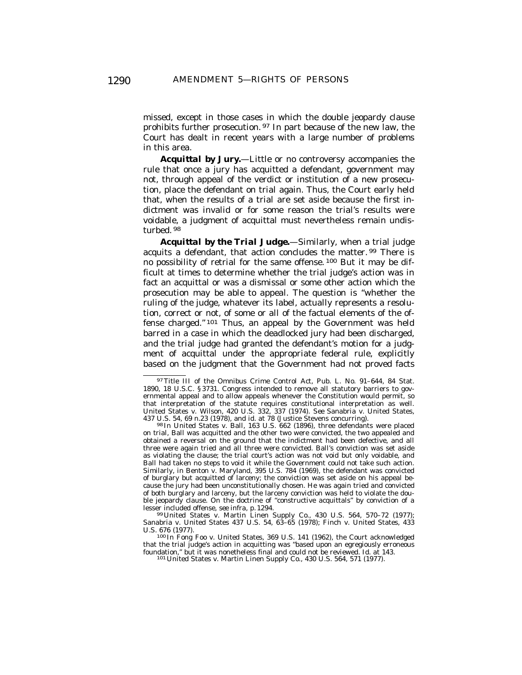missed, except in those cases in which the double jeopardy clause prohibits further prosecution. 97 In part because of the new law, the Court has dealt in recent years with a large number of problems in this area.

*Acquittal by Jury.*—Little or no controversy accompanies the rule that once a jury has acquitted a defendant, government may not, through appeal of the verdict or institution of a new prosecution, place the defendant on trial again. Thus, the Court early held that, when the results of a trial are set aside because the first indictment was invalid or for some reason the trial's results were voidable, a judgment of acquittal must nevertheless remain undisturbed. 98

*Acquittal by the Trial Judge.*—Similarly, when a trial judge acquits a defendant, that action concludes the matter. 99 There is no possibility of retrial for the same offense. 100 But it may be difficult at times to determine whether the trial judge's action was in fact an acquittal or was a dismissal or some other action which the prosecution may be able to appeal. The question is ''whether the ruling of the judge, whatever its label, actually represents a resolution, correct or not, of some or all of the factual elements of the offense charged.'' 101 Thus, an appeal by the Government was held barred in a case in which the deadlocked jury had been discharged, and the trial judge had granted the defendant's motion for a judgment of acquittal under the appropriate federal rule, explicitly based on the judgment that the Government had not proved facts

Sanabria v. United States 437 U.S. 54, 63–65 (1978); Finch v. United States, 433

<sup>100</sup> In Fong Foo v. United States, 369 U.S. 141 (1962), the Court acknowledged that the trial judge's action in acquitting was ''based upon an egregiously erroneous foundation,'' but it was nonetheless final and could not be reviewed. Id. at 143. <sup>101</sup> United States v. Martin Linen Supply Co., 430 U.S. 564, 571 (1977).

<sup>97</sup>Title III of the Omnibus Crime Control Act, Pub. L. No. 91-644, 84 Stat. 1890, 18 U.S.C. § 3731. Congress intended to remove all statutory barriers to governmental appeal and to allow appeals whenever the Constitution would permit, so that interpretation of the statute requires constitutional interpretation as well. United States v. Wilson, 420 U.S. 332, 337 (1974). *See* Sanabria v. United States, 437 U.S. 54, 69 n.23 (1978), and id. at 78 (Justice Stevens concurring).

<sup>98</sup> In United States v. Ball, 163 U.S. 662 (1896), three defendants were placed on trial, Ball was acquitted and the other two were convicted, the two appealed and obtained a reversal on the ground that the indictment had been defective, and all three were again tried and all three were convicted. Ball's conviction was set aside as violating the clause; the trial court's action was not void but only voidable, and Ball had taken no steps to void it while the Government could not take such action. Similarly, in Benton v. Maryland, 395 U.S. 784 (1969), the defendant was convicted of burglary but acquitted of larceny; the conviction was set aside on his appeal because the jury had been unconstitutionally chosen. He was again tried and convicted of both burglary and larceny, but the larceny conviction was held to violate the double jeopardy clause. On the doctrine of ''constructive acquittals'' by conviction of a lesser included offense, *see* infra, p. 1294.<br><sup>99</sup> United States v. Martin Linen Supply Co., 430 U.S. 564, 570–72 (1977);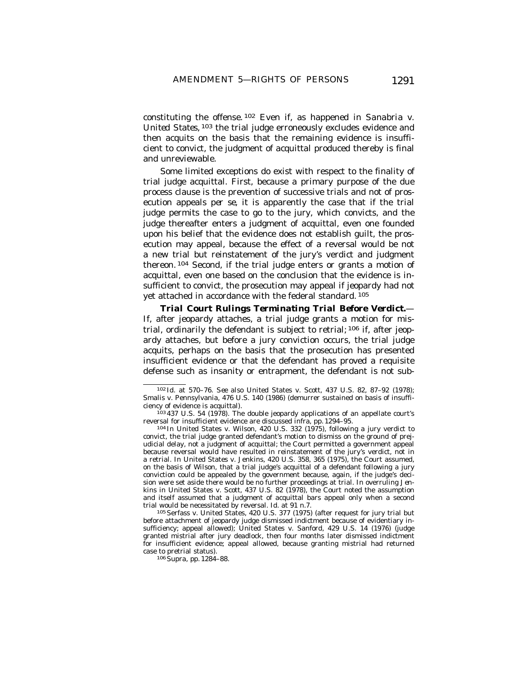constituting the offense. 102 Even if, as happened in *Sanabria v. United States*, 103 the trial judge erroneously excludes evidence and then acquits on the basis that the remaining evidence is insufficient to convict, the judgment of acquittal produced thereby is final and unreviewable.

Some limited exceptions do exist with respect to the finality of trial judge acquittal. First, because a primary purpose of the due process clause is the prevention of successive trials and not of prosecution appeals *per se*, it is apparently the case that if the trial judge permits the case to go to the jury, which convicts, and the judge thereafter enters a judgment of acquittal, even one founded upon his belief that the evidence does not establish guilt, the prosecution may appeal, because the effect of a reversal would be not a new trial but reinstatement of the jury's verdict and judgment thereon. 104 Second, if the trial judge enters or grants a motion of acquittal, even one based on the conclusion that the evidence is insufficient to convict, the prosecution may appeal if jeopardy had not yet attached in accordance with the federal standard. 105

*Trial Court Rulings Terminating Trial Before Verdict.*— If, after jeopardy attaches, a trial judge grants a motion for mistrial, ordinarily the defendant is subject to retrial; 106 if, after jeopardy attaches, but before a jury conviction occurs, the trial judge acquits, perhaps on the basis that the prosecution has presented insufficient evidence or that the defendant has proved a requisite defense such as insanity or entrapment, the defendant is not sub-

105Serfass v. United States, 420 U.S. 377 (1975) (after request for jury trial but before attachment of jeopardy judge dismissed indictment because of evidentiary insufficiency; appeal allowed); United States v. Sanford, 429 U.S. 14 (1976) (judge granted mistrial after jury deadlock, then four months later dismissed indictment for insufficient evidence; appeal allowed, because granting mistrial had returned case to pretrial status).

<sup>102</sup> Id. at 570–76. *See also* United States v. Scott, 437 U.S. 82, 87–92 (1978); Smalis v. Pennsylvania, 476 U.S. 140 (1986) (demurrer sustained on basis of insufficiency of evidence is acquittal).

<sup>103</sup> 437 U.S. 54 (1978). The double jeopardy applications of an appellate court's reversal for insufficient evidence are discussed infra, pp. 1294–95.

<sup>104</sup> In United States v. Wilson, 420 U.S. 332 (1975), following a jury verdict to convict, the trial judge granted defendant's motion to dismiss on the ground of prejudicial delay, not a judgment of acquittal; the Court permitted a government appeal because reversal would have resulted in reinstatement of the jury's verdict, not in a retrial. In United States v. Jenkins, 420 U.S. 358, 365 (1975), the Court assumed, on the basis of *Wilson*, that a trial judge's acquittal of a defendant following a jury conviction could be appealed by the government because, again, if the judge's decision were set aside there would be no further proceedings at trial. In overruling *Jenkins* in United States v. Scott, 437 U.S. 82 (1978), the Court noted the assumption and itself assumed that a judgment of acquittal bars appeal only when a second trial would be necessitated by reversal. Id. at 91 n.7.

<sup>106</sup> Supra, pp. 1284-88.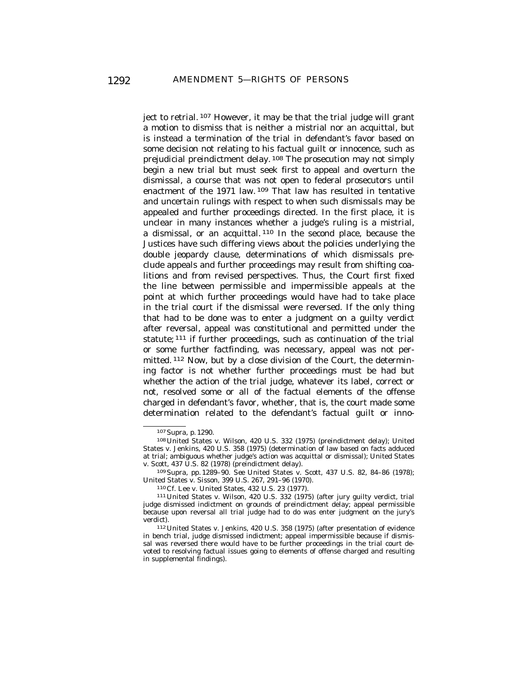ject to retrial. 107 However, it may be that the trial judge will grant a motion to dismiss that is neither a mistrial nor an acquittal, but is instead a termination of the trial in defendant's favor based on some decision not relating to his factual guilt or innocence, such as prejudicial preindictment delay. 108 The prosecution may not simply begin a new trial but must seek first to appeal and overturn the dismissal, a course that was not open to federal prosecutors until enactment of the 1971 law. 109 That law has resulted in tentative and uncertain rulings with respect to when such dismissals may be appealed and further proceedings directed. In the first place, it is unclear in many instances whether a judge's ruling is a mistrial, a dismissal, or an acquittal. 110 In the second place, because the Justices have such differing views about the policies underlying the double jeopardy clause, determinations of which dismissals preclude appeals and further proceedings may result from shifting coalitions and from revised perspectives. Thus, the Court first fixed the line between permissible and impermissible appeals at the point at which further proceedings would have had to take place in the trial court if the dismissal were reversed. If the only thing that had to be done was to enter a judgment on a guilty verdict after reversal, appeal was constitutional and permitted under the statute; 111 if further proceedings, such as continuation of the trial or some further factfinding, was necessary, appeal was not permitted. 112 Now, but by a close division of the Court, the determining factor is not whether further proceedings must be had but whether the action of the trial judge, whatever its label, correct or not, resolved some or all of the factual elements of the offense charged in defendant's favor, whether, that is, the court made some determination related to the defendant's factual guilt or inno-

<sup>107</sup>Supra, p. 1290.

<sup>108</sup> United States v. Wilson, 420 U.S. 332 (1975) (preindictment delay); United States v. Jenkins, 420 U.S. 358 (1975) (determination of law based on facts adduced at trial; ambiguous whether judge's action was acquittal or dismissal); United States v. Scott, 437 U.S. 82 (1978) (preindictment delay).

<sup>109</sup>Supra, pp. 1289–90. *See* United States v. Scott, 437 U.S. 82, 84–86 (1978); United States v. Sisson, 399 U.S. 267, 291–96 (1970).

<sup>110</sup> *Cf.* Lee v. United States, 432 U.S. 23 (1977).

<sup>111</sup> United States v. Wilson, 420 U.S. 332 (1975) (after jury guilty verdict, trial judge dismissed indictment on grounds of preindictment delay; appeal permissible because upon reversal all trial judge had to do was enter judgment on the jury's verdict).

<sup>112</sup> United States v. Jenkins, 420 U.S. 358 (1975) (after presentation of evidence in bench trial, judge dismissed indictment; appeal impermissible because if dismissal was reversed there would have to be further proceedings in the trial court devoted to resolving factual issues going to elements of offense charged and resulting in supplemental findings).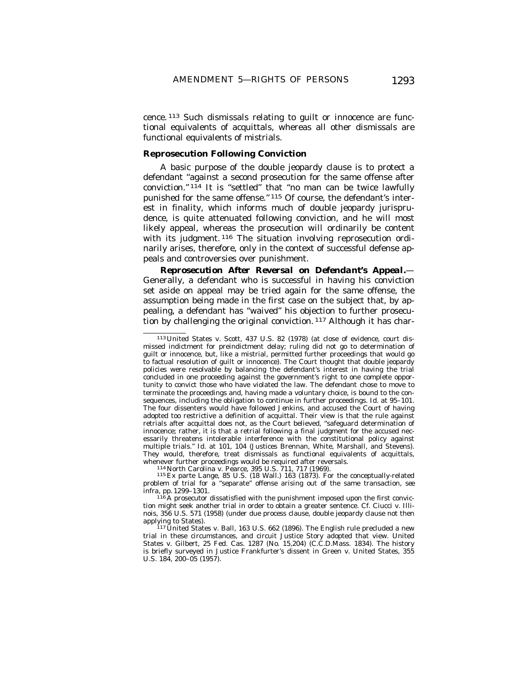cence. 113 Such dismissals relating to guilt or innocence are functional equivalents of acquittals, whereas all other dismissals are functional equivalents of mistrials.

### **Reprosecution Following Conviction**

A basic purpose of the double jeopardy clause is to protect a defendant ''against a second prosecution for the same offense after conviction.'' 114 It is ''settled'' that ''no man can be twice lawfully punished for the same offense.'' 115 Of course, the defendant's interest in finality, which informs much of double jeopardy jurisprudence, is quite attenuated following conviction, and he will most likely appeal, whereas the prosecution will ordinarily be content with its judgment.<sup>116</sup> The situation involving reprosecution ordinarily arises, therefore, only in the context of successful defense appeals and controversies over punishment.

*Reprosecution After Reversal on Defendant's Appeal.*— Generally, a defendant who is successful in having his conviction set aside on appeal may be tried again for the same offense, the assumption being made in the first case on the subject that, by appealing, a defendant has ''waived'' his objection to further prosecution by challenging the original conviction. 117 Although it has char-

whenever further proceedings would be required at a function of the conceptual behavior repeated and the Ex parte Lange, 85 U.S. (18 Wall.) 163 (1873). For the conceptually-related problem of trial for a ''separate'' offense arising out of the same transaction, *see*

infra, pp. 1299–1301.<br><sup>116</sup> A prosecutor dissatisfied with the punishment imposed upon the first conviction might seek another trial in order to obtain a greater sentence. *Cf.* Ciucci v. Illinois, 356 U.S. 571 (1958) (under due process clause, double jeopardy clause not then applying to States). <sup>117</sup> United States v. Ball, 163 U.S. 662 (1896). The English rule precluded a new

trial in these circumstances, and circuit Justice Story adopted that view. United States v. Gilbert, 25 Fed. Cas. 1287 (No. 15,204) (C.C.D.Mass. 1834). The history is briefly surveyed in Justice Frankfurter's dissent in Green v. United States, 355 U.S. 184, 200–05 (1957).

<sup>113</sup> United States v. Scott, 437 U.S. 82 (1978) (at close of evidence, court dismissed indictment for preindictment delay; ruling did not go to determination of guilt or innocence, but, like a mistrial, permitted further proceedings that would go to factual resolution of guilt or innocence). The Court thought that double jeopardy policies were resolvable by balancing the defendant's interest in having the trial concluded in one proceeding against the government's right to one complete opportunity to convict those who have violated the law. The defendant chose to move to terminate the proceedings and, having made a voluntary choice, is bound to the consequences, including the obligation to continue in further proceedings. Id. at 95–101. The four dissenters would have followed *Jenkins*, and accused the Court of having adopted too restrictive a definition of acquittal. Their view is that the rule against retrials after acquittal does not, as the Court believed, ''safeguard determination of innocence; rather, it is that a retrial following a final judgment for the accused necessarily threatens intolerable interference with the constitutional policy against multiple trials.'' Id. at 101, 104 (Justices Brennan, White, Marshall, and Stevens). They would, therefore, treat dismissals as functional equivalents of acquittals,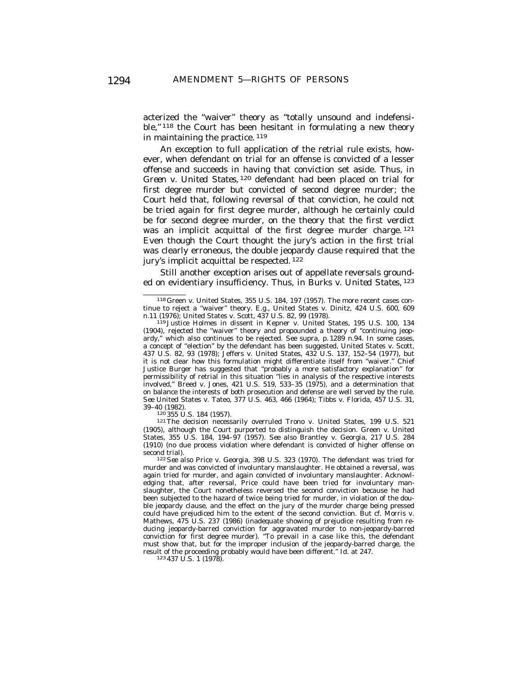acterized the ''waiver'' theory as ''totally unsound and indefensible,"<sup>118</sup> the Court has been hesitant in formulating a new theory in maintaining the practice. 119

An exception to full application of the retrial rule exists, however, when defendant on trial for an offense is convicted of a lesser offense and succeeds in having that conviction set aside. Thus, in *Green v. United States*, 120 defendant had been placed on trial for first degree murder but convicted of second degree murder; the Court held that, following reversal of that conviction, he could not be tried again for first degree murder, although he certainly could be for second degree murder, on the theory that the first verdict was an implicit acquittal of the first degree murder charge. 121 Even though the Court thought the jury's action in the first trial was clearly erroneous, the double jeopardy clause required that the jury's implicit acquittal be respected. 122

Still another exception arises out of appellate reversals grounded on evidentiary insufficiency. Thus, in *Burks v. United States*, 123

<sup>120</sup> 355 U.S. 184 (1957).<br><sup>121</sup> The decision necessarily overruled Trono v. United States, 199 U.S. 521 (1905), although the Court purported to distinguish the decision. Green v. United States, 355 U.S. 184, 194–97 (1957). *See also* Brantley v. Georgia, 217 U.S. 284 (1910) (no due process violation where defendant is convicted of higher offense on

<sup>118</sup>Green v. United States, 355 U.S. 184, 197 (1957). The more recent cases continue to reject a ''waiver'' theory. E.g., United States v. Dinitz, 424 U.S. 600, 609

<sup>&</sup>lt;sup>119</sup> Justice Holmes in dissent in Kepner v. United States, 195 U.S. 100, 134 (1904), rejected the ''waiver'' theory and propounded a theory of ''continuing jeopardy,'' which also continues to be rejected. *See* supra, p. 1289 n.94. In some cases, a concept of ''election'' by the defendant has been suggested, United States v. Scott, 437 U.S. 82, 93 (1978); Jeffers v. United States, 432 U.S. 137, 152–54 (1977), but it is not clear how this formulation might differentiate itself from "waiver." Chief Justice Burger has suggested that ''probably a more satisfactory explanation'' for permissibility of retrial in this situation ''lies in analysis of the respective interests involved,'' Breed v. Jones, 421 U.S. 519, 533–35 (1975), and a determination that on balance the interests of both prosecution and defense are well served by the rule. *See* United States v. Tateo, 377 U.S. 463, 466 (1964); Tibbs v. Florida, 457 U.S. 31,

<sup>122</sup> See also Price v. Georgia, 398 U.S. 323 (1970). The defendant was tried for murder and was convicted of involuntary manslaughter. He obtained a reversal, was again tried for murder, and again convicted of involuntary manslaughter. Acknowledging that, after reversal, Price could have been tried for involuntary manslaughter, the Court nonetheless reversed the second conviction because he had been subjected to the hazard of twice being tried for murder, in violation of the double jeopardy clause, and the effect on the jury of the murder charge being pressed could have prejudiced him to the extent of the second conviction. *But cf.* Morris v. Mathews, 475 U.S. 237 (1986) (inadequate showing of prejudice resulting from reducing jeopardy-barred conviction for aggravated murder to non-jeopardy-barred conviction for first degree murder). ''To prevail in a case like this, the defendant must show that, but for the improper inclusion of the jeopardy-barred charge, the result of the proceeding probably would have been different.'' Id. at 247. <sup>123</sup> 437 U.S. 1 (1978).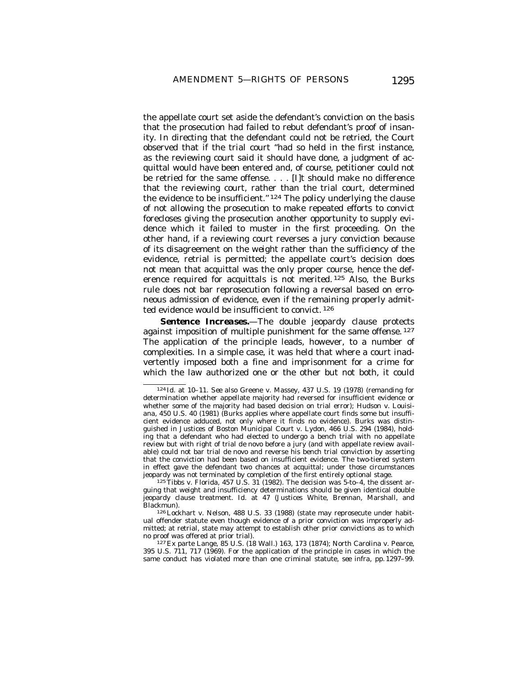the appellate court set aside the defendant's conviction on the basis that the prosecution had failed to rebut defendant's proof of insanity. In directing that the defendant could not be retried, the Court observed that if the trial court ''had so held in the first instance, as the reviewing court said it should have done, a judgment of acquittal would have been entered and, of course, petitioner could not be retried for the same offense. . . . [I]t should make no difference that the reviewing court, rather than the trial court, determined the evidence to be insufficient."<sup>124</sup> The policy underlying the clause of not allowing the prosecution to make repeated efforts to convict forecloses giving the prosecution another opportunity to supply evidence which it failed to muster in the first proceeding. On the other hand, if a reviewing court reverses a jury conviction because of its disagreement on the *weight* rather than the *sufficiency* of the evidence, retrial is permitted; the appellate court's decision does not mean that acquittal was the only proper course, hence the deference required for acquittals is not merited. 125 Also, the *Burks* rule does not bar reprosecution following a reversal based on erroneous admission of evidence, even if the remaining properly admitted evidence would be insufficient to convict. 126

*Sentence Increases.*—The double jeopardy clause protects against imposition of multiple punishment for the same offense. 127 The application of the principle leads, however, to a number of complexities. In a simple case, it was held that where a court inadvertently imposed both a fine and imprisonment for a crime for which the law authorized one or the other but not both, it could

<sup>124</sup> Id. at 10–11. *See also* Greene v. Massey, 437 U.S. 19 (1978) (remanding for determination whether appellate majority had reversed for insufficient evidence or whether some of the majority had based decision on trial error); Hudson v. Louisiana, 450 U.S. 40 (1981) (*Burks* applies where appellate court finds some but insufficient evidence adduced, not only where it finds no evidence). *Burks* was distinguished in Justices of Boston Municipal Court v. Lydon, 466 U.S. 294 (1984), holding that a defendant who had elected to undergo a bench trial with no appellate review but with right of trial *de novo* before a jury (and with appellate review available) could not bar trial *de novo* and reverse his bench trial conviction by asserting that the conviction had been based on insufficient evidence. The two-tiered system in effect gave the defendant two chances at acquittal; under those circumstances jeopardy was not terminated by completion of the first entirely optional stage.

 $125$ Tibbs v. Florida, 457 U.S. 31 (1982). The decision was 5-to-4, the dissent arguing that weight and insufficiency determinations should be given identical double jeopardy clause treatment. Id. at 47 (Justices White, Brennan, Marshall, and Blackmun).

<sup>126</sup>Lockhart v. Nelson, 488 U.S. 33 (1988) (state may reprosecute under habitual offender statute even though evidence of a prior conviction was improperly admitted; at retrial, state may attempt to establish other prior convictions as to which no proof was offered at prior trial).

<sup>127</sup> Ex parte Lange, 85 U.S. (18 Wall.) 163, 173 (1874); North Carolina v. Pearce, 395 U.S. 711, 717 (1969). For the application of the principle in cases in which the same conduct has violated more than one criminal statute, *see* infra, pp. 1297–99.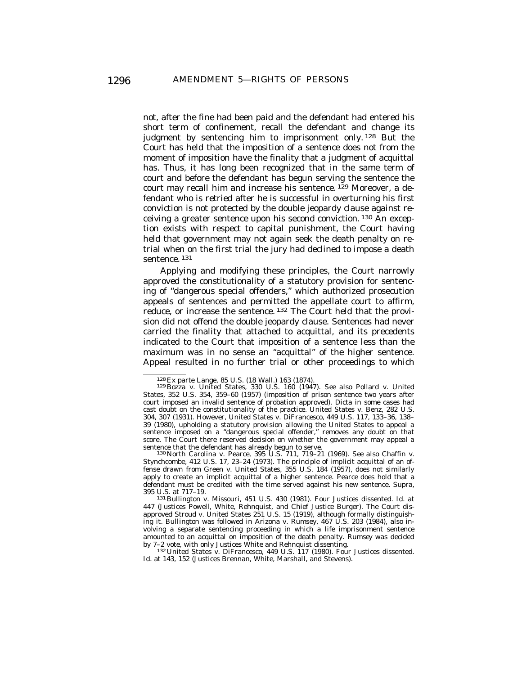not, after the fine had been paid and the defendant had entered his short term of confinement, recall the defendant and change its judgment by sentencing him to imprisonment only. 128 But the Court has held that the imposition of a sentence does not from the moment of imposition have the finality that a judgment of acquittal has. Thus, it has long been recognized that in the same term of court and before the defendant has begun serving the sentence the court may recall him and increase his sentence. 129 Moreover, a defendant who is retried after he is successful in overturning his first conviction is not protected by the double jeopardy clause against receiving a greater sentence upon his second conviction. 130 An exception exists with respect to capital punishment, the Court having held that government may not again seek the death penalty on retrial when on the first trial the jury had declined to impose a death sentence. 131

Applying and modifying these principles, the Court narrowly approved the constitutionality of a statutory provision for sentencing of ''dangerous special offenders,'' which authorized prosecution appeals of sentences and permitted the appellate court to affirm, reduce, or increase the sentence. 132 The Court held that the provision did not offend the double jeopardy clause. Sentences had never carried the finality that attached to acquittal, and its precedents indicated to the Court that imposition of a sentence less than the maximum was in no sense an ''acquittal'' of the higher sentence. Appeal resulted in no further trial or other proceedings to which

<sup>132</sup> United States v. DiFrancesco, 449 U.S. 117 (1980). Four Justices dissented. Id. at 143, 152 (Justices Brennan, White, Marshall, and Stevens).

<sup>128</sup> Ex parte Lange, 85 U.S. (18 Wall.) 163 (1874). <sup>129</sup> Bozza v. United States, 330 U.S. 160 (1947). *See also* Pollard v. United States, 352 U.S. 354, 359–60 (1957) (imposition of prison sentence two years after court imposed an invalid sentence of probation approved). Dicta in some cases had cast doubt on the constitutionality of the practice. United States v. Benz, 282 U.S. 304, 307 (1931). However, United States v. DiFrancesco, 449 U.S. 117, 133–36, 138– 39 (1980), upholding a statutory provision allowing the United States to appeal a sentence imposed on a ''dangerous special offender,'' removes any doubt on that score. The Court there reserved decision on whether the government may appeal a sentence that the defendant has already begun to serve. <sup>130</sup> North Carolina v. Pearce, 395 U.S. 711, 719–21 (1969). *See also* Chaffin v.

Stynchcombe, 412 U.S. 17, 23–24 (1973). The principle of implicit acquittal of an offense drawn from Green v. United States, 355 U.S. 184 (1957), does not similarly apply to create an implicit acquittal of a higher sentence. *Pearce* does hold that a defendant must be credited with the time served against his new sentence. Supra, 395 U.S. at 717–19.

<sup>&</sup>lt;sup>131</sup> Bullington v. Missouri, 451 U.S. 430 (1981). Four Justices dissented. Id. at 447 (Justices Powell, White, Rehnquist, and Chief Justice Burger). The Court disapproved Stroud v. United States 251 U.S. 15 (1919), although formally distinguishing it. *Bullington* was followed in Arizona v. Rumsey, 467 U.S. 203 (1984), also involving a separate sentencing proceeding in which a life imprisonment sentence amounted to an acquittal on imposition of the death penalty. *Rumsey* was decided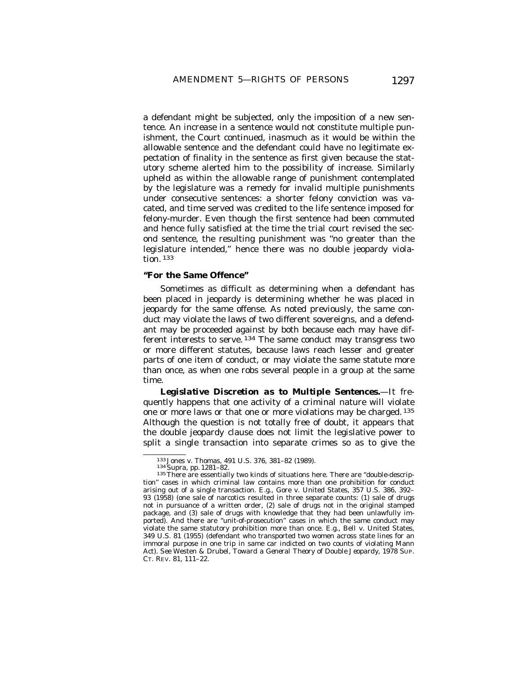a defendant might be subjected, only the imposition of a new sentence. An increase in a sentence would not constitute multiple punishment, the Court continued, inasmuch as it would be within the allowable sentence and the defendant could have no legitimate expectation of finality in the sentence as first given because the statutory scheme alerted him to the possibility of increase. Similarly upheld as within the allowable range of punishment contemplated by the legislature was a remedy for invalid multiple punishments under consecutive sentences: a shorter felony conviction was vacated, and time served was credited to the life sentence imposed for felony-murder. Even though the first sentence had been commuted and hence fully satisfied at the time the trial court revised the second sentence, the resulting punishment was ''no greater than the legislature intended,'' hence there was no double jeopardy violation. 133

#### **''For the Same Offence''**

Sometimes as difficult as determining when a defendant has been placed in jeopardy is determining whether he was placed in jeopardy for the same offense. As noted previously, the same conduct may violate the laws of two different sovereigns, and a defendant may be proceeded against by both because each may have different interests to serve. 134 The same conduct may transgress two or more different statutes, because laws reach lesser and greater parts of one item of conduct, or may violate the same statute more than once, as when one robs several people in a group at the same time.

*Legislative Discretion as to Multiple Sentences.*—It frequently happens that one activity of a criminal nature will violate one or more laws or that one or more violations may be charged. 135 Although the question is not totally free of doubt, it appears that the double jeopardy clause does not limit the legislative power to split a single transaction into separate crimes so as to give the

<sup>&</sup>lt;sup>133</sup> Jones v. Thomas, 491 U.S. 376, 381–82 (1989).<br><sup>134</sup> Supra, pp. 1281–82.<br><sup>135</sup> There are essentially two kinds of situations here. There are "double-description'' cases in which criminal law contains more than one prohibition for conduct arising out of a single transaction. E.g., Gore v. United States, 357 U.S. 386, 392– 93 (1958) (one sale of narcotics resulted in three separate counts: (1) sale of drugs not in pursuance of a written order, (2) sale of drugs not in the original stamped package, and (3) sale of drugs with knowledge that they had been unlawfully imported). And there are ''unit-of-prosecution'' cases in which the same conduct may violate the same statutory prohibition more than once. E.g., Bell v. United States, 349 U.S. 81 (1955) (defendant who transported two women across state lines for an immoral purpose in one trip in same car indicted on two counts of violating Mann Act). *See* Westen & Drubel, *Toward a General Theory of Double Jeopardy*, 1978 SUP. CT. REV. 81, 111–22.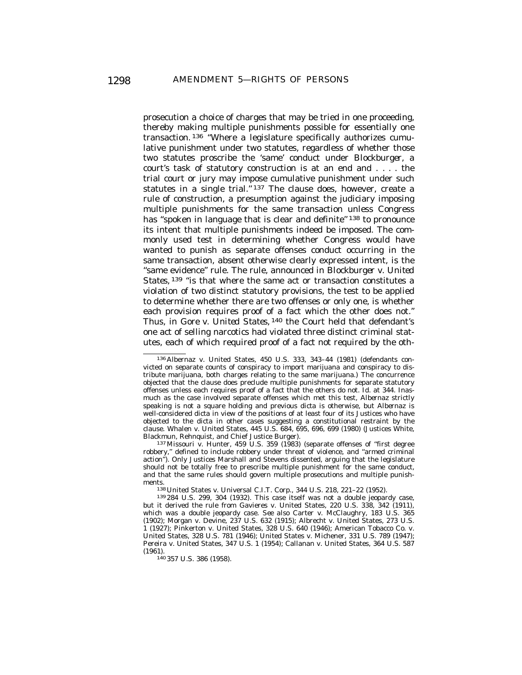prosecution a choice of charges that may be tried in one proceeding, thereby making multiple punishments possible for essentially one transaction. 136 ''Where a legislature specifically authorizes cumulative punishment under two statutes, regardless of whether those two statutes proscribe the 'same' conduct under *Blockburger*, a court's task of statutory construction is at an end and . . . . the trial court or jury may impose cumulative punishment under such statutes in a single trial."<sup>137</sup> The clause does, however, create a rule of construction, a presumption against the judiciary imposing multiple punishments for the same transaction unless Congress has "spoken in language that is clear and definite" <sup>138</sup> to pronounce its intent that multiple punishments indeed be imposed. The commonly used test in determining whether Congress would have wanted to punish as separate offenses conduct occurring in the same transaction, absent otherwise clearly expressed intent, is the ''same evidence'' rule. The rule, announced in *Blockburger v. United States*, 139 ''is that where the same act or transaction constitutes a violation of two distinct statutory provisions, the test to be applied to determine whether there are two offenses or only one, is whether each provision requires proof of a fact which the other does not.'' Thus, in *Gore v. United States*, 140 the Court held that defendant's one act of selling narcotics had violated three distinct criminal statutes, each of which required proof of a fact not required by the oth-

138 United States v. Universal C.I.T. Corp., 344 U.S. 218, 221–22 (1952).

<sup>136</sup> Albernaz v. United States, 450 U.S. 333, 343–44 (1981) (defendants convicted on separate counts of conspiracy to import marijuana and conspiracy to distribute marijuana, both charges relating to the same marijuana.) The concurrence objected that the clause does preclude multiple punishments for separate statutory offenses unless each requires proof of a fact that the others do not. Id. at 344. Inasmuch as the case involved separate offenses which met this test, *Albernaz* strictly speaking is not a square holding and previous dicta is otherwise, but *Albernaz* is well-considered dicta in view of the positions of at least four of its Justices who have objected to the dicta in other cases suggesting a constitutional restraint by the clause. Whalen v. United States, 445 U.S. 684, 695, 696, 699 (1980) (Justices White, Blackmun, Rehnquist, and Chief Justice Burger).

<sup>137</sup> Missouri v. Hunter, 459 U.S. 359 (1983) (separate offenses of "first degree robbery,'' defined to include robbery under threat of violence, and ''armed criminal action''). Only Justices Marshall and Stevens dissented, arguing that the legislature should not be totally free to prescribe multiple punishment for the same conduct, and that the same rules should govern multiple prosecutions and multiple punishments.

<sup>139</sup> 284 U.S. 299, 304 (1932). This case itself was not a double jeopardy case, but it derived the rule from Gavieres v. United States, 220 U.S. 338, 342 (1911), which was a double jeopardy case. *See also* Carter v. McClaughry, 183 U.S. 365 (1902); Morgan v. Devine, 237 U.S. 632 (1915); Albrecht v. United States, 273 U.S. 1 (1927); Pinkerton v. United States, 328 U.S. 640 (1946); American Tobacco Co. v. United States, 328 U.S. 781 (1946); United States v. Michener, 331 U.S. 789 (1947); Pereira v. United States, 347 U.S. 1 (1954); Callanan v. United States, 364 U.S. 587 (1961).

<sup>140</sup> 357 U.S. 386 (1958).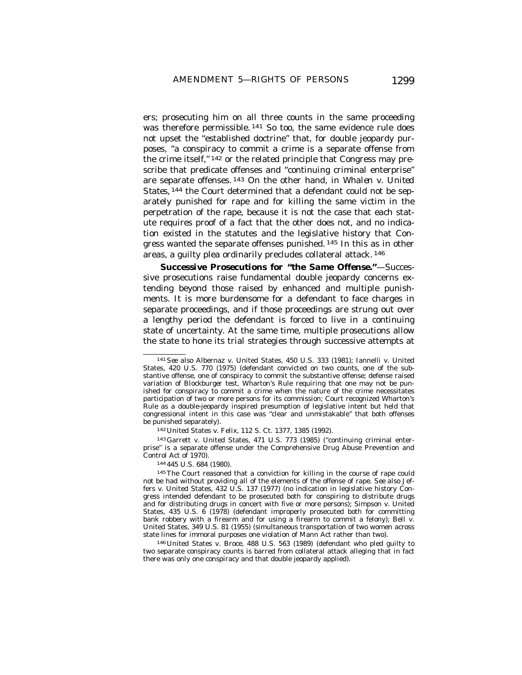ers; prosecuting him on all three counts in the same proceeding was therefore permissible. 141 So too, the same evidence rule does not upset the ''established doctrine'' that, for double jeopardy purposes, ''a conspiracy to commit a crime is a separate offense from the crime itself,'' 142 or the related principle that Congress may prescribe that predicate offenses and ''continuing criminal enterprise'' are separate offenses. 143 On the other hand, in *Whalen v. United States*, 144 the Court determined that a defendant could not be separately punished for rape and for killing the same victim in the perpetration of the rape, because it is not the case that each statute requires proof of a fact that the other does not, and no indication existed in the statutes and the legislative history that Congress wanted the separate offenses punished. 145 In this as in other areas, a guilty plea ordinarily precludes collateral attack. 146

*Successive Prosecutions for ''the Same Offense.''*—Successive prosecutions raise fundamental double jeopardy concerns extending beyond those raised by enhanced and multiple punishments. It is more burdensome for a defendant to face charges in separate proceedings, and if those proceedings are strung out over a lengthy period the defendant is forced to live in a continuing state of uncertainty. At the same time, multiple prosecutions allow the state to hone its trial strategies through successive attempts at

143Garrett v. United States, 471 U.S. 773 (1985) (''continuing criminal enterprise'' is a separate offense under the Comprehensive Drug Abuse Prevention and Control Act of 1970).

144 445 U.S. 684 (1980).

146 United States v. Broce, 488 U.S. 563 (1989) (defendant who pled guilty to two separate conspiracy counts is barred from collateral attack alleging that in fact there was only one conspiracy and that double jeopardy applied).

<sup>141</sup>*See also* Albernaz v. United States, 450 U.S. 333 (1981); Iannelli v. United States, 420 U.S. 770 (1975) (defendant convicted on two counts, one of the substantive offense, one of conspiracy to commit the substantive offense; defense raised variation of *Blockburger* test, Wharton's Rule requiring that one may not be punished for conspiracy to commit a crime when the nature of the crime necessitates participation of two or more persons for its commission; Court recognized Wharton's Rule as a double-jeopardy inspired presumption of legislative intent but held that congressional intent in this case was ''clear and unmistakable'' that both offenses be punished separately).

<sup>142</sup> United States v. Felix, 112 S. Ct. 1377, 1385 (1992).

<sup>145</sup>The Court reasoned that a conviction for killing in the course of rape could not be had without providing all of the elements of the offense of rape. *See also* Jeffers v. United States, 432 U.S. 137 (1977) (no indication in legislative history Congress intended defendant to be prosecuted both for conspiring to distribute drugs and for distributing drugs in concert with five or more persons); Simpson v. United States, 435 U.S. 6 (1978) (defendant improperly prosecuted both for committing bank robbery with a firearm and for using a firearm to commit a felony); Bell v. United States, 349 U.S. 81 (1955) (simultaneous transportation of two women across state lines for immoral purposes one violation of Mann Act rather than two).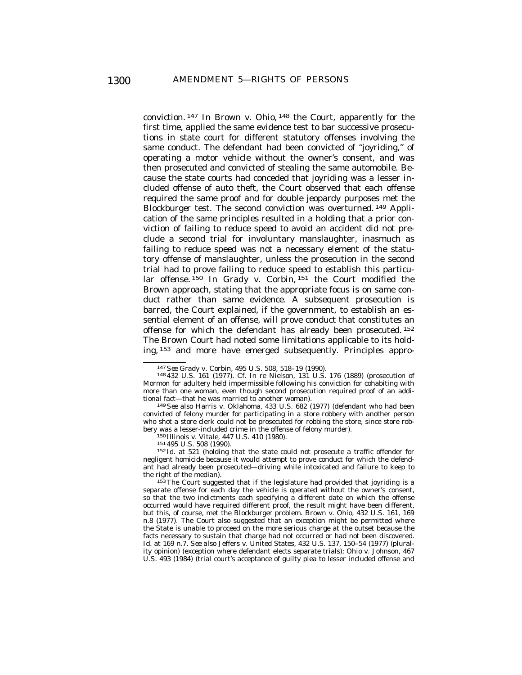conviction. 147 In *Brown v. Ohio*, 148 the Court, apparently for the first time, applied the same evidence test to bar successive prosecutions in state court for different statutory offenses involving the same conduct. The defendant had been convicted of ''joyriding,'' of operating a motor vehicle without the owner's consent, and was then prosecuted and convicted of stealing the same automobile. Because the state courts had conceded that joyriding was a lesser included offense of auto theft, the Court observed that each offense required the same proof and for double jeopardy purposes met the *Blockburger* test. The second conviction was overturned. 149 Application of the same principles resulted in a holding that a prior conviction of failing to reduce speed to avoid an accident did not preclude a second trial for involuntary manslaughter, inasmuch as failing to reduce speed was not a necessary element of the statutory offense of manslaughter, unless the prosecution in the second trial had to prove failing to reduce speed to establish this particular offense. 150 In *Grady v. Corbin*, 151 the Court modified the *Brown* approach, stating that the appropriate focus is on same conduct rather than same evidence. A subsequent prosecution is barred, the Court explained, if the government, to establish an essential element of an offense, will prove conduct that constitutes an offense for which the defendant has already been prosecuted. 152 The *Brown* Court had noted some limitations applicable to its holding, 153 and more have emerged subsequently. Principles appro-

149*See also* Harris v. Oklahoma, 433 U.S. 682 (1977) (defendant who had been convicted of felony murder for participating in a store robbery with another person who shot a store clerk could not be prosecuted for robbing the store, since store robbery was a lesser-included crime in the offense of felony murder).

150 Illinois v. Vitale, 447 U.S. 410 (1980).

151 495 U.S. 508 (1990).

152 Id. at 521 (holding that the state could not prosecute a traffic offender for negligent homicide because it would attempt to prove conduct for which the defendant had already been prosecuted—driving while intoxicated and failure to keep to the right of the median).

<sup>153</sup>The Court suggested that if the legislature had provided that joyriding is a separate offense for each day the vehicle is operated without the owner's consent, so that the two indictments each specifying a different date on which the offense occurred would have required different proof, the result might have been different, but this, of course, met the *Blockburger* problem. Brown v. Ohio, 432 U.S. 161, 169 n.8 (1977). The Court also suggested that an exception might be permitted where the State is unable to proceed on the more serious charge at the outset because the facts necessary to sustain that charge had not occurred or had not been discovered. Id. at 169 n.7. *See also* Jeffers v. United States, 432 U.S. 137, 150–54 (1977) (plurality opinion) (exception where defendant elects separate trials); Ohio v. Johnson, 467 U.S. 493 (1984) (trial court's acceptance of guilty plea to lesser included offense and

<sup>147</sup>*See* Grady v. Corbin, 495 U.S. 508, 518–19 (1990).

<sup>148</sup> 432 U.S. 161 (1977). *Cf.* In re Nielson, 131 U.S. 176 (1889) (prosecution of Mormon for adultery held impermissible following his conviction for cohabiting with more than one woman, even though second prosecution required proof of an additional fact—that he was married to another woman).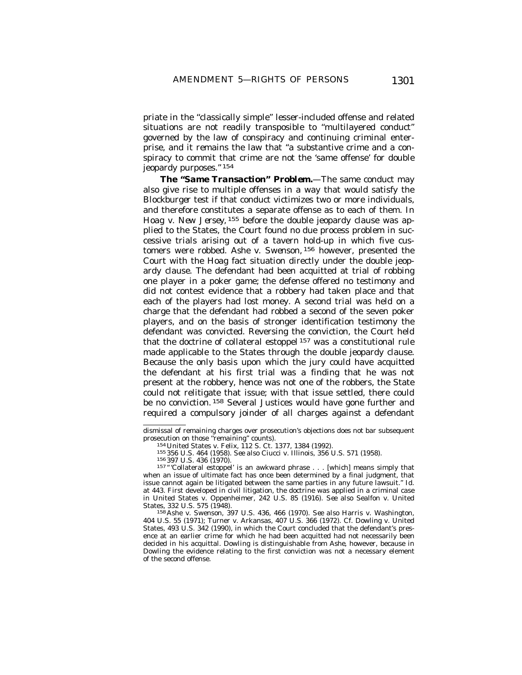priate in the "classically simple" lesser-included offense and related situations are not readily transposible to ''multilayered conduct'' governed by the law of conspiracy and continuing criminal enterprise, and it remains the law that ''a substantive crime and a conspiracy to commit that crime are not the 'same offense' for double jeopardy purposes.'' 154

*The ''Same Transaction'' Problem.*—The same conduct may also give rise to multiple offenses in a way that would satisfy the *Blockburger* test if that conduct victimizes two or more individuals, and therefore constitutes a separate offense as to each of them. In *Hoag v. New Jersey*, 155 before the double jeopardy clause was applied to the States, the Court found no due process problem in successive trials arising out of a tavern hold-up in which five customers were robbed. *Ashe v. Swenson*, 156 however, presented the Court with the *Hoag* fact situation directly under the double jeopardy clause. The defendant had been acquitted at trial of robbing one player in a poker game; the defense offered no testimony and did not contest evidence that a robbery had taken place and that each of the players had lost money. A second trial was held on a charge that the defendant had robbed a second of the seven poker players, and on the basis of stronger identification testimony the defendant was convicted. Reversing the conviction, the Court held that the doctrine of collateral estoppel 157 was a constitutional rule made applicable to the States through the double jeopardy clause. Because the only basis upon which the jury could have acquitted the defendant at his first trial was a finding that he was not present at the robbery, hence was not one of the robbers, the State could not relitigate that issue; with that issue settled, there could be no conviction. 158 Several Justices would have gone further and required a compulsory joinder of all charges against a defendant

dismissal of remaining charges over prosecution's objections does not bar subsequent

<sup>&</sup>lt;sup>154</sup> United States v. Felix,  $\hat{112}$  S. Ct. 1377, 1384 (1992).<br><sup>155</sup> 356 U.S. 464 (1958). *See also* Ciucci v. Illinois, 356 U.S. 571 (1958).<br><sup>156</sup> 397 U.S. 436 (1970).<br><sup>157</sup> "Collateral estoppel' is an awkward phrase when an issue of ultimate fact has once been determined by a final judgment, that issue cannot again be litigated between the same parties in any future lawsuit.'' Id. at 443. First developed in civil litigation, the doctrine was applied in a criminal case in United States v. Oppenheimer, 242 U.S. 85 (1916). *See also* Sealfon v. United

<sup>158</sup> Ashe v. Swenson, 397 U.S. 436, 466 (1970). *See also* Harris v. Washington, 404 U.S. 55 (1971); Turner v. Arkansas, 407 U.S. 366 (1972). *Cf.* Dowling v. United States, 493 U.S. 342 (1990), in which the Court concluded that the defendant's presence at an earlier crime for which he had been acquitted had not necessarily been decided in his acquittal. *Dowling* is distinguishable from *Ashe*, however, because in *Dowling* the evidence relating to the first conviction was not a necessary element of the second offense.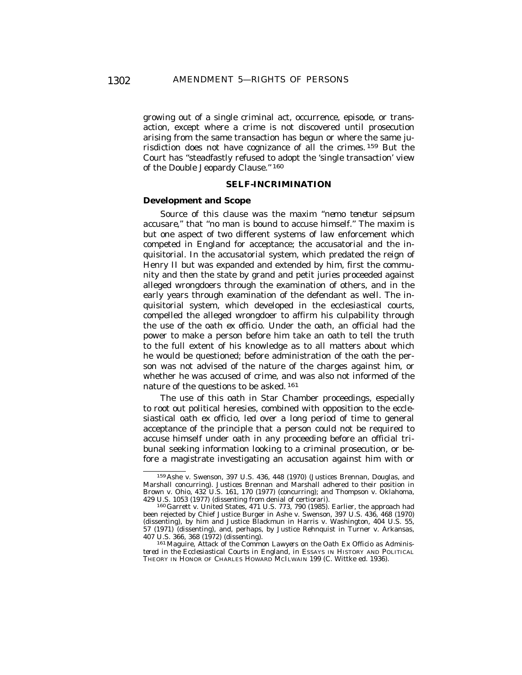growing out of a single criminal act, occurrence, episode, or transaction, except where a crime is not discovered until prosecution arising from the same transaction has begun or where the same jurisdiction does not have cognizance of all the crimes. 159 But the Court has ''steadfastly refused to adopt the 'single transaction' view of the Double Jeopardy Clause.'' 160

### **SELF-INCRIMINATION**

### **Development and Scope**

Source of this clause was the maxim ''*nemo tenetur seipsum accusare*,'' that ''no man is bound to accuse himself.'' The maxim is but one aspect of two different systems of law enforcement which competed in England for acceptance; the accusatorial and the inquisitorial. In the accusatorial system, which predated the reign of Henry II but was expanded and extended by him, first the community and then the state by grand and petit juries proceeded against alleged wrongdoers through the examination of others, and in the early years through examination of the defendant as well. The inquisitorial system, which developed in the ecclesiastical courts, compelled the alleged wrongdoer to affirm his culpability through the use of the oath *ex officio*. Under the oath, an official had the power to make a person before him take an oath to tell the truth to the full extent of his knowledge as to all matters about which he would be questioned; before administration of the oath the person was not advised of the nature of the charges against him, or whether he was accused of crime, and was also not informed of the nature of the questions to be asked. 161

The use of this oath in Star Chamber proceedings, especially to root out political heresies, combined with opposition to the ecclesiastical oath *ex officio*, led over a long period of time to general acceptance of the principle that a person could not be required to accuse himself under oath in any proceeding before an official tribunal seeking information looking to a criminal prosecution, or before a magistrate investigating an accusation against him with or

<sup>159</sup> Ashe v. Swenson, 397 U.S. 436, 448 (1970) (Justices Brennan, Douglas, and Marshall concurring). Justices Brennan and Marshall adhered to their position in Brown v. Ohio, 432 U.S. 161, 170 (1977) (concurring); and Thompson v. Oklahoma, 429 U.S. 1053 (1977) (dissenting from denial of certiorari).

<sup>429</sup> U.S. 1053 (1977) (dissenting from denial of certiorari). 160Garrett v. United States, 471 U.S. 773, 790 (1985). Earlier, the approach had been rejected by Chief Justice Burger in Ashe v. Swenson, 397 U.S. 436, 468 (1970) (dissenting), by him and Justice Blackmun in Harris v. Washington, 404 U.S. 55, 57 (1971) (dissenting), and, perhaps, by Justice Rehnquist in Turner v. Arkansas,

<sup>&</sup>lt;sup>161</sup> Maguire, *Attack of the Common Lawyers on the Oath Ex Officio as Administered in the Ecclesiastical Courts in England*, *in* ESSAYS IN HISTORY AND POLITICAL THEORY IN HONOR OF CHARLES HOWARD MCILWAIN 199 (C. Wittke ed. 1936).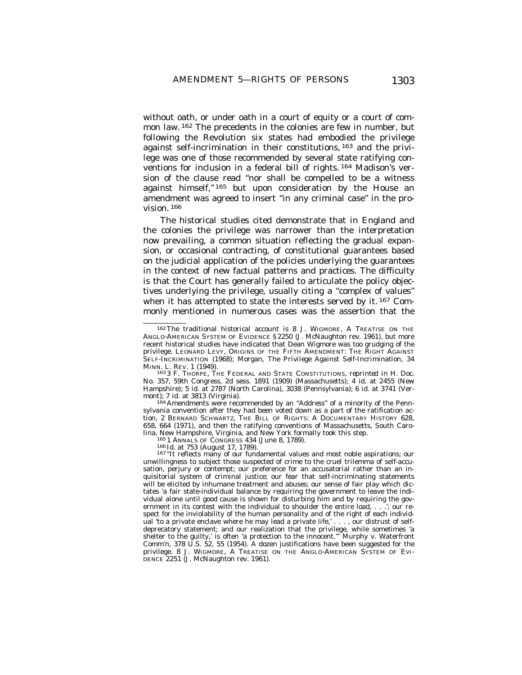without oath, or under oath in a court of equity or a court of common law. 162 The precedents in the colonies are few in number, but following the Revolution six states had embodied the privilege against self-incrimination in their constitutions, 163 and the privilege was one of those recommended by several state ratifying conventions for inclusion in a federal bill of rights. 164 Madison's version of the clause read ''nor shall be compelled to be a witness against himself,"<sup>165</sup> but upon consideration by the House an amendment was agreed to insert ''in any criminal case'' in the provision. 166

The historical studies cited demonstrate that in England and the colonies the privilege was narrower than the interpretation now prevailing, a common situation reflecting the gradual expansion, or occasional contracting, of constitutional guarantees based on the judicial application of the policies underlying the guarantees in the context of new factual patterns and practices. The difficulty is that the Court has generally failed to articulate the policy objectives underlying the privilege, usually citing a ''complex of values'' when it has attempted to state the interests served by it. 167 Commonly mentioned in numerous cases was the assertion that the

<sup>165</sup> 1 ANNALS OF CONGRESS 434 (June 8, 1789).<br><sup>166</sup> Id. at 753 (August 17, 1789).<br><sup>167</sup> "It reflects many of our fundamental values and most noble aspirations; our unwillingness to subject those suspected of crime to the cruel trilemma of self-accusation, perjury or contempt; our preference for an accusatorial rather than an inquisitorial system of criminal justice; our fear that self-incriminating statements will be elicited by inhumane treatment and abuses; our sense of fair play which dictates 'a fair state-individual balance by requiring the government to leave the individual alone until good cause is shown for disturbing him and by requiring the government in its contest with the individual to shoulder the entire load,  $\ldots$ ; our respect for the inviolability of the human personality and of the right of each individual 'to a private enclave where he may lead a private life,' . . . , our distrust of selfdeprecatory statement; and our realization that the privilege, while sometimes 'a shelter to the guilty,' is often 'a protection to the innocent.''' Murphy v. Waterfront Comm'n, 378 U.S. 52, 55 (1954). A dozen justifications have been suggested for the privilege. 8 J. WIGMORE, A TREATISE ON THE ANGLO-AMERICAN SYSTEM OF EVI-DENCE 2251 (J. McNaughton rev. 1961).

<sup>162</sup>The traditional historical account is 8 J. WIGMORE, A TREATISE ON THE ANGLO-AMERICAN SYSTEM OF EVIDENCE § 2250 (J. McNaughton rev. 1961), but more recent historical studies have indicated that Dean Wigmore was too grudging of the privilege. LEONARD LEVY, ORIGINS OF THE FIFTH AMENDMENT: THE RIGHT AGAINST SELF-INCRIMINATION (1968); Morgan, *The Privilege Against Self-Incrimination*, 34

<sup>&</sup>lt;sup>163</sup> 3 F. THORPE, THE FEDERAL AND STATE CONSTITUTIONS, *reprinted in* H. Doc. No. 357, 59th Congress, 2d sess. 1891 (1909) (Massachusetts); 4 id. at 2455 (New Hampshire); 5 id. at 2787 (North Carolina), 3038 (Pennsylvania); 6 id. at 3741 (Ver-

<sup>164</sup> Amendments were recommended by an "Address" of a minority of the Pennsylvania convention after they had been voted down as a part of the ratification action, 2 BERNARD SCHWARTZ, THE BILL OF RIGHTS: A DOCUMENTARY HISTORY 628, 658, 664 (1971), and then the ratifying conventions of Massachusetts, South Caro-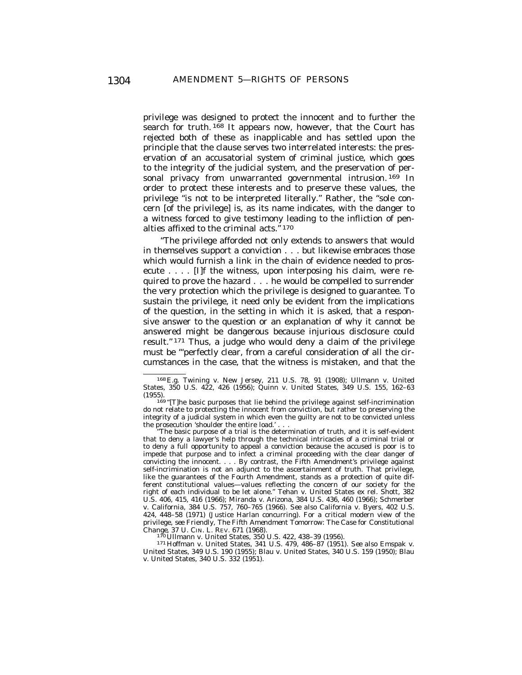privilege was designed to protect the innocent and to further the search for truth. <sup>168</sup> It appears now, however, that the Court has rejected both of these as inapplicable and has settled upon the principle that the clause serves two interrelated interests: the preservation of an accusatorial system of criminal justice, which goes to the integrity of the judicial system, and the preservation of personal privacy from unwarranted governmental intrusion. 169 In order to protect these interests and to preserve these values, the privilege "is not to be interpreted literally." Rather, the "sole concern [of the privilege] is, as its name indicates, with the danger to a witness forced to give testimony leading to the infliction of penalties affixed to the criminal acts.'' 170

''The privilege afforded not only extends to answers that would in themselves support a conviction . . . but likewise embraces those which would furnish a link in the chain of evidence needed to prosecute . . . . [I]f the witness, upon interposing his claim, were required to prove the hazard . . . he would be compelled to surrender the very protection which the privilege is designed to guarantee. To sustain the privilege, it need only be evident from the implications of the question, in the setting in which it is asked, that a responsive answer to the question or an explanation of why it cannot be answered might be dangerous because injurious disclosure could result.'' 171 Thus, a judge who would deny a claim of the privilege must be '''perfectly clear, from a careful consideration of all the circumstances in the case, that the witness is mistaken, and that the

*Change*, 37 U. CIN. L. REV. 671 (1968). <sup>170</sup> Ullmann v. United States, 350 U.S. 422, 438–39 (1956). <sup>171</sup> Hoffman v. United States, 341 U.S. 479, 486–87 (1951). *See also* Emspak v. United States, 349 U.S. 190 (1955); Blau v. United States, 340 U.S. 159 (1950); Blau v. United States, 340 U.S. 332 (1951).

<sup>168</sup> E.g. Twining v. New Jersey, 211 U.S. 78, 91 (1908); Ullmann v. United States, 350 U.S. 422, 426 (1956); Quinn v. United States, 349 U.S. 155, 162–63

<sup>(1955).&</sup>lt;br><sup>169</sup> ''[T]he basic purposes that lie behind the privilege against self-incrimination do not relate to protecting the innocent from conviction, but rather to preserving the integrity of a judicial system in which even the guilty are not to be convicted unless the prosecution 'shoulder the entire load.' . . .

The basic purpose of a trial is the determination of truth, and it is self-evident that to deny a lawyer's help through the technical intricacies of a criminal trial or to deny a full opportunity to appeal a conviction because the accused is poor is to impede that purpose and to infect a criminal proceeding with the clear danger of convicting the innocent. . . . By contrast, the Fifth Amendment's privilege against self-incrimination is not an adjunct to the ascertainment of truth. That privilege, like the guarantees of the Fourth Amendment, stands as a protection of quite different constitutional values—values reflecting the concern of our society for the right of each individual to be let alone.'' Tehan v. United States ex rel. Shott, 382 U.S. 406, 415, 416 (1966); Miranda v. Arizona, 384 U.S. 436, 460 (1966); Schmerber v. California, 384 U.S. 757, 760–765 (1966). *See also* California v. Byers, 402 U.S. 424, 448–58 (1971) (Justice Harlan concurring). For a critical modern view of the privilege, *see* Friendly, *The Fifth Amendment Tomorrow: The Case for Constitutional Change*, 37 U. CIN. L. REV. 671 (1968).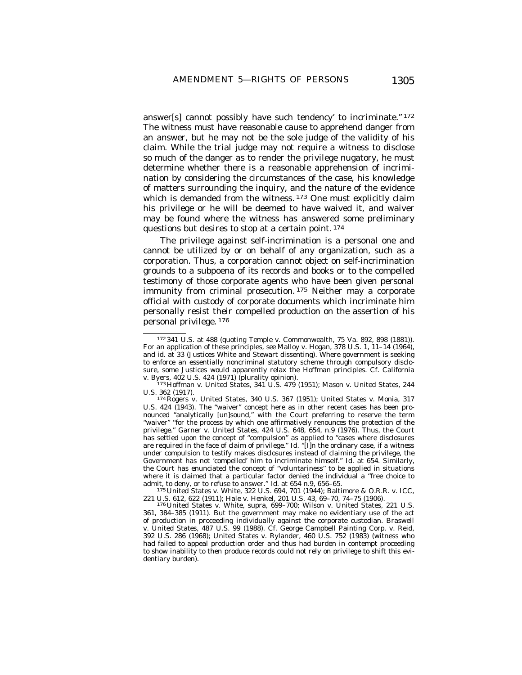answer[s] cannot possibly have such tendency' to incriminate.'' 172 The witness must have reasonable cause to apprehend danger from an answer, but he may not be the sole judge of the validity of his claim. While the trial judge may not require a witness to disclose so much of the danger as to render the privilege nugatory, he must determine whether there is a reasonable apprehension of incrimination by considering the circumstances of the case, his knowledge of matters surrounding the inquiry, and the nature of the evidence which is demanded from the witness.<sup>173</sup> One must explicitly claim his privilege or he will be deemed to have waived it, and waiver may be found where the witness has answered some preliminary questions but desires to stop at a certain point. 174

The privilege against self-incrimination is a personal one and cannot be utilized by or on behalf of any organization, such as a corporation. Thus, a corporation cannot object on self-incrimination grounds to a subpoena of its records and books or to the compelled testimony of those corporate agents who have been given personal immunity from criminal prosecution.<sup>175</sup> Neither may a corporate official with custody of corporate documents which incriminate him personally resist their compelled production on the assertion of his personal privilege. 176

<sup>172</sup> 341 U.S. at 488 (quoting Temple v. Commonwealth, 75 Va. 892, 898 (1881)). For an application of these principles, *see* Malloy v. Hogan, 378 U.S. 1, 11–14 (1964), and id. at 33 (Justices White and Stewart dissenting). Where government is seeking to enforce an essentially noncriminal statutory scheme through compulsory disclosure, some Justices would apparently relax the *Hoffman* principles. *Cf.* California

v. Byers, 402 U.S. 424 (1971) (plurality opinion).<br>
<sup>173</sup> Hoffman v. United States, 341 U.S. 479 (1951); Mason v. United States, 244<br>
U.S. 362 (1917).

<sup>174</sup> Rogers v. United States, 340 U.S. 367 (1951); United States v. Monia, 317 U.S. 424 (1943). The ''waiver'' concept here as in other recent cases has been pronounced ''analytically [un]sound,'' with the Court preferring to reserve the term ''waiver'' ''for the process by which one affirmatively renounces the protection of the privilege.'' Garner v. United States, 424 U.S. 648, 654, n.9 (1976). Thus, the Court has settled upon the concept of ''compulsion'' as applied to ''cases where disclosures are required in the face of claim of privilege." Id. "[I]n the ordinary case, if a witness under compulsion to testify makes disclosures instead of claiming the privilege, the Government has not 'compelled' him to incriminate himself.'' Id. at 654. Similarly, the Court has enunciated the concept of "voluntariness" to be applied in situations where it is claimed that a particular factor denied the individual a "free choice to admit, to deny, or to refuse to answer." Id. at 654 n.9, 656–65.

 $^{175}$ United States v. White, 322 U.S. 694, 701 (1944); Baltimore & O.R.R. v. ICC, 221 U.S. 612, 622 (1911); Hale v. Henkel, 201 U.S. 43, 69–70, 74–75 (1906). <sup>176</sup> United States v. White, supra, 699–700; Wilson v. United States, 221 U.S.

<sup>361, 384–385 (1911).</sup> But the government may make no evidentiary use of the act of production in proceeding individually against the corporate custodian. Braswell v. United States, 487 U.S. 99 (1988). *Cf.* George Campbell Painting Corp. v. Reid, 392 U.S. 286 (1968); United States v. Rylander, 460 U.S. 752 (1983) (witness who had failed to appeal production order and thus had burden in contempt proceeding to show inability to then produce records could not rely on privilege to shift this evidentiary burden).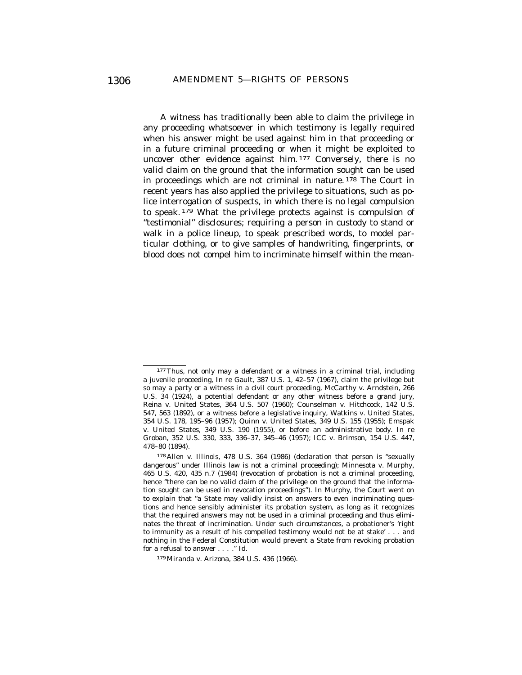A witness has traditionally been able to claim the privilege in any proceeding whatsoever in which testimony is legally required when his answer might be used against him in that proceeding or in a future criminal proceeding or when it might be exploited to uncover other evidence against him. 177 Conversely, there is no valid claim on the ground that the information sought can be used in proceedings which are not criminal in nature. 178 The Court in recent years has also applied the privilege to situations, such as police interrogation of suspects, in which there is no *legal* compulsion to speak. 179 What the privilege protects against is compulsion of ''testimonial'' disclosures; requiring a person in custody to stand or walk in a police lineup, to speak prescribed words, to model particular clothing, or to give samples of handwriting, fingerprints, or blood does not compel him to incriminate himself within the mean-

<sup>177</sup> Thus, not only may a defendant or a witness in a criminal trial, including a juvenile proceeding, In re Gault, 387 U.S. 1, 42–57 (1967), claim the privilege but so may a party or a witness in a civil court proceeding, McCarthy v. Arndstein, 266 U.S. 34 (1924), a potential defendant or any other witness before a grand jury, Reina v. United States, 364 U.S. 507 (1960); Counselman v. Hitchcock, 142 U.S. 547, 563 (1892), or a witness before a legislative inquiry, Watkins v. United States, 354 U.S. 178, 195–96 (1957); Quinn v. United States, 349 U.S. 155 (1955); Emspak v. United States, 349 U.S. 190 (1955), or before an administrative body. In re Groban, 352 U.S. 330, 333, 336–37, 345–46 (1957); ICC v. Brimson, 154 U.S. 447, 478–80 (1894).

<sup>178</sup> Allen v. Illinois, 478 U.S. 364 (1986) (declaration that person is ''sexually dangerous'' under Illinois law is not a criminal proceeding); Minnesota v. Murphy, 465 U.S. 420, 435 n.7 (1984) (revocation of probation is not a criminal proceeding, hence ''there can be no valid claim of the privilege on the ground that the information sought can be used in revocation proceedings''). In *Murphy*, the Court went on to explain that ''a State may validly insist on answers to even incriminating questions and hence sensibly administer its probation system, as long as it recognizes that the required answers may not be used in a criminal proceeding and thus eliminates the threat of incrimination. Under such circumstances, a probationer's 'right to immunity as a result of his compelled testimony would not be at stake' . . . and nothing in the Federal Constitution would prevent a State from revoking probation for a refusal to answer . . . .'' Id.

<sup>179</sup>Miranda v. Arizona, 384 U.S. 436 (1966).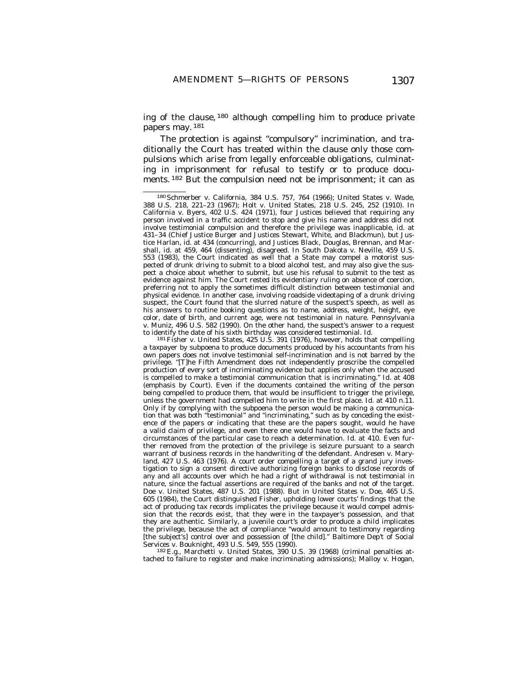ing of the clause, 180 although compelling him to produce private papers may. 181

The protection is against ''compulsory'' incrimination, and traditionally the Court has treated within the clause only those compulsions which arise from legally enforceable obligations, culminating in imprisonment for refusal to testify or to produce documents. 182 But the compulsion need not be imprisonment; it can as

a taxpayer by subpoena to produce documents produced by his accountants from his own papers does not involve testimonial self-incrimination and is not barred by the privilege. ''[T]he Fifth Amendment does not independently proscribe the compelled production of every sort of incriminating evidence but applies only when the accused is compelled to make a *testimonial* communication that is incriminating.'' Id. at 408 (emphasis by Court). Even if the documents contained the writing of the person being compelled to produce them, that would be insufficient to trigger the privilege, unless the government had compelled him to write in the first place. Id. at 410 n.11. Only if by complying with the subpoena the person would be making a communication that was both ''testimonial'' and ''incriminating,'' such as by conceding the existence of the papers or indicating that these are the papers sought, would he have a valid claim of privilege, and even there one would have to evaluate the facts and circumstances of the particular case to reach a determination. Id. at 410. Even further removed from the protection of the privilege is seizure pursuant to a search warrant of business records in the handwriting of the defendant. Andresen v. Maryland, 427 U.S. 463 (1976). A court order compelling a target of a grand jury investigation to sign a consent directive authorizing foreign banks to disclose records of any and all accounts over which he had a right of withdrawal is not testimonial in nature, since the factual assertions are required of the banks and not of the target. Doe v. United States, 487 U.S. 201 (1988). But in United States v. Doe, 465 U.S. 605 (1984), the Court distinguished *Fisher*, upholding lower courts' findings that the act of producing tax records implicates the privilege because it would compel admission that the records exist, that they were in the taxpayer's possession, and that they are authentic. Similarly, a juvenile court's order to produce a child implicates the privilege, because the act of compliance ''would amount to testimony regarding [the subject's] control over and possession of [the child].'' Baltimore Dep't of Social

 $^{182}$  E.g., Marchetti v. United States, 390 U.S. 39 (1968) (criminal penalties attached to failure to register and make incriminating admissions); Malloy v. Hogan,

<sup>180</sup>Schmerber v. California, 384 U.S. 757, 764 (1966); United States v. Wade, 388 U.S. 218, 221–23 (1967); Holt v. United States, 218 U.S. 245, 252 (1910). In California v. Byers, 402 U.S. 424 (1971), four Justices believed that requiring any person involved in a traffic accident to stop and give his name and address did not involve testimonial compulsion and therefore the privilege was inapplicable, id. at 431–34 (Chief Justice Burger and Justices Stewart, White, and Blackmun), but Justice Harlan, id. at 434 (concurring), and Justices Black, Douglas, Brennan, and Marshall, id. at 459, 464 (dissenting), disagreed. In South Dakota v. Neville, 459 U.S. 553 (1983), the Court indicated as well that a State may compel a motorist suspected of drunk driving to submit to a blood alcohol test, and may also give the suspect a choice about whether to submit, but use his refusal to submit to the test as evidence against him. The Court rested its evidentiary ruling on absence of coercion, preferring not to apply the sometimes difficult distinction between testimonial and physical evidence. In another case, involving roadside videotaping of a drunk driving suspect, the Court found that the slurred nature of the suspect's speech, as well as his answers to routine booking questions as to name, address, weight, height, eye color, date of birth, and current age, were not testimonial in nature. Pennsylvania v. Muniz, 496 U.S. 582 (1990). On the other hand, the suspect's answer to a request to identify the date of his sixth birthday was considered testimonial. Id. <sup>181</sup>Fisher v. United States, 425 U.S. 391 (1976), however, holds that compelling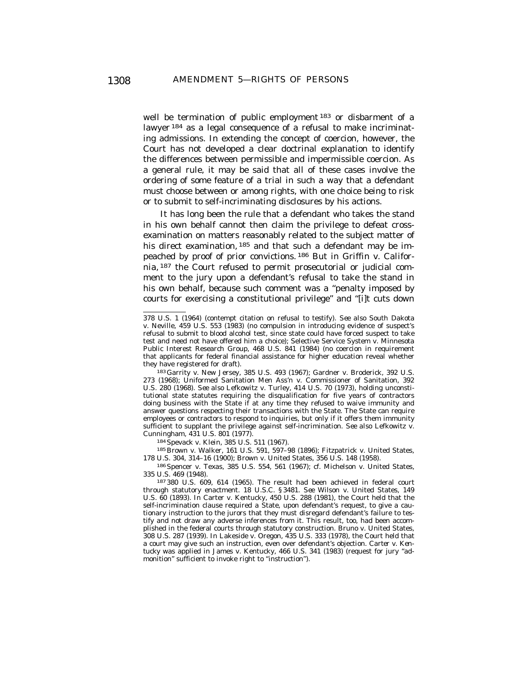well be termination of public employment 183 or disbarment of a lawyer 184 as a legal consequence of a refusal to make incriminating admissions. In extending the concept of coercion, however, the Court has not developed a clear doctrinal explanation to identify the differences between permissible and impermissible coercion. As a general rule, it may be said that all of these cases involve the ordering of some feature of a trial in such a way that a defendant must choose between or among rights, with one choice being to risk or to submit to self-incriminating disclosures by his actions.

It has long been the rule that a defendant who takes the stand in his own behalf cannot then claim the privilege to defeat crossexamination on matters reasonably related to the subject matter of his direct examination, 185 and that such a defendant may be impeached by proof of prior convictions. 186 But in *Griffin v. California*, 187 the Court refused to permit prosecutorial or judicial comment to the jury upon a defendant's refusal to take the stand in his own behalf, because such comment was a ''penalty imposed by courts for exercising a constitutional privilege'' and ''[i]t cuts down

184Spevack v. Klein, 385 U.S. 511 (1967).

185 Brown v. Walker, 161 U.S. 591, 597–98 (1896); Fitzpatrick v. United States, 178 U.S. 304, 314–16 (1900); Brown v. United States, 356 U.S. 148 (1958).

186Spencer v. Texas, 385 U.S. 554, 561 (1967); *cf.* Michelson v. United States, 335 U.S. 469 (1948).

<sup>378</sup> U.S. 1 (1964) (contempt citation on refusal to testify). *See also* South Dakota v. Neville, 459 U.S. 553 (1983) (no compulsion in introducing evidence of suspect's refusal to submit to blood alcohol test, since state could have forced suspect to take test and need not have offered him a choice); Selective Service System v. Minnesota Public Interest Research Group, 468 U.S. 841 (1984) (no coercion in requirement that applicants for federal financial assistance for higher education reveal whether they have registered for draft).

<sup>183</sup>Garrity v. New Jersey, 385 U.S. 493 (1967); Gardner v. Broderick, 392 U.S. 273 (1968); Uniformed Sanitation Men Ass'n v. Commissioner of Sanitation, 392 U.S. 280 (1968). *See also* Lefkowitz v. Turley, 414 U.S. 70 (1973), holding unconstitutional state statutes requiring the disqualification for five years of contractors doing business with the State if at any time they refused to waive immunity and answer questions respecting their transactions with the State. The State can require employees or contractors to respond to inquiries, but only if it offers them immunity sufficient to supplant the privilege against self-incrimination. *See also* Lefkowitz v. Cunningham, 431 U.S. 801 (1977).

<sup>187</sup> 380 U.S. 609, 614 (1965). The result had been achieved in federal court through statutory enactment. 18 U.S.C. § 3481. *See* Wilson v. United States, 149 U.S. 60 (1893). In Carter v. Kentucky, 450 U.S. 288 (1981), the Court held that the self-incrimination clause required a State, upon defendant's request, to give a cautionary instruction to the jurors that they must disregard defendant's failure to testify and not draw any adverse inferences from it. This result, too, had been accomplished in the federal courts through statutory construction. Bruno v. United States, 308 U.S. 287 (1939). In Lakeside v. Oregon, 435 U.S. 333 (1978), the Court held that a court may give such an instruction, even over defendant's objection. *Carter v. Kentucky* was applied in James v. Kentucky, 466 U.S. 341 (1983) (request for jury ''admonition" sufficient to invoke right to "instruction").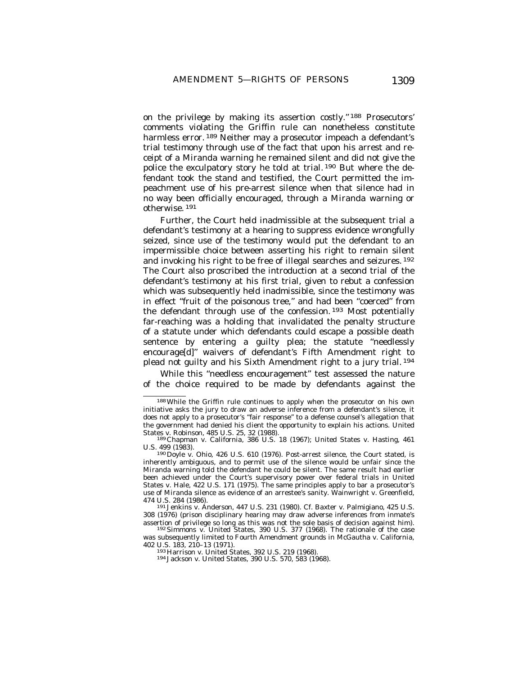on the privilege by making its assertion costly.'' 188 Prosecutors' comments violating the *Griffin* rule can nonetheless constitute harmless error.<sup>189</sup> Neither may a prosecutor impeach a defendant's trial testimony through use of the fact that upon his arrest and receipt of a *Miranda* warning he remained silent and did not give the police the exculpatory story he told at trial. 190 But where the defendant took the stand and testified, the Court permitted the impeachment use of his pre-arrest silence when that silence had in no way been officially encouraged, through a *Miranda* warning or otherwise. 191

Further, the Court held inadmissible at the subsequent trial a defendant's testimony at a hearing to suppress evidence wrongfully seized, since use of the testimony would put the defendant to an impermissible choice between asserting his right to remain silent and invoking his right to be free of illegal searches and seizures. 192 The Court also proscribed the introduction at a second trial of the defendant's testimony at his first trial, given to rebut a confession which was subsequently held inadmissible, since the testimony was in effect "fruit of the poisonous tree," and had been "coerced" from the defendant through use of the confession. 193 Most potentially far-reaching was a holding that invalidated the penalty structure of a statute under which defendants could escape a possible death sentence by entering a guilty plea; the statute ''needlessly encourage[d]" waivers of defendant's Fifth Amendment right to plead not guilty and his Sixth Amendment right to a jury trial. 194

While this ''needless encouragement'' test assessed the nature of the choice required to be made by defendants against the

<sup>188</sup>While the *Griffin* rule continues to apply when the prosecutor on his own initiative asks the jury to draw an adverse inference from a defendant's silence, it does not apply to a prosecutor's ''fair response'' to a defense counsel's allegation that the government had denied his client the opportunity to explain his actions. United<br>States v. Robinson, 485 U.S. 25, 32 (1988).

States v. Robinson, 485 U.S. 25, 32 (1988). <sup>189</sup> Chapman v. California, 386 U.S. 18 (1967); United States v. Hasting, 461

 $190$  Doyle v. Ohio, 426 U.S. 610 (1976). Post-arrest silence, the Court stated, is inherently ambiguous, and to permit use of the silence would be unfair since the *Miranda* warning told the defendant he could be silent. The same result had earlier been achieved under the Court's supervisory power over federal trials in United States v. Hale, 422 U.S. 171 (1975). The same principles apply to bar a prosecutor's use of *Miranda* silence as evidence of an arrestee's sanity. Wainwright v. Greenfield,

<sup>474</sup> U.S. 284 (1986). <sup>191</sup> Jenkins v. Anderson, 447 U.S. 231 (1980). *Cf.* Baxter v. Palmigiano, 425 U.S. 308 (1976) (prison disciplinary hearing may draw adverse inferences from inmate's assertion of privilege so long as this was not the sole basis of decision against him). 192Simmons v. United States, 390 U.S. 377 (1968). The rationale of the case

was subsequently limited to Fourth Amendment grounds in McGautha v. California,

<sup>402</sup> U.S. 183, 210–13 (1971). <sup>193</sup> Harrison v. United States, 392 U.S. 219 (1968). <sup>194</sup> Jackson v. United States, 390 U.S. 570, 583 (1968).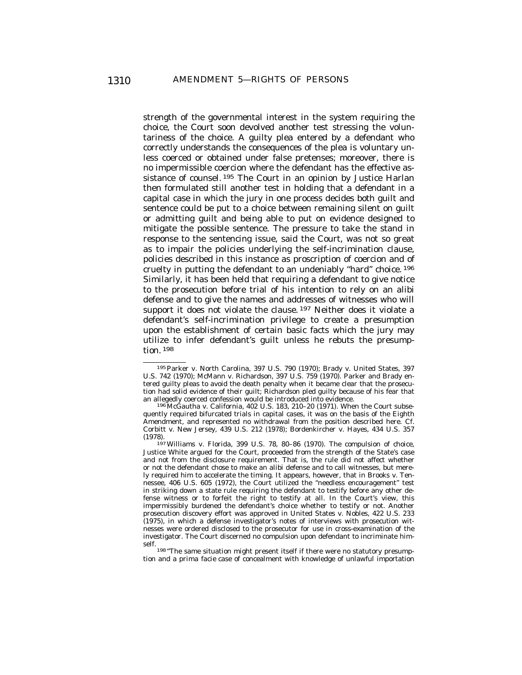strength of the governmental interest in the system requiring the choice, the Court soon devolved another test stressing the voluntariness of the choice. A guilty plea entered by a defendant who correctly understands the consequences of the plea is voluntary unless coerced or obtained under false pretenses; moreover, there is no impermissible coercion where the defendant has the effective assistance of counsel. 195 The Court in an opinion by Justice Harlan then formulated still another test in holding that a defendant in a capital case in which the jury in one process decides both guilt and sentence could be put to a choice between remaining silent on guilt or admitting guilt and being able to put on evidence designed to mitigate the possible sentence. The pressure to take the stand in response to the sentencing issue, said the Court, was not so great as to impair the policies underlying the self-incrimination clause, policies described in this instance as proscription of coercion and of cruelty in putting the defendant to an undeniably ''hard'' choice. 196 Similarly, it has been held that requiring a defendant to give notice to the prosecution before trial of his intention to rely on an alibi defense and to give the names and addresses of witnesses who will support it does not violate the clause. 197 Neither does it violate a defendant's self-incrimination privilege to create a presumption upon the establishment of certain basic facts which the jury may utilize to infer defendant's guilt unless he rebuts the presumption. 198

tion and a *prima facie* case of concealment with knowledge of unlawful importation

<sup>195</sup>Parker v. North Carolina, 397 U.S. 790 (1970); Brady v. United States, 397 U.S. 742 (1970); McMann v. Richardson, 397 U.S. 759 (1970). Parker and Brady entered guilty pleas to avoid the death penalty when it became clear that the prosecution had solid evidence of their guilt; Richardson pled guilty because of his fear that

<sup>&</sup>lt;sup>196</sup>McGautha v. California, 402 U.S. 183, 210–20 (1971). When the Court subsequently required bifurcated trials in capital cases, it was on the basis of the Eighth Amendment, and represented no withdrawal from the position described here. *Cf.* Corbitt v. New Jersey, 439 U.S. 212 (1978); Bordenkircher v. Hayes, 434 U.S. 357

<sup>(1978).</sup> 197Williams v. Florida, 399 U.S. 78, 80–86 (1970). The compulsion of choice, Justice White argued for the Court, proceeded from the strength of the State's case and not from the disclosure requirement. That is, the rule did not affect whether or not the defendant chose to make an alibi defense and to call witnesses, but merely required him to accelerate the timing. It appears, however, that in Brooks v. Tennessee, 406 U.S. 605 (1972), the Court utilized the ''needless encouragement'' test in striking down a state rule requiring the defendant to testify before any other defense witness or to forfeit the right to testify at all. In the Court's view, this impermissibly burdened the defendant's choice whether to testify or not. Another prosecution discovery effort was approved in United States v. Nobles, 422 U.S. 233 (1975), in which a defense investigator's notes of interviews with prosecution witnesses were ordered disclosed to the prosecutor for use in cross-examination of the investigator. The Court discerned no compulsion upon defendant to incriminate himself.<br><sup>198</sup> "The same situation might present itself if there were no statutory presump-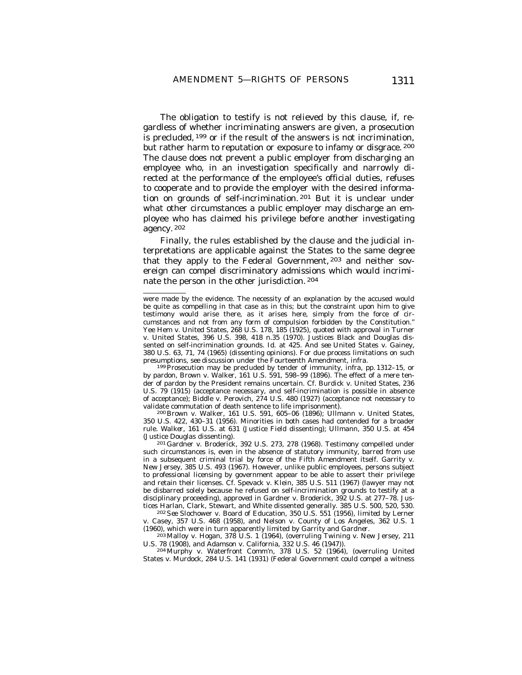The obligation to testify is not relieved by this clause, if, regardless of whether incriminating answers are given, a prosecution is precluded, 199 or if the result of the answers is not incrimination, but rather harm to reputation or exposure to infamy or disgrace. 200 The clause does not prevent a public employer from discharging an employee who, in an investigation specifically and narrowly directed at the performance of the employee's official duties, refuses to cooperate and to provide the employer with the desired information on grounds of self-incrimination. 201 But it is unclear under what other circumstances a public employer may discharge an employee who has claimed his privilege before another investigating agency. 202

Finally, the rules established by the clause and the judicial interpretations are applicable against the States to the same degree that they apply to the Federal Government, 203 and neither sovereign can compel discriminatory admissions which would incriminate the person in the other jurisdiction. 204

<sup>199</sup>Prosecution may be precluded by tender of immunity, infra, pp. 1312-15, or by pardon, Brown v. Walker, 161 U.S. 591, 598–99 (1896). The effect of a mere tender of pardon by the President remains uncertain. *Cf.* Burdick v. United States, 236 U.S. 79 (1915) (acceptance necessary, and self-incrimination is possible in absence of acceptance); Biddle v. Perovich, 274 U.S. 480 (1927) (acceptance not necessary to validate commutation of death sentence to life imprisonment).

200 Brown v. Walker, 161 U.S. 591, 605–06 (1896); Ullmann v. United States, 350 U.S. 422, 430–31 (1956). Minorities in both cases had contended for a broader rule. *Walker*, 161 U.S. at 631 (Justice Field dissenting); *Ullmann*, 350 U.S. at 454 (Justice Douglas dissenting).

201Gardner v. Broderick, 392 U.S. 273, 278 (1968). Testimony compelled under such circumstances is, even in the absence of statutory immunity, barred from use in a subsequent criminal trial by force of the Fifth Amendment itself. Garrity v. New Jersey, 385 U.S. 493 (1967). However, unlike public employees, persons subject to professional licensing by government appear to be able to assert their privilege and retain their licenses. *Cf.* Spevack v. Klein, 385 U.S. 511 (1967) (lawyer may not be disbarred solely because he refused on self-incrimination grounds to testify at a disciplinary proceeding), *approved in* Gardner v. Broderick, 392 U.S. at 277–78. Justices Harlan, Clark, Stewart, and White dissented generally. 385 U.S. 500, 520, 530.

202*See* Slochower v. Board of Education, 350 U.S. 551 (1956), *limited by* Lerner v. Casey, 357 U.S. 468 (1958), and Nelson v. County of Los Angeles, 362 U.S. 1 (1960), which were in turn apparently limited by *Garrity* and *Gardner*.

203Malloy v. Hogan, 378 U.S. 1 (1964), (overruling Twining v. New Jersey, 211 U.S. 78 (1908), and Adamson v. California, 332 U.S. 46 (1947)).

204Murphy v. Waterfront Comm'n, 378 U.S. 52 (1964), (overruling United States v. Murdock, 284 U.S. 141 (1931) (Federal Government could compel a witness

were made by the evidence. The necessity of an explanation by the accused would be quite as compelling in that case as in this; but the constraint upon him to give testimony would arise there, as it arises here, simply from the force of circumstances and not from any form of compulsion forbidden by the Constitution.'' Yee Hem v. United States, 268 U.S. 178, 185 (1925), quoted with approval in Turner v. United States, 396 U.S. 398, 418 n.35 (1970). Justices Black and Douglas dissented on self-incrimination grounds. Id. at 425. *And see* United States v. Gainey, 380 U.S. 63, 71, 74 (1965) (dissenting opinions). For due process limitations on such presumptions, *see* discussion under the Fourteenth Amendment, infra.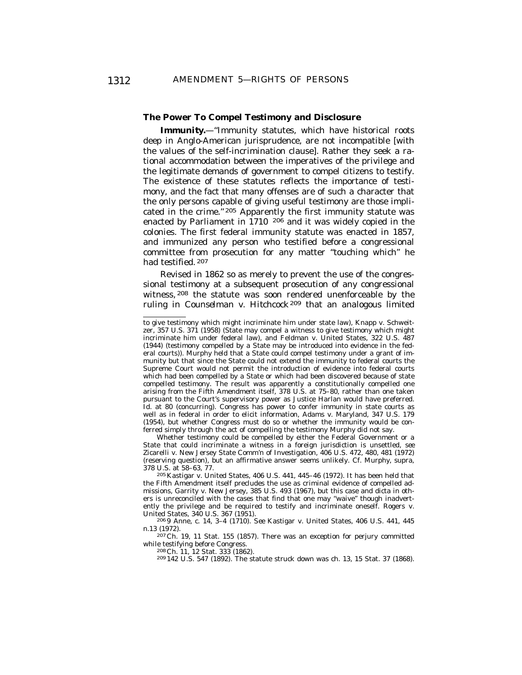## **The Power To Compel Testimony and Disclosure**

*Immunity.*—''Immunity statutes, which have historical roots deep in Anglo-American jurisprudence, are not incompatible [with the values of the self-incrimination clause]. Rather they seek a rational accommodation between the imperatives of the privilege and the legitimate demands of government to compel citizens to testify. The existence of these statutes reflects the importance of testimony, and the fact that many offenses are of such a character that the only persons capable of giving useful testimony are those implicated in the crime.'' 205 Apparently the first immunity statute was enacted by Parliament in  $1710^{206}$  and it was widely copied in the colonies. The first federal immunity statute was enacted in 1857, and immunized any person who testified before a congressional committee from prosecution for any matter ''touching which'' he had testified. 207

Revised in 1862 so as merely to prevent the use of the congressional testimony at a subsequent prosecution of any congressional witness, 208 the statute was soon rendered unenforceable by the ruling in *Counselman v. Hitchcock* 209 that an analogous limited

Whether testimony could be compelled by either the Federal Government or a State that could incriminate a witness in a foreign jurisdiction is unsettled, *see* Zicarelli v. New Jersey State Comm'n of Investigation, 406 U.S. 472, 480, 481 (1972) (reserving question), but an affirmative answer seems unlikely. *Cf. Murphy*, supra, 378 U.S. at 58–63, 77.

206 9 Anne, c. 14, 3–4 (1710). *See* Kastigar v. United States, 406 U.S. 441, 445 n.13 (1972).

 $207$  Ch. 19, 11 Stat. 155 (1857). There was an exception for perjury committed while testifying before Congress.

208 Ch. 11, 12 Stat. 333 (1862).

209 142 U.S. 547 (1892). The statute struck down was ch. 13, 15 Stat. 37 (1868).

to give testimony which might incriminate him under state law), Knapp v. Schweitzer, 357 U.S. 371 (1958) (State may compel a witness to give testimony which might incriminate him under federal law), and Feldman v. United States, 322 U.S. 487 (1944) (testimony compelled by a State may be introduced into evidence in the federal courts)). *Murphy* held that a State could compel testimony under a grant of immunity but that since the State could not extend the immunity to federal courts the Supreme Court would not permit the introduction of evidence into federal courts which had been compelled by a State or which had been discovered because of state compelled testimony. The result was apparently a constitutionally compelled one arising from the Fifth Amendment itself, 378 U.S. at 75–80, rather than one taken pursuant to the Court's supervisory power as Justice Harlan would have preferred. Id. at 80 (concurring). Congress has power to confer immunity in state courts as well as in federal in order to elicit information, Adams v. Maryland, 347 U.S. 179 (1954), but whether Congress must do so or whether the immunity would be conferred simply through the act of compelling the testimony *Murphy* did not say.

<sup>205</sup>Kastigar v. United States, 406 U.S. 441, 445–46 (1972). It has been held that the Fifth Amendment itself precludes the use as criminal evidence of compelled admissions, Garrity v. New Jersey, 385 U.S. 493 (1967), but this case and dicta in others is unreconciled with the cases that find that one may ''waive'' though inadvertently the privilege and be required to testify and incriminate oneself. Rogers v. United States, 340 U.S. 367 (1951).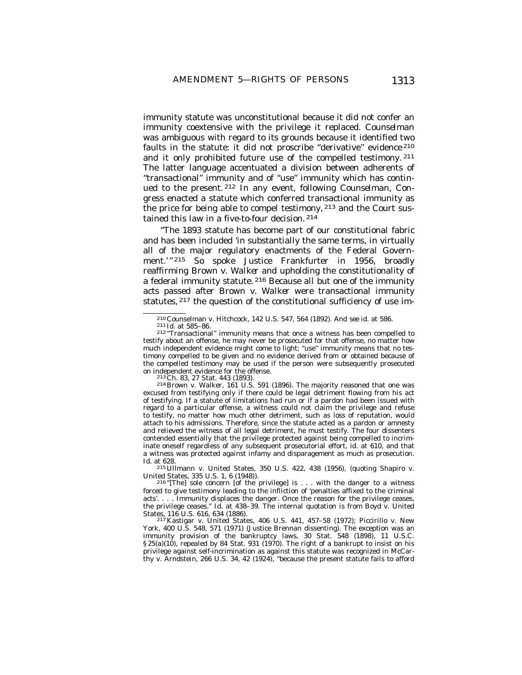immunity statute was unconstitutional because it did not confer an immunity coextensive with the privilege it replaced. *Counselman* was ambiguous with regard to its grounds because it identified two faults in the statute: it did not proscribe "derivative" evidence<sup>210</sup> and it only prohibited future use of the compelled testimony. 211 The latter language accentuated a division between adherents of ''transactional'' immunity and of ''use'' immunity which has continued to the present. 212 In any event, following *Counselman*, Congress enacted a statute which conferred transactional immunity as the price for being able to compel testimony, 213 and the Court sustained this law in a five-to-four decision. 214

''The 1893 statute has become part of our constitutional fabric and has been included 'in substantially the same terms, in virtually all of the major regulatory enactments of the Federal Government.'"<sup>215</sup> So spoke Justice Frankfurter in 1956, broadly reaffirming *Brown v. Walker* and upholding the constitutionality of a federal immunity statute. 216 Because all but one of the immunity acts passed after *Brown v. Walker* were transactional immunity statutes, 217 the question of the constitutional sufficiency of use im-

<sup>213</sup> Ch. 83, 27 Stat. 443 (1893).<br><sup>214</sup> Brown v. Walker, 161 U.S. 591 (1896). The majority reasoned that one was excused from testifying only if there could be legal detriment flowing from his act of testifying. If a statute of limitations had run or if a pardon had been issued with regard to a particular offense, a witness could not claim the privilege and refuse to testify, no matter how much other detriment, such as loss of reputation, would attach to his admissions. Therefore, since the statute acted as a pardon or amnesty and relieved the witness of all legal detriment, he must testify. The four dissenters contended essentially that the privilege protected against being compelled to incriminate oneself regardless of any subsequent prosecutorial effort, id. at 610, and that a witness was protected against infamy and disparagement as much as prosecution.

215 Ullmann v. United States, 350 U.S. 422, 438 (1956), (quoting Shapiro v. United States, 335 U.S. 1, 6 (1948)).<br><sup>216</sup> ''[The] sole concern [of the privilege] is . . . with the danger to a witness

forced to give testimony leading to the infliction of 'penalties affixed to the criminal acts'. . . . Immunity displaces the danger. Once the reason for the privilege ceases, the privilege ceases.'' Id. at 438–39. The internal quotation is from Boyd v. United States, 116 U.S. 616, 634 (1886). <sup>217</sup> Kastigar v. United States, 406 U.S. 441, 457–58 (1972); Piccirillo v. New

York, 400 U.S. 548, 571 (1971) (Justice Brennan dissenting). The exception was an immunity provision of the bankruptcy laws, 30 Stat. 548 (1898), 11 U.S.C. § 25(a)(10), repealed by 84 Stat. 931 (1970). The right of a bankrupt to insist on his privilege against self-incrimination as against this statute was recognized in McCarthy v. Arndstein, 266 U.S. 34, 42 (1924), ''because the present statute fails to afford

<sup>&</sup>lt;sup>210</sup> Counselman v. Hitchcock, 142 U.S. 547, 564 (1892). *And see* id. at 586.<br><sup>211</sup> Id. at 585–86.<br><sup>212</sup> "Transactional" immunity means that once a witness has been compelled to

testify about an offense, he may never be prosecuted for that offense, no matter how much independent evidence might come to light; ''use'' immunity means that no testimony compelled to be given and no evidence derived from or obtained because of the compelled testimony may be used if the person were subsequently prosecuted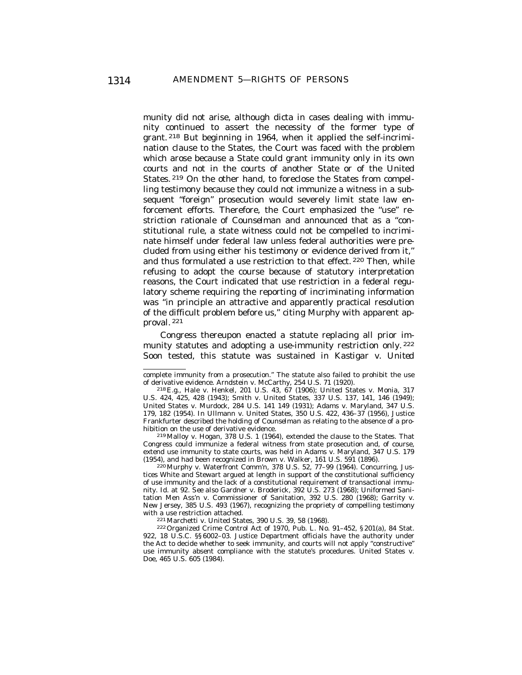munity did not arise, although dicta in cases dealing with immunity continued to assert the necessity of the former type of grant. 218 But beginning in 1964, when it applied the self-incrimination clause to the States, the Court was faced with the problem which arose because a State could grant immunity only in its own courts and not in the courts of another State or of the United States. 219 On the other hand, to foreclose the States from compelling testimony because they could not immunize a witness in a subsequent "foreign" prosecution would severely limit state law enforcement efforts. Therefore, the Court emphasized the ''use'' restriction rationale of *Counselman* and announced that as a ''constitutional rule, a state witness could not be compelled to incriminate himself under federal law unless federal authorities were precluded from using either his testimony or evidence derived from it,'' and thus formulated a use restriction to that effect. <sup>220</sup> Then, while refusing to adopt the course because of statutory interpretation reasons, the Court indicated that use restriction in a federal regulatory scheme requiring the reporting of incriminating information was ''in principle an attractive and apparently practical resolution of the difficult problem before us,'' citing *Murphy* with apparent approval. 221

Congress thereupon enacted a statute replacing all prior immunity statutes and adopting a use-immunity restriction only. 222 Soon tested, this statute was sustained in *Kastigar v. United*

219Malloy v. Hogan, 378 U.S. 1 (1964), extended the clause to the States. That Congress could immunize a federal witness from state prosecution and, of course, extend use immunity to state courts, was held in Adams v. Maryland, 347 U.S. 179 (1954), and had been recognized in Brown v. Walker, 161 U.S. 591 (1896).

220Murphy v. Waterfront Comm'n, 378 U.S. 52, 77–99 (1964). Concurring, Justices White and Stewart argued at length in support of the constitutional sufficiency of use immunity and the lack of a constitutional requirement of transactional immunity. Id. at 92. *See also* Gardner v. Broderick, 392 U.S. 273 (1968); Uniformed Sanitation Men Ass'n v. Commissioner of Sanitation, 392 U.S. 280 (1968); Garrity v. New Jersey, 385 U.S. 493 (1967), recognizing the propriety of compelling testimony with a use restriction attached.

221Marchetti v. United States, 390 U.S. 39, 58 (1968).

222Organized Crime Control Act of 1970, Pub. L. No. 91–452, § 201(a), 84 Stat. 922, 18 U.S.C. §§ 6002–03. Justice Department officials have the authority under the Act to decide whether to seek immunity, and courts will not apply ''constructive'' use immunity absent compliance with the statute's procedures. United States v. Doe, 465 U.S. 605 (1984).

complete immunity from a prosecution.'' The statute also failed to prohibit the use of derivative evidence. Arndstein v. McCarthy, 254 U.S. 71 (1920).

<sup>218</sup> E.g., Hale v. Henkel, 201 U.S. 43, 67 (1906); United States v. Monia, 317 U.S. 424, 425, 428 (1943); Smith v. United States, 337 U.S. 137, 141, 146 (1949); United States v. Murdock, 284 U.S. 141 149 (1931); Adams v. Maryland, 347 U.S. 179, 182 (1954). In Ullmann v. United States, 350 U.S. 422, 436–37 (1956), Justice Frankfurter described the holding of *Counselman* as relating to the absence of a prohibition on the use of derivative evidence.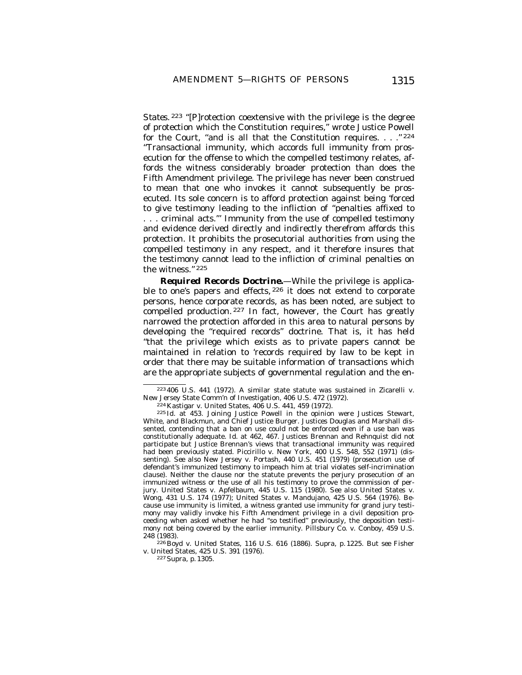*States*. 223 ''[P]rotection coextensive with the privilege is the degree of protection which the Constitution requires,'' wrote Justice Powell for the Court, "and is all that the Constitution requires. . . ."224 ''Transactional immunity, which accords full immunity from prosecution for the offense to which the compelled testimony relates, affords the witness considerably broader protection than does the Fifth Amendment privilege. The privilege has never been construed to mean that one who invokes it cannot subsequently be prosecuted. Its sole concern is to afford protection against being 'forced to give testimony leading to the infliction of ''penalties affixed to . . . criminal acts.''' Immunity from the use of compelled testimony and evidence derived directly and indirectly therefrom affords this protection. It prohibits the prosecutorial authorities from using the compelled testimony in *any* respect, and it therefore insures that the testimony cannot lead to the infliction of criminal penalties on the witness.'' 225

*Required Records Doctrine.*—While the privilege is applicable to one's papers and effects, 226 it does not extend to corporate persons, hence corporate records, as has been noted, are subject to compelled production. 227 In fact, however, the Court has greatly narrowed the protection afforded in this area to natural persons by developing the ''required records'' doctrine. That is, it has held ''that the privilege which exists as to private papers cannot be maintained in relation to 'records required by law to be kept in order that there may be suitable information of transactions which are the appropriate subjects of governmental regulation and the en-

226 Boyd v. United States, 116 U.S. 616 (1886). Supra, p. 1225. *But see* Fisher v. United States, 425 U.S. 391 (1976).

<sup>223</sup> 406 U.S. 441 (1972). A similar state statute was sustained in Zicarelli v. New Jersey State Comm'n of Investigation, 406 U.S. 472 (1972).

<sup>224</sup>Kastigar v. United States, 406 U.S. 441, 459 (1972).

<sup>225</sup> Id. at 453. Joining Justice Powell in the opinion were Justices Stewart, White, and Blackmun, and Chief Justice Burger. Justices Douglas and Marshall dissented, contending that a ban on use could not be enforced even if a use ban was constitutionally adequate. Id. at 462, 467. Justices Brennan and Rehnquist did not participate but Justice Brennan's views that transactional immunity was required had been previously stated. Piccirillo v. New York, 400 U.S. 548, 552 (1971) (dissenting). *See also* New Jersey v. Portash, 440 U.S. 451 (1979) (prosecution use of defendant's immunized testimony to impeach him at trial violates self-incrimination clause). Neither the clause nor the statute prevents the perjury prosecution of an immunized witness or the use of all his testimony to prove the commission of perjury. United States v. Apfelbaum, 445 U.S. 115 (1980). *See also* United States v. Wong, 431 U.S. 174 (1977); United States v. Mandujano, 425 U.S. 564 (1976). Because use immunity is limited, a witness granted use immunity for grand jury testimony may validly invoke his Fifth Amendment privilege in a civil deposition proceeding when asked whether he had ''so testified'' previously, the deposition testimony not being covered by the earlier immunity. Pillsbury Co. v. Conboy, 459 U.S. 248 (1983).

<sup>227</sup>Supra, p. 1305.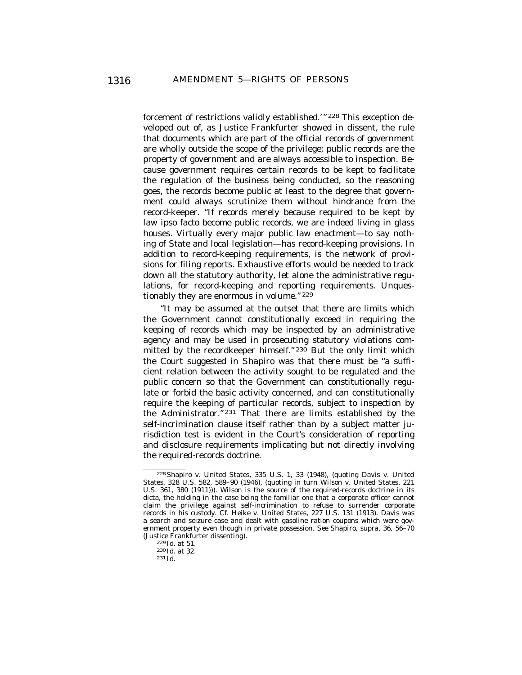forcement of restrictions validly established.'"<sup>228</sup> This exception developed out of, as Justice Frankfurter showed in dissent, the rule that documents which are part of the official records of government are wholly outside the scope of the privilege; public records are the property of government and are always accessible to inspection. Because government requires certain records to be kept to facilitate the regulation of the business being conducted, so the reasoning goes, the records become public at least to the degree that government could always scrutinize them without hindrance from the record-keeper. ''If records merely because required to be kept by law *ipso facto* become public records, we are indeed living in glass houses. Virtually every major public law enactment—to say nothing of State and local legislation—has record-keeping provisions. In addition to record-keeping requirements, is the network of provisions for filing reports. Exhaustive efforts would be needed to track down all the statutory authority, let alone the administrative regulations, for record-keeping and reporting requirements. Unquestionably they are enormous in volume." 229

''It may be assumed at the outset that there are limits which the Government cannot constitutionally exceed in requiring the keeping of records which may be inspected by an administrative agency and may be used in prosecuting statutory violations committed by the recordkeeper himself."<sup>230</sup> But the only limit which the Court suggested in *Shapiro* was that there must be ''a sufficient relation between the activity sought to be regulated and the public concern so that the Government can constitutionally regulate or forbid the basic activity concerned, and can constitutionally require the keeping of particular records, subject to inspection by the Administrator."<sup>231</sup> That there are limits established by the self-incrimination clause itself rather than by a subject matter jurisdiction test is evident in the Court's consideration of reporting and disclosure requirements implicating but not directly involving the required-records doctrine.

<sup>228</sup>Shapiro v. United States, 335 U.S. 1, 33 (1948), (quoting Davis v. United States, 328 U.S. 582, 589–90 (1946), (quoting in turn Wilson v. United States, 221 U.S. 361, 380 (1911))). *Wilson* is the source of the required-records doctrine in its dicta, the holding in the case being the familiar one that a corporate officer cannot claim the privilege against self-incrimination to refuse to surrender corporate records in his custody. *Cf.* Heike v. United States, 227 U.S. 131 (1913). *Davis* was a search and seizure case and dealt with gasoline ration coupons which were government property even though in private possession. *See Shapiro*, supra, 36, 56–70 (Justice Frankfurter dissenting).

<sup>229</sup> Id. at 51.

<sup>230</sup> Id. at 32.

<sup>231</sup> Id.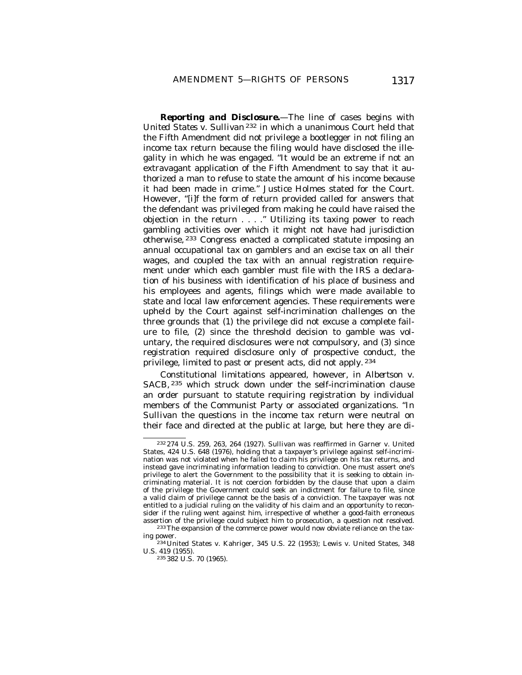*Reporting and Disclosure.*—The line of cases begins with *United States v. Sullivan* 232 in which a unanimous Court held that the Fifth Amendment did not privilege a bootlegger in not filing an income tax return because the filing would have disclosed the illegality in which he was engaged. ''It would be an extreme if not an extravagant application of the Fifth Amendment to say that it authorized a man to refuse to state the amount of his income because it had been made in crime.'' Justice Holmes stated for the Court. However, "[i]f the form of return provided called for answers that the defendant was privileged from making he could have raised the objection in the return . . . .'' Utilizing its taxing power to reach gambling activities over which it might not have had jurisdiction otherwise, 233 Congress enacted a complicated statute imposing an annual occupational tax on gamblers and an excise tax on all their wages, and coupled the tax with an annual registration requirement under which each gambler must file with the IRS a declaration of his business with identification of his place of business and his employees and agents, filings which were made available to state and local law enforcement agencies. These requirements were upheld by the Court against self-incrimination challenges on the three grounds that (1) the privilege did not excuse a complete failure to file, (2) since the threshold decision to gamble was voluntary, the required disclosures were not compulsory, and (3) since registration required disclosure only of prospective conduct, the privilege, limited to past or present acts, did not apply. 234

Constitutional limitations appeared, however, in *Albertson v. SACB*, 235 which struck down under the self-incrimination clause an order pursuant to statute requiring registration by individual members of the Communist Party or associated organizations. ''In *Sullivan* the questions in the income tax return were neutral on their face and directed at the public at large, but here they are di-

<sup>232</sup> 274 U.S. 259, 263, 264 (1927). *Sullivan* was reaffirmed in Garner v. United States, 424 U.S. 648 (1976), holding that a taxpayer's privilege against self-incrimination was not violated when he failed to claim his privilege on his tax returns, and instead gave incriminating information leading to conviction. One must assert one's privilege to alert the Government to the possibility that it is seeking to obtain incriminating material. It is not coercion forbidden by the clause that upon a claim of the privilege the Government could seek an indictment for failure to file, since a valid claim of privilege cannot be the basis of a conviction. The taxpayer was not entitled to a judicial ruling on the validity of his claim and an opportunity to reconsider if the ruling went against him, irrespective of whether a good-faith erroneous assertion of the privilege could subject him to prosecution, a question not resolved.

<sup>233</sup>The expansion of the commerce power would now obviate reliance on the taxing power.

<sup>234</sup> United States v. Kahriger, 345 U.S. 22 (1953); Lewis v. United States, 348 U.S. 419 (1955).

<sup>235</sup> 382 U.S. 70 (1965).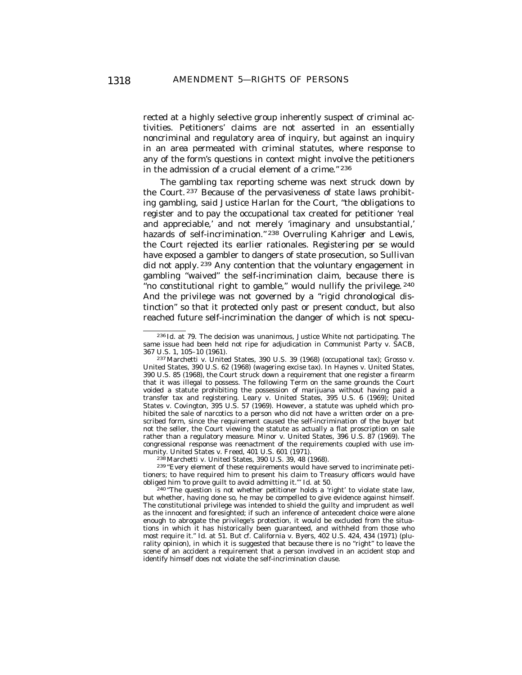rected at a highly selective group inherently suspect of criminal activities. Petitioners' claims are not asserted in an essentially noncriminal and regulatory area of inquiry, but against an inquiry in an area permeated with criminal statutes, where response to any of the form's questions in context might involve the petitioners in the admission of a crucial element of a crime." 236

The gambling tax reporting scheme was next struck down by the Court. 237 Because of the pervasiveness of state laws prohibiting gambling, said Justice Harlan for the Court, ''the obligations to register and to pay the occupational tax created for petitioner 'real and appreciable,' and not merely 'imaginary and unsubstantial,' hazards of self-incrimination.'' 238 Overruling *Kahriger* and *Lewis*, the Court rejected its earlier rationales. Registering *per se* would have exposed a gambler to dangers of state prosecution, so *Sullivan* did not apply. 239 Any contention that the voluntary engagement in gambling ''waived'' the self-incrimination claim, because there is "no constitutional right to gamble," would nullify the privilege. <sup>240</sup> And the privilege was not governed by a "rigid chronological distinction'' so that it protected only past or present conduct, but also reached future self-incrimination the danger of which is not specu-

238Marchetti v. United States, 390 U.S. 39, 48 (1968).

239 ''Every element of these requirements would have served to incriminate petitioners; to have required him to present his claim to Treasury officers would have obliged him 'to prove guilt to avoid admitting it.''' Id. at 50.

240 ''The question is not whether petitioner holds a 'right' to violate state law, but whether, having done so, he may be compelled to give evidence against himself. The constitutional privilege was intended to shield the guilty and imprudent as well as the innocent and foresighted; if such an inference of antecedent choice were alone enough to abrogate the privilege's protection, it would be excluded from the situations in which it has historically been guaranteed, and withheld from those who most require it.'' Id. at 51. *But cf.* California v. Byers, 402 U.S. 424, 434 (1971) (plurality opinion), in which it is suggested that because there is no "right" to leave the scene of an accident a requirement that a person involved in an accident stop and identify himself does not violate the self-incrimination clause.

<sup>236</sup> Id. at 79. The decision was unanimous, Justice White not participating. The same issue had been held not ripe for adjudication in Communist Party v. SACB, 367 U.S. 1, 105–10 (1961).

<sup>237</sup>Marchetti v. United States, 390 U.S. 39 (1968) (occupational tax); Grosso v. United States, 390 U.S. 62 (1968) (wagering excise tax). In Haynes v. United States, 390 U.S. 85 (1968), the Court struck down a requirement that one register a firearm that it was illegal to possess. The following Term on the same grounds the Court voided a statute prohibiting the possession of marijuana without having paid a transfer tax and registering. Leary v. United States, 395 U.S. 6 (1969); United States v. Covington, 395 U.S. 57 (1969). However, a statute was upheld which prohibited the sale of narcotics to a person who did not have a written order on a prescribed form, since the requirement caused the self-incrimination of the buyer but not the seller, the Court viewing the statute as actually a flat proscription on sale rather than a regulatory measure. Minor v. United States, 396 U.S. 87 (1969). The congressional response was reenactment of the requirements coupled with use immunity. United States v. Freed, 401 U.S. 601 (1971).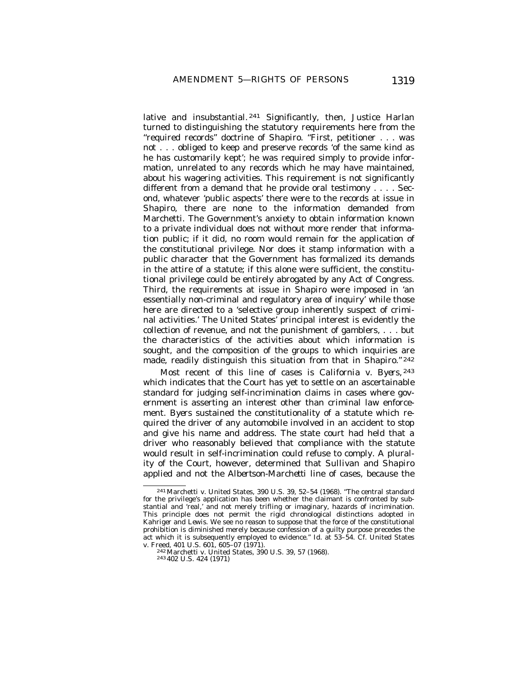lative and insubstantial. 241 Significantly, then, Justice Harlan turned to distinguishing the statutory requirements here from the ''required records'' doctrine of *Shapiro*. ''First, petitioner . . . was not . . . obliged to keep and preserve records 'of the same kind as he has customarily kept'; he was required simply to provide information, unrelated to any records which he may have maintained, about his wagering activities. This requirement is not significantly different from a demand that he provide oral testimony . . . . Second, whatever 'public aspects' there were to the records at issue in *Shapiro*, there are none to the information demanded from Marchetti. The Government's anxiety to obtain information known to a private individual does not without more render that information public; if it did, no room would remain for the application of the constitutional privilege. Nor does it stamp information with a public character that the Government has formalized its demands in the attire of a statute; if this alone were sufficient, the constitutional privilege could be entirely abrogated by any Act of Congress. Third, the requirements at issue in *Shapiro* were imposed in 'an essentially non-criminal and regulatory area of inquiry' while those here are directed to a 'selective group inherently suspect of criminal activities.' The United States' principal interest is evidently the collection of revenue, and not the punishment of gamblers, . . . but the characteristics of the activities about which information is sought, and the composition of the groups to which inquiries are made, readily distinguish this situation from that in *Shapiro*."<sup>242</sup>

Most recent of this line of cases is *California v. Byers*, 243 which indicates that the Court has yet to settle on an ascertainable standard for judging self-incrimination claims in cases where government is asserting an interest other than criminal law enforcement. *Byers* sustained the constitutionality of a statute which required the driver of any automobile involved in an accident to stop and give his name and address. The state court had held that a driver who reasonably believed that compliance with the statute would result in self-incrimination could refuse to comply. A plurality of the Court, however, determined that *Sullivan* and *Shapiro* applied and not the *Albertson-Marchetti* line of cases, because the

<sup>241</sup>Marchetti v. United States, 390 U.S. 39, 52–54 (1968). ''The central standard for the privilege's application has been whether the claimant is confronted by substantial and 'real,' and not merely trifling or imaginary, hazards of incrimination. This principle does not permit the rigid chronological distinctions adopted in *Kahriger* and *Lewis*. We see no reason to suppose that the force of the constitutional prohibition is diminished merely because confession of a guilty purpose precedes the act which it is subsequently employed to evidence.'' Id. at 53–54. *Cf.* United States

<sup>&</sup>lt;sup>242</sup> Marchetti v. United States, 390 U.S. 39, 57 (1968). <sup>243</sup> 402 U.S. 424 (1971)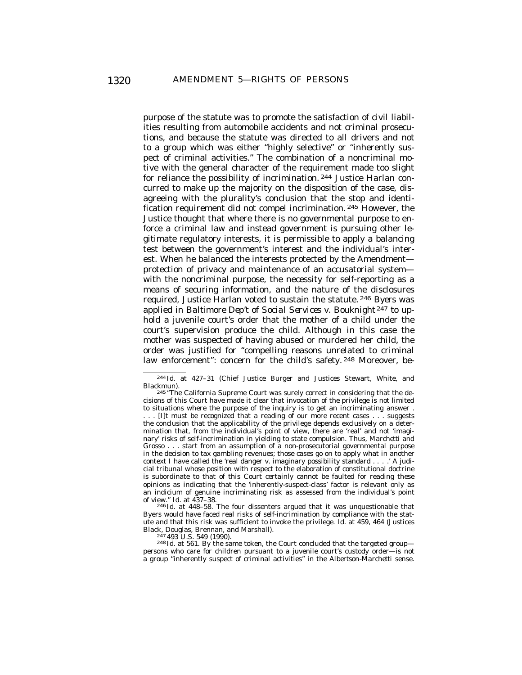purpose of the statute was to promote the satisfaction of civil liabilities resulting from automobile accidents and not criminal prosecutions, and because the statute was directed to all drivers and not to a group which was either ''highly selective'' or ''inherently suspect of criminal activities.'' The combination of a noncriminal motive with the general character of the requirement made too slight for reliance the possibility of incrimination. 244 Justice Harlan concurred to make up the majority on the disposition of the case, disagreeing with the plurality's conclusion that the stop and identification requirement did not compel incrimination. 245 However, the Justice thought that where there is no governmental purpose to enforce a criminal law and instead government is pursuing other legitimate regulatory interests, it is permissible to apply a balancing test between the government's interest and the individual's interest. When he balanced the interests protected by the Amendment protection of privacy and maintenance of an accusatorial system with the noncriminal purpose, the necessity for self-reporting as a means of securing information, and the nature of the disclosures required, Justice Harlan voted to sustain the statute. 246 *Byers* was applied in *Baltimore Dep't of Social Services v. Bouknight*<sup>247</sup> to uphold a juvenile court's order that the mother of a child under the court's supervision produce the child. Although in this case the mother was suspected of having abused or murdered her child, the order was justified for ''compelling reasons unrelated to criminal law enforcement": concern for the child's safety. <sup>248</sup> Moreover, be-

<sup>244</sup> Id. at 427–31 (Chief Justice Burger and Justices Stewart, White, and

Blackmun).<br><sup>245</sup> "The California Supreme Court was surely correct in considering that the decisions of this Court have made it clear that invocation of the privilege is not limited to situations where the purpose of the inquiry is to get an incriminating answer . . . . [I]t must be recognized that a reading of our more recent cases . . . suggests the conclusion that the applicability of the privilege depends exclusively on a determination that, from the individual's point of view, there are 'real' and not 'imaginary' risks of self-incrimination in yielding to state compulsion. Thus, *Marchetti* and *Grosso* . . . start from an assumption of a non-prosecutorial governmental purpose in the decision to tax gambling revenues; those cases go on to apply what in another context I have called the 'real danger v. imaginary possibility standard . . . .' A judicial tribunal whose position with respect to the elaboration of constitutional doctrine is subordinate to that of this Court certainly cannot be faulted for reading these opinions as indicating that the 'inherently-suspect-class' factor is relevant only as an indicium of genuine incriminating risk as assessed from the individual's point

<sup>&</sup>lt;sup>246</sup> Id. at 448-58. The four dissenters argued that it was unquestionable that Byers would have faced real risks of self-incrimination by compliance with the statute and that this risk was sufficient to invoke the privilege. Id. at 459, 464 (Justices Black, Douglas, Brennan, and Marshall).<br><sup>247</sup> 493 U.S. 549 (1990).<br><sup>248</sup> Id. at 561. By the same token, the Court concluded that the targeted group—

persons who care for children pursuant to a juvenile court's custody order—is not a group ''inherently suspect of criminal activities'' in the *Albertson-Marchetti* sense.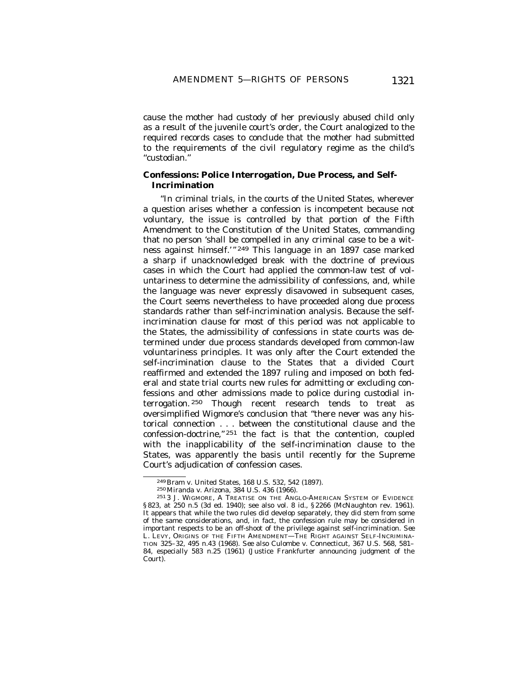cause the mother had custody of her previously abused child only as a result of the juvenile court's order, the Court analogized to the required records cases to conclude that the mother had submitted to the requirements of the civil regulatory regime as the child's ''custodian.''

## **Confessions: Police Interrogation, Due Process, and Self-Incrimination**

''In criminal trials, in the courts of the United States, wherever a question arises whether a confession is incompetent because not voluntary, the issue is controlled by that portion of the Fifth Amendment to the Constitution of the United States, commanding that no person 'shall be compelled in any criminal case to be a witness against himself.'"<sup>249</sup> This language in an 1897 case marked a sharp if unacknowledged break with the doctrine of previous cases in which the Court had applied the common-law test of voluntariness to determine the admissibility of confessions, and, while the language was never expressly disavowed in subsequent cases, the Court seems nevertheless to have proceeded along due process standards rather than self-incrimination analysis. Because the selfincrimination clause for most of this period was not applicable to the States, the admissibility of confessions in state courts was determined under due process standards developed from common-law voluntariness principles. It was only after the Court extended the self-incrimination clause to the States that a divided Court reaffirmed and extended the 1897 ruling and imposed on both federal and state trial courts new rules for admitting or excluding confessions and other admissions made to police during custodial interrogation. 250 Though recent research tends to treat as oversimplified Wigmore's conclusion that ''there never was any historical connection . . . between the constitutional clause and the confession-doctrine,'' 251 the fact is that the contention, coupled with the inapplicability of the self-incrimination clause to the States, was apparently the basis until recently for the Supreme Court's adjudication of confession cases.

<sup>249</sup> Bram v. United States, 168 U.S. 532, 542 (1897).

<sup>250</sup>Miranda v. Arizona, 384 U.S. 436 (1966).

<sup>251</sup> 3 J. WIGMORE, A TREATISE ON THE ANGLO-AMERICAN SYSTEM OF EVIDENCE § 823, at 250 n.5 (3d ed. 1940); see also vol. 8 id., § 2266 (McNaughton rev. 1961). It appears that while the two rules did develop separately, they did stem from some of the same considerations, and, in fact, the confession rule may be considered in important respects to be an off-shoot of the privilege against self-incrimination. *See* L. LEVY, ORIGINS OF THE FIFTH AMENDMENT—THE RIGHT AGAINST SELF-INCRIMINA-TION 325–32, 495 n.43 (1968). *See also* Culombe v. Connecticut, 367 U.S. 568, 581– 84, especially 583 n.25 (1961) (Justice Frankfurter announcing judgment of the Court).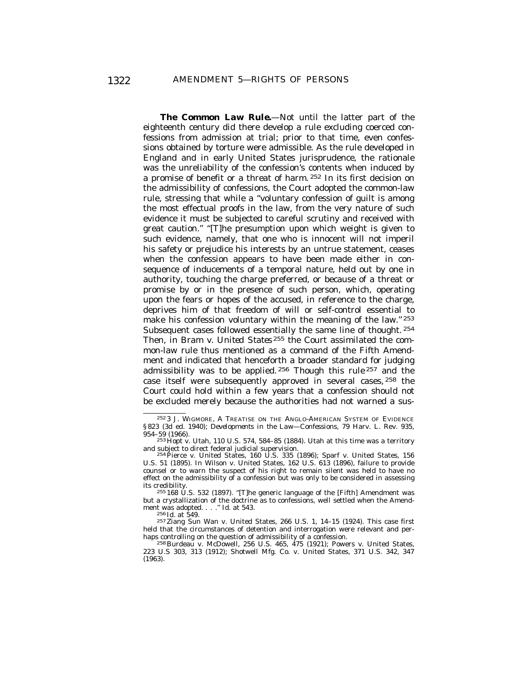*The Common Law Rule.*—Not until the latter part of the eighteenth century did there develop a rule excluding coerced confessions from admission at trial; prior to that time, even confessions obtained by torture were admissible. As the rule developed in England and in early United States jurisprudence, the rationale was the unreliability of the confession's contents when induced by a promise of benefit or a threat of harm. 252 In its first decision on the admissibility of confessions, the Court adopted the common-law rule, stressing that while a ''voluntary confession of guilt is among the most effectual proofs in the law, from the very nature of such evidence it must be subjected to careful scrutiny and received with great caution.'' ''[T]he presumption upon which weight is given to such evidence, namely, that one who is innocent will not imperil his safety or prejudice his interests by an untrue statement, ceases when the confession appears to have been made either in consequence of inducements of a temporal nature, held out by one in authority, touching the charge preferred, or because of a threat or promise by or in the presence of such person, which, operating upon the fears or hopes of the accused, in reference to the charge, deprives him of that freedom of will or self-control essential to make his confession voluntary within the meaning of the law."253 Subsequent cases followed essentially the same line of thought. 254 Then, in *Bram v. United States* 255 the Court assimilated the common-law rule thus mentioned as a command of the Fifth Amendment and indicated that henceforth a broader standard for judging admissibility was to be applied.<sup>256</sup> Though this rule<sup>257</sup> and the case itself were subsequently approved in several cases, 258 the Court could hold within a few years that a confession should not be excluded merely because the authorities had not warned a sus-

<sup>252</sup> 3 J. WIGMORE, A TREATISE ON THE ANGLO-AMERICAN SYSTEM OF EVIDENCE § 823 (3d ed. 1940); *Developments in the Law—Confessions*, 79 Harv. L. Rev. 935,

 $^{253}$  Hopt v. Utah, 110 U.S. 574, 584–85 (1884). Utah at this time was a territory and subject to direct federal judicial supervision.

<sup>254</sup> Pierce v. United States, 160 U.S. 335 (1896); Sparf v. United States, 156 U.S. 51 (1895). In Wilson v. United States, 162 U.S. 613 (1896), failure to provide counsel or to warn the suspect of his right to remain silent was held to have no effect on the admissibility of a confession but was only to be considered in assessing its credibility.

 $255$  168 U.S. 532 (1897). "[T]he generic language of the [Fifth] Amendment was but a crystallization of the doctrine as to confessions, well settled when the Amend-<br>ment was adopted...." Id. at 543.

<sup>&</sup>lt;sup>256</sup>Id. at 549.<br><sup>257</sup>Ziang Sun Wan v. United States, 266 U.S. 1, 14–15 (1924). This case first held that the circumstances of detention and interrogation were relevant and perhaps controlling on the question of admissibility of a confession.<br><sup>258</sup> Burdeau v. McDowell, 256 U.S. 465, 475 (1921); Powers v. United States,

<sup>223</sup> U.S 303, 313 (1912); Shotwell Mfg. Co. v. United States, 371 U.S. 342, 347 (1963).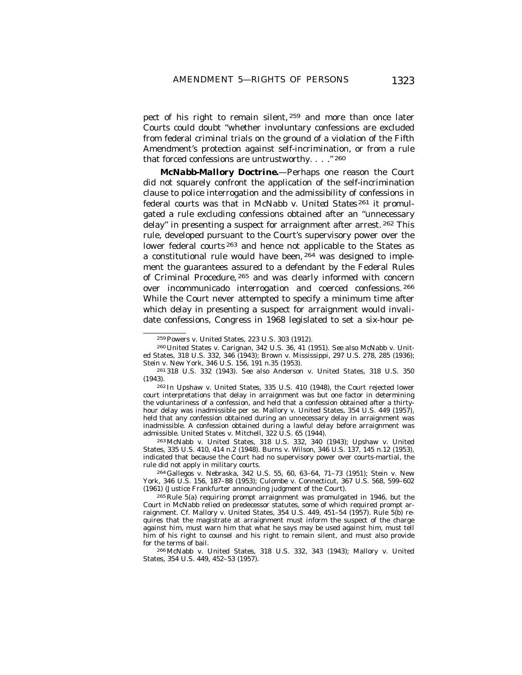pect of his right to remain silent, 259 and more than once later Courts could doubt ''whether involuntary confessions are excluded from federal criminal trials on the ground of a violation of the Fifth Amendment's protection against self-incrimination, or from a rule that forced confessions are untrustworthy. . . ." 260

*McNabb-Mallory Doctrine.*—Perhaps one reason the Court did not squarely confront the application of the self-incrimination clause to police interrogation and the admissibility of confessions in federal courts was that in *McNabb v. United States* 261 it promulgated a rule excluding confessions obtained after an ''unnecessary delay'' in presenting a suspect for arraignment after arrest. 262 This rule, developed pursuant to the Court's supervisory power over the lower federal courts 263 and hence not applicable to the States as a constitutional rule would have been, 264 was designed to implement the guarantees assured to a defendant by the Federal Rules of Criminal Procedure, 265 and was clearly informed with concern over incommunicado interrogation and coerced confessions. 266 While the Court never attempted to specify a minimum time after which delay in presenting a suspect for arraignment would invalidate confessions, Congress in 1968 legislated to set a six-hour pe-

263McNabb v. United States, 318 U.S. 332, 340 (1943); Upshaw v. United States, 335 U.S. 410, 414 n.2 (1948). Burns v. Wilson, 346 U.S. 137, 145 n.12 (1953), indicated that because the Court had no supervisory power over courts-martial, the rule did not apply in military courts.

264Gallegos v. Nebraska, 342 U.S. 55, 60, 63–64, 71–73 (1951); Stein v. New York, 346 U.S. 156, 187–88 (1953); Culombe v. Connecticut, 367 U.S. 568, 599–602 (1961) (Justice Frankfurter announcing judgment of the Court).

266McNabb v. United States, 318 U.S. 332, 343 (1943); Mallory v. United States, 354 U.S. 449, 452–53 (1957).

<sup>259</sup>Powers v. United States, 223 U.S. 303 (1912).

<sup>260</sup> United States v. Carignan, 342 U.S. 36, 41 (1951). *See also* McNabb v. United States, 318 U.S. 332, 346 (1943); Brown v. Mississippi, 297 U.S. 278, 285 (1936); Stein v. New York, 346 U.S. 156, 191 n.35 (1953).

<sup>261</sup> 318 U.S. 332 (1943). *See also* Anderson v. United States, 318 U.S. 350 (1943).

<sup>262</sup> In Upshaw v. United States, 335 U.S. 410 (1948), the Court rejected lower court interpretations that delay in arraignment was but one factor in determining the voluntariness of a confession, and held that a confession obtained after a thirtyhour delay was inadmissible per se. Mallory v. United States, 354 U.S. 449 (1957), held that any confession obtained during an unnecessary delay in arraignment was inadmissible. A confession obtained during a lawful delay before arraignment was admissible. United States v. Mitchell, 322 U.S. 65 (1944).

<sup>265</sup> Rule 5(a) requiring prompt arraignment was promulgated in 1946, but the Court in *McNabb* relied on predecessor statutes, some of which required prompt arraignment. *Cf.* Mallory v. United States, 354 U.S. 449, 451–54 (1957). Rule 5(b) requires that the magistrate at arraignment must inform the suspect of the charge against him, must warn him that what he says may be used against him, must tell him of his right to counsel and his right to remain silent, and must also provide for the terms of bail.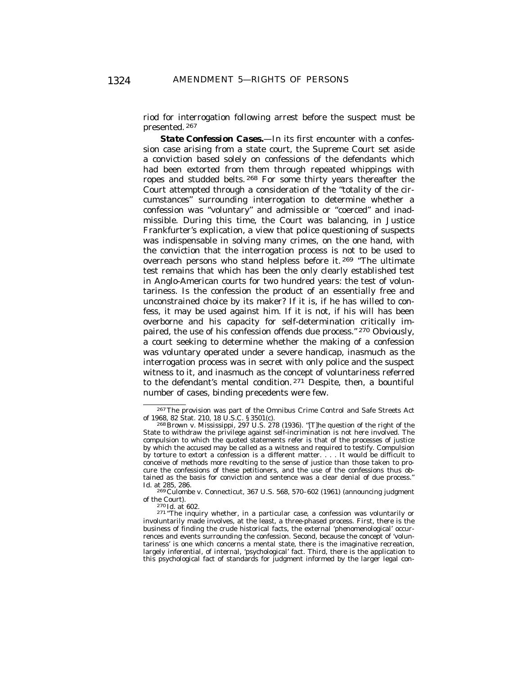riod for interrogation following arrest before the suspect must be presented. 267

*State Confession Cases.*—In its first encounter with a confession case arising from a state court, the Supreme Court set aside a conviction based solely on confessions of the defendants which had been extorted from them through repeated whippings with ropes and studded belts. 268 For some thirty years thereafter the Court attempted through a consideration of the ''totality of the circumstances'' surrounding interrogation to determine whether a confession was ''voluntary'' and admissible or ''coerced'' and inadmissible. During this time, the Court was balancing, in Justice Frankfurter's explication, a view that police questioning of suspects was indispensable in solving many crimes, on the one hand, with the conviction that the interrogation process is not to be used to overreach persons who stand helpless before it. 269 ''The ultimate test remains that which has been the only clearly established test in Anglo-American courts for two hundred years: the test of voluntariness. Is the confession the product of an essentially free and unconstrained choice by its maker? If it is, if he has willed to confess, it may be used against him. If it is not, if his will has been overborne and his capacity for self-determination critically impaired, the use of his confession offends due process.'' 270 Obviously, a court seeking to determine whether the making of a confession was voluntary operated under a severe handicap, inasmuch as the interrogation process was in secret with only police and the suspect witness to it, and inasmuch as the concept of voluntariness referred to the defendant's mental condition. 271 Despite, then, a bountiful number of cases, binding precedents were few.

 $^{267}\mathrm{The}$  provision was part of the Omnibus Crime Control and Safe Streets Act of 1968, 82 Stat. 210, 18 U.S.C. § 3501(c).

 $^{268}$  Brown v. Mississippi, 297 U.S. 278 (1936). "[T]he question of the right of the State to withdraw the privilege against self-incrimination is not here involved. The compulsion to which the quoted statements refer is that of the processes of justice by which the accused may be called as a witness and required to testify. Compulsion by torture to extort a confession is a different matter. . . . It would be difficult to conceive of methods more revolting to the sense of justice than those taken to procure the confessions of these petitioners, and the use of the confessions thus obtained as the basis for conviction and sentence was a clear denial of due process.''

Id. at 285, 286. <sup>269</sup> Culombe v. Connecticut, 367 U.S. 568, 570–602 (1961) (announcing judgment

<sup>&</sup>lt;sup>270</sup> Id. at 602.<br><sup>271</sup> "The inquiry whether, in a particular case, a confession was voluntarily or involuntarily made involves, at the least, a three-phased process. First, there is the business of finding the crude historical facts, the external 'phenomenological' occurrences and events surrounding the confession. Second, because the concept of 'voluntariness' is one which concerns a mental state, there is the imaginative recreation, largely inferential, of internal, 'psychological' fact. Third, there is the application to this psychological fact of standards for judgment informed by the larger legal con-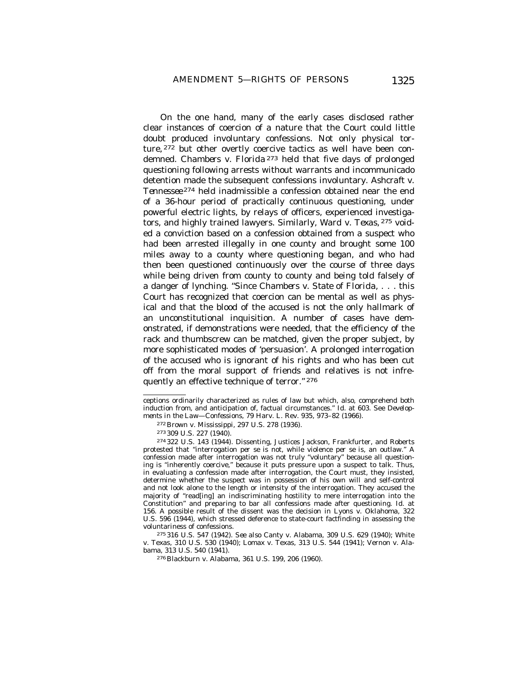On the one hand, many of the early cases disclosed rather clear instances of coercion of a nature that the Court could little doubt produced involuntary confessions. Not only physical torture, 272 but other overtly coercive tactics as well have been condemned. *Chambers v. Florida* 273 held that five days of prolonged questioning following arrests without warrants and incommunicado detention made the subsequent confessions involuntary. *Ashcraft v. Tennessee* 274 held inadmissible a confession obtained near the end of a 36-hour period of practically continuous questioning, under powerful electric lights, by relays of officers, experienced investigators, and highly trained lawyers. Similarly, *Ward v. Texas*, 275 voided a conviction based on a confession obtained from a suspect who had been arrested illegally in one county and brought some 100 miles away to a county where questioning began, and who had then been questioned continuously over the course of three days while being driven from county to county and being told falsely of a danger of lynching. ''Since *Chambers v. State of Florida*, . . . this Court has recognized that coercion can be mental as well as physical and that the blood of the accused is not the only hallmark of an unconstitutional inquisition. A number of cases have demonstrated, if demonstrations were needed, that the efficiency of the rack and thumbscrew can be matched, given the proper subject, by more sophisticated modes of 'persuasion'. A prolonged interrogation of the accused who is ignorant of his rights and who has been cut off from the moral support of friends and relatives is not infrequently an effective technique of terror.'' 276

ceptions ordinarily characterized as rules of law but which, also, comprehend both induction from, and anticipation of, factual circumstances.'' Id. at 603. See *Developments in the Law—Confessions*, 79 Harv. L. Rev. 935, 973–82 (1966).

<sup>272</sup> Brown v. Mississippi, 297 U.S. 278 (1936).

<sup>273</sup> 309 U.S. 227 (1940).

<sup>274</sup> 322 U.S. 143 (1944). Dissenting, Justices Jackson, Frankfurter, and Roberts protested that ''interrogation *per se* is not, while violence *per se* is, an outlaw.'' A confession made after interrogation was not truly ''voluntary'' because all questioning is ''inherently coercive,'' because it puts pressure upon a suspect to talk. Thus, in evaluating a confession made after interrogation, the Court must, they insisted, determine whether the suspect was in possession of his own will and self-control and not look alone to the length or intensity of the interrogation. They accused the majority of ''read[ing] an indiscriminating hostility to mere interrogation into the Constitution'' and preparing to bar all confessions made after questioning. Id. at 156. A possible result of the dissent was the decision in Lyons v. Oklahoma, 322 U.S. 596 (1944), which stressed deference to state-court factfinding in assessing the voluntariness of confessions.

<sup>275</sup> 316 U.S. 547 (1942). *See also* Canty v. Alabama, 309 U.S. 629 (1940); White v. Texas, 310 U.S. 530 (1940); Lomax v. Texas, 313 U.S. 544 (1941); Vernon v. Alabama, 313 U.S. 540 (1941).

<sup>276</sup> Blackburn v. Alabama, 361 U.S. 199, 206 (1960).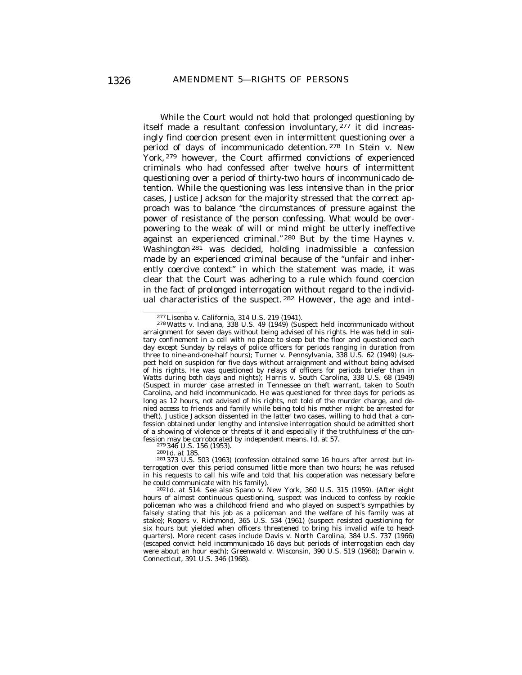While the Court would not hold that prolonged questioning by itself made a resultant confession involuntary, 277 it did increasingly find coercion present even in intermittent questioning over a period of days of incommunicado detention. 278 In *Stein v. New York*, 279 however, the Court affirmed convictions of experienced criminals who had confessed after twelve hours of intermittent questioning over a period of thirty-two hours of incommunicado detention. While the questioning was less intensive than in the prior cases, Justice Jackson for the majority stressed that the correct approach was to balance ''the circumstances of pressure against the power of resistance of the person confessing. What would be overpowering to the weak of will or mind might be utterly ineffective against an experienced criminal."<sup>280</sup> But by the time *Haynes v*. *Washington* 281 was decided, holding inadmissible a confession made by an experienced criminal because of the ''unfair and inherently coercive context'' in which the statement was made, it was clear that the Court was adhering to a rule which found coercion in the fact of prolonged interrogation without regard to the individual characteristics of the suspect. 282 However, the age and intel-

 $\frac{279\,346}{280\, \text{Id}}$ . U.S. 156 (1953).  $\frac{280\, \text{Id}}{281\, 373\, \text{U.S.}}$  503 (1963) (confession obtained some 16 hours after arrest but interrogation over this period consumed little more than two hours; he was refused in his requests to call his wife and told that his cooperation was necessary before he could communicate with his family). <sup>282</sup> Id. at 514. *See also* Spano v. New York, 360 U.S. 315 (1959). (After eight

hours of almost continuous questioning, suspect was induced to confess by rookie policeman who was a childhood friend and who played on suspect's sympathies by falsely stating that his job as a policeman and the welfare of his family was at stake); Rogers v. Richmond, 365 U.S. 534 (1961) (suspect resisted questioning for six hours but yielded when officers threatened to bring his invalid wife to headquarters). More recent cases include Davis v. North Carolina, 384 U.S. 737 (1966) (escaped convict held incommunicado 16 days but periods of interrogation each day were about an hour each); Greenwald v. Wisconsin, 390 U.S. 519 (1968); Darwin v. Connecticut, 391 U.S. 346 (1968).

<sup>&</sup>lt;sup>277</sup> Lisenba v. California, 314 U.S. 219 (1941).<br><sup>278</sup> Watts v. Indiana, 338 U.S. 49 (1949) (Suspect held incommunicado without arraignment for seven days without being advised of his rights. He was held in solitary confinement in a cell with no place to sleep but the floor and questioned each day except Sunday by relays of police officers for periods ranging in duration from three to nine-and-one-half hours); Turner v. Pennsylvania, 338 U.S. 62 (1949) (suspect held on suspicion for five days without arraignment and without being advised of his rights. He was questioned by relays of officers for periods briefer than in *Watts* during both days and nights); Harris v. South Carolina, 338 U.S. 68 (1949) (Suspect in murder case arrested in Tennessee on theft warrant, taken to South Carolina, and held incommunicado. He was questioned for three days for periods as long as 12 hours, not advised of his rights, not told of the murder charge, and denied access to friends and family while being told his mother might be arrested for theft). Justice Jackson dissented in the latter two cases, willing to hold that a confession obtained under lengthy and intensive interrogation should be admitted short of a showing of violence or threats of it and especially if the truthfulness of the con-<br>fession may be corroborated by independent means. Id. at 57.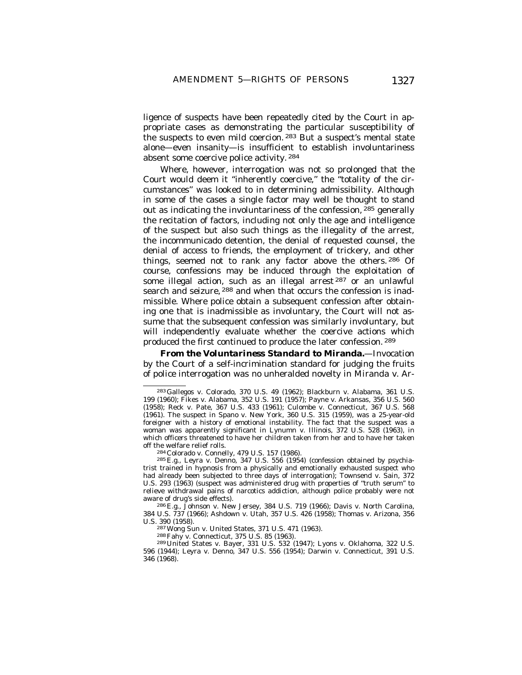ligence of suspects have been repeatedly cited by the Court in appropriate cases as demonstrating the particular susceptibility of the suspects to even mild coercion. 283 But a suspect's mental state alone—even insanity—is insufficient to establish involuntariness absent some coercive police activity. 284

Where, however, interrogation was not so prolonged that the Court would deem it ''inherently coercive,'' the ''totality of the circumstances'' was looked to in determining admissibility. Although in some of the cases a single factor may well be thought to stand out as indicating the involuntariness of the confession, 285 generally the recitation of factors, including not only the age and intelligence of the suspect but also such things as the illegality of the arrest, the incommunicado detention, the denial of requested counsel, the denial of access to friends, the employment of trickery, and other things, seemed not to rank any factor above the others. 286 Of course, confessions may be induced through the exploitation of some illegal action, such as an illegal arrest 287 or an unlawful search and seizure, 288 and when that occurs the confession is inadmissible. Where police obtain a subsequent confession after obtaining one that is inadmissible as involuntary, the Court will not assume that the subsequent confession was similarly involuntary, but will independently evaluate whether the coercive actions which produced the first continued to produce the later confession. 289

*From the Voluntariness Standard to* **Miranda.**—Invocation by the Court of a self-incrimination standard for judging the fruits of police interrogation was no unheralded novelty in *Miranda v. Ar-*

284 Colorado v. Connelly, 479 U.S. 157 (1986).

285 E.g., Leyra v. Denno, 347 U.S. 556 (1954) (confession obtained by psychiatrist trained in hypnosis from a physically and emotionally exhausted suspect who had already been subjected to three days of interrogation); Townsend v. Sain, 372 U.S. 293 (1963) (suspect was administered drug with properties of ''truth serum'' to relieve withdrawal pains of narcotics addiction, although police probably were not aware of drug's side effects).

286 E.g., Johnson v. New Jersey, 384 U.S. 719 (1966); Davis v. North Carolina, 384 U.S. 737 (1966); Ashdown v. Utah, 357 U.S. 426 (1958); Thomas v. Arizona, 356 U.S. 390 (1958).

287Wong Sun v. United States, 371 U.S. 471 (1963).

288Fahy v. Connecticut, 375 U.S. 85 (1963).

289 United States v. Bayer, 331 U.S. 532 (1947); Lyons v. Oklahoma, 322 U.S. 596 (1944); Leyra v. Denno, 347 U.S. 556 (1954); Darwin v. Connecticut, 391 U.S. 346 (1968).

<sup>283</sup>Gallegos v. Colorado, 370 U.S. 49 (1962); Blackburn v. Alabama, 361 U.S. 199 (1960); Fikes v. Alabama, 352 U.S. 191 (1957); Payne v. Arkansas, 356 U.S. 560 (1958); Reck v. Pate, 367 U.S. 433 (1961); Culombe v. Connecticut, 367 U.S. 568 (1961). The suspect in Spano v. New York, 360 U.S. 315 (1959), was a 25-year-old foreigner with a history of emotional instability. The fact that the suspect was a woman was apparently significant in Lynumn v. Illinois, 372 U.S. 528 (1963), in which officers threatened to have her children taken from her and to have her taken off the welfare relief rolls.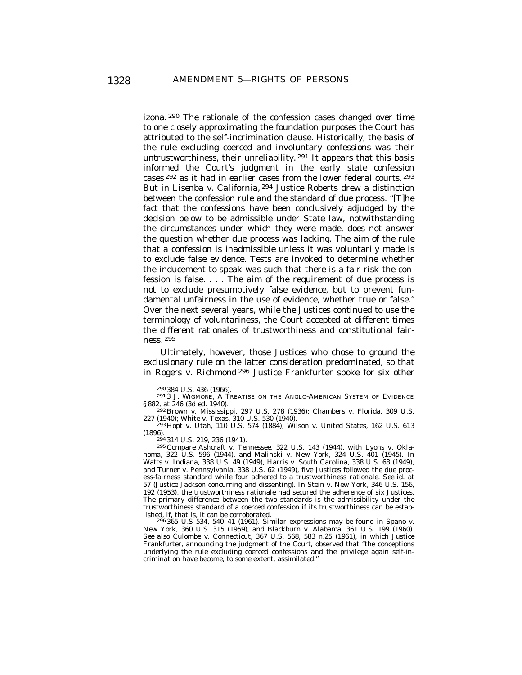*izona*. 290 The rationale of the confession cases changed over time to one closely approximating the foundation purposes the Court has attributed to the self-incrimination clause. Historically, the basis of the rule excluding coerced and involuntary confessions was their untrustworthiness, their unreliability. 291 It appears that this basis informed the Court's judgment in the early state confession cases 292 as it had in earlier cases from the lower federal courts. 293 But in *Lisenba v. California*, 294 Justice Roberts drew a distinction between the confession rule and the standard of due process. ''[T]he fact that the confessions have been conclusively adjudged by the decision below to be admissible under State law, notwithstanding the circumstances under which they were made, does not answer the question whether due process was lacking. The aim of the rule that a confession is inadmissible unless it was voluntarily made is to exclude false evidence. Tests are invoked to determine whether the inducement to speak was such that there is a fair risk the confession is false. . . . The aim of the requirement of due process is not to exclude presumptively false evidence, but to prevent fundamental unfairness in the use of evidence, whether true or false.'' Over the next several years, while the Justices continued to use the terminology of voluntariness, the Court accepted at different times the different rationales of trustworthiness and constitutional fairness. 295

Ultimately, however, those Justices who chose to ground the exclusionary rule on the latter consideration predominated, so that in *Rogers v. Richmond* 296 Justice Frankfurter spoke for six other

<sup>&</sup>lt;sup>290</sup> 384 U.S. 436 (1966).<br><sup>291</sup> 3 J. Wigmore, A Treatise on the Anglo-American System of Evidence § 882, at 246 (3d ed. 1940). <sup>292</sup> Brown v. Mississippi, 297 U.S. 278 (1936); Chambers v. Florida, 309 U.S.

<sup>227 (1940);</sup> White v. Texas, 310 U.S. 530 (1940).<br><sup>293</sup> Hopt v. Utah, 110 U.S. 574 (1884); Wilson v. United States, 162 U.S. 613<br>(1896).

<sup>(1896).</sup> <sup>294</sup> 314 U.S. 219, 236 (1941). <sup>295</sup> *Compare* Ashcraft v. Tennessee, 322 U.S. 143 (1944), *with* Lyons v. Oklahoma, 322 U.S. 596 (1944), and Malinski v. New York, 324 U.S. 401 (1945). In Watts v. Indiana, 338 U.S. 49 (1949), Harris v. South Carolina, 338 U.S. 68 (1949), and Turner v. Pennsylvania, 338 U.S. 62 (1949), five Justices followed the due process-fairness standard while four adhered to a trustworthiness rationale. *See* id. at 57 (Justice Jackson concurring and dissenting). In Stein v. New York, 346 U.S. 156, 192 (1953), the trustworthiness rationale had secured the adherence of six Justices. The primary difference between the two standards is the admissibility under the trustworthiness standard of a coerced confession if its trustworthiness can be estab-

 $296\,365$  U.S 534, 540–41 (1961). Similar expressions may be found in Spano v. New York, 360 U.S. 315 (1959), and Blackburn v. Alabama, 361 U.S. 199 (1960). *See also* Culombe v. Connecticut, 367 U.S. 568, 583 n.25 (1961), in which Justice Frankfurter, announcing the judgment of the Court, observed that ''the conceptions underlying the rule excluding coerced confessions and the privilege again self-incrimination have become, to some extent, assimilated.''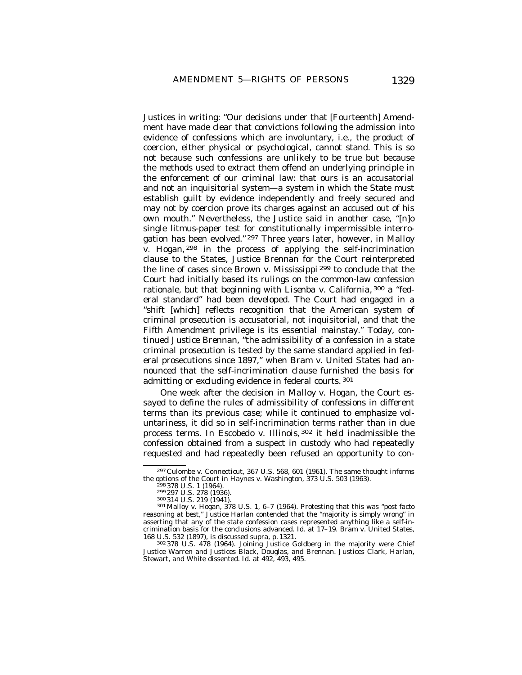Justices in writing: ''Our decisions under that [Fourteenth] Amendment have made clear that convictions following the admission into evidence of confessions which are involuntary, i.e., the product of coercion, either physical or psychological, cannot stand. This is so not because such confessions are unlikely to be true but because the methods used to extract them offend an underlying principle in the enforcement of our criminal law: that ours is an accusatorial and not an inquisitorial system—a system in which the State must establish guilt by evidence independently and freely secured and may not by coercion prove its charges against an accused out of his own mouth.'' Nevertheless, the Justice said in another case, ''[n]o single litmus-paper test for constitutionally impermissible interrogation has been evolved.'' 297 Three years later, however, in *Malloy v. Hogan*, 298 in the process of applying the self-incrimination clause to the States, Justice Brennan for the Court reinterpreted the line of cases since *Brown v. Mississippi* 299 to conclude that the Court had initially based its rulings on the common-law confession rationale, but that beginning with *Lisenba v. California*, 300 a ''federal standard'' had been developed. The Court had engaged in a ''shift [which] reflects recognition that the American system of criminal prosecution is accusatorial, not inquisitorial, and that the Fifth Amendment privilege is its essential mainstay.'' Today, continued Justice Brennan, ''the admissibility of a confession in a state criminal prosecution is tested by the same standard applied in federal prosecutions since 1897,'' when *Bram v. United States* had announced that the self-incrimination clause furnished the basis for admitting or excluding evidence in federal courts. 301

One week after the decision in *Malloy v. Hogan*, the Court essayed to define the rules of admissibility of confessions in different terms than its previous case; while it continued to emphasize voluntariness, it did so in self-incrimination terms rather than in due process terms. In *Escobedo v. Illinois*, 302 it held inadmissible the confession obtained from a suspect in custody who had repeatedly requested and had repeatedly been refused an opportunity to con-

 $297$  Culombe v. Connecticut, 367 U.S. 568, 601 (1961). The same thought informs the options of the Court in Haynes v. Washington, 373 U.S. 503 (1963).

<sup>298 378</sup> U.S. 1 (1964).<br>
299 297 U.S. 278 (1936).<br>
300 314 U.S. 219 (1941).<br>
301 Malloy v. Hogan, 378 U.S. 1, 6–7 (1964). Protesting that this was "*post facto*" reasoning at best,'' Justice Harlan contended that the ''majority is simply wrong'' in asserting that any of the state confession cases represented anything like a self-incrimination basis for the conclusions advanced. Id. at 17–19. Bram v. United States, 168 U.S. 532 (1897), is discussed supra, p. 1321.<br><sup>302</sup> 378 U.S. 478 (1964). Joining Justice Goldberg in the majority were Chief

Justice Warren and Justices Black, Douglas, and Brennan. Justices Clark, Harlan, Stewart, and White dissented. Id. at 492, 493, 495.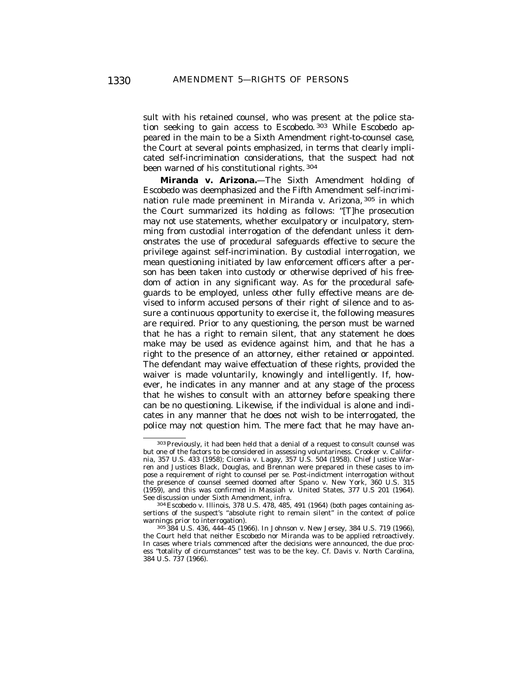sult with his retained counsel, who was present at the police station seeking to gain access to Escobedo. 303 While *Escobedo* appeared in the main to be a Sixth Amendment right-to-counsel case, the Court at several points emphasized, in terms that clearly implicated self-incrimination considerations, that the suspect had not been warned of his constitutional rights. 304

**Miranda v. Arizona.**—The Sixth Amendment holding of *Escobedo* was deemphasized and the Fifth Amendment self-incrimination rule made preeminent in *Miranda v. Arizona*, 305 in which the Court summarized its holding as follows: ''[T]he prosecution may not use statements, whether exculpatory or inculpatory, stemming from custodial interrogation of the defendant unless it demonstrates the use of procedural safeguards effective to secure the privilege against self-incrimination. By custodial interrogation, we mean questioning initiated by law enforcement officers after a person has been taken into custody or otherwise deprived of his freedom of action in any significant way. As for the procedural safeguards to be employed, unless other fully effective means are devised to inform accused persons of their right of silence and to assure a continuous opportunity to exercise it, the following measures are required. Prior to any questioning, the person must be warned that he has a right to remain silent, that any statement he does make may be used as evidence against him, and that he has a right to the presence of an attorney, either retained or appointed. The defendant may waive effectuation of these rights, provided the waiver is made voluntarily, knowingly and intelligently. If, however, he indicates in any manner and at any stage of the process that he wishes to consult with an attorney before speaking there can be no questioning. Likewise, if the individual is alone and indicates in any manner that he does not wish to be interrogated, the police may not question him. The mere fact that he may have an-

<sup>303</sup>Previously, it had been held that a denial of a request to consult counsel was but one of the factors to be considered in assessing voluntariness. Crooker v. California, 357 U.S. 433 (1958); Cicenia v. Lagay, 357 U.S. 504 (1958). Chief Justice Warren and Justices Black, Douglas, and Brennan were prepared in these cases to impose a requirement of right to counsel per se. Post-indictment interrogation without the presence of counsel seemed doomed after Spano v. New York, 360 U.S. 315 (1959), and this was confirmed in Massiah v. United States, 377 U.S 201 (1964). See discussion under Sixth Amendment, infra.

<sup>304</sup> Escobedo v. Illinois, 378 U.S. 478, 485, 491 (1964) (both pages containing assertions of the suspect's ''absolute right to remain silent'' in the context of police warnings prior to interrogation).

<sup>305</sup> 384 U.S. 436, 444–45 (1966). In Johnson v. New Jersey, 384 U.S. 719 (1966), the Court held that neither *Escobedo* nor *Miranda* was to be applied retroactively. In cases where trials commenced after the decisions were announced, the due process ''totality of circumstances'' test was to be the key. *Cf.* Davis v. North Carolina, 384 U.S. 737 (1966).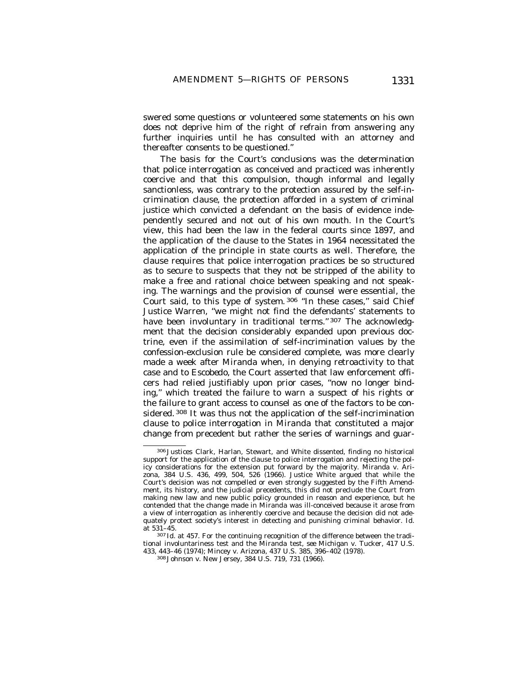swered some questions or volunteered some statements on his own does not deprive him of the right of refrain from answering any further inquiries until he has consulted with an attorney and thereafter consents to be questioned.''

The basis for the Court's conclusions was the determination that police interrogation as conceived and practiced was inherently coercive and that this compulsion, though informal and legally sanctionless, was contrary to the protection assured by the self-incrimination clause, the protection afforded in a system of criminal justice which convicted a defendant on the basis of evidence independently secured and not out of his own mouth. In the Court's view, this had been the law in the federal courts since 1897, and the application of the clause to the States in 1964 necessitated the application of the principle in state courts as well. Therefore, the clause requires that police interrogation practices be so structured as to secure to suspects that they not be stripped of the ability to make a free and rational choice between speaking and not speaking. The warnings and the provision of counsel were essential, the Court said, to this type of system. 306 ''In these cases,'' said Chief Justice Warren, ''we might not find the defendants' statements to have been involuntary in traditional terms." 307 The acknowledgment that the decision considerably expanded upon previous doctrine, even if the assimilation of self-incrimination values by the confession-exclusion rule be considered complete, was more clearly made a week after *Miranda* when, in denying retroactivity to that case and to *Escobedo*, the Court asserted that law enforcement officers had relied justifiably upon prior cases, ''now no longer binding,'' which treated the failure to warn a suspect of his rights or the failure to grant access to counsel as one of the factors to be considered. 308 It was thus not the application of the self-incrimination clause to police interrogation in *Miranda* that constituted a major change from precedent but rather the series of warnings and guar-

<sup>306</sup> Justices Clark, Harlan, Stewart, and White dissented, finding no historical support for the application of the clause to police interrogation and rejecting the policy considerations for the extension put forward by the majority. Miranda v. Arizona, 384 U.S. 436, 499, 504, 526 (1966). Justice White argued that while the Court's decision was not compelled or even strongly suggested by the Fifth Amendment, its history, and the judicial precedents, this did not preclude the Court from making new law and new public policy grounded in reason and experience, but he contended that the change made in *Miranda* was ill-conceived because it arose from a view of interrogation as inherently coercive and because the decision did not adequately protect society's interest in detecting and punishing criminal behavior. Id. at 531–45.

<sup>307</sup> Id. at 457. For the continuing recognition of the difference between the traditional involuntariness test and the *Miranda* test, *see* Michigan v. Tucker, 417 U.S. 433, 443–46 (1974); Mincey v. Arizona, 437 U.S. 385, 396–402 (1978).

<sup>308</sup> Johnson v. New Jersey, 384 U.S. 719, 731 (1966).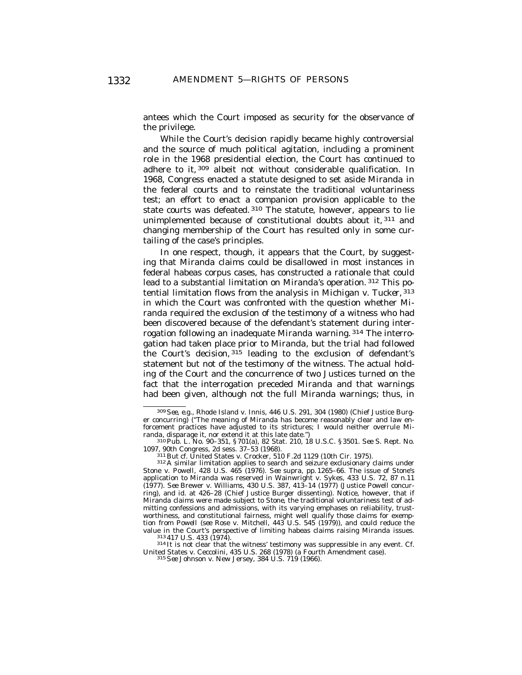antees which the Court imposed as security for the observance of the privilege.

While the Court's decision rapidly became highly controversial and the source of much political agitation, including a prominent role in the 1968 presidential election, the Court has continued to adhere to it, 309 albeit not without considerable qualification. In 1968, Congress enacted a statute designed to set aside *Miranda* in the federal courts and to reinstate the traditional voluntariness test; an effort to enact a companion provision applicable to the state courts was defeated. 310 The statute, however, appears to lie unimplemented because of constitutional doubts about it, 311 and changing membership of the Court has resulted only in some curtailing of the case's principles.

In one respect, though, it appears that the Court, by suggesting that *Miranda* claims could be disallowed in most instances in federal habeas corpus cases, has constructed a rationale that could lead to a substantial limitation on *Miranda's* operation. 312 This potential limitation flows from the analysis in *Michigan v. Tucker*, 313 in which the Court was confronted with the question whether *Miranda* required the exclusion of the testimony of a witness who had been discovered because of the defendant's statement during interrogation following an inadequate *Miranda* warning. 314 The interrogation had taken place prior to *Miranda*, but the trial had followed the Court's decision, 315 leading to the exclusion of defendant's statement but not of the testimony of the witness. The actual holding of the Court and the concurrence of two Justices turned on the fact that the interrogation preceded *Miranda* and that warnings had been given, although not the full *Miranda* warnings; thus, in

<sup>309</sup>*See, e.g.*, Rhode Island v. Innis, 446 U.S. 291, 304 (1980) (Chief Justice Burger concurring) (''The meaning of *Miranda* has become reasonably clear and law enforcement practices have adjusted to its strictures; I would neither overrule *Mi-*

*randa*, disparage it, nor extend it at this late date.'') 310Pub. L. No. 90–351, § 701(a), 82 Stat. 210, 18 U.S.C. § 3501. *See* S. Rept. No. 1097, 90th Congress, 2d sess. 37–53 (1968).<br><sup>311</sup> *But cf.* United States v. Crocker, 510 F.2d 1129 (10th Cir. 1975).<br><sup>312</sup> A similar limitation applies to search and seizure exclusionary claims under

Stone v. Powell, 428 U.S. 465 (1976). *See* supra, pp. 1265–66. The issue of *Stone's* application to *Miranda* was reserved in Wainwright v. Sykes, 433 U.S. 72, 87 n.11 (1977). *See* Brewer v. Williams, 430 U.S. 387, 413–14 (1977) (Justice Powell concurring), and id. at 426–28 (Chief Justice Burger dissenting). Notice, however, that if *Miranda* claims were made subject to *Stone*, the traditional voluntariness test of admitting confessions and admissions, with its varying emphases on reliability, trustworthiness, and constitutional fairness, might well qualify those claims for exemption from *Powell* (*see* Rose v. Mitchell, 443 U.S. 545 (1979)), and could reduce the value in the Court's perspective of limiting habeas claims raising *Miranda* issues. <sup>313</sup>417 U.S. 433 (1974).<br><sup>314</sup> It is not clear that the witness' testimony was suppressible in any event. *Cf.* 

United States v. Ceccolini, 435 U.S. 268 (1978) (a Fourth Amendment case). <sup>315</sup>*See* Johnson v. New Jersey, 384 U.S. 719 (1966).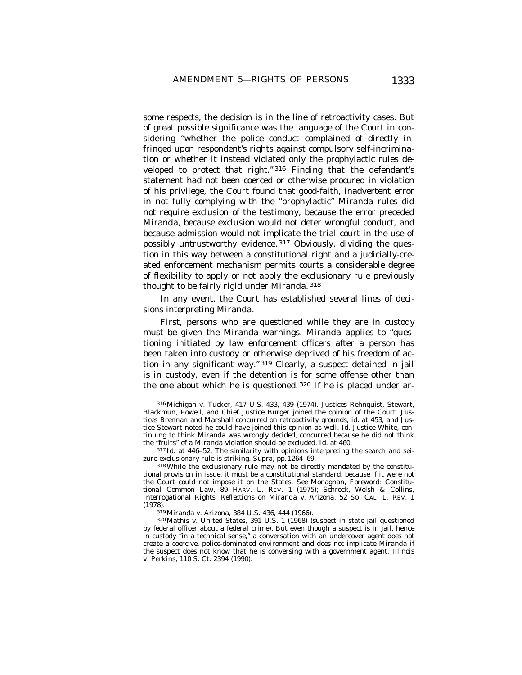some respects, the decision is in the line of retroactivity cases. But of great possible significance was the language of the Court in considering ''whether the police conduct complained of directly infringed upon respondent's rights against compulsory self-incrimination or whether it instead violated only the prophylactic rules developed to protect that right."<sup>316</sup> Finding that the defendant's statement had not been coerced or otherwise procured in violation of his privilege, the Court found that good-faith, inadvertent error in not fully complying with the ''prophylactic'' *Miranda* rules did not require exclusion of the testimony, because the error preceded *Miranda*, because exclusion would not deter wrongful conduct, and because admission would not implicate the trial court in the use of possibly untrustworthy evidence. 317 Obviously, dividing the question in this way between a constitutional right and a judicially-created enforcement mechanism permits courts a considerable degree of flexibility to apply or not apply the exclusionary rule previously thought to be fairly rigid under *Miranda*. 318

In any event, the Court has established several lines of decisions interpreting *Miranda*.

First, persons who are questioned while they are in *custody* must be given the *Miranda* warnings. *Miranda* applies to ''questioning initiated by law enforcement officers after a person has been taken into custody or otherwise deprived of his freedom of action in any significant way.'' 319 Clearly, a suspect detained in jail is in custody, even if the detention is for some offense other than the one about which he is questioned. 320 If he is placed under ar-

<sup>316</sup>Michigan v. Tucker, 417 U.S. 433, 439 (1974). Justices Rehnquist, Stewart, Blackmun, Powell, and Chief Justice Burger joined the opinion of the Court. Justices Brennan and Marshall concurred on retroactivity grounds, id. at 453, and Justice Stewart noted he could have joined this opinion as well. Id. Justice White, continuing to think *Miranda* was wrongly decided, concurred because he did not think the ''fruits'' of a *Miranda* violation should be excluded. Id. at 460.

<sup>317</sup> Id. at 446–52. The similarity with opinions interpreting the search and seizure exclusionary rule is striking. *Supra,* pp. 1264–69.

<sup>318</sup>While the exclusionary rule may not be directly mandated by the constitutional provision in issue, it must be a constitutional standard, because if it were not the Court could not impose it on the States. *See* Monaghan, *Foreword: Constitutional Common Law*, 89 HARV. L. REV. 1 (1975); Schrock, Welsh & Collins, *Interrogational Rights: Reflections on Miranda v. Arizona*, 52 SO. CAL. L. REV. 1 (1978).

<sup>319</sup>Miranda v. Arizona, 384 U.S. 436, 444 (1966).

<sup>320</sup>Mathis v. United States, 391 U.S. 1 (1968) (suspect in state jail questioned by federal officer about a federal crime). But even though a suspect is in jail, hence in custody ''in a technical sense,'' a conversation with an undercover agent does not create a coercive, police-dominated environment and does not implicate *Miranda* if the suspect does not know that he is conversing with a government agent. Illinois v. Perkins, 110 S. Ct. 2394 (1990).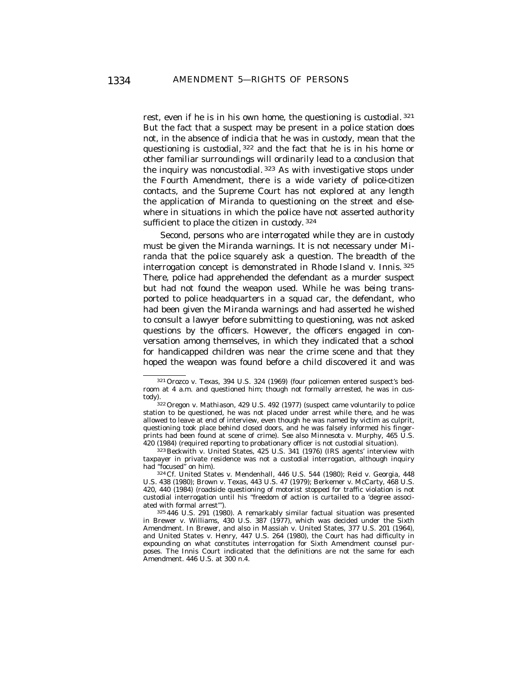rest, even if he is in his own home, the questioning is custodial. 321 But the fact that a suspect may be present in a police station does not, in the absence of indicia that he was in custody, mean that the questioning is custodial, 322 and the fact that he is in his home or other familiar surroundings will ordinarily lead to a conclusion that the inquiry was noncustodial. 323 As with investigative stops under the Fourth Amendment, there is a wide variety of police-citizen contacts, and the Supreme Court has not explored at any length the application of *Miranda* to questioning on the street and elsewhere in situations in which the police have not asserted authority sufficient to place the citizen in custody. 324

Second, persons who are *interrogated* while they are in custody must be given the *Miranda* warnings. It is not necessary under *Miranda* that the police squarely ask a question. The breadth of the interrogation concept is demonstrated in *Rhode Island v. Innis*. 325 There, police had apprehended the defendant as a murder suspect but had not found the weapon used. While he was being transported to police headquarters in a squad car, the defendant, who had been given the *Miranda* warnings and had asserted he wished to consult a lawyer before submitting to questioning, was not asked questions by the officers. However, the officers engaged in conversation among themselves, in which they indicated that a school for handicapped children was near the crime scene and that they hoped the weapon was found before a child discovered it and was

<sup>321</sup>Orozco v. Texas, 394 U.S. 324 (1969) (four policemen entered suspect's bedroom at 4 a.m. and questioned him; though not formally arrested, he was in cus-

tody).<br><sup>322</sup> Oregon v. Mathiason, 429 U.S. 492 (1977) (suspect came voluntarily to police station to be questioned, he was not placed under arrest while there, and he was allowed to leave at end of interview, even though he was named by victim as culprit, questioning took place behind closed doors, and he was falsely informed his fingerprints had been found at scene of crime). *See also* Minnesota v. Murphy, 465 U.S. 420 (1984) (required reporting to probationary officer is not custodial situation).

<sup>323</sup> Beckwith v. United States, 425 U.S. 341 (1976) (IRS agents' interview with taxpayer in private residence was not a custodial interrogation, although inquiry had "focused" on him).

<sup>324</sup> *Cf.* United States v. Mendenhall, 446 U.S. 544 (1980); Reid v. Georgia, 448 U.S. 438 (1980); Brown v. Texas, 443 U.S. 47 (1979); Berkemer v. McCarty, 468 U.S. 420, 440 (1984) (roadside questioning of motorist stopped for traffic violation is not custodial interrogation until his ''freedom of action is curtailed to a 'degree associated with formal arrest''').

<sup>325</sup> 446 U.S. 291 (1980). A remarkably similar factual situation was presented in Brewer v. Williams, 430 U.S. 387 (1977), which was decided under the Sixth Amendment. In *Brewer*, and also in Massiah v. United States, 377 U.S. 201 (1964), and United States v. Henry, 447 U.S. 264 (1980), the Court has had difficulty in expounding on what constitutes interrogation for Sixth Amendment counsel purposes. The *Innis* Court indicated that the definitions are not the same for each Amendment. 446 U.S. at 300 n.4.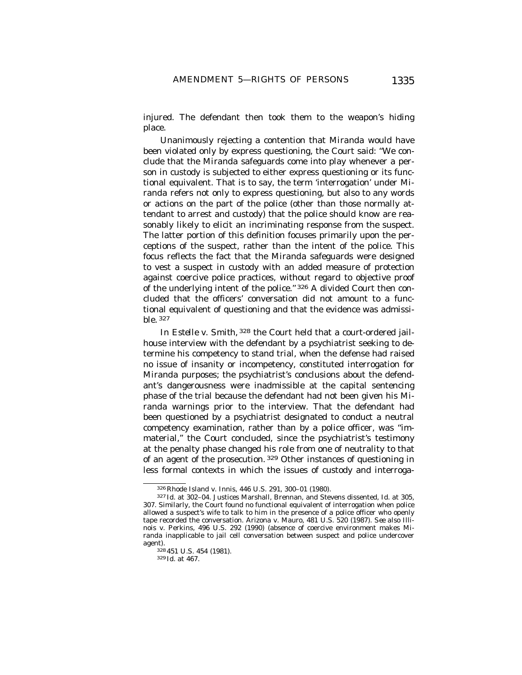injured. The defendant then took them to the weapon's hiding place.

Unanimously rejecting a contention that *Miranda* would have been violated only by express questioning, the Court said: ''We conclude that the *Miranda* safeguards come into play whenever a person in custody is subjected to either express questioning or its functional equivalent. That is to say, the term 'interrogation' under *Miranda* refers not only to express questioning, but also to any words or actions on the part of the police (other than those normally attendant to arrest and custody) that the police should know are reasonably likely to elicit an incriminating response from the suspect. The latter portion of this definition focuses primarily upon the perceptions of the suspect, rather than the intent of the police. This focus reflects the fact that the *Miranda* safeguards were designed to vest a suspect in custody with an added measure of protection against coercive police practices, without regard to objective proof of the underlying intent of the police.'' 326 A divided Court then concluded that the officers' conversation did not amount to a functional equivalent of questioning and that the evidence was admissible. 327

In *Estelle v. Smith*, 328 the Court held that a court-ordered jailhouse interview with the defendant by a psychiatrist seeking to determine his competency to stand trial, when the defense had raised no issue of insanity or incompetency, constituted interrogation for *Miranda* purposes; the psychiatrist's conclusions about the defendant's dangerousness were inadmissible at the capital sentencing phase of the trial because the defendant had not been given his *Miranda* warnings prior to the interview. That the defendant had been questioned by a psychiatrist designated to conduct a neutral competency examination, rather than by a police officer, was ''immaterial,'' the Court concluded, since the psychiatrist's testimony at the penalty phase changed his role from one of neutrality to that of an agent of the prosecution. 329 Other instances of questioning in less formal contexts in which the issues of custody and interroga-

<sup>326</sup> Rhode Island v. Innis, 446 U.S. 291, 300–01 (1980).

<sup>327</sup> Id. at 302–04. Justices Marshall, Brennan, and Stevens dissented, Id. at 305, 307. Similarly, the Court found no functional equivalent of interrogation when police allowed a suspect's wife to talk to him in the presence of a police officer who openly tape recorded the conversation. Arizona v. Mauro, 481 U.S. 520 (1987). *See also* Illinois v. Perkins, 496 U.S. 292 (1990) (absence of coercive environment makes *Miranda* inapplicable to jail cell conversation between suspect and police undercover agent).

<sup>328</sup> 451 U.S. 454 (1981).

<sup>329</sup> Id. at 467.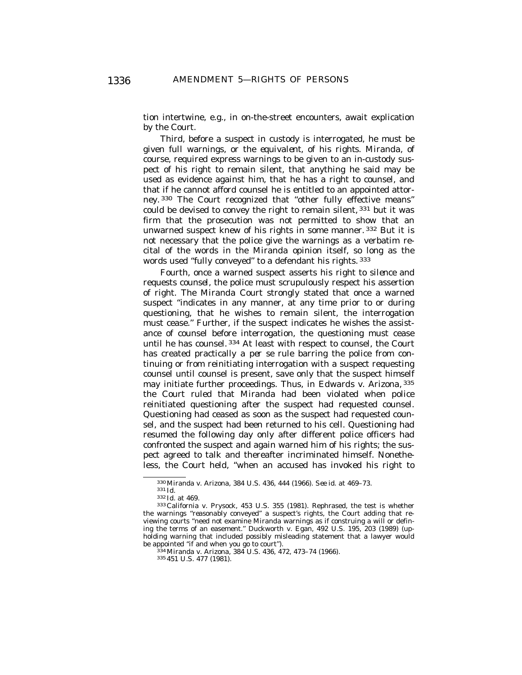tion intertwine, e.g., in on-the-street encounters, await explication by the Court.

Third, before a suspect in custody is interrogated, he must be given *full* warnings, or the *equivalent*, of his *rights*. *Miranda*, of course, required express warnings to be given to an in-custody suspect of his right to remain silent, that anything he said may be used as evidence against him, that he has a right to counsel, and that if he cannot afford counsel he is entitled to an appointed attorney. 330 The Court recognized that ''other fully effective means'' could be devised to convey the right to remain silent, 331 but it was firm that the prosecution was not permitted to show that an unwarned suspect knew of his rights in some manner. 332 But it is not necessary that the police give the warnings as a verbatim recital of the words in the *Miranda* opinion itself, so long as the words used "fully conveyed" to a defendant his rights. 333

Fourth, once a warned suspect asserts his *right* to *silence* and requests *counsel*, the police must scrupulously respect his assertion of right. The *Miranda* Court strongly stated that once a warned suspect ''indicates in any manner, at any time prior to or during questioning, that he wishes to remain silent, the interrogation must cease.'' Further, if the suspect indicates he wishes the assistance of counsel before interrogation, the questioning must cease until he has counsel. 334 At least with respect to counsel, the Court has created practically a *per se* rule barring the police from continuing or from reinitiating interrogation with a suspect requesting counsel until counsel is present, save only that the suspect himself may initiate further proceedings. Thus, in *Edwards v. Arizona*, 335 the Court ruled that *Miranda* had been violated when police reinitiated questioning after the suspect had requested counsel. Questioning had ceased as soon as the suspect had requested counsel, and the suspect had been returned to his cell. Questioning had resumed the following day only after different police officers had confronted the suspect and again warned him of his rights; the suspect agreed to talk and thereafter incriminated himself. Nonetheless, the Court held, ''when an accused has invoked his right to

<sup>330</sup>Miranda v. Arizona, 384 U.S. 436, 444 (1966). *See* id. at 469–73.

<sup>331</sup> Id.

<sup>332</sup> Id. at 469.

<sup>333</sup> California v. Prysock, 453 U.S. 355 (1981). Rephrased, the test is whether the warnings ''*reasonably* conveyed'' a suspect's rights, the Court adding that reviewing courts ''need not examine *Miranda* warnings as if construing a will or defining the terms of an easement.'' Duckworth v. Egan, 492 U.S. 195, 203 (1989) (upholding warning that included possibly misleading statement that a lawyer would be appointed ''if and when you go to court'').

<sup>&</sup>lt;sup>334</sup> Miranda v. Arizona, 384 U.S. 436, 472, 473–74 (1966).

<sup>335</sup> 451 U.S. 477 (1981).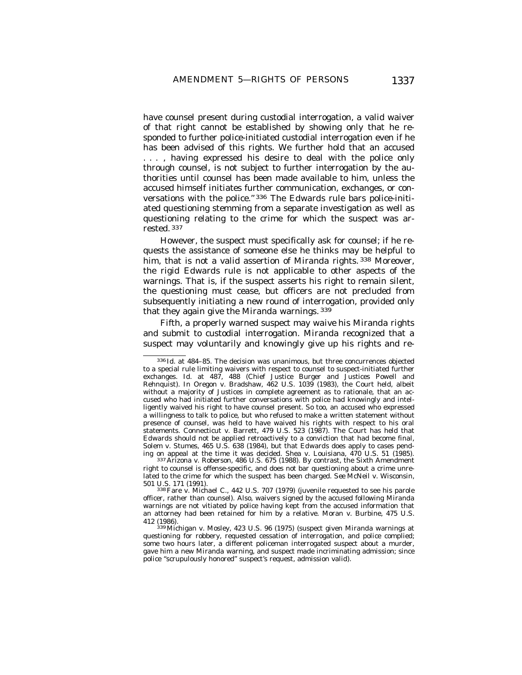have counsel present during custodial interrogation, a valid waiver of that right cannot be established by showing only that he responded to further police-initiated custodial interrogation even if he has been advised of this rights. We further hold that an accused . . . , having expressed his desire to deal with the police only through counsel, is not subject to further interrogation by the authorities until counsel has been made available to him, unless the accused himself initiates further communication, exchanges, or conversations with the police.'' 336 The *Edwards* rule bars police-initiated questioning stemming from a separate investigation as well as questioning relating to the crime for which the suspect was arrested. 337

However, the suspect must specifically ask for counsel; if he requests the assistance of someone else he thinks may be helpful to him, that is not a valid assertion of *Miranda* rights. 338 Moreover, the rigid *Edwards* rule is not applicable to other aspects of the warnings. That is, if the suspect asserts his right to remain silent, the questioning must cease, but officers are not precluded from subsequently initiating a new round of interrogation, provided only that they again give the *Miranda* warnings. 339

Fifth, a properly warned suspect may *waive* his *Miranda* rights and submit to custodial interrogation. *Miranda* recognized that a suspect may voluntarily and knowingly give up his rights and re-

<sup>336</sup> Id. at 484–85. The decision was unanimous, but three concurrences objected to a special rule limiting waivers with respect to counsel to suspect-initiated further exchanges. Id. at 487, 488 (Chief Justice Burger and Justices Powell and Rehnquist). In Oregon v. Bradshaw, 462 U.S. 1039 (1983), the Court held, albeit without a majority of Justices in complete agreement as to rationale, that an accused who had initiated further conversations with police had knowingly and intelligently waived his right to have counsel present. So too, an accused who expressed a willingness to talk to police, but who refused to make a written statement without presence of counsel, was held to have waived his rights with respect to his oral statements. Connecticut v. Barrett, 479 U.S. 523 (1987). The Court has held that *Edwards* should not be applied retroactively to a conviction that had become final, Solem v. Stumes, 465 U.S. 638 (1984), but that *Edwards* does apply to cases pend-<br>ing on appeal at the time it was decided. Shea v. Louisiana, 470 U.S. 51 (1985).

<sup>&</sup>lt;sup>337</sup> Arizona v. Roberson, 486 U.S. 675 (1988). By contrast, the Sixth Amendment right to counsel is offense-specific, and does not bar questioning about a crime unrelated to the crime for which the suspect has been charged. *See* McNeil v. Wisconsin,

 $338$  Fare v. Michael C., 442 U.S. 707 (1979) (juvenile requested to see his parole officer, rather than counsel). Also, waivers signed by the accused following *Miranda* warnings are not vitiated by police having kept from the accused information that an attorney had been retained for him by a relative. Moran v. Burbine, 475 U.S. 412 (1986). 339Michigan v. Mosley, 423 U.S. 96 (1975) (suspect given *Miranda* warnings at

questioning for robbery, requested cessation of interrogation, and police complied; some two hours later, a different policeman interrogated suspect about a murder, gave him a new *Miranda* warning, and suspect made incriminating admission; since police ''scrupulously honored'' suspect's request, admission valid).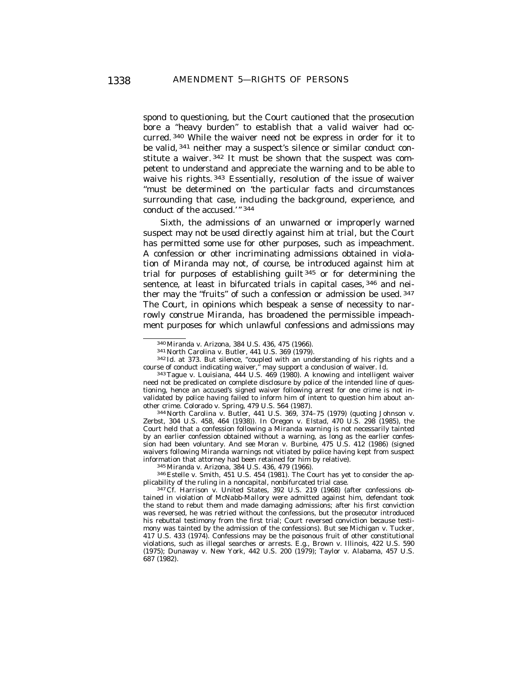spond to questioning, but the Court cautioned that the prosecution bore a ''heavy burden'' to establish that a valid waiver had occurred. 340 While the waiver need not be express in order for it to be valid, 341 neither may a suspect's silence or similar conduct constitute a waiver. 342 It must be shown that the suspect was competent to understand and appreciate the warning and to be able to waive his rights. 343 Essentially, resolution of the issue of waiver ''must be determined on 'the particular facts and circumstances surrounding that case, including the background, experience, and conduct of the accused.'" 344

Sixth, the admissions of an unwarned or improperly warned suspect *may not be used* directly against him at trial, but the Court has permitted some use for other purposes, such as impeachment. A confession or other incriminating admissions obtained in violation of *Miranda* may not, of course, be introduced against him at trial for purposes of establishing guilt 345 or for determining the sentence, at least in bifurcated trials in capital cases, 346 and neither may the "fruits" of such a confession or admission be used. 347 The Court, in opinions which bespeak a sense of necessity to narrowly construe *Miranda*, has broadened the permissible impeachment purposes for which unlawful confessions and admissions may

344 North Carolina v. Butler, 441 U.S. 369, 374–75 (1979) (quoting Johnson v. Zerbst, 304 U.S. 458, 464 (1938)). In Oregon v. Elstad, 470 U.S. 298 (1985), the Court held that a confession following a *Miranda* warning is not necessarily tainted by an earlier confession obtained without a warning, as long as the earlier confession had been voluntary. *And see* Moran v. Burbine, 475 U.S. 412 (1986) (signed waivers following *Miranda* warnings not vitiated by police having kept from suspect information that attorney had been retained for him by relative).

345Miranda v. Arizona, 384 U.S. 436, 479 (1966).

346 Estelle v. Smith, 451 U.S. 454 (1981). The Court has yet to consider the applicability of the ruling in a noncapital, nonbifurcated trial case.

347 *Cf.* Harrison v. United States, 392 U.S. 219 (1968) (after confessions obtained in violation of *McNabb-Mallory* were admitted against him, defendant took the stand to rebut them and made damaging admissions; after his first conviction was reversed, he was retried without the confessions, but the prosecutor introduced his rebuttal testimony from the first trial; Court reversed conviction because testimony was tainted by the admission of the confessions). *But see* Michigan v. Tucker, 417 U.S. 433 (1974). Confessions may be the poisonous fruit of other constitutional violations, such as illegal searches or arrests. E.g., Brown v. Illinois, 422 U.S. 590 (1975); Dunaway v. New York, 442 U.S. 200 (1979); Taylor v. Alabama, 457 U.S. 687 (1982).

<sup>340</sup>Miranda v. Arizona, 384 U.S. 436, 475 (1966).

<sup>341</sup> North Carolina v. Butler, 441 U.S. 369 (1979).

<sup>342</sup> Id. at 373. But silence, ''coupled with an understanding of his rights and a course of conduct indicating waiver,'' may support a conclusion of waiver. Id.

<sup>343</sup>Tague v. Louisiana, 444 U.S. 469 (1980). A knowing and intelligent waiver need not be predicated on complete disclosure by police of the intended line of questioning, hence an accused's signed waiver following arrest for one crime is not invalidated by police having failed to inform him of intent to question him about another crime. Colorado v. Spring, 479 U.S. 564 (1987).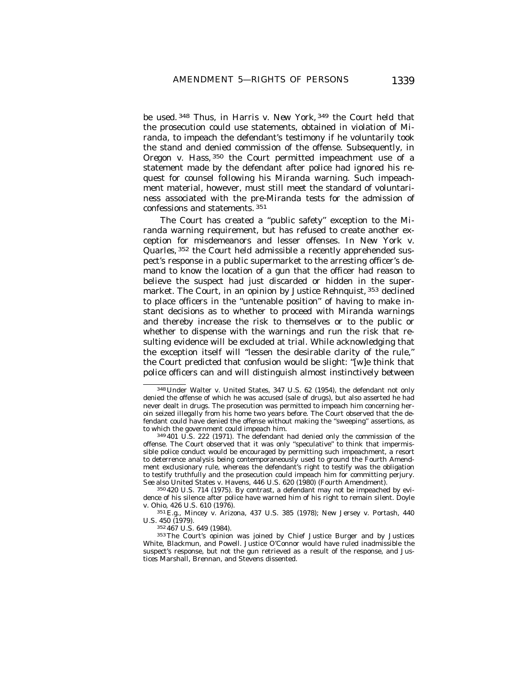be used. 348 Thus, in *Harris v. New York*, 349 the Court held that the prosecution could use statements, obtained in violation of *Miranda*, to impeach the defendant's testimony if he voluntarily took the stand and denied commission of the offense. Subsequently, in *Oregon v. Hass*, 350 the Court permitted impeachment use of a statement made by the defendant after police had ignored his request for counsel following his *Miranda* warning. Such impeachment material, however, must still meet the standard of voluntariness associated with the pre-*Miranda* tests for the admission of confessions and statements. 351

The Court has created a ''public safety'' exception to the *Miranda* warning requirement, but has refused to create another exception for misdemeanors and lesser offenses. In *New York v. Quarles*, 352 the Court held admissible a recently apprehended suspect's response in a public supermarket to the arresting officer's demand to know the location of a gun that the officer had reason to believe the suspect had just discarded or hidden in the supermarket. The Court, in an opinion by Justice Rehnquist, 353 declined to place officers in the ''untenable position'' of having to make instant decisions as to whether to proceed with *Miranda* warnings and thereby increase the risk to themselves or to the public or whether to dispense with the warnings and run the risk that resulting evidence will be excluded at trial. While acknowledging that the exception itself will ''lessen the desirable clarity of the rule,'' the Court predicted that confusion would be slight: ''[w]e think that police officers can and will distinguish almost instinctively between

351 E.g., Mincey v. Arizona, 437 U.S. 385 (1978); New Jersey v. Portash, 440 U.S. 450 (1979).

<sup>348</sup> Under Walter v. United States, 347 U.S. 62 (1954), the defendant not only denied the offense of which he was accused (sale of drugs), but also asserted he had never dealt in drugs. The prosecution was permitted to impeach him concerning heroin seized illegally from his home two years before. The Court observed that the defendant could have denied the offense without making the ''sweeping'' assertions, as to which the government could impeach him.

<sup>349</sup> 401 U.S. 222 (1971). The defendant had denied only the commission of the offense. The Court observed that it was only ''speculative'' to think that impermissible police conduct would be encouraged by permitting such impeachment, a resort to deterrence analysis being contemporaneously used to ground the Fourth Amendment exclusionary rule, whereas the defendant's right to testify was the obligation to testify truthfully and the prosecution could impeach him for committing perjury. *See also* United States v. Havens, 446 U.S. 620 (1980) (Fourth Amendment).

<sup>350</sup> 420 U.S. 714 (1975). By contrast, a defendant may not be impeached by evidence of his silence after police have warned him of his right to remain silent. Doyle v. Ohio, 426 U.S. 610 (1976).

<sup>352</sup> 467 U.S. 649 (1984).

<sup>353</sup>The Court's opinion was joined by Chief Justice Burger and by Justices White, Blackmun, and Powell. Justice O'Connor would have ruled inadmissible the suspect's response, but not the gun retrieved as a result of the response, and Justices Marshall, Brennan, and Stevens dissented.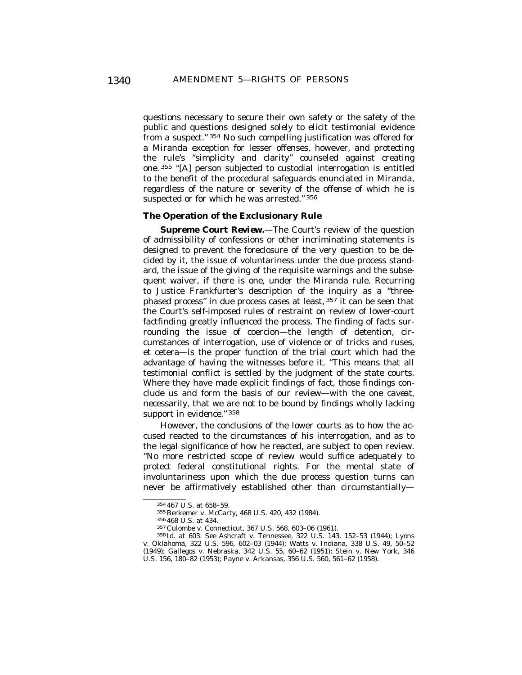questions necessary to secure their own safety or the safety of the public and questions designed solely to elicit testimonial evidence from a suspect.'' 354 No such compelling justification was offered for a *Miranda* exception for lesser offenses, however, and protecting the rule's ''simplicity and clarity'' counseled against creating one. 355 ''[A] person subjected to custodial interrogation is entitled to the benefit of the procedural safeguards enunciated in *Miranda*, regardless of the nature or severity of the offense of which he is suspected or for which he was arrested.'' 356

## **The Operation of the Exclusionary Rule**

*Supreme Court Review.*—The Court's review of the question of admissibility of confessions or other incriminating statements is designed to prevent the foreclosure of the very question to be decided by it, the issue of voluntariness under the due process standard, the issue of the giving of the requisite warnings and the subsequent waiver, if there is one, under the *Miranda* rule. Recurring to Justice Frankfurter's description of the inquiry as a ''threephased process'' in due process cases at least, 357 it can be seen that the Court's self-imposed rules of restraint on review of lower-court factfinding greatly influenced the process. The finding of facts surrounding the issue of coercion—the length of detention, circumstances of interrogation, use of violence or of tricks and ruses, et cetera—is the proper function of the trial court which had the advantage of having the witnesses before it. ''This means that all testimonial conflict is settled by the judgment of the state courts. Where they have made explicit findings of fact, those findings conclude us and form the basis of our review—with the one *caveat*, necessarily, that we are not to be bound by findings wholly lacking support in evidence." 358

However, the conclusions of the lower courts as to how the accused reacted to the circumstances of his interrogation, and as to the legal significance of how he reacted, are subject to open review. ''No more restricted scope of review would suffice adequately to protect federal constitutional rights. For the mental state of involuntariness upon which the due process question turns can never be affirmatively established other than circumstantially—

<sup>354</sup> 467 U.S. at 658–59.

<sup>355</sup> Berkemer v. McCarty, 468 U.S. 420, 432 (1984).

<sup>356</sup> 468 U.S. at 434.

<sup>357</sup> Culombe v. Connecticut, 367 U.S. 568, 603–06 (1961).

<sup>358</sup> Id. at 603. *See* Ashcraft v. Tennessee, 322 U.S. 143, 152–53 (1944); Lyons v. Oklahoma, 322 U.S. 596, 602–03 (1944); Watts v. Indiana, 338 U.S. 49, 50–52 (1949); Gallegos v. Nebraska, 342 U.S. 55, 60–62 (1951); Stein v. New York, 346 U.S. 156, 180–82 (1953); Payne v. Arkansas, 356 U.S. 560, 561–62 (1958).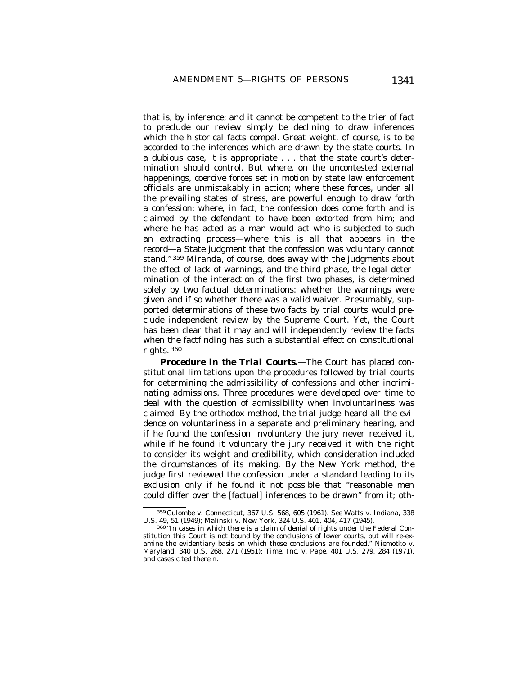that is, by inference; and it cannot be competent to the trier of fact to preclude our review simply be declining to draw inferences which the historical facts compel. Great weight, of course, is to be accorded to the inferences which are drawn by the state courts. In a dubious case, it is appropriate . . . that the state court's determination should control. But where, on the uncontested external happenings, coercive forces set in motion by state law enforcement officials are unmistakably in action; where these forces, under all the prevailing states of stress, are powerful enough to draw forth a confession; where, in fact, the confession does come forth and is claimed by the defendant to have been extorted from him; and where he has acted as a man would act who is subjected to such an extracting process—where this is all that appears in the record—a State judgment that the confession was voluntary cannot stand.'' 359 *Miranda*, of course, does away with the judgments about the effect of lack of warnings, and the third phase, the legal determination of the interaction of the first two phases, is determined solely by two factual determinations: whether the warnings were given and if so whether there was a valid waiver. Presumably, supported determinations of these two facts by trial courts would preclude independent review by the Supreme Court. Yet, the Court has been clear that it may and will independently review the facts when the factfinding has such a substantial effect on constitutional rights. 360

*Procedure in the Trial Courts.*—The Court has placed constitutional limitations upon the procedures followed by trial courts for determining the admissibility of confessions and other incriminating admissions. Three procedures were developed over time to deal with the question of admissibility when involuntariness was claimed. By the orthodox method, the trial judge heard all the evidence on voluntariness in a separate and preliminary hearing, and if he found the confession involuntary the jury never received it, while if he found it voluntary the jury received it with the right to consider its weight and credibility, which consideration included the circumstances of its making. By the New York method, the judge first reviewed the confession under a standard leading to its exclusion only if he found it not possible that ''reasonable men could differ over the [factual] inferences to be drawn'' from it; oth-

<sup>359</sup> Culombe v. Connecticut, 367 U.S. 568, 605 (1961). *See* Watts v. Indiana, 338 U.S. 49, 51 (1949); Malinski v. New York, 324 U.S. 401, 404, 417 (1945).

<sup>360</sup> ''In cases in which there is a claim of denial of rights under the Federal Constitution this Court is not bound by the conclusions of lower courts, but will re-examine the evidentiary basis on which those conclusions are founded.'' Niemotko v. Maryland, 340 U.S. 268, 271 (1951); Time, Inc. v. Pape, 401 U.S. 279, 284 (1971), and cases cited therein.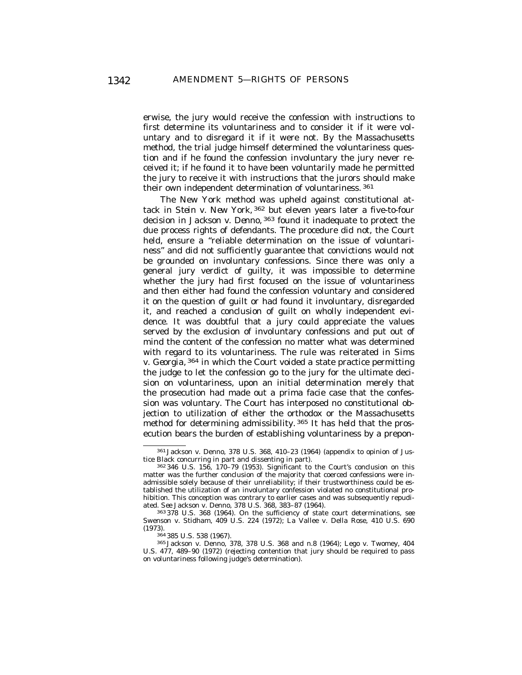erwise, the jury would receive the confession with instructions to first determine its voluntariness and to consider it if it were voluntary and to disregard it if it were not. By the Massachusetts method, the trial judge himself determined the voluntariness question and if he found the confession involuntary the jury never received it; if he found it to have been voluntarily made he permitted the jury to receive it with instructions that the jurors should make their own independent determination of voluntariness. 361

The New York method was upheld against constitutional attack in *Stein v. New York*, 362 but eleven years later a five-to-four decision in *Jackson v. Denno*, 363 found it inadequate to protect the due process rights of defendants. The procedure did not, the Court held, ensure a "reliable determination on the issue of voluntariness'' and did not sufficiently guarantee that convictions would not be grounded on involuntary confessions. Since there was only a general jury verdict of guilty, it was impossible to determine whether the jury had first focused on the issue of voluntariness and then either had found the confession voluntary and considered it on the question of guilt or had found it involuntary, disregarded it, and reached a conclusion of guilt on wholly independent evidence. It was doubtful that a jury could appreciate the values served by the exclusion of involuntary confessions and put out of mind the content of the confession no matter what was determined with regard to its voluntariness. The rule was reiterated in *Sims v. Georgia*, 364 in which the Court voided a state practice permitting the judge to let the confession go to the jury for the ultimate decision on voluntariness, upon an initial determination merely that the prosecution had made out a prima facie case that the confession was voluntary. The Court has interposed no constitutional objection to utilization of either the orthodox or the Massachusetts method for determining admissibility. 365 It has held that the prosecution bears the burden of establishing voluntariness by a prepon-

<sup>361</sup> Jackson v. Denno, 378 U.S. 368, 410–23 (1964) (appendix to opinion of Justice Black concurring in part and dissenting in part).

<sup>362</sup> 346 U.S. 156, 170–79 (1953). Significant to the Court's conclusion on this matter was the further conclusion of the majority that coerced confessions were inadmissible solely because of their unreliability; if their trustworthiness could be established the utilization of an involuntary confession violated no constitutional prohibition. This conception was contrary to earlier cases and was subsequently repudiated. *See* Jackson v. Denno, 378 U.S. 368, 383–87 (1964).

<sup>363</sup> 378 U.S. 368 (1964). On the sufficiency of state court determinations, *see* Swenson v. Stidham, 409 U.S. 224 (1972); La Vallee v. Della Rose, 410 U.S. 690 (1973).

<sup>364</sup> 385 U.S. 538 (1967).

<sup>365</sup> Jackson v. Denno, 378, 378 U.S. 368 and n.8 (1964); Lego v. Twomey, 404 U.S. 477, 489–90 (1972) (rejecting contention that jury should be required to pass on voluntariness following judge's determination).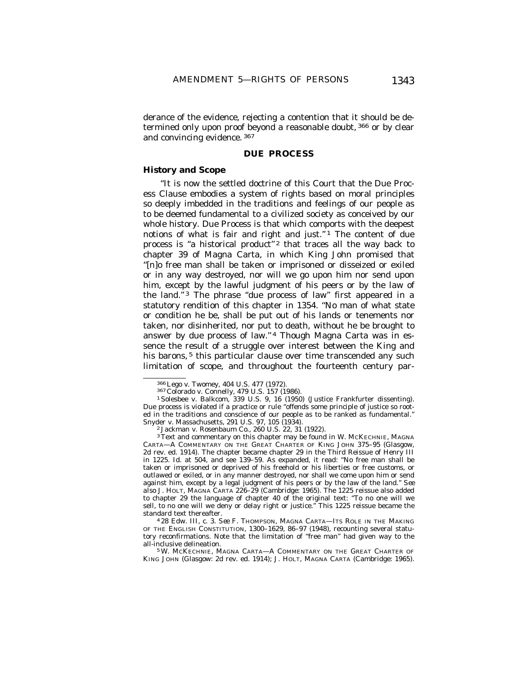derance of the evidence, rejecting a contention that it should be determined only upon proof beyond a reasonable doubt, 366 or by clear and convincing evidence. 367

## **DUE PROCESS**

#### **History and Scope**

''It is now the settled doctrine of this Court that the Due Process Clause embodies a system of rights based on moral principles so deeply imbedded in the traditions and feelings of our people as to be deemed fundamental to a civilized society as conceived by our whole history. Due Process is that which comports with the deepest notions of what is fair and right and just.'' 1 The content of due process is "a historical product"<sup>2</sup> that traces all the way back to chapter 39 of Magna Carta, in which King John promised that ''[n]o free man shall be taken or imprisoned or disseized or exiled or in any way destroyed, nor will we go upon him nor send upon him, except by the lawful judgment of his peers or by the law of the land."<sup>3</sup> The phrase "due process of law" first appeared in a statutory rendition of this chapter in 1354. ''No man of what state or condition he be, shall be put out of his lands or tenements nor taken, nor disinherited, nor put to death, without he be brought to answer by due process of law."<sup>4</sup> Though Magna Carta was in essence the result of a struggle over interest between the King and his barons, <sup>5</sup> this particular clause over time transcended any such limitation of scope, and throughout the fourteenth century par-

2 Jackman v. Rosenbaum Co., 260 U.S. 22, 31 (1922).

3Text and commentary on this chapter may be found in W. MCKECHNIE, MAGNA CARTA—A COMMENTARY ON THE GREAT CHARTER OF KING JOHN 375–95 (Glasgow, 2d rev. ed. 1914). The chapter became chapter 29 in the Third Reissue of Henry III in 1225. Id. at 504, and see 139–59. As expanded, it read: ''No free man shall be taken or imprisoned or deprived of his freehold or his liberties or free customs, or outlawed or exiled, or in any manner destroyed, nor shall we come upon him or send against him, except by a legal judgment of his peers or by the law of the land.'' *See also* J. HOLT, MAGNA CARTA 226–29 (Cambridge: 1965). The 1225 reissue also added to chapter 29 the language of chapter 40 of the original text: ''To no one will we sell, to no one will we deny or delay right or justice.'' This 1225 reissue became the standard text thereafter.

4 28 Edw. III, c. 3. *See* F. THOMPSON, MAGNA CARTA—ITS ROLE IN THE MAKING OF THE ENGLISH CONSTITUTION, 1300–1629, 86–97 (1948), recounting several statutory reconfirmations. Note that the limitation of ''free man'' had given way to the all-inclusive delineation.

5W. MCKECHNIE, MAGNA CARTA—A COMMENTARY ON THE GREAT CHARTER OF KING JOHN (Glasgow: 2d rev. ed. 1914); J. HOLT, MAGNA CARTA (Cambridge: 1965).

<sup>366</sup>Lego v. Twomey, 404 U.S. 477 (1972).

<sup>367</sup> Colorado v. Connelly, 479 U.S. 157 (1986).

<sup>1</sup>Solesbee v. Balkcom, 339 U.S. 9, 16 (1950) (Justice Frankfurter dissenting). Due process is violated if a practice or rule ''offends some principle of justice so rooted in the traditions and conscience of our people as to be ranked as fundamental.'' Snyder v. Massachusetts, 291 U.S. 97, 105 (1934).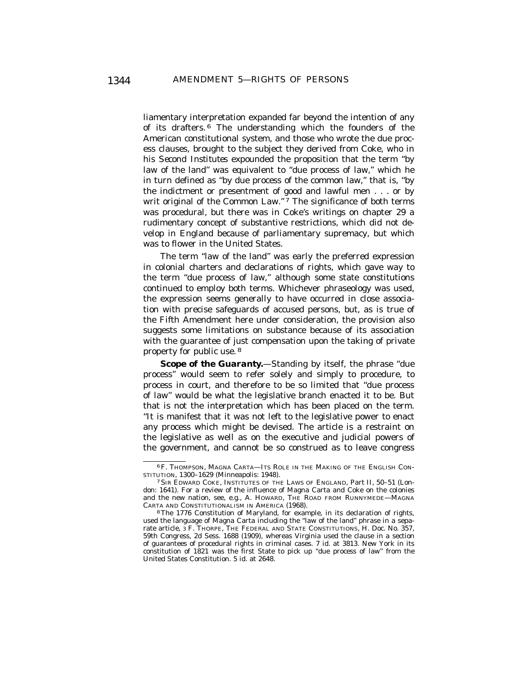liamentary interpretation expanded far beyond the intention of any of its drafters. 6 The understanding which the founders of the American constitutional system, and those who wrote the due process clauses, brought to the subject they derived from Coke, who in his *Second Institutes* expounded the proposition that the term ''by law of the land" was equivalent to "due process of law," which he in turn defined as ''by due process of the common law,'' that is, ''by the indictment or presentment of good and lawful men . . . or by writ original of the Common Law."<sup>7</sup> The significance of both terms was procedural, but there was in Coke's writings on chapter 29 a rudimentary concept of substantive restrictions, which did not develop in England because of parliamentary supremacy, but which was to flower in the United States.

The term ''law of the land'' was early the preferred expression in colonial charters and declarations of rights, which gave way to the term ''due process of law,'' although some state constitutions continued to employ both terms. Whichever phraseology was used, the expression seems generally to have occurred in close association with precise safeguards of accused persons, but, as is true of the Fifth Amendment here under consideration, the provision also suggests some limitations on substance because of its association with the guarantee of just compensation upon the taking of private property for public use. 8

**Scope of the Guaranty.**—Standing by itself, the phrase "due process'' would seem to refer solely and simply to procedure, to process in court, and therefore to be so limited that ''due process of law'' would be what the legislative branch enacted it to be. But that is not the interpretation which has been placed on the term. ''It is manifest that it was not left to the legislative power to enact any process which might be devised. The article is a restraint on the legislative as well as on the executive and judicial powers of the government, and cannot be so construed as to leave congress

<sup>6</sup>F. THOMPSON, MAGNA CARTA—ITS ROLE IN THE MAKING OF THE ENGLISH CON-STITUTION, 1300–1629 (Minneapolis: 1948).

<sup>7</sup>SIR EDWARD COKE, INSTITUTES OF THE LAWS OF ENGLAND, Part II, 50–51 (London: 1641). For a review of the influence of Magna Carta and Coke on the colonies and the new nation, see, e.g., A. HOWARD, THE ROAD FROM RUNNYMEDE—MAGNA CARTA AND CONSTITUTIONALISM IN AMERICA (1968).

<sup>8</sup>The 1776 Constitution of Maryland, for example, in its declaration of rights, used the language of Magna Carta including the ''law of the land'' phrase in a separate article, 3 F. THORPE, THE FEDERAL AND STATE CONSTITUTIONS, H. Doc. No. 357, 59th Congress, 2d Sess. 1688 (1909), whereas Virginia used the clause in a section of guarantees of procedural rights in criminal cases. 7 id. at 3813. New York in its constitution of 1821 was the first State to pick up ''due process of law'' from the United States Constitution. 5 id. at 2648.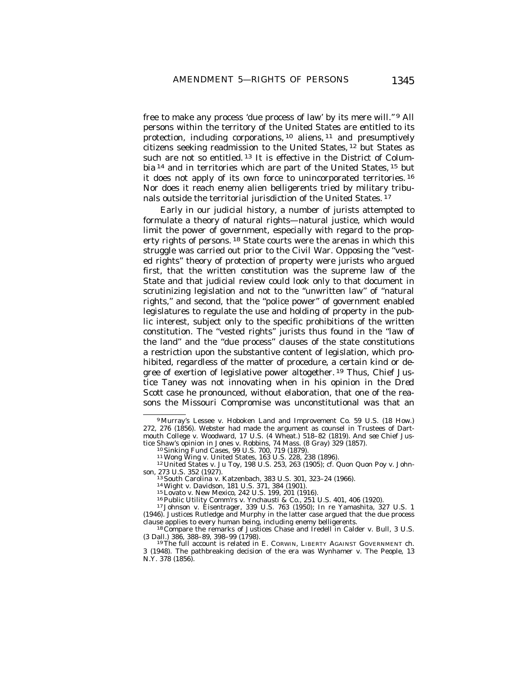free to make any process 'due process of law' by its mere will." <sup>9</sup> All persons within the territory of the United States are entitled to its protection, including corporations, 10 aliens, 11 and presumptively citizens seeking readmission to the United States, 12 but States as such are not so entitled.<sup>13</sup> It is effective in the District of Columbia 14 and in territories which are part of the United States, 15 but it does not apply of its own force to unincorporated territories. 16 Nor does it reach enemy alien belligerents tried by military tribunals outside the territorial jurisdiction of the United States. 17

Early in our judicial history, a number of jurists attempted to formulate a theory of natural rights—natural justice, which would limit the power of government, especially with regard to the property rights of persons. 18 State courts were the arenas in which this struggle was carried out prior to the Civil War. Opposing the ''vested rights'' theory of protection of property were jurists who argued first, that the written constitution was the supreme law of the State and that judicial review could look only to that document in scrutinizing legislation and not to the ''unwritten law'' of ''natural rights,'' and second, that the ''police power'' of government enabled legislatures to regulate the use and holding of property in the public interest, subject only to the specific prohibitions of the written constitution. The ''vested rights'' jurists thus found in the ''law of the land'' and the ''due process'' clauses of the state constitutions a restriction upon the substantive content of legislation, which prohibited, regardless of the matter of procedure, a certain kind or degree of exertion of legislative power altogether. 19 Thus, Chief Justice Taney was not innovating when in his opinion in the *Dred Scott* case he pronounced, without elaboration, that one of the reasons the Missouri Compromise was unconstitutional was that an

<sup>9</sup>Murray's Lessee v. Hoboken Land and Improvement Co. 59 U.S. (18 How.) 272, 276 (1856). Webster had made the argument as counsel in Trustees of Dartmouth College v. Woodward, 17 U.S. (4 Wheat.) 518–82 (1819). *And see* Chief Jus-

<sup>10</sup> Sinking Fund Cases, 99 U.S. 700, 719 (1879).<br>
<sup>11</sup> Wong Wing v. United States, 163 U.S. 228, 238 (1896).<br>
<sup>12</sup> United States v. Ju Toy, 198 U.S. 253, 263 (1905); *cf.* Quon Quon Poy v. Johnson, 273 U.S. 352 (1927).

<sup>&</sup>lt;sup>13</sup> South Carolina v. Katzenbach, 383 U.S. 301, 323–24 (1966).<br><sup>14</sup> Wight v. Davidson, 181 U.S. 371, 384 (1901).<br><sup>15</sup> Lovato v. New Mexico, 242 U.S. 199, 201 (1916).<br><sup>16</sup> Public Utility Comm'rs v. Ynchausti & Co., 251 U.S

<sup>(1946).</sup> Justices Rutledge and Murphy in the latter case argued that the due process clause applies to every human being, including enemy belligerents. <sup>18</sup> Compare the remarks of Justices Chase and Iredell in Calder v. Bull, 3 U.S.

<sup>(3</sup> Dall.) 386, 388–89, 398–99 (1798). 19The full account is related in E. CORWIN, LIBERTY AGAINST GOVERNMENT ch. 3 (1948). The pathbreaking decision of the era was Wynhamer v. The People, 13 N.Y. 378 (1856).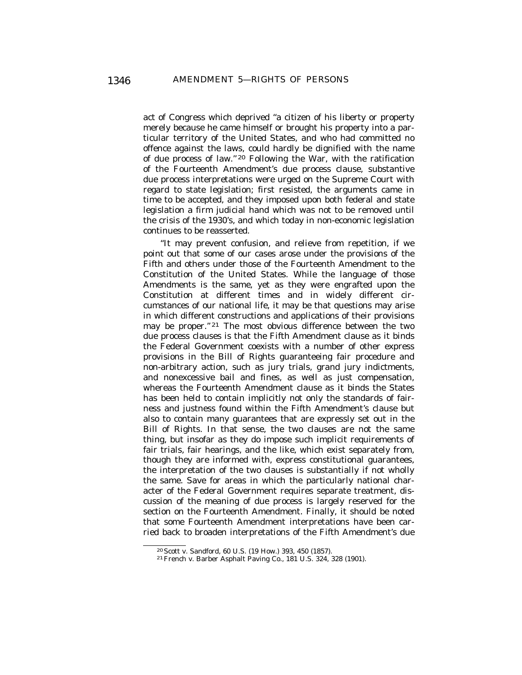act of Congress which deprived ''a citizen of his liberty or property merely because he came himself or brought his property into a particular territory of the United States, and who had committed no offence against the laws, could hardly be dignified with the name of due process of law."<sup>20</sup> Following the War, with the ratification of the Fourteenth Amendment's due process clause, substantive due process interpretations were urged on the Supreme Court with regard to state legislation; first resisted, the arguments came in time to be accepted, and they imposed upon both federal and state legislation a firm judicial hand which was not to be removed until the crisis of the 1930's, and which today in non-economic legislation continues to be reasserted.

''It may prevent confusion, and relieve from repetition, if we point out that some of our cases arose under the provisions of the Fifth and others under those of the Fourteenth Amendment to the Constitution of the United States. While the language of those Amendments is the same, yet as they were engrafted upon the Constitution at different times and in widely different circumstances of our national life, it may be that questions may arise in which different constructions and applications of their provisions may be proper."<sup>21</sup> The most obvious difference between the two due process clauses is that the Fifth Amendment clause as it binds the Federal Government coexists with a number of other express provisions in the Bill of Rights guaranteeing fair procedure and non-arbitrary action, such as jury trials, grand jury indictments, and nonexcessive bail and fines, as well as just compensation, whereas the Fourteenth Amendment clause as it binds the States has been held to contain implicitly not only the standards of fairness and justness found within the Fifth Amendment's clause but also to contain many guarantees that are expressly set out in the Bill of Rights. In that sense, the two clauses are not the same thing, but insofar as they do impose such implicit requirements of fair trials, fair hearings, and the like, which exist separately from, though they are informed with, express constitutional guarantees, the interpretation of the two clauses is substantially if not wholly the same. Save for areas in which the particularly national character of the Federal Government requires separate treatment, discussion of the meaning of due process is largely reserved for the section on the Fourteenth Amendment. Finally, it should be noted that some Fourteenth Amendment interpretations have been carried back to broaden interpretations of the Fifth Amendment's due

<sup>20</sup>Scott v. Sandford, 60 U.S. (19 How.) 393, 450 (1857).

<sup>21</sup>French v. Barber Asphalt Paving Co., 181 U.S. 324, 328 (1901).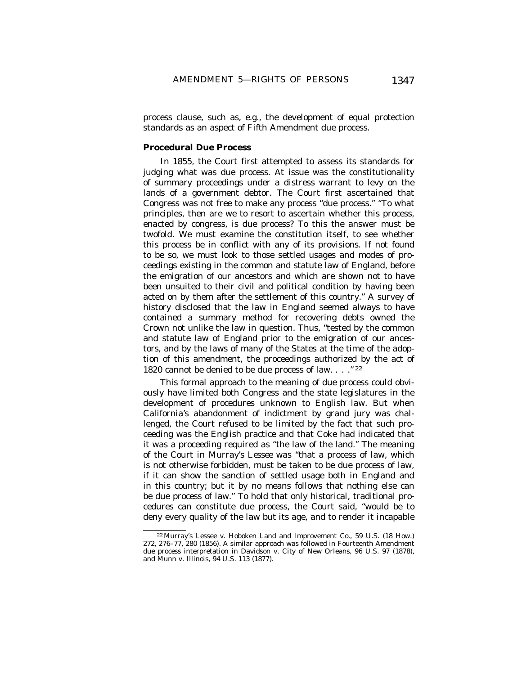process clause, such as, e.g., the development of equal protection standards as an aspect of Fifth Amendment due process.

## **Procedural Due Process**

In 1855, the Court first attempted to assess its standards for judging what was due process. At issue was the constitutionality of summary proceedings under a distress warrant to levy on the lands of a government debtor. The Court first ascertained that Congress was not free to make any process "due process." "To what principles, then are we to resort to ascertain whether this process, enacted by congress, is due process? To this the answer must be twofold. We must examine the constitution itself, to see whether this process be in conflict with any of its provisions. If not found to be so, we must look to those settled usages and modes of proceedings existing in the common and statute law of England, before the emigration of our ancestors and which are shown not to have been unsuited to their civil and political condition by having been acted on by them after the settlement of this country.'' A survey of history disclosed that the law in England seemed always to have contained a summary method for recovering debts owned the Crown not unlike the law in question. Thus, "tested by the common and statute law of England prior to the emigration of our ancestors, and by the laws of many of the States at the time of the adoption of this amendment, the proceedings authorized by the act of 1820 cannot be denied to be due process of law. . . . "22

This formal approach to the meaning of due process could obviously have limited both Congress and the state legislatures in the development of procedures unknown to English law. But when California's abandonment of indictment by grand jury was challenged, the Court refused to be limited by the fact that such proceeding was the English practice and that Coke had indicated that it was a proceeding required as ''the law of the land.'' The meaning of the Court in *Murray's Lessee* was ''that a process of law, which is not otherwise forbidden, must be taken to be due process of law, if it can show the sanction of settled usage both in England and in this country; but it by no means follows that nothing else can be due process of law.'' To hold that only historical, traditional procedures can constitute due process, the Court said, ''would be to deny every quality of the law but its age, and to render it incapable

<sup>22</sup>Murray's Lessee v. Hoboken Land and Improvement Co., 59 U.S. (18 How.) 272, 276–77, 280 (1856). A similar approach was followed in Fourteenth Amendment due process interpretation in Davidson v. City of New Orleans, 96 U.S. 97 (1878), and Munn v. Illinois, 94 U.S. 113 (1877).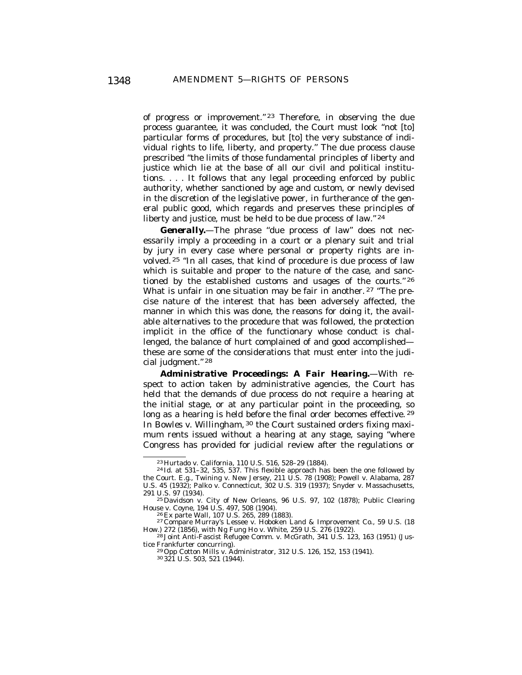of progress or improvement."<sup>23</sup> Therefore, in observing the due process guarantee, it was concluded, the Court must look ''not [to] particular forms of procedures, but [to] the very substance of individual rights to life, liberty, and property.'' The due process clause prescribed ''the limits of those fundamental principles of liberty and justice which lie at the base of all our civil and political institutions. . . . It follows that any legal proceeding enforced by public authority, whether sanctioned by age and custom, or newly devised in the discretion of the legislative power, in furtherance of the general public good, which regards and preserves these principles of liberty and justice, must be held to be due process of law."<sup>24</sup>

Generally.-The phrase "due process of law" does not necessarily imply a proceeding in a court or a plenary suit and trial by jury in every case where personal or property rights are involved. 25 ''In all cases, that kind of procedure is due process of law which is suitable and proper to the nature of the case, and sanctioned by the established customs and usages of the courts."<sup>26</sup> What is unfair in one situation may be fair in another.<sup>27</sup> "The precise nature of the interest that has been adversely affected, the manner in which this was done, the reasons for doing it, the available alternatives to the procedure that was followed, the protection implicit in the office of the functionary whose conduct is challenged, the balance of hurt complained of and good accomplished these are some of the considerations that must enter into the judicial judgment.'' 28

*Administrative Proceedings: A Fair Hearing.*—With respect to action taken by administrative agencies, the Court has held that the demands of due process do not require a hearing at the initial stage, or at any particular point in the proceeding, so long as a hearing is held before the final order becomes effective. 29 In *Bowles v. Willingham*, 30 the Court sustained orders fixing maximum rents issued without a hearing at any stage, saying ''where Congress has provided for judicial review after the regulations or

<sup>&</sup>lt;sup>23</sup> Hurtado v. California, 110 U.S. 516, 528–29 (1884).<br><sup>24</sup> Id. at 531–32, 535, 537. This flexible approach has been the one followed by the Court. E.g., Twining v. New Jersey, 211 U.S. 78 (1908); Powell v. Alabama, 287 U.S. 45 (1932); Palko v. Connecticut, 302 U.S. 319 (1937); Snyder v. Massachusetts,

<sup>&</sup>lt;sup>25</sup> Davidson v. City of New Orleans, 96 U.S. 97, 102 (1878); Public Clearing House v. Coyne, 194 U.S. 497, 508 (1904).

<sup>&</sup>lt;sup>26</sup> Ex parte Wall, 107 U.S. 265, 289 (1883).<br><sup>27</sup> *Compare* Murray's Lessee v. Hoboken Land & Improvement Co., 59 U.S. (18

How.) 272 (1856), *with* Ng Fung Ho v. White, 259 U.S. 276 (1922).<br><sup>28</sup> Joint Anti-Fascist Refugee Comm. v. McGrath, 341 U.S. 123, 163 (1951) (Jus-<br>tice Frankfurter concurring).

<sup>&</sup>lt;sup>29</sup> Opp Cotton Mills v. Administrator, 312 U.S. 126, 152, 153 (1941). <sup>30</sup> 321 U.S. 503, 521 (1944).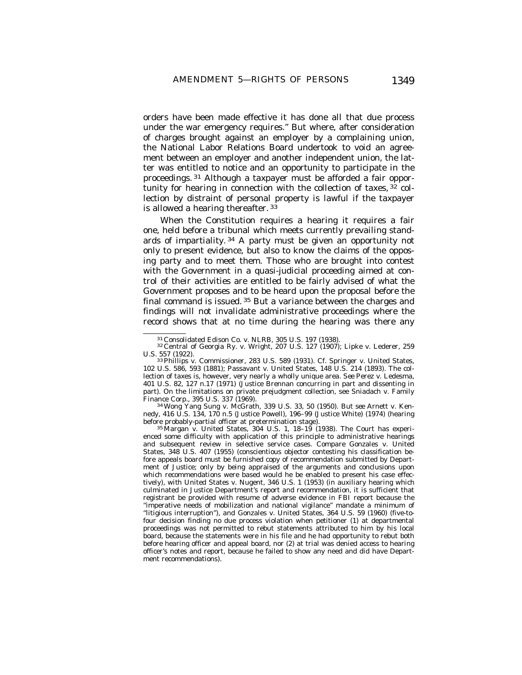orders have been made effective it has done all that due process under the war emergency requires.'' But where, after consideration of charges brought against an employer by a complaining union, the National Labor Relations Board undertook to void an agreement between an employer and another independent union, the latter was entitled to notice and an opportunity to participate in the proceedings. 31 Although a taxpayer must be afforded a fair opportunity for hearing in connection with the collection of taxes, 32 collection by distraint of personal property is lawful if the taxpayer is allowed a hearing thereafter. 33

When the Constitution requires a hearing it requires a fair one, held before a tribunal which meets currently prevailing standards of impartiality. 34 A party must be given an opportunity not only to present evidence, but also to know the claims of the opposing party and to meet them. Those who are brought into contest with the Government in a quasi-judicial proceeding aimed at control of their activities are entitled to be fairly advised of what the Government proposes and to be heard upon the proposal before the final command is issued. 35 But a variance between the charges and findings will not invalidate administrative proceedings where the record shows that at no time during the hearing was there any

nedy, 416 U.S. 134, 170 n.5 (Justice Powell), 196–99 (Justice White) (1974) (hearing before probably-partial officer at pretermination stage). 35Margan v. United States, 304 U.S. 1, 18–19 (1938). The Court has experi-

enced some difficulty with application of this principle to administrative hearings and subsequent review in selective service cases. *Compare* Gonzales v. United States, 348 U.S. 407 (1955) (conscientious objector contesting his classification before appeals board must be furnished copy of recommendation submitted by Department of Justice; only by being appraised of the arguments and conclusions upon which recommendations were based would he be enabled to present his case effectively), *with* United States v. Nugent, 346 U.S. 1 (1953) (in auxiliary hearing which culminated in Justice Department's report and recommendation, it is sufficient that registrant be provided with resume of adverse evidence in FBI report because the ''imperative needs of mobilization and national vigilance'' mandate a minimum of ''litigious interruption''), *and* Gonzales v. United States, 364 U.S. 59 (1960) (five-tofour decision finding no due process violation when petitioner (1) at departmental proceedings was not permitted to rebut statements attributed to him by his local board, because the statements were in his file and he had opportunity to rebut both before hearing officer and appeal board, nor (2) at trial was denied access to hearing officer's notes and report, because he failed to show any need and did have Department recommendations).

<sup>&</sup>lt;sup>31</sup> Consolidated Edison Co. v. NLRB, 305 U.S. 197 (1938).<br><sup>32</sup> Central of Georgia Ry. v. Wright, 207 U.S. 127 (1907); Lipke v. Lederer, 259 U.S. 557 (1922).

<sup>&</sup>lt;sup>33</sup> Phillips v. Commissioner, 283 U.S. 589 (1931). *Cf.* Springer v. United States, 102 U.S. 586, 593 (1881); Passavant v. United States, 148 U.S. 214 (1893). The collection of taxes is, however, very nearly a wholly unique area. *See* Perez v. Ledesma, 401 U.S. 82, 127 n.17 (1971) (Justice Brennan concurring in part and dissenting in part). On the limitations on private prejudgment collection, see Sniadach v. Family Finance Corp., 395 U.S. 337 (1969). 34Wong Yang Sung v. McGrath, 339 U.S. 33, 50 (1950). *But see* Arnett v. Ken-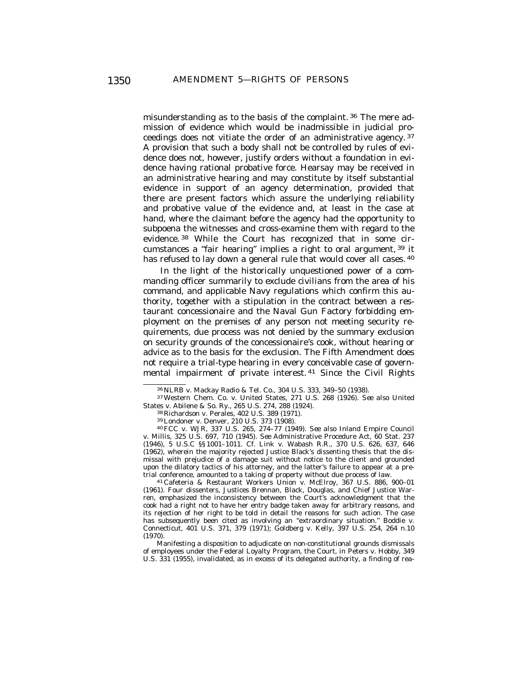misunderstanding as to the basis of the complaint. 36 The mere admission of evidence which would be inadmissible in judicial proceedings does not vitiate the order of an administrative agency. 37 A provision that such a body shall not be controlled by rules of evidence does not, however, justify orders without a foundation in evidence having rational probative force. Hearsay may be received in an administrative hearing and may constitute by itself substantial evidence in support of an agency determination, provided that there are present factors which assure the underlying reliability and probative value of the evidence and, at least in the case at hand, where the claimant before the agency had the opportunity to subpoena the witnesses and cross-examine them with regard to the evidence. 38 While the Court has recognized that in some circumstances a ''fair hearing'' implies a right to oral argument, 39 it has refused to lay down a general rule that would cover all cases. 40

In the light of the historically unquestioned power of a commanding officer summarily to exclude civilians from the area of his command, and applicable Navy regulations which confirm this authority, together with a stipulation in the contract between a restaurant concessionaire and the Naval Gun Factory forbidding employment on the premises of any person not meeting security requirements, due process was not denied by the summary exclusion on security grounds of the concessionaire's cook, without hearing or advice as to the basis for the exclusion. The Fifth Amendment does not require a trial-type hearing in every conceivable case of governmental impairment of private interest. 41 Since the Civil Rights

41 Cafeteria & Restaurant Workers Union v. McElroy, 367 U.S. 886, 900–01 (1961). Four dissenters, Justices Brennan, Black, Douglas, and Chief Justice Warren, emphasized the inconsistency between the Court's acknowledgment that the cook had a right not to have her entry badge taken away for arbitrary reasons, and its rejection of her right to be told in detail the reasons for such action. The case has subsequently been cited as involving an ''extraordinary situation.'' Boddie v. Connecticut, 401 U.S. 371, 379 (1971); Goldberg v. Kelly, 397 U.S. 254, 264 n.10 (1970).

Manifesting a disposition to adjudicate on non-constitutional grounds dismissals of employees under the Federal Loyalty Program, the Court, in Peters v. Hobby, 349 U.S. 331 (1955), invalidated, as in excess of its delegated authority, a finding of rea-

<sup>36</sup> NLRB v. Mackay Radio & Tel. Co., 304 U.S. 333, 349–50 (1938).

<sup>37</sup>Western Chem. Co. v. United States, 271 U.S. 268 (1926). *See also* United States v. Abilene & So. Ry., 265 U.S. 274, 288 (1924).

<sup>38</sup> Richardson v. Perales, 402 U.S. 389 (1971).

<sup>39</sup>Londoner v. Denver, 210 U.S. 373 (1908).

<sup>40</sup>FCC v. WJR, 337 U.S. 265, 274–77 (1949). *See also* Inland Empire Council v. Millis, 325 U.S. 697, 710 (1945). *See* Administrative Procedure Act, 60 Stat. 237 (1946), 5 U.S.C §§ 1001–1011. *Cf.* Link v. Wabash R.R., 370 U.S. 626, 637, 646 (1962), wherein the majority rejected Justice Black's dissenting thesis that the dismissal with prejudice of a damage suit without notice to the client and grounded upon the dilatory tactics of his attorney, and the latter's failure to appear at a pretrial conference, amounted to a taking of property without due process of law.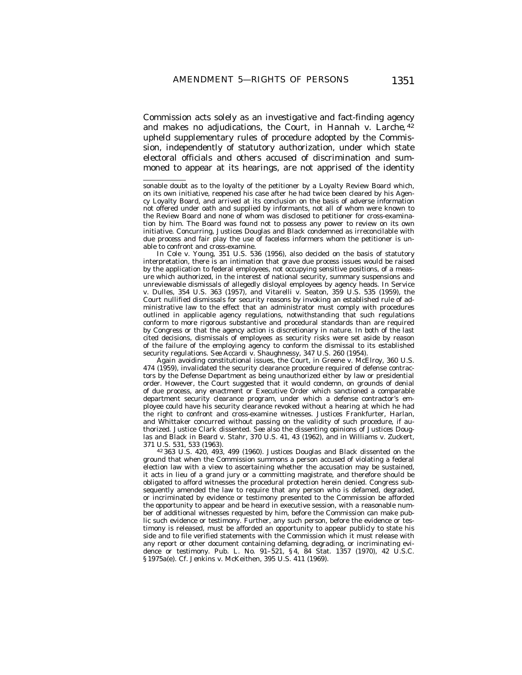Commission acts solely as an investigative and fact-finding agency and makes no adjudications, the Court, in *Hannah v. Larche*, 42 upheld supplementary rules of procedure adopted by the Commission, independently of statutory authorization, under which state electoral officials and others accused of discrimination and summoned to appear at its hearings, are not apprised of the identity

Again avoiding constitutional issues, the Court, in Greene v. McElroy, 360 U.S. 474 (1959), invalidated the security clearance procedure required of defense contractors by the Defense Department as being unauthorized either by law or presidential order. However, the Court suggested that it would condemn, on grounds of denial of due process, any enactment or Executive Order which sanctioned a comparable department security clearance program, under which a defense contractor's employee could have his security clearance revoked without a hearing at which he had the right to confront and cross-examine witnesses. Justices Frankfurter, Harlan, and Whittaker concurred without passing on the validity of such procedure, if authorized. Justice Clark dissented. *See also* the dissenting opinions of Justices Douglas and Black in Beard v. Stahr, 370 U.S. 41, 43 (1962), and in Williams v. Zuckert, 371 U.S. 531, 533 (1963). <sup>42</sup> 363 U.S. 420, 493, 499 (1960). Justices Douglas and Black dissented on the

ground that when the Commission summons a person accused of violating a federal election law with a view to ascertaining whether the accusation may be sustained, it acts in lieu of a grand jury or a committing magistrate, and therefore should be obligated to afford witnesses the procedural protection herein denied. Congress subsequently amended the law to require that any person who is defamed, degraded, or incriminated by evidence or testimony presented to the Commission be afforded the opportunity to appear and be heard in executive session, with a reasonable number of additional witnesses requested by him, before the Commission can make public such evidence or testimony. Further, any such person, before the evidence or testimony is released, must be afforded an opportunity to appear publicly to state his side and to file verified statements with the Commission which it must release with any report or other document containing defaming, degrading, or incriminating evidence or testimony. Pub. L. No. 91–521, § 4, 84 Stat. 1357 (1970), 42 U.S.C. § 1975a(e). *Cf.* Jenkins v. McKeithen, 395 U.S. 411 (1969).

sonable doubt as to the loyalty of the petitioner by a Loyalty Review Board which, on its own initiative, reopened his case after he had twice been cleared by his Agency Loyalty Board, and arrived at its conclusion on the basis of adverse information not offered under oath and supplied by informants, not all of whom were known to the Review Board and none of whom was disclosed to petitioner for cross-examination by him. The Board was found not to possess any power to review on its own initiative. Concurring, Justices Douglas and Black condemned as irreconcilable with due process and fair play the use of faceless informers whom the petitioner is unable to confront and cross-examine.

In Cole v. Young, 351 U.S. 536 (1956), also decided on the basis of statutory interpretation, there is an intimation that grave due process issues would be raised by the application to federal employees, not occupying sensitive positions, of a measure which authorized, in the interest of national security, summary suspensions and unreviewable dismissals of allegedly disloyal employees by agency heads. In Service v. Dulles, 354 U.S. 363 (1957), and Vitarelli v. Seaton, 359 U.S. 535 (1959), the Court nullified dismissals for security reasons by invoking an established rule of administrative law to the effect that an administrator must comply with procedures outlined in applicable agency regulations, notwithstanding that such regulations conform to more rigorous substantive and procedural standards than are required by Congress or that the agency action is discretionary in nature. In both of the last cited decisions, dismissals of employees as security risks were set aside by reason of the failure of the employing agency to conform the dismissal to its established security regulations. *See* Accardi v. Shaughnessy, 347 U.S. 260 (1954).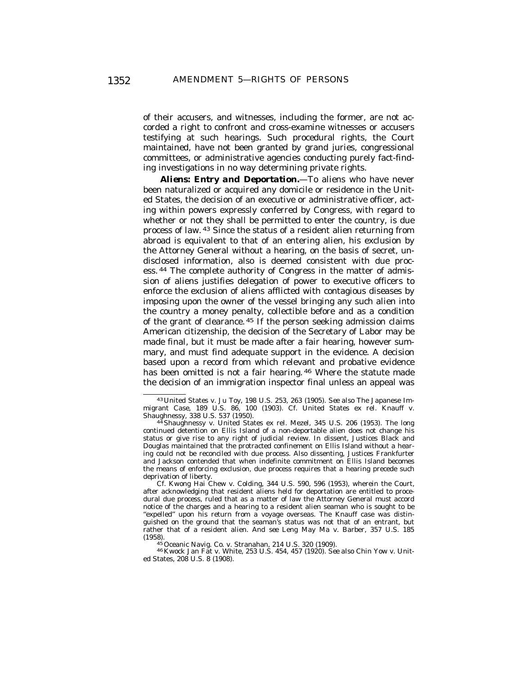of their accusers, and witnesses, including the former, are not accorded a right to confront and cross-examine witnesses or accusers testifying at such hearings. Such procedural rights, the Court maintained, have not been granted by grand juries, congressional committees, or administrative agencies conducting purely fact-finding investigations in no way determining private rights.

*Aliens: Entry and Deportation.*—To aliens who have never been naturalized or acquired any domicile or residence in the United States, the decision of an executive or administrative officer, acting within powers expressly conferred by Congress, with regard to whether or not they shall be permitted to enter the country, is due process of law. 43 Since the status of a resident alien returning from abroad is equivalent to that of an entering alien, his exclusion by the Attorney General without a hearing, on the basis of secret, undisclosed information, also is deemed consistent with due process. 44 The complete authority of Congress in the matter of admission of aliens justifies delegation of power to executive officers to enforce the exclusion of aliens afflicted with contagious diseases by imposing upon the owner of the vessel bringing any such alien into the country a money penalty, collectible before and as a condition of the grant of clearance. 45 If the person seeking admission claims American citizenship, the decision of the Secretary of Labor may be made final, but it must be made after a fair hearing, however summary, and must find adequate support in the evidence. A decision based upon a record from which relevant and probative evidence has been omitted is not a fair hearing. <sup>46</sup> Where the statute made the decision of an immigration inspector final unless an appeal was

<sup>43</sup> United States v. Ju Toy, 198 U.S. 253, 263 (1905). *See also* The Japanese Immigrant Case, 189 U.S. 86, 100 (1903). *Cf.* United States ex rel. Knauff v. Shaughnessy, 338 U.S. 537 (1950).

<sup>&</sup>lt;sup>44</sup> Shaughnessy v. United States ex rel. Mezel, 345 U.S. 206 (1953). The long continued detention on Ellis Island of a non-deportable alien does not change his status or give rise to any right of judicial review. In dissent, Justices Black and Douglas maintained that the protracted confinement on Ellis Island without a hearing could not be reconciled with due process. Also dissenting, Justices Frankfurter and Jackson contended that when indefinite commitment on Ellis Island becomes the means of enforcing exclusion, due process requires that a hearing precede such deprivation of liberty.

*Cf.* Kwong Hai Chew v. Colding, 344 U.S. 590, 596 (1953), wherein the Court, after acknowledging that resident aliens held for deportation are entitled to procedural due process, ruled that as a matter of law the Attorney General must accord notice of the charges and a hearing to a resident alien seaman who is sought to be "expelled" upon his return from a voyage overseas. The *Knauff* case was distinguished on the ground that the seaman's status was not that of an entrant, but rather that of a resident alien. *And see* Leng May Ma v. Barber, 357 U.S. 185 (1958). 45Oceanic Navig. Co. v. Stranahan, 214 U.S. 320 (1909). 46Kwock Jan Fat v. White, 253 U.S. 454, 457 (1920). *See also* Chin Yow v. Unit-

ed States, 208 U.S. 8 (1908).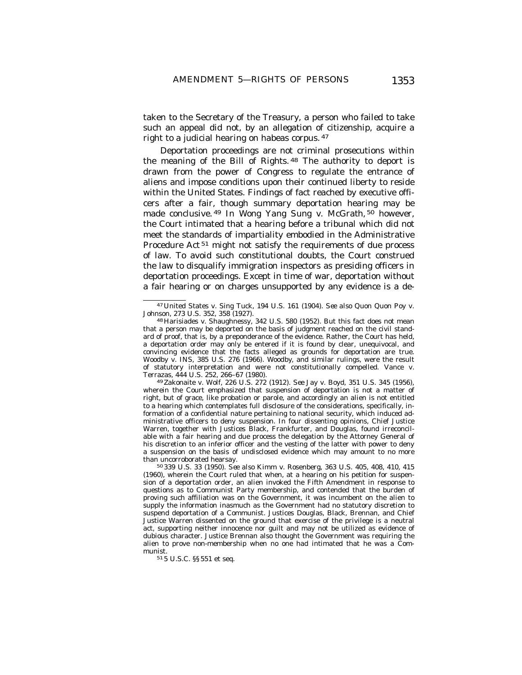taken to the Secretary of the Treasury, a person who failed to take such an appeal did not, by an allegation of citizenship, acquire a right to a judicial hearing on habeas corpus. 47

Deportation proceedings are not criminal prosecutions within the meaning of the Bill of Rights. 48 The authority to deport is drawn from the power of Congress to regulate the entrance of aliens and impose conditions upon their continued liberty to reside within the United States. Findings of fact reached by executive officers after a fair, though summary deportation hearing may be made conclusive. 49 In *Wong Yang Sung v. McGrath*, 50 however, the Court intimated that a hearing before a tribunal which did not meet the standards of impartiality embodied in the Administrative Procedure Act 51 might not satisfy the requirements of due process of law. To avoid such constitutional doubts, the Court construed the law to disqualify immigration inspectors as presiding officers in deportation proceedings. Except in time of war, deportation without a fair hearing or on charges unsupported by any evidence is a de-

<sup>47</sup> United States v. Sing Tuck, 194 U.S. 161 (1904). *See also* Quon Quon Poy v. Johnson, 273 U.S. 352, 358 (1927).

<sup>48</sup> Harisiades v. Shaughnessy, 342 U.S. 580 (1952). But this fact does not mean that a person may be deported on the basis of judgment reached on the civil standard of proof, that is, by a preponderance of the evidence. Rather, the Court has held, a deportation order may only be entered if it is found by clear, unequivocal, and convincing evidence that the facts alleged as grounds for deportation are true. Woodby v. INS, 385 U.S. 276 (1966). *Woodby*, and similar rulings, were the result of statutory interpretation and were not constitutionally compelled. Vance v. Terrazas, 444 U.S. 252, 266–67 (1980).

<sup>49</sup>Zakonaite v. Wolf, 226 U.S. 272 (1912). *See* Jay v. Boyd, 351 U.S. 345 (1956), wherein the Court emphasized that suspension of deportation is not a matter of right, but of grace, like probation or parole, and accordingly an alien is not entitled to a hearing which contemplates full disclosure of the considerations, specifically, information of a confidential nature pertaining to national security, which induced administrative officers to deny suspension. In four dissenting opinions, Chief Justice Warren, together with Justices Black, Frankfurter, and Douglas, found irreconcilable with a fair hearing and due process the delegation by the Attorney General of his discretion to an inferior officer and the vesting of the latter with power to deny a suspension on the basis of undisclosed evidence which may amount to no more than uncorroborated hearsay.

<sup>50</sup> 339 U.S. 33 (1950). *See also* Kimm v. Rosenberg, 363 U.S. 405, 408, 410, 415 (1960), wherein the Court ruled that when, at a hearing on his petition for suspension of a deportation order, an alien invoked the Fifth Amendment in response to questions as to Communist Party membership, and contended that the burden of proving such affiliation was on the Government, it was incumbent on the alien to supply the information inasmuch as the Government had no statutory discretion to suspend deportation of a Communist. Justices Douglas, Black, Brennan, and Chief Justice Warren dissented on the ground that exercise of the privilege is a neutral act, supporting neither innocence nor guilt and may not be utilized as evidence of dubious character. Justice Brennan also thought the Government was requiring the alien to prove non-membership when no one had intimated that he was a Communist.

<sup>51</sup> 5 U.S.C. §§ 551 et seq.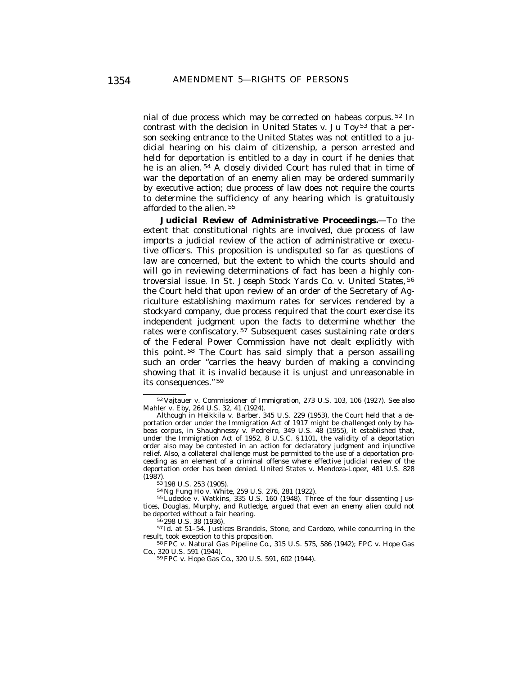nial of due process which may be corrected on habeas corpus. 52 In contrast with the decision in *United States v. Ju Toy*<sup>53</sup> that a person seeking entrance to the United States was not entitled to a judicial hearing on his claim of citizenship, a person arrested and held for deportation is entitled to a day in court if he denies that he is an alien. 54 A closely divided Court has ruled that in time of war the deportation of an enemy alien may be ordered summarily by executive action; due process of law does not require the courts to determine the sufficiency of any hearing which is gratuitously afforded to the alien. 55

*Judicial Review of Administrative Proceedings.*—To the extent that constitutional rights are involved, due process of law imports a judicial review of the action of administrative or executive officers. This proposition is undisputed so far as questions of law are concerned, but the extent to which the courts should and will go in reviewing determinations of fact has been a highly controversial issue. In *St. Joseph Stock Yards Co. v. United States*, 56 the Court held that upon review of an order of the Secretary of Agriculture establishing maximum rates for services rendered by a stockyard company, due process required that the court exercise its independent judgment upon the facts to determine whether the rates were confiscatory. 57 Subsequent cases sustaining rate orders of the Federal Power Commission have not dealt explicitly with this point. 58 The Court has said simply that a person assailing such an order "carries the heavy burden of making a convincing showing that it is invalid because it is unjust and unreasonable in its consequences.'' 59

<sup>52</sup> Vajtauer v. Commissioner of Immigration, 273 U.S. 103, 106 (1927). *See also* Mahler v. Eby, 264 U.S. 32, 41 (1924).

Although in Heikkila v. Barber, 345 U.S. 229 (1953), the Court held that a deportation order under the Immigration Act of 1917 might be challenged only by habeas corpus, in Shaughnessy v. Pedreiro, 349 U.S. 48 (1955), it established that, under the Immigration Act of 1952, 8 U.S.C. § 1101, the validity of a deportation order also may be contested in an action for declaratory judgment and injunctive relief. Also, a collateral challenge must be permitted to the use of a deportation proceeding as an element of a criminal offense where effective judicial review of the deportation order has been denied. United States v. Mendoza-Lopez, 481 U.S. 828

 $^{53}$  198 U.S. 253 (1905).<br> $^{54}$  Ng Fung Ho v. White, 259 U.S. 276, 281 (1922).<br> $^{55}$  Ludecke v. Watkins, 335 U.S. 160 (1948). Three of the four dissenting Justices, Douglas, Murphy, and Rutledge, argued that even an enemy alien could not be deported without a fair hearing.

<sup>56</sup> 298 U.S. 38 (1936).

<sup>57</sup> Id. at 51–54. Justices Brandeis, Stone, and Cardozo, while concurring in the result, took exception to this proposition.

<sup>58</sup>FPC v. Natural Gas Pipeline Co., 315 U.S. 575, 586 (1942); FPC v. Hope Gas Co., 320 U.S. 591 (1944).

<sup>59</sup>FPC v. Hope Gas Co., 320 U.S. 591, 602 (1944).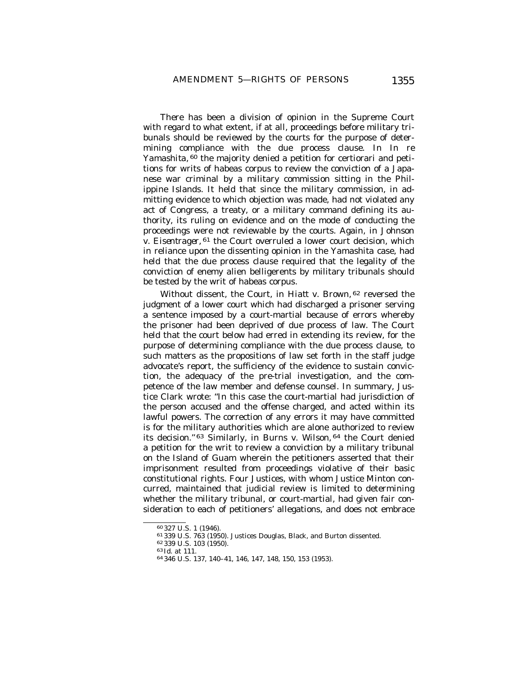There has been a division of opinion in the Supreme Court with regard to what extent, if at all, proceedings before military tribunals should be reviewed by the courts for the purpose of determining compliance with the due process clause. In *In re Yamashita*, <sup>60</sup> the majority denied a petition for certiorari and petitions for writs of habeas corpus to review the conviction of a Japanese war criminal by a military commission sitting in the Philippine Islands. It held that since the military commission, in admitting evidence to which objection was made, had not violated any act of Congress, a treaty, or a military command defining its authority, its ruling on evidence and on the mode of conducting the proceedings were not reviewable by the courts. Again, in *Johnson v. Eisentrager*, 61 the Court overruled a lower court decision, which in reliance upon the dissenting opinion in the *Yamashita* case, had held that the due process clause required that the legality of the conviction of enemy alien belligerents by military tribunals should be tested by the writ of habeas corpus.

Without dissent, the Court, in *Hiatt v. Brown*, 62 reversed the judgment of a lower court which had discharged a prisoner serving a sentence imposed by a court-martial because of errors whereby the prisoner had been deprived of due process of law. The Court held that the court below had erred in extending its review, for the purpose of determining compliance with the due process clause, to such matters as the propositions of law set forth in the staff judge advocate's report, the sufficiency of the evidence to sustain conviction, the adequacy of the pre-trial investigation, and the competence of the law member and defense counsel. In summary, Justice Clark wrote: ''In this case the court-martial had jurisdiction of the person accused and the offense charged, and acted within its lawful powers. The correction of any errors it may have committed is for the military authorities which are alone authorized to review its decision.'' 63 Similarly, in *Burns v. Wilson*, 64 the Court denied a petition for the writ to review a conviction by a military tribunal on the Island of Guam wherein the petitioners asserted that their imprisonment resulted from proceedings violative of their basic constitutional rights. Four Justices, with whom Justice Minton concurred, maintained that judicial review is limited to determining whether the military tribunal, or court-martial, had given fair consideration to each of petitioners' allegations, and does not embrace

<sup>60</sup> 327 U.S. 1 (1946).

<sup>61</sup> 339 U.S. 763 (1950). Justices Douglas, Black, and Burton dissented.

<sup>62</sup> 339 U.S. 103 (1950).

<sup>63</sup> Id. at 111.

<sup>64</sup> 346 U.S. 137, 140–41, 146, 147, 148, 150, 153 (1953).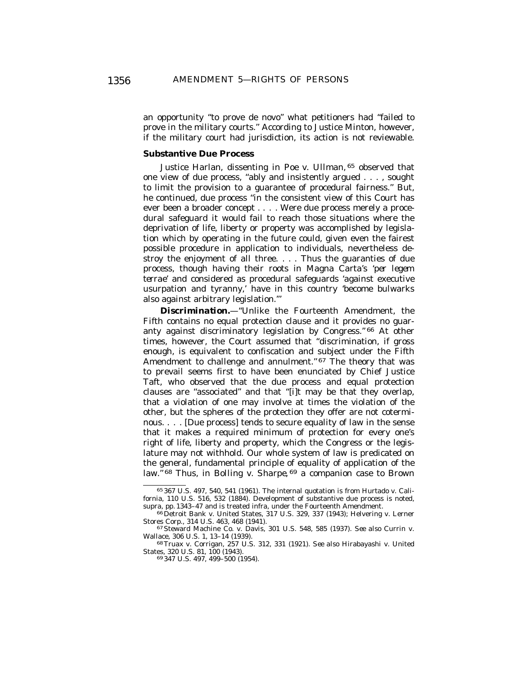an opportunity ''to prove de novo'' what petitioners had ''failed to prove in the military courts.'' According to Justice Minton, however, if the military court had jurisdiction, its action is not reviewable.

# **Substantive Due Process**

Justice Harlan, dissenting in *Poe v. Ullman*, 65 observed that one view of due process, ''ably and insistently argued . . . , sought to limit the provision to a guarantee of procedural fairness.'' But, he continued, due process ''in the consistent view of this Court has ever been a broader concept . . . . Were due process merely a procedural safeguard it would fail to reach those situations where the deprivation of life, liberty or property was accomplished by legislation which by operating in the future could, given even the fairest possible procedure in application to individuals, nevertheless destroy the enjoyment of all three. . . . Thus the guaranties of due process, though having their roots in Magna Carta's '*per legem terrae*' and considered as procedural safeguards 'against executive usurpation and tyranny,' have in this country 'become bulwarks also against arbitrary legislation.'''

*Discrimination.*—''Unlike the Fourteenth Amendment, the Fifth contains no equal protection clause and it provides no guaranty against discriminatory legislation by Congress.'' 66 At other times, however, the Court assumed that ''discrimination, if gross enough, is equivalent to confiscation and subject under the Fifth Amendment to challenge and annulment."<sup>67</sup> The theory that was to prevail seems first to have been enunciated by Chief Justice Taft, who observed that the due process and equal protection clauses are ''associated'' and that ''[i]t may be that they overlap, that a violation of one may involve at times the violation of the other, but the spheres of the protection they offer are not coterminous. . . . [Due process] tends to secure equality of law in the sense that it makes a required minimum of protection for every one's right of life, liberty and property, which the Congress or the legislature may not withhold. Our whole system of law is predicated on the general, fundamental principle of equality of application of the law.'' 68 Thus, in *Bolling v. Sharpe*, 69 a companion case to *Brown*

<sup>65</sup> 367 U.S. 497, 540, 541 (1961). The internal quotation is from Hurtado v. California, 110 U.S. 516, 532 (1884). Development of substantive due process is noted, supra, pp. 1343–47 and is treated infra, under the Fourteenth Amendment.

<sup>66</sup>Detroit Bank v. United States, 317 U.S. 329, 337 (1943); Helvering v. Lerner Stores Corp., 314 U.S. 463, 468 (1941).

<sup>67</sup>Steward Machine Co. v. Davis, 301 U.S. 548, 585 (1937). *See also* Currin v. Wallace, 306 U.S. 1, 13–14 (1939).

<sup>68</sup>Truax v. Corrigan, 257 U.S. 312, 331 (1921). *See also* Hirabayashi v. United States, 320 U.S. 81, 100 (1943).

<sup>69</sup> 347 U.S. 497, 499–500 (1954).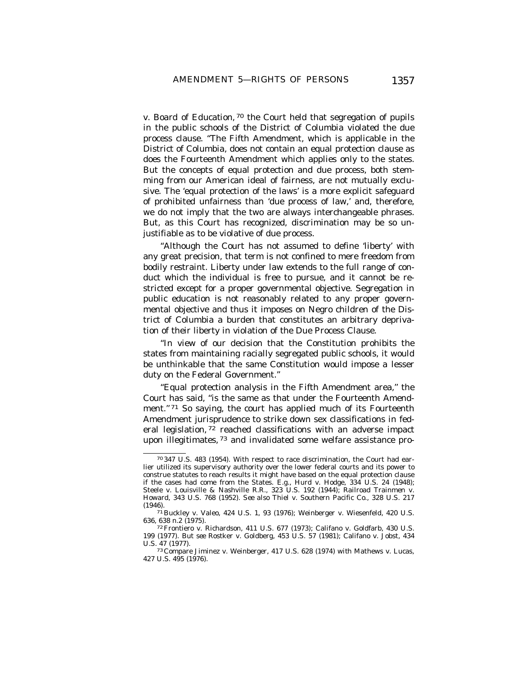*v. Board of Education*, 70 the Court held that segregation of pupils in the public schools of the District of Columbia violated the due process clause. ''The Fifth Amendment, which is applicable in the District of Columbia, does not contain an equal protection clause as does the Fourteenth Amendment which applies only to the states. But the concepts of equal protection and due process, both stemming from our American ideal of fairness, are not mutually exclusive. The 'equal protection of the laws' is a more explicit safeguard of prohibited unfairness than 'due process of law,' and, therefore, we do not imply that the two are always interchangeable phrases. But, as this Court has recognized, discrimination may be so unjustifiable as to be violative of due process.

"Although the Court has not assumed to define 'liberty' with any great precision, that term is not confined to mere freedom from bodily restraint. Liberty under law extends to the full range of conduct which the individual is free to pursue, and it cannot be restricted except for a proper governmental objective. Segregation in public education is not reasonably related to any proper governmental objective and thus it imposes on Negro children of the District of Columbia a burden that constitutes an arbitrary deprivation of their liberty in violation of the Due Process Clause.

''In view of our decision that the Constitution prohibits the states from maintaining racially segregated public schools, it would be unthinkable that the same Constitution would impose a lesser duty on the Federal Government.''

''Equal protection analysis in the Fifth Amendment area,'' the Court has said, ''is the same as that under the Fourteenth Amendment."<sup>71</sup> So saying, the court has applied much of its Fourteenth Amendment jurisprudence to strike down sex classifications in federal legislation, 72 reached classifications with an adverse impact upon illegitimates, 73 and invalidated some welfare assistance pro-

<sup>70</sup> 347 U.S. 483 (1954). With respect to race discrimination, the Court had earlier utilized its supervisory authority over the lower federal courts and its power to construe statutes to reach results it might have based on the equal protection clause if the cases had come from the States. E.g., Hurd v. Hodge, 334 U.S. 24 (1948); Steele v. Louisville & Nashville R.R., 323 U.S. 192 (1944); Railroad Trainmen v. Howard, 343 U.S. 768 (1952). *See also* Thiel v. Southern Pacific Co., 328 U.S. 217 (1946).

<sup>71</sup> Buckley v. Valeo, 424 U.S. 1, 93 (1976); Weinberger v. Wiesenfeld, 420 U.S. 636, 638 n.2 (1975).

<sup>72</sup>Frontiero v. Richardson, 411 U.S. 677 (1973); Califano v. Goldfarb, 430 U.S. 199 (1977). *But see* Rostker v. Goldberg, 453 U.S. 57 (1981); Califano v. Jobst, 434 U.S. 47 (1977).

<sup>73</sup> *Compare* Jiminez v. Weinberger, 417 U.S. 628 (1974) *with* Mathews v. Lucas, 427 U.S. 495 (1976).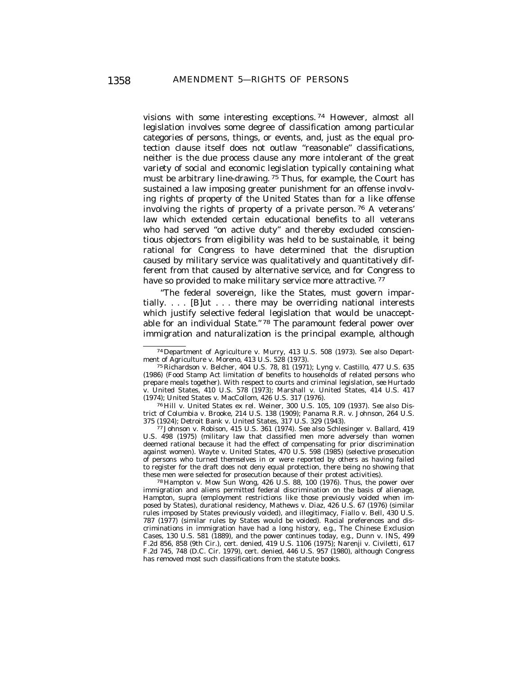visions with some interesting exceptions. 74 However, almost all legislation involves some degree of classification among particular categories of persons, things, or events, and, just as the equal protection clause itself does not outlaw ''reasonable'' classifications, neither is the due process clause any more intolerant of the great variety of social and economic legislation typically containing what must be arbitrary line-drawing. 75 Thus, for example, the Court has sustained a law imposing greater punishment for an offense involving rights of property of the United States than for a like offense involving the rights of property of a private person. 76 A veterans' law which extended certain educational benefits to all veterans who had served "on active duty" and thereby excluded conscientious objectors from eligibility was held to be sustainable, it being rational for Congress to have determined that the disruption caused by military service was qualitatively and quantitatively different from that caused by alternative service, and for Congress to have so provided to make military service more attractive.<sup>77</sup>

''The federal sovereign, like the States, must govern impartially. . . . [B]ut . . . there may be overriding national interests which justify selective federal legislation that would be unacceptable for an individual State." 78 The paramount federal power over immigration and naturalization is the principal example, although

76 Hill v. United States ex rel. Weiner, 300 U.S. 105, 109 (1937). *See also* District of Columbia v. Brooke, 214 U.S. 138 (1909); Panama R.R. v. Johnson, 264 U.S. 375 (1924); Detroit Bank v. United States, 317 U.S. 329 (1943).

77 Johnson v. Robison, 415 U.S. 361 (1974). *See also* Schlesinger v. Ballard, 419 U.S. 498 (1975) (military law that classified men more adversely than women deemed rational because it had the effect of compensating for prior discrimination against women). Wayte v. United States, 470 U.S. 598 (1985) (selective prosecution of persons who turned themselves in or were reported by others as having failed to register for the draft does not deny equal protection, there being no showing that these men were selected for prosecution because of their protest activities).

78 Hampton v. Mow Sun Wong, 426 U.S. 88, 100 (1976). Thus, the power over immigration and aliens permitted federal discrimination on the basis of alienage, *Hampton*, supra (employment restrictions like those previously voided when imposed by States), durational residency, Mathews v. Diaz, 426 U.S. 67 (1976) (similar rules imposed by States previously voided), and illegitimacy, Fiallo v. Bell, 430 U.S. 787 (1977) (similar rules by States would be voided). Racial preferences and discriminations in immigration have had a long history, e.g., The Chinese Exclusion Cases, 130 U.S. 581 (1889), and the power continues today, e.g., Dunn v. INS, 499 F.2d 856, 858 (9th Cir.), cert. denied, 419 U.S. 1106 (1975); Narenji v. Civiletti, 617 F.2d 745, 748 (D.C. Cir. 1979), cert. denied, 446 U.S. 957 (1980), although Congress has removed most such classifications from the statute books.

<sup>74</sup>Department of Agriculture v. Murry, 413 U.S. 508 (1973). *See also* Department of Agriculture v. Moreno, 413 U.S. 528 (1973).

<sup>75</sup> Richardson v. Belcher, 404 U.S. 78, 81 (1971); Lyng v. Castillo, 477 U.S. 635 (1986) (Food Stamp Act limitation of benefits to households of related persons who prepare meals together). With respect to courts and criminal legislation, *see* Hurtado v. United States, 410 U.S. 578 (1973); Marshall v. United States, 414 U.S. 417 (1974); United States v. MacCollom, 426 U.S. 317 (1976).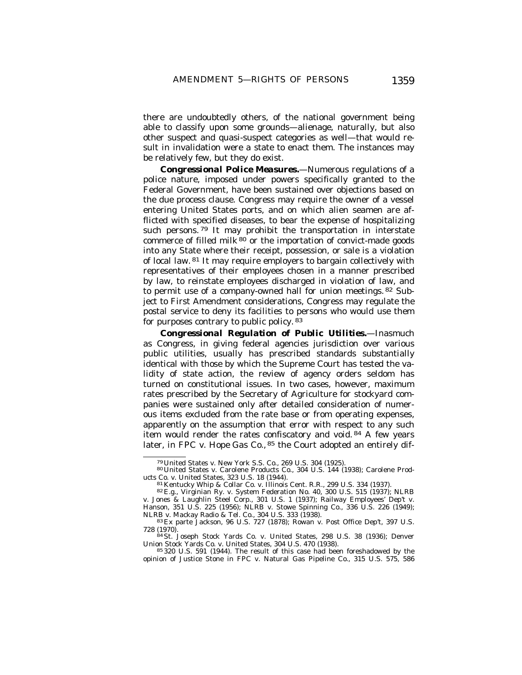there are undoubtedly others, of the national government being able to classify upon some grounds—alienage, naturally, but also other suspect and quasi-suspect categories as well—that would result in invalidation were a state to enact them. The instances may be relatively few, but they do exist.

*Congressional Police Measures.*—Numerous regulations of a police nature, imposed under powers specifically granted to the Federal Government, have been sustained over objections based on the due process clause. Congress may require the owner of a vessel entering United States ports, and on which alien seamen are afflicted with specified diseases, to bear the expense of hospitalizing such persons.<sup>79</sup> It may prohibit the transportation in interstate commerce of filled milk 80 or the importation of convict-made goods into any State where their receipt, possession, or sale is a violation of local law. 81 It may require employers to bargain collectively with representatives of their employees chosen in a manner prescribed by law, to reinstate employees discharged in violation of law, and to permit use of a company-owned hall for union meetings. 82 Subject to First Amendment considerations, Congress may regulate the postal service to deny its facilities to persons who would use them for purposes contrary to public policy. 83

*Congressional Regulation of Public Utilities.*—Inasmuch as Congress, in giving federal agencies jurisdiction over various public utilities, usually has prescribed standards substantially identical with those by which the Supreme Court has tested the validity of state action, the review of agency orders seldom has turned on constitutional issues. In two cases, however, maximum rates prescribed by the Secretary of Agriculture for stockyard companies were sustained only after detailed consideration of numerous items excluded from the rate base or from operating expenses, apparently on the assumption that error with respect to any such item would render the rates confiscatory and void. 84 A few years later, in *FPC v. Hope Gas Co.*, <sup>85</sup> the Court adopted an entirely dif-

<sup>79</sup> United States v. New York S.S. Co., 269 U.S. 304 (1925). <sup>80</sup> United States v. Carolene Products Co., 304 U.S. 144 (1938); Carolene Prod-

ucts Collar Co. v. Illinois Cent. R.R., 299 U.S. 334 (1937). 81 Kentucky Whip & Collar Co. v. Illinois Cent. R.R., 299 U.S. 334 (1937). NLRB 82 E.g., Virginian Ry. v. System Federation No. 40, 300 U.S. 515 (1937); NLRB v. Jones & Laughlin Steel Corp., 301 U.S. 1 (1937); Railway Employees' Dep't v. Hanson, 351 U.S. 225 (1956); NLRB v. Stowe Spinning Co., 336 U.S. 226 (1949); NLRB v. Mackay Radio & Tel. Co., 304 U.S. 333 (1938).

 $83$  Ex parte Jackson, 96 U.S. 727 (1878); Rowan v. Post Office Dep't, 397 U.S. 728 (1970).

 $84$  St. Joseph Stock Yards Co. v. United States, 298 U.S. 38 (1936); Denver Union Stock Yards Co. v. United States, 304 U.S. 470 (1938).

<sup>85 320</sup> U.S. 591 (1944). The result of this case had been foreshadowed by the opinion of Justice Stone in FPC v. Natural Gas Pipeline Co., 315 U.S. 575, 586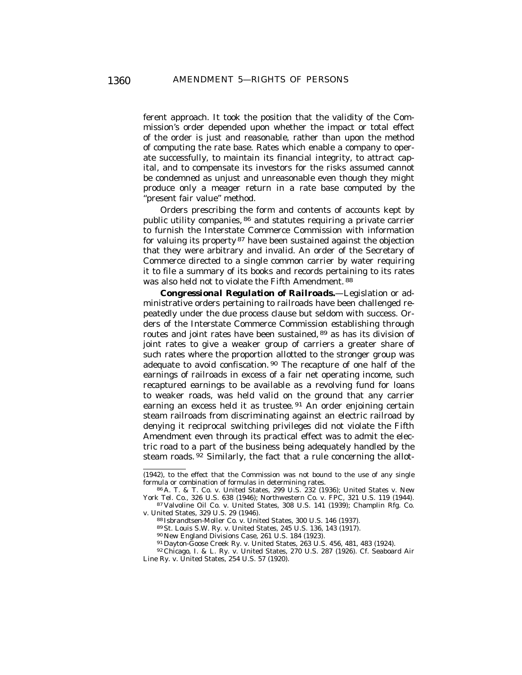ferent approach. It took the position that the validity of the Commission's order depended upon whether the impact or total effect of the order is just and reasonable, rather than upon the method of computing the rate base. Rates which enable a company to operate successfully, to maintain its financial integrity, to attract capital, and to compensate its investors for the risks assumed cannot be condemned as unjust and unreasonable even though they might produce only a meager return in a rate base computed by the ''present fair value'' method.

Orders prescribing the form and contents of accounts kept by public utility companies, 86 and statutes requiring a private carrier to furnish the Interstate Commerce Commission with information for valuing its property 87 have been sustained against the objection that they were arbitrary and invalid. An order of the Secretary of Commerce directed to a single common carrier by water requiring it to file a summary of its books and records pertaining to its rates was also held not to violate the Fifth Amendment. 88

*Congressional Regulation of Railroads.*—Legislation or administrative orders pertaining to railroads have been challenged repeatedly under the due process clause but seldom with success. Orders of the Interstate Commerce Commission establishing through routes and joint rates have been sustained, 89 as has its division of joint rates to give a weaker group of carriers a greater share of such rates where the proportion allotted to the stronger group was adequate to avoid confiscation. 90 The recapture of one half of the earnings of railroads in excess of a fair net operating income, such recaptured earnings to be available as a revolving fund for loans to weaker roads, was held valid on the ground that any carrier earning an excess held it as trustee. 91 An order enjoining certain steam railroads from discriminating against an electric railroad by denying it reciprocal switching privileges did not violate the Fifth Amendment even through its practical effect was to admit the electric road to a part of the business being adequately handled by the steam roads. 92 Similarly, the fact that a rule concerning the allot-

<sup>(1942),</sup> to the effect that the Commission was not bound to the use of any single formula or combination of formulas in determining rates.

<sup>86</sup> A. T. & T. Co. v. United States, 299 U.S. 232 (1936); United States v. New York Tel. Co., 326 U.S. 638 (1946); Northwestern Co. v. FPC, 321 U.S. 119 (1944). 87 Valvoline Oil Co. v. United States, 308 U.S. 141 (1939); Champlin Rfg. Co.

v. United States, 329 U.S. 29 (1946).

<sup>88</sup> Isbrandtsen-Moller Co. v. United States, 300 U.S. 146 (1937).

<sup>89</sup>St. Louis S.W. Ry. v. United States, 245 U.S. 136, 143 (1917).

<sup>90</sup> New England Divisions Case, 261 U.S. 184 (1923).

<sup>91</sup>Dayton-Goose Creek Ry. v. United States, 263 U.S. 456, 481, 483 (1924).

<sup>92</sup> Chicago, I. & L. Ry. v. United States, 270 U.S. 287 (1926). *Cf.* Seaboard Air Line Ry. v. United States, 254 U.S. 57 (1920).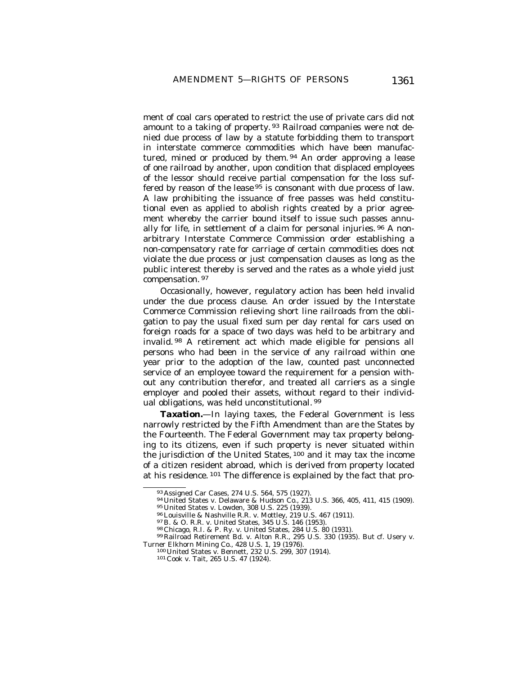ment of coal cars operated to restrict the use of private cars did not amount to a taking of property. 93 Railroad companies were not denied due process of law by a statute forbidding them to transport in interstate commerce commodities which have been manufactured, mined or produced by them. 94 An order approving a lease of one railroad by another, upon condition that displaced employees of the lessor should receive partial compensation for the loss suffered by reason of the lease 95 is consonant with due process of law. A law prohibiting the issuance of free passes was held constitutional even as applied to abolish rights created by a prior agreement whereby the carrier bound itself to issue such passes annually for life, in settlement of a claim for personal injuries. 96 A nonarbitrary Interstate Commerce Commission order establishing a non-compensatory rate for carriage of certain commodities does not violate the due process or just compensation clauses as long as the public interest thereby is served and the rates as a whole yield just compensation. 97

Occasionally, however, regulatory action has been held invalid under the due process clause. An order issued by the Interstate Commerce Commission relieving short line railroads from the obligation to pay the usual fixed sum per day rental for cars used on foreign roads for a space of two days was held to be arbitrary and invalid. 98 A retirement act which made eligible for pensions all persons who had been in the service of any railroad within one year prior to the adoption of the law, counted past unconnected service of an employee toward the requirement for a pension without any contribution therefor, and treated all carriers as a single employer and pooled their assets, without regard to their individual obligations, was held unconstitutional. 99

*Taxation.*—In laying taxes, the Federal Government is less narrowly restricted by the Fifth Amendment than are the States by the Fourteenth. The Federal Government may tax property belonging to its citizens, even if such property is never situated within the jurisdiction of the United States, 100 and it may tax the income of a citizen resident abroad, which is derived from property located at his residence. 101 The difference is explained by the fact that pro-

<sup>&</sup>lt;sup>93</sup> Assigned Car Cases, 274 U.S. 564, 575 (1927).<br><sup>94</sup> United States v. Delaware & Hudson Co., 213 U.S. 366, 405, 411, 415 (1909).<br><sup>95</sup> United States v. Lowden, 308 U.S. 225 (1939).<br><sup>96</sup> Louisville & Nashville R.R. v. Mo

Turner Elkhorn Mining Co., 428 U.S. 1, 19 (1976). <sup>100</sup> United States v. Bennett, 232 U.S. 299, 307 (1914). <sup>101</sup> Cook v. Tait, 265 U.S. 47 (1924).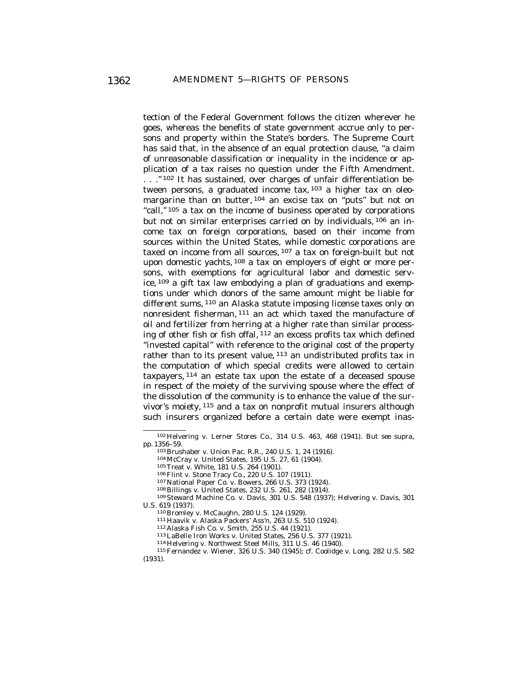tection of the Federal Government follows the citizen wherever he goes, whereas the benefits of state government accrue only to persons and property within the State's borders. The Supreme Court has said that, in the absence of an equal protection clause, ''a claim of unreasonable classification or inequality in the incidence or application of a tax raises no question under the Fifth Amendment. . . .'' 102 It has sustained, over charges of unfair differentiation between persons, a graduated income tax, 103 a higher tax on oleomargarine than on butter, <sup>104</sup> an excise tax on "puts" but not on "call,"<sup>105</sup> a tax on the income of business operated by corporations but not on similar enterprises carried on by individuals, 106 an income tax on foreign corporations, based on their income from sources within the United States, while domestic corporations are taxed on income from all sources, 107 a tax on foreign-built but not upon domestic yachts, 108 a tax on employers of eight or more persons, with exemptions for agricultural labor and domestic service, 109 a gift tax law embodying a plan of graduations and exemptions under which donors of the same amount might be liable for different sums, <sup>110</sup> an Alaska statute imposing license taxes only on nonresident fisherman, 111 an act which taxed the manufacture of oil and fertilizer from herring at a higher rate than similar processing of other fish or fish offal, 112 an excess profits tax which defined ''invested capital'' with reference to the original cost of the property rather than to its present value, <sup>113</sup> an undistributed profits tax in the computation of which special credits were allowed to certain taxpayers, 114 an estate tax upon the estate of a deceased spouse in respect of the moiety of the surviving spouse where the effect of the dissolution of the community is to enhance the value of the survivor's moiety, 115 and a tax on nonprofit mutual insurers although such insurers organized before a certain date were exempt inas-

<sup>102</sup> Helvering v. Lerner Stores Co., 314 U.S. 463, 468 (1941). *But see* supra, pp. 1356–59.

<sup>103</sup> Brushaber v. Union Pac. R.R., 240 U.S. 1, 24 (1916).

<sup>104</sup>McCray v. United States, 195 U.S. 27, 61 (1904).

<sup>105</sup>Treat v. White, 181 U.S. 264 (1901).

<sup>106</sup>Flint v. Stone Tracy Co., 220 U.S. 107 (1911).

<sup>107</sup> National Paper Co. v. Bowers, 266 U.S. 373 (1924).

<sup>108</sup> Billings v. United States, 232 U.S. 261, 282 (1914).

<sup>109</sup>Steward Machine Co. v. Davis, 301 U.S. 548 (1937); Helvering v. Davis, 301 U.S. 619 (1937).

<sup>110</sup> Bromley v. McCaughn, 280 U.S. 124 (1929).

<sup>111</sup> Haavik v. Alaska Packers' Ass'n, 263 U.S. 510 (1924).

<sup>112</sup> Alaska Fish Co. v. Smith, 255 U.S. 44 (1921).

<sup>113</sup>LaBelle Iron Works v. United States, 256 U.S. 377 (1921). 114 Helvering v. Northwest Steel Mills, 311 U.S. 46 (1940).

<sup>115</sup>Fernandez v. Wiener, 326 U.S. 340 (1945); *cf.* Coolidge v. Long, 282 U.S. 582

<sup>(1931).</sup>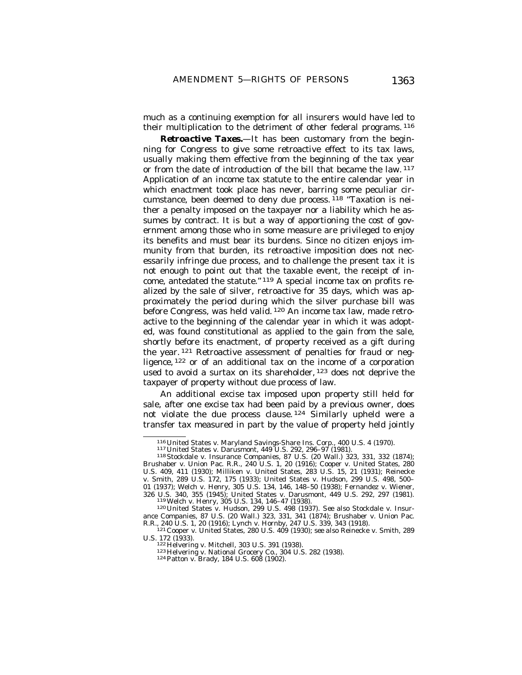much as a continuing exemption for all insurers would have led to their multiplication to the detriment of other federal programs. 116

*Retroactive Taxes.*—It has been customary from the beginning for Congress to give some retroactive effect to its tax laws, usually making them effective from the beginning of the tax year or from the date of introduction of the bill that became the law. 117 Application of an income tax statute to the entire calendar year in which enactment took place has never, barring some peculiar circumstance, been deemed to deny due process. 118 ''Taxation is neither a penalty imposed on the taxpayer nor a liability which he assumes by contract. It is but a way of apportioning the cost of government among those who in some measure are privileged to enjoy its benefits and must bear its burdens. Since no citizen enjoys immunity from that burden, its retroactive imposition does not necessarily infringe due process, and to challenge the present tax it is not enough to point out that the taxable event, the receipt of income, antedated the statute.'' 119 A special income tax on profits realized by the sale of silver, retroactive for 35 days, which was approximately the period during which the silver purchase bill was before Congress, was held valid. 120 An income tax law, made retroactive to the beginning of the calendar year in which it was adopted, was found constitutional as applied to the gain from the sale, shortly before its enactment, of property received as a gift during the year. 121 Retroactive assessment of penalties for fraud or negligence, 122 or of an additional tax on the income of a corporation used to avoid a surtax on its shareholder, 123 does not deprive the taxpayer of property without due process of law.

An additional excise tax imposed upon property still held for sale, after one excise tax had been paid by a previous owner, does not violate the due process clause. 124 Similarly upheld were a transfer tax measured in part by the value of property held jointly

ance Companies, 87 U.S. (20 Wall.) 323, 331, 341 (1874); Brushaber v. Union Pac. R.R., 240 U.S. 1, 20 (1916); Lynch v. Hornby, 247 U.S. 339, 343 (1918).

<sup>122</sup> Helvering v. Mitchell, 303 U.S. 391 (1938).<br><sup>123</sup> Helvering v. National Grocery Co., 304 U.S. 282 (1938).<br><sup>124</sup> Patton v. Brady, 184 U.S. 608 (1902).

<sup>116</sup> United States v. Maryland Savings-Share Ins. Corp., 400 U.S. 4 (1970).<br>117 United States v. Darusmont, 449 U.S. 292, 296–97 (1981).<br><sup>118</sup> Stockdale v. Insurance Companies, 87 U.S. (20 Wall.) 323, 331, 332 (1874); Brushaber v. Union Pac. R.R., 240 U.S. 1, 20 (1916); Cooper v. United States, 280 U.S. 409, 411 (1930); Milliken v. United States, 283 U.S. 15, 21 (1931); Reinecke v. Smith, 289 U.S. 172, 175 (1933); United States v. Hudson, 299 U.S. 498, 500– 01 (1937); Welch v. Henry, 305 U.S. 134, 146, 148–50 (1938); Fernandez v. Wiener, 326 U.S. 340, 355 (1945); United States v. Darusmont, 449 U.S. 292, 297 (1981). 119Welch v. Henry, 305 U.S. 134, 146–47 (1938). <sup>120</sup> United States v. Hudson, 299 U.S. 498 (1937). *See also* Stockdale v. Insur-

<sup>&</sup>lt;sup>121</sup> Cooper v. United States, 280 U.S. 409 (1930); *see also* Reinecke v. Smith, 289 U.S. 172 (1933).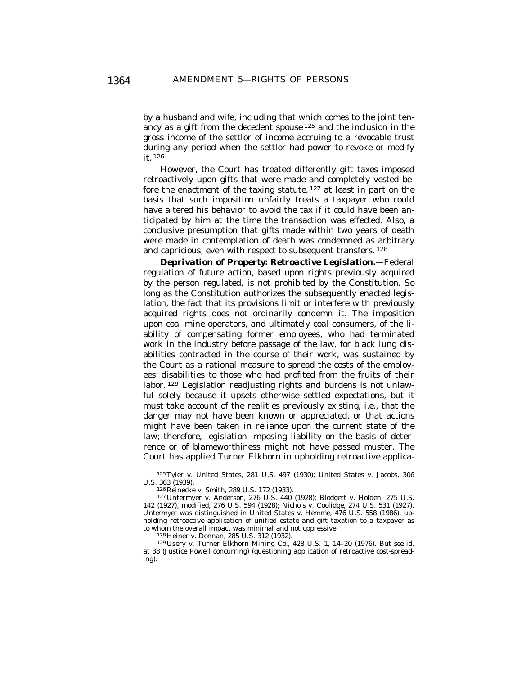by a husband and wife, including that which comes to the joint tenancy as a gift from the decedent spouse 125 and the inclusion in the gross income of the settlor of income accruing to a revocable trust during any period when the settlor had power to revoke or modify it. 126

However, the Court has treated differently gift taxes imposed retroactively upon gifts that were made and completely vested before the enactment of the taxing statute, 127 at least in part on the basis that such imposition unfairly treats a taxpayer who could have altered his behavior to avoid the tax if it could have been anticipated by him at the time the transaction was effected. Also, a conclusive presumption that gifts made within two years of death were made in contemplation of death was condemned as arbitrary and capricious, even with respect to subsequent transfers. 128

*Deprivation of Property: Retroactive Legislation.*—Federal regulation of future action, based upon rights previously acquired by the person regulated, is not prohibited by the Constitution. So long as the Constitution authorizes the subsequently enacted legislation, the fact that its provisions limit or interfere with previously acquired rights does not ordinarily condemn it. The imposition upon coal mine operators, and ultimately coal consumers, of the liability of compensating former employees, who had terminated work in the industry before passage of the law, for black lung disabilities contracted in the course of their work, was sustained by the Court as a rational measure to spread the costs of the employees' disabilities to those who had profited from the fruits of their labor. 129 Legislation readjusting rights and burdens is not unlawful solely because it upsets otherwise settled expectations, but it must take account of the realities previously existing, i.e., that the danger may not have been known or appreciated, or that actions might have been taken in reliance upon the current state of the law; therefore, legislation imposing liability on the basis of deterrence or of blameworthiness might not have passed muster. The Court has applied *Turner Elkhorn* in upholding retroactive applica-

128 Heiner v. Donnan, 285 U.S. 312 (1932).

129 Usery v. Turner Elkhorn Mining Co., 428 U.S. 1, 14–20 (1976). *But see* id. at 38 (Justice Powell concurring) (questioning application of retroactive cost-spreading).

<sup>125</sup>Tyler v. United States, 281 U.S. 497 (1930); United States v. Jacobs, 306 U.S. 363 (1939).

<sup>126</sup> Reinecke v. Smith, 289 U.S. 172 (1933).

<sup>127</sup> Untermyer v. Anderson, 276 U.S. 440 (1928); Blodgett v. Holden, 275 U.S. 142 (1927), modified, 276 U.S. 594 (1928); Nichols v. Coolidge, 274 U.S. 531 (1927). *Untermyer* was distinguished in United States v. Hemme, 476 U.S. 558 (1986), upholding retroactive application of unified estate and gift taxation to a taxpayer as to whom the overall impact was minimal and not oppressive.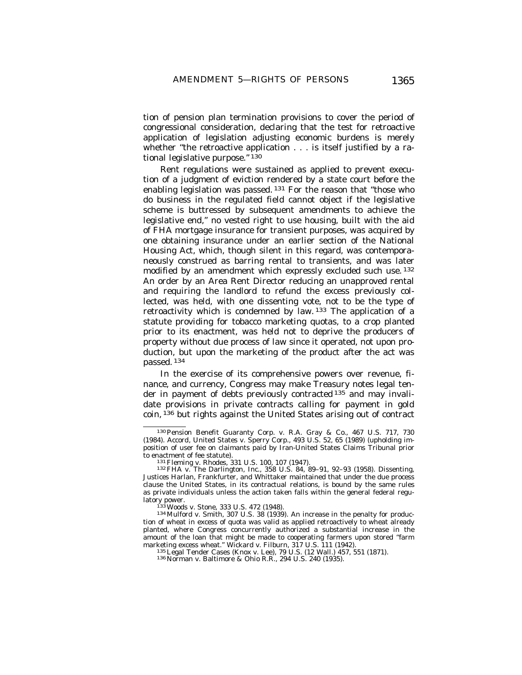tion of pension plan termination provisions to cover the period of congressional consideration, declaring that the test for retroactive application of legislation adjusting economic burdens is merely whether "the retroactive application  $\ldots$  is itself justified by a rational legislative purpose.'' 130

Rent regulations were sustained as applied to prevent execution of a judgment of eviction rendered by a state court before the enabling legislation was passed. 131 For the reason that ''those who do business in the regulated field cannot object if the legislative scheme is buttressed by subsequent amendments to achieve the legislative end,'' no vested right to use housing, built with the aid of FHA mortgage insurance for transient purposes, was acquired by one obtaining insurance under an earlier section of the National Housing Act, which, though silent in this regard, was contemporaneously construed as barring rental to transients, and was later modified by an amendment which expressly excluded such use. 132 An order by an Area Rent Director reducing an unapproved rental and requiring the landlord to refund the excess previously collected, was held, with one dissenting vote, not to be the type of retroactivity which is condemned by law. 133 The application of a statute providing for tobacco marketing quotas, to a crop planted prior to its enactment, was held not to deprive the producers of property without due process of law since it operated, not upon production, but upon the marketing of the product after the act was passed. 134

In the exercise of its comprehensive powers over revenue, finance, and currency, Congress may make Treasury notes legal tender in payment of debts previously contracted 135 and may invalidate provisions in private contracts calling for payment in gold coin, 136 but rights against the United States arising out of contract

<sup>130</sup>Pension Benefit Guaranty Corp. v. R.A. Gray & Co., 467 U.S. 717, 730 (1984). *Accord,* United States v. Sperry Corp., 493 U.S. 52, 65 (1989) (upholding imposition of user fee on claimants paid by Iran-United States Claims Tribunal prior

<sup>&</sup>lt;sup>131</sup> Fleming v. Rhodes, 331 U.S. 100, 107 (1947). <sup>132</sup> FHA v. The Darlington, Inc., 358 U.S. 84, 89–91, 92–93 (1958). Dissenting, Justices Harlan, Frankfurter, and Whittaker maintained that under the due process clause the United States, in its contractual relations, is bound by the same rules as private individuals unless the action taken falls within the general federal regulatory power.<br><sup>133</sup> Woods v. Stone, 333 U.S. 472 (1948).

 $134$  Mulford v. Smith, 307 U.S.  $38$  (1939). An increase in the penalty for production of wheat in excess of quota was valid as applied retroactively to wheat already planted, where Congress concurrently authorized a substantial increase in the amount of the loan that might be made to cooperating farmers upon stored ''farm marketing excess wheat.'' Wickard v. Filburn, 317 U.S. 111 (1942).<br>
<sup>135</sup>Legal Tender Cases (Knox v. Lee), 79 U.S. (12 Wall.) 457, 551 (1871).<br>
<sup>136</sup> Norman v. Baltimore & Ohio R.R., 294 U.S. 240 (1935).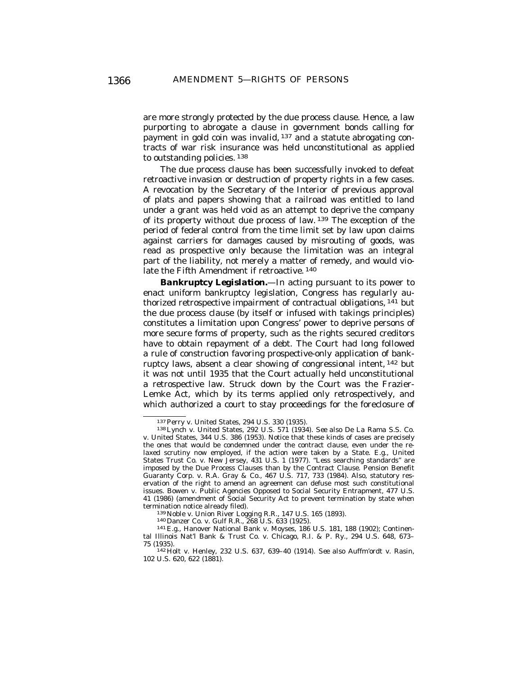are more strongly protected by the due process clause. Hence, a law purporting to abrogate a clause in government bonds calling for payment in gold coin was invalid, 137 and a statute abrogating contracts of war risk insurance was held unconstitutional as applied to outstanding policies. 138

The due process clause has been successfully invoked to defeat retroactive invasion or destruction of property rights in a few cases. A revocation by the Secretary of the Interior of previous approval of plats and papers showing that a railroad was entitled to land under a grant was held void as an attempt to deprive the company of its property without due process of law. 139 The exception of the period of federal control from the time limit set by law upon claims against carriers for damages caused by misrouting of goods, was read as prospective only because the limitation was an integral part of the liability, not merely a matter of remedy, and would violate the Fifth Amendment if retroactive. 140

*Bankruptcy Legislation.*—In acting pursuant to its power to enact uniform bankruptcy legislation, Congress has regularly authorized retrospective impairment of contractual obligations, 141 but the due process clause (by itself or infused with takings principles) constitutes a limitation upon Congress' power to deprive persons of more secure forms of property, such as the rights secured creditors have to obtain repayment of a debt. The Court had long followed a rule of construction favoring prospective-only application of bankruptcy laws, absent a clear showing of congressional intent, 142 but it was not until 1935 that the Court actually held unconstitutional a retrospective law. Struck down by the Court was the Frazier-Lemke Act, which by its terms applied only retrospectively, and which authorized a court to stay proceedings for the foreclosure of

<sup>137</sup>Perry v. United States, 294 U.S. 330 (1935).

<sup>138</sup>Lynch v. United States, 292 U.S. 571 (1934). *See also* De La Rama S.S. Co. v. United States, 344 U.S. 386 (1953). Notice that these kinds of cases are precisely the ones that would be condemned under the contract clause, even under the relaxed scrutiny now employed, if the action were taken by a State. E.g., United States Trust Co. v. New Jersey, 431 U.S. 1 (1977). "Less searching standards" are imposed by the Due Process Clauses than by the Contract Clause. Pension Benefit Guaranty Corp. v. R.A. Gray & Co., 467 U.S. 717, 733 (1984). Also, statutory reservation of the right to amend an agreement can defuse most such constitutional issues. Bowen v. Public Agencies Opposed to Social Security Entrapment, 477 U.S. 41 (1986) (amendment of Social Security Act to prevent termination by state when termination notice already filed).

<sup>139</sup> Noble v. Union River Logging R.R., 147 U.S. 165 (1893).

<sup>140</sup>Danzer Co. v. Gulf R.R., 268 U.S. 633 (1925).

<sup>141</sup> E.g., Hanover National Bank v. Moyses, 186 U.S. 181, 188 (1902); Continental Illinois Nat'l Bank & Trust Co. v. Chicago, R.I. & P. Ry., 294 U.S. 648, 673– 75 (1935).

<sup>142</sup> Holt v. Henley, 232 U.S. 637, 639–40 (1914). *See also* Auffm'ordt v. Rasin, 102 U.S. 620, 622 (1881).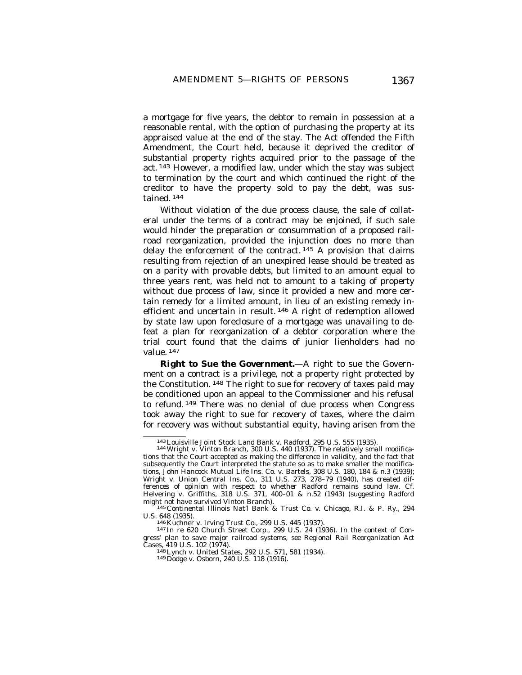a mortgage for five years, the debtor to remain in possession at a reasonable rental, with the option of purchasing the property at its appraised value at the end of the stay. The Act offended the Fifth Amendment, the Court held, because it deprived the creditor of substantial property rights acquired prior to the passage of the act. 143 However, a modified law, under which the stay was subject to termination by the court and which continued the right of the creditor to have the property sold to pay the debt, was sustained. 144

Without violation of the due process clause, the sale of collateral under the terms of a contract may be enjoined, if such sale would hinder the preparation or consummation of a proposed railroad reorganization, provided the injunction does no more than delay the enforcement of the contract. 145 A provision that claims resulting from rejection of an unexpired lease should be treated as on a parity with provable debts, but limited to an amount equal to three years rent, was held not to amount to a taking of property without due process of law, since it provided a new and more certain remedy for a limited amount, in lieu of an existing remedy inefficient and uncertain in result. 146 A right of redemption allowed by state law upon foreclosure of a mortgage was unavailing to defeat a plan for reorganization of a debtor corporation where the trial court found that the claims of junior lienholders had no value. 147

*Right to Sue the Government.*—A right to sue the Government on a contract is a privilege, not a property right protected by the Constitution. 148 The right to sue for recovery of taxes paid may be conditioned upon an appeal to the Commissioner and his refusal to refund. 149 There was no denial of due process when Congress took away the right to sue for recovery of taxes, where the claim for recovery was without substantial equity, having arisen from the

<sup>&</sup>lt;sup>143</sup> Louisville Joint Stock Land Bank v. Radford, 295 U.S. 555 (1935).<br><sup>144</sup> Wright v. Vinton Branch, 300 U.S. 440 (1937). The relatively small modifications that the Court accepted as making the difference in validity, and the fact that subsequently the Court interpreted the statute so as to make smaller the modifications, John Hancock Mutual Life Ins. Co. v. Bartels, 308 U.S. 180, 184 & n.3 (1939); Wright v. Union Central Ins. Co., 311 U.S. 273, 278–79 (1940), has created differences of opinion with respect to whether *Radford* remains sound law. *Cf.* Helvering v. Griffiths, 318 U.S. 371, 400–01 & n.52 (1943) (suggesting *Radford*

might not have survived *Vinton Branch*).<br><sup>145</sup> Continental Illinois Nat'l Bank & Trust Co. v. Chicago, R.I. & P. Ry., 294<br>U.S. 648 (1935).

U.S. 648 (1935).<br>146 Kuchner v. Irving Trust Co., 299 U.S. 445 (1937).<br>147 In re 620 Church Street Corp., 299 U.S. 24 (1936). In the context of Congress' plan to save major railroad systems, *see* Regional Rail Reorganization Act Cases, 419 U.S. 102 (1974). 148Lynch v. United States, 292 U.S. 571, 581 (1934). 149Dodge v. Osborn, 240 U.S. 118 (1916).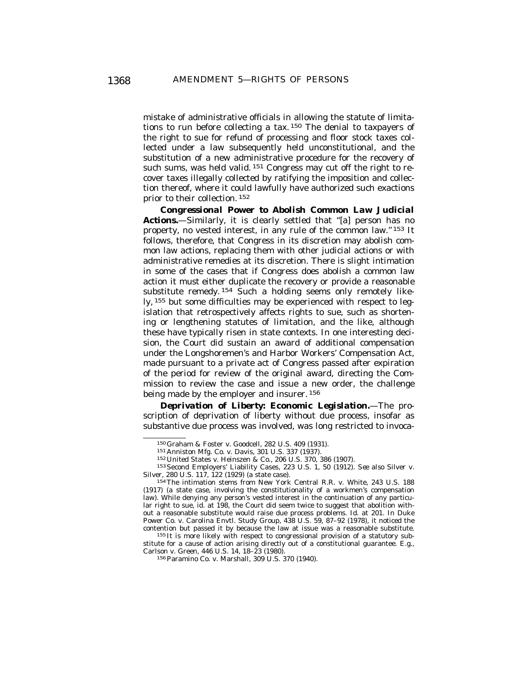mistake of administrative officials in allowing the statute of limitations to run before collecting a tax. 150 The denial to taxpayers of the right to sue for refund of processing and floor stock taxes collected under a law subsequently held unconstitutional, and the substitution of a new administrative procedure for the recovery of such sums, was held valid. <sup>151</sup> Congress may cut off the right to recover taxes illegally collected by ratifying the imposition and collection thereof, where it could lawfully have authorized such exactions prior to their collection. 152

*Congressional Power to Abolish Common Law Judicial* Actions. Similarly, it is clearly settled that "[a] person has no property, no vested interest, in any rule of the common law.'' 153 It follows, therefore, that Congress in its discretion may abolish common law actions, replacing them with other judicial actions or with administrative remedies at its discretion. There is slight intimation in some of the cases that if Congress does abolish a common law action it *must* either duplicate the recovery or provide a reasonable substitute remedy. 154 Such a holding seems only remotely likely, 155 but some difficulties may be experienced with respect to legislation that retrospectively affects rights to sue, such as shortening or lengthening statutes of limitation, and the like, although these have typically risen in state contexts. In one interesting decision, the Court did sustain an award of additional compensation under the Longshoremen's and Harbor Workers' Compensation Act, made pursuant to a private act of Congress passed after expiration of the period for review of the original award, directing the Commission to review the case and issue a new order, the challenge being made by the employer and insurer. 156

*Deprivation of Liberty: Economic Legislation.*—The proscription of deprivation of liberty without due process, insofar as substantive due process was involved, was long restricted to invoca-

<sup>150</sup>Graham & Foster v. Goodcell, 282 U.S. 409 (1931).

<sup>151</sup> Anniston Mfg. Co. v. Davis, 301 U.S. 337 (1937).

<sup>152</sup> United States v. Heinszen & Co., 206 U.S. 370, 386 (1907).

<sup>153</sup>Second Employers' Liability Cases, 223 U.S. 1, 50 (1912). *See also* Silver v. Silver, 280 U.S. 117, 122 (1929) (a state case).

<sup>154</sup>The intimation stems from New York Central R.R. v. White, 243 U.S. 188 (1917) (a state case, involving the constitutionality of a workmen's compensation law). While denying any person's vested interest in the continuation of any particular right to sue, id. at 198, the Court did seem twice to suggest that abolition without a reasonable substitute would raise due process problems. Id. at 201. In Duke Power Co. v. Carolina Envtl. Study Group, 438 U.S. 59, 87–92 (1978), it noticed the contention but passed it by because the law at issue was a reasonable substitute.

<sup>155</sup> It is more likely with respect to congressional provision of a statutory substitute for a cause of action arising directly out of a constitutional guarantee. E.g., Carlson v. Green, 446 U.S. 14, 18–23 (1980).

<sup>156</sup>Paramino Co. v. Marshall, 309 U.S. 370 (1940).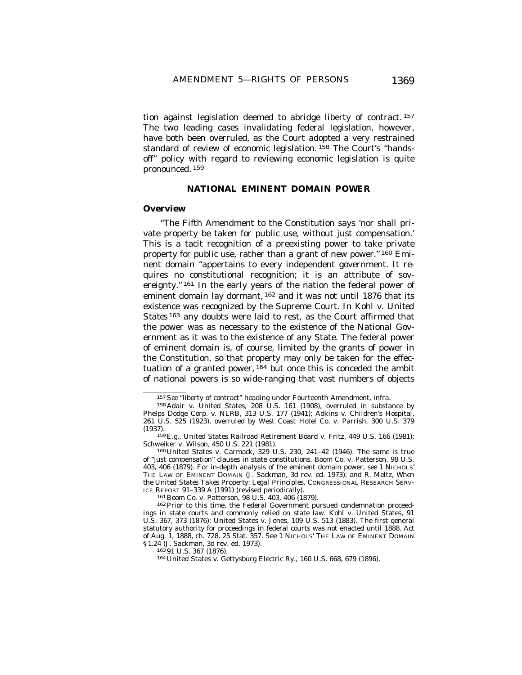tion against legislation deemed to abridge liberty of contract. 157 The two leading cases invalidating federal legislation, however, have both been overruled, as the Court adopted a very restrained standard of review of economic legislation. 158 The Court's ''handsoff'' policy with regard to reviewing economic legislation is quite pronounced. 159

## **NATIONAL EMINENT DOMAIN POWER**

#### **Overview**

''The Fifth Amendment to the Constitution says 'nor shall private property be taken for public use, without just compensation.' This is a tacit recognition of a preexisting power to take private property for public use, rather than a grant of new power.'' 160 Eminent domain ''appertains to every independent government. It requires no constitutional recognition; it is an attribute of sovereignty.'' 161 In the early years of the nation the federal power of eminent domain lay dormant, 162 and it was not until 1876 that its existence was recognized by the Supreme Court. In *Kohl v. United States* 163 any doubts were laid to rest, as the Court affirmed that the power was as necessary to the existence of the National Government as it was to the existence of any State. The federal power of eminent domain is, of course, limited by the grants of power in the Constitution, so that property may only be taken for the effectuation of a granted power, 164 but once this is conceded the ambit of national powers is so wide-ranging that vast numbers of objects

<sup>&</sup>lt;sup>157</sup> See "liberty of contract" heading under Fourteenth Amendment, infra.

<sup>158</sup> Adair v. United States, 208 U.S. 161 (1908), overruled in substance by Phelps Dodge Corp. v. NLRB, 313 U.S. 177 (1941); Adkins v. Children's Hospital, 261 U.S. 525 (1923), overruled by West Coast Hotel Co. v. Parrish, 300 U.S. 379 (1937).

<sup>159</sup> E.g., United States Railroad Retirement Board v. Fritz, 449 U.S. 166 (1981); Schweiker v. Wilson, 450 U.S. 221 (1981).

<sup>160</sup> United States v. Carmack, 329 U.S. 230, 241–42 (1946). The same is true of ''just compensation'' clauses in state constitutions. Boom Co. v. Patterson, 98 U.S. 403, 406 (1879). For in-depth analysis of the eminent domain power, *see* 1 NICHOLS' THE LAW OF EMINENT DOMAIN (J. Sackman, 3d rev. ed. 1973); and R. Meltz, *When the United States Takes Property: Legal Principles*, CONGRESSIONAL RESEARCH SERV-ICE REPORT 91–339 A (1991) (revised periodically).

<sup>161</sup> Boom Co. v. Patterson, 98 U.S. 403, 406 (1879).

<sup>162</sup>Prior to this time, the Federal Government pursued condemnation proceedings in state courts and commonly relied on state law. Kohl v. United States, 91 U.S. 367, 373 (1876); United States v. Jones, 109 U.S. 513 (1883). The first general statutory authority for proceedings in federal courts was not enacted until 1888. Act of Aug. 1, 1888, ch. 728, 25 Stat. 357. See 1 NICHOLS' THE LAW OF EMINENT DOMAIN § 1.24 (J. Sackman, 3d rev. ed. 1973).

<sup>163</sup> 91 U.S. 367 (1876).

<sup>164</sup> United States v. Gettysburg Electric Ry., 160 U.S. 668, 679 (1896).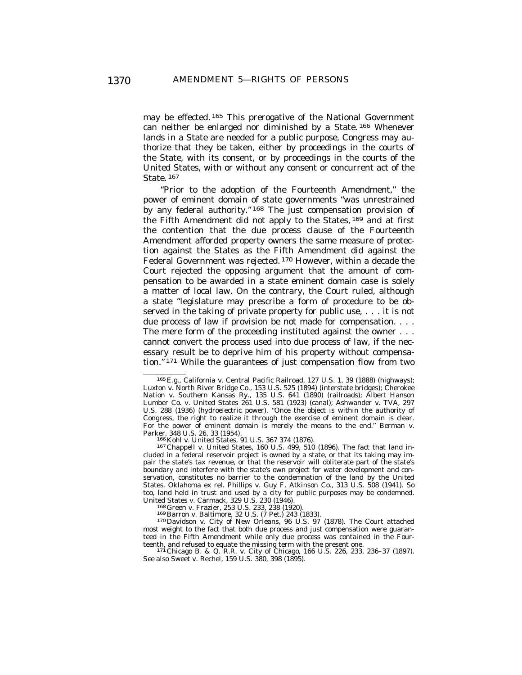may be effected. 165 This prerogative of the National Government can neither be enlarged nor diminished by a State. 166 Whenever lands in a State are needed for a public purpose, Congress may authorize that they be taken, either by proceedings in the courts of the State, with its consent, or by proceedings in the courts of the United States, with or without any consent or concurrent act of the State. 167

''Prior to the adoption of the Fourteenth Amendment,'' the power of eminent domain of state governments ''was unrestrained by any federal authority."<sup>168</sup> The just compensation provision of the Fifth Amendment did not apply to the States, 169 and at first the contention that the due process clause of the Fourteenth Amendment afforded property owners the same measure of protection against the States as the Fifth Amendment did against the Federal Government was rejected. 170 However, within a decade the Court rejected the opposing argument that the amount of compensation to be awarded in a state eminent domain case is solely a matter of local law. On the contrary, the Court ruled, although a state ''legislature may prescribe a form of procedure to be observed in the taking of private property for public use, . . . it is not due process of law if provision be not made for compensation. . . . The mere form of the proceeding instituted against the owner . . . cannot convert the process used into due process of law, if the necessary result be to deprive him of his property without compensation.'' 171 While the guarantees of just compensation flow from two

<sup>165</sup> E.g., California v. Central Pacific Railroad, 127 U.S. 1, 39 (1888) (highways); Luxton v. North River Bridge Co., 153 U.S. 525 (1894) (interstate bridges); Cherokee Nation v. Southern Kansas Ry., 135 U.S. 641 (1890) (railroads); Albert Hanson Lumber Co. v. United States 261 U.S. 581 (1923) (canal); Ashwander v. TVA, 297 U.S. 288 (1936) (hydroelectric power). ''Once the object is within the authority of Congress, the right to realize it through the exercise of eminent domain is clear. For the power of eminent domain is merely the means to the end." Berman v. Parker, 348 U.S. 26, 33 (1954).

 $P_{166}$  Kohl v. United States, 91 U.S. 367 374 (1876).<br><sup>167</sup> Chappell v. United States, 160 U.S. 499, 510 (1896). The fact that land included in a federal reservoir project is owned by a state, or that its taking may impair the state's tax revenue, or that the reservoir will obliterate part of the state's boundary and interfere with the state's own project for water development and conservation, constitutes no barrier to the condemnation of the land by the United States. Oklahoma ex rel. Phillips v. Guy F. Atkinson Co., 313 U.S. 508 (1941). So too, land held in trust and used by a city for public purposes may be condemned.

<sup>&</sup>lt;sup>168</sup> Green v. Frazier, 253 U.S. 233, 238 (1920). 169 Barron v. Baltimore, 32 U.S. (7 Pet.) 243 (1833). 170Davidson v. City of New Orleans, 96 U.S. 97 (1878). The Court attached most weight to the fact that both due process and just compensation were guaranteed in the Fifth Amendment while only due process was contained in the Fourteenth, and refused to equate the missing term with the present one. <sup>171</sup> Chicago B. & Q. R.R. v. City of Chicago, 166 U.S. 226, 233, 236–37 (1897).

*See also* Sweet v. Rechel, 159 U.S. 380, 398 (1895).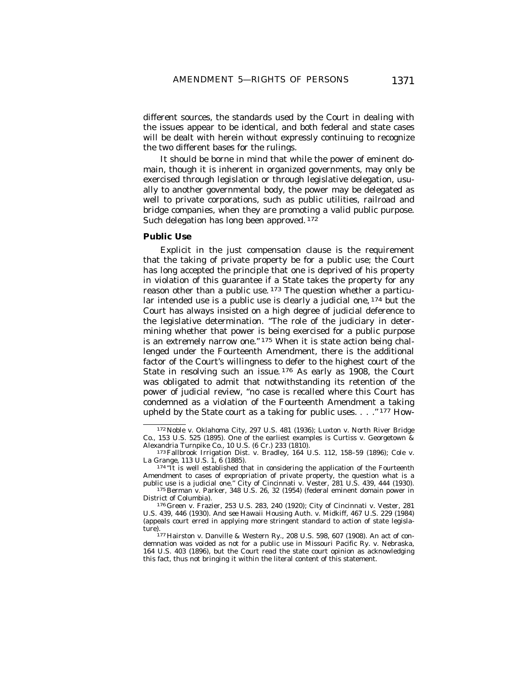different sources, the standards used by the Court in dealing with the issues appear to be identical, and both federal and state cases will be dealt with herein without expressly continuing to recognize the two different bases for the rulings.

It should be borne in mind that while the power of eminent domain, though it is inherent in organized governments, may only be exercised through legislation or through legislative delegation, usually to another governmental body, the power may be delegated as well to private corporations, such as public utilities, railroad and bridge companies, when they are promoting a valid public purpose. Such delegation has long been approved. 172

### **Public Use**

Explicit in the just compensation clause is the requirement that the taking of private property be for a public use; the Court has long accepted the principle that one is deprived of his property in violation of this guarantee if a State takes the property for any reason other than a public use. 173 The question whether a particular intended use is a public use is clearly a judicial one, 174 but the Court has always insisted on a high degree of judicial deference to the legislative determination. ''The role of the judiciary in determining whether that power is being exercised for a public purpose is an extremely narrow one."<sup>175</sup> When it is state action being challenged under the Fourteenth Amendment, there is the additional factor of the Court's willingness to defer to the highest court of the State in resolving such an issue. 176 As early as 1908, the Court was obligated to admit that notwithstanding its retention of the power of judicial review, ''no case is recalled where this Court has condemned as a violation of the Fourteenth Amendment a taking upheld by the State court as a taking for public uses. . . . "177 How-

<sup>172</sup> Noble v. Oklahoma City, 297 U.S. 481 (1936); Luxton v. North River Bridge Co., 153 U.S. 525 (1895). One of the earliest examples is Curtiss v. Georgetown &

<sup>173</sup> Fallbrook Irrigation Dist. v. Bradley, 164 U.S. 112, 158-59 (1896); Cole v. La Grange, 113 U.S. 1, 6 (1885).  $1^{174}$  is well established that in considering the application of the Fourteenth

Amendment to cases of expropriation of private property, the question what is a public use is a judicial one.'' City of Cincinnati v. Vester, 281 U.S. 439, 444 (1930). <sup>175</sup> Berman v. Parker, 348 U.S. 26, 32 (1954) (federal eminent domain power in District of Columbia).

<sup>176</sup>Green v. Frazier, 253 U.S. 283, 240 (1920); City of Cincinnati v. Vester, 281 U.S. 439, 446 (1930). *And see* Hawaii Housing Auth. v. Midkiff, 467 U.S. 229 (1984) (appeals court erred in applying more stringent standard to action of state legisla-

 $177$  Hairston v. Danville & Western Ry., 208 U.S. 598, 607 (1908). An act of condemnation was voided as not for a public use in Missouri Pacific Ry. v. Nebraska, 164 U.S. 403 (1896), but the Court read the state court opinion as acknowledging this fact, thus not bringing it within the literal content of this statement.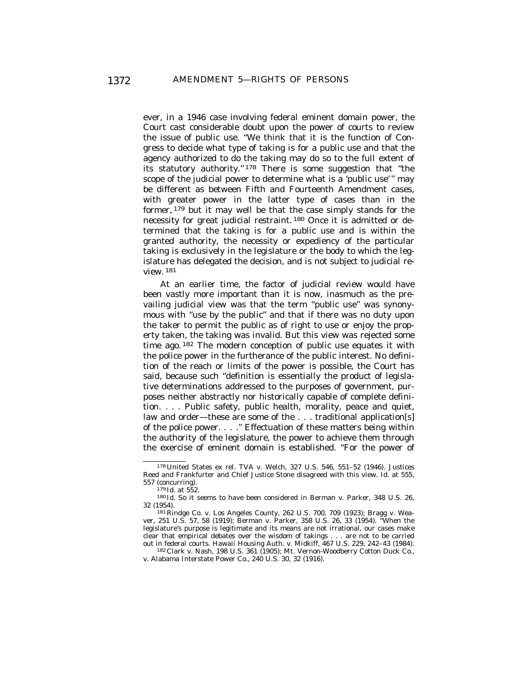ever, in a 1946 case involving federal eminent domain power, the Court cast considerable doubt upon the power of courts to review the issue of public use. ''We think that it is the function of Congress to decide what type of taking is for a public use and that the agency authorized to do the taking may do so to the full extent of its statutory authority.'' 178 There is some suggestion that ''the scope of the judicial power to determine what is a 'public use'" may be different as between Fifth and Fourteenth Amendment cases, with greater power in the latter type of cases than in the former, 179 but it may well be that the case simply stands for the necessity for great judicial restraint. 180 Once it is admitted or determined that the taking is for a public use and is within the granted authority, the necessity or expediency of the particular taking is exclusively in the legislature or the body to which the legislature has delegated the decision, and is not subject to judicial review. 181

At an earlier time, the factor of judicial review would have been vastly more important than it is now, inasmuch as the prevailing judicial view was that the term "public use" was synonymous with ''use by the public'' and that if there was no duty upon the taker to permit the public as of right to use or enjoy the property taken, the taking was invalid. But this view was rejected some time ago. 182 The modern conception of public use equates it with the police power in the furtherance of the public interest. No definition of the reach or limits of the power is possible, the Court has said, because such ''definition is essentially the product of legislative determinations addressed to the purposes of government, purposes neither abstractly nor historically capable of complete definition. . . . Public safety, public health, morality, peace and quiet, law and order—these are some of the . . . traditional application[s] of the police power. . . .'' Effectuation of these matters being within the authority of the legislature, the power to achieve them through the exercise of eminent domain is established. ''For the power of

<sup>178</sup> United States ex rel. TVA v. Welch, 327 U.S. 546, 551–52 (1946). Justices Reed and Frankfurter and Chief Justice Stone disagreed with this view. Id. at 555, 557 (concurring).

<sup>179</sup> Id. at 552.

<sup>180</sup> Id. So it seems to have been considered in Berman v. Parker, 348 U.S. 26, 32 (1954).

<sup>181</sup> Rindge Co. v. Los Angeles County, 262 U.S. 700, 709 (1923); Bragg v. Weaver, 251 U.S. 57, 58 (1919); Berman v. Parker, 358 U.S. 26, 33 (1954). ''When the legislature's purpose is legitimate and its means are not irrational, our cases make clear that empirical debates over the wisdom of takings . . . are not to be carried out in federal courts. Hawaii Housing Auth. v. Midkiff, 467 U.S. 229, 242–43 (1984).

<sup>182</sup> Clark v. Nash, 198 U.S. 361 (1905); Mt. Vernon-Woodberry Cotton Duck Co., v. Alabama Interstate Power Co., 240 U.S. 30, 32 (1916).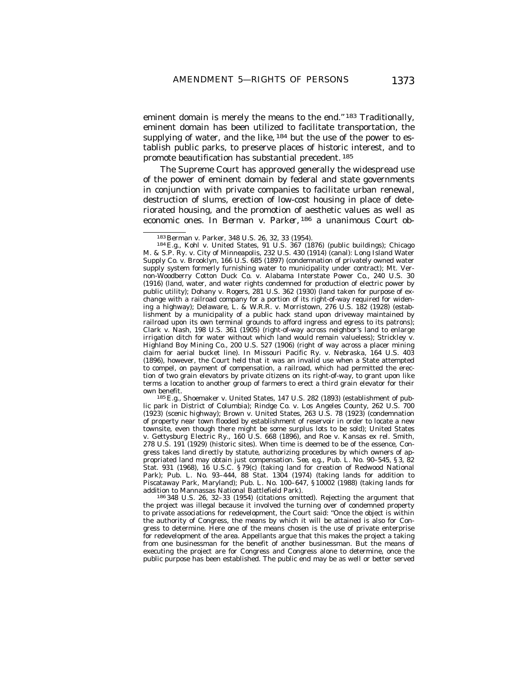eminent domain is merely the means to the end."<sup>183</sup> Traditionally, eminent domain has been utilized to facilitate transportation, the supplying of water, and the like, 184 but the use of the power to establish public parks, to preserve places of historic interest, and to promote beautification has substantial precedent. 185

The Supreme Court has approved generally the widespread use of the power of eminent domain by federal and state governments in conjunction with private companies to facilitate urban renewal, destruction of slums, erection of low-cost housing in place of deteriorated housing, and the promotion of aesthetic values as well as economic ones. In *Berman v. Parker*, 186 a unanimous Court ob-

own benefit.<br><sup>185</sup> E.g., Shoemaker v. United States, 147 U.S. 282 (1893) (establishment of public park in District of Columbia); Rindge Co. v. Los Angeles County, 262 U.S. 700 (1923) (scenic highway); Brown v. United States, 263 U.S. 78 (1923) (condemnation of property near town flooded by establishment of reservoir in order to locate a new townsite, even though there might be some surplus lots to be sold); United States v. Gettysburg Electric Ry., 160 U.S. 668 (1896), and Roe v. Kansas ex rel. Smith, 278 U.S. 191 (1929) (historic sites). When time is deemed to be of the essence, Congress takes land directly by statute, authorizing procedures by which owners of appropriated land may obtain just compensation. *See, e.g.*, Pub. L. No. 90–545, § 3, 82 Stat. 931 (1968), 16 U.S.C. § 79(c) (taking land for creation of Redwood National Park); Pub. L. No. 93–444, 88 Stat. 1304 (1974) (taking lands for addition to Piscataway Park, Maryland); Pub. L. No. 100–647, § 10002 (1988) (taking lands for addition to Mannassas National Battlefield Park).

 $186348$  U.S. 26, 32–33 (1954) (citations omitted). Rejecting the argument that the project was illegal because it involved the turning over of condemned property to private associations for redevelopment, the Court said: ''Once the object is within the authority of Congress, the means by which it will be attained is also for Congress to determine. Here one of the means chosen is the use of private enterprise for redevelopment of the area. Appellants argue that this makes the project a taking from one businessman for the benefit of another businessman. But the means of executing the project are for Congress and Congress alone to determine, once the public purpose has been established. The public end may be as well or better served

<sup>183</sup> Berman v. Parker, 348 U.S. 26, 32, 33 (1954).<br><sup>184</sup> E.g., Kohl v. United States, 91 U.S. 367 (1876) (public buildings); Chicago M. & S.P. Ry. v. City of Minneapolis, 232 U.S. 430 (1914) (canal): Long Island Water Supply Co. v. Brooklyn, 166 U.S. 685 (1897) (condemnation of privately owned water supply system formerly furnishing water to municipality under contract); Mt. Vernon-Woodberry Cotton Duck Co. v. Alabama Interstate Power Co., 240 U.S. 30 (1916) (land, water, and water rights condemned for production of electric power by public utility); Dohany v. Rogers, 281 U.S. 362 (1930) (land taken for purpose of exchange with a railroad company for a portion of its right-of-way required for widening a highway); Delaware, L. & W.R.R. v. Morristown, 276 U.S. 182 (1928) (establishment by a municipality of a public hack stand upon driveway maintained by railroad upon its own terminal grounds to afford ingress and egress to its patrons); Clark v. Nash, 198 U.S. 361 (1905) (right-of-way across neighbor's land to enlarge irrigation ditch for water without which land would remain valueless); Strickley v. Highland Boy Mining Co., 200 U.S. 527 (1906) (right of way across a placer mining claim for aerial bucket line). In Missouri Pacific Ry. v. Nebraska, 164 U.S. 403 (1896), however, the Court held that it was an invalid use when a State attempted to compel, on payment of compensation, a railroad, which had permitted the erection of two grain elevators by private citizens on its right-of-way, to grant upon like terms a location to another group of farmers to erect a third grain elevator for their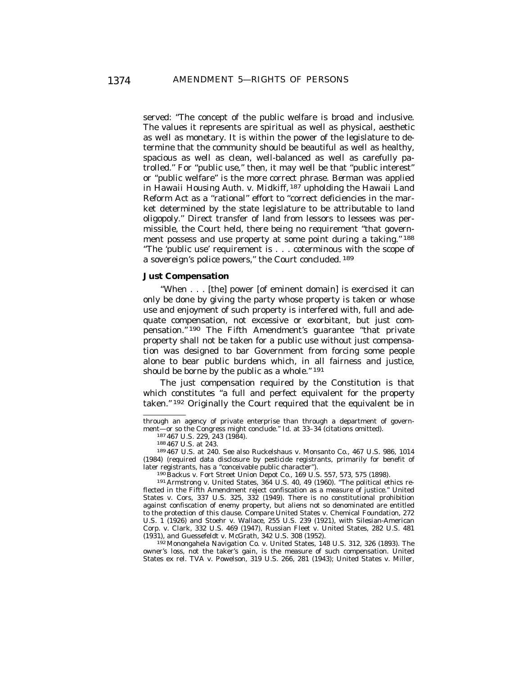served: ''The concept of the public welfare is broad and inclusive. The values it represents are spiritual as well as physical, aesthetic as well as monetary. It is within the power of the legislature to determine that the community should be beautiful as well as healthy, spacious as well as clean, well-balanced as well as carefully patrolled.'' For ''public use,'' then, it may well be that ''public interest'' or ''public welfare'' is the more correct phrase. *Berman* was applied in *Hawaii Housing Auth. v. Midkiff*, 187 upholding the Hawaii Land Reform Act as a "rational" effort to "correct deficiencies in the market determined by the state legislature to be attributable to land oligopoly.'' Direct transfer of land from lessors to lessees was permissible, the Court held, there being no requirement ''that government possess and use property at some point during a taking.'' 188 ''The 'public use' requirement is . . . coterminous with the scope of a sovereign's police powers,'' the Court concluded. 189

### **Just Compensation**

''When . . . [the] power [of eminent domain] is exercised it can only be done by giving the party whose property is taken or whose use and enjoyment of such property is interfered with, full and adequate compensation, not excessive or exorbitant, but just compensation.'' 190 The Fifth Amendment's guarantee ''that private property shall not be taken for a public use without just compensation was designed to bar Government from forcing some people alone to bear public burdens which, in all fairness and justice, should be borne by the public as a whole.'' 191

The just compensation required by the Constitution is that which constitutes "a full and perfect equivalent for the property taken.'' 192 Originally the Court required that the equivalent be in

192Monongahela Navigation Co. v. United States, 148 U.S. 312, 326 (1893). The owner's loss, not the taker's gain, is the measure of such compensation. United States ex rel. TVA v. Powelson, 319 U.S. 266, 281 (1943); United States v. Miller,

through an agency of private enterprise than through a department of government—or so the Congress might conclude.'' Id. at 33–34 (citations omitted).

<sup>187</sup> 467 U.S. 229, 243 (1984).

<sup>188</sup> 467 U.S. at 243.

<sup>189</sup> 467 U.S. at 240. *See also* Ruckelshaus v. Monsanto Co., 467 U.S. 986, 1014 (1984) (required data disclosure by pesticide registrants, primarily for benefit of later registrants, has a ''conceivable public character'').

<sup>190</sup> Backus v. Fort Street Union Depot Co., 169 U.S. 557, 573, 575 (1898).

<sup>191</sup> Armstrong v. United States, 364 U.S. 40, 49 (1960). ''The political ethics reflected in the Fifth Amendment reject confiscation as a measure of justice.'' United States v. Cors, 337 U.S. 325, 332 (1949). There is no constitutional prohibition against confiscation of enemy property, but aliens not so denominated are entitled to the protection of this clause. *Compare* United States v. Chemical Foundation, 272 U.S. 1 (1926) *and* Stoehr v. Wallace, 255 U.S. 239 (1921), *with* Silesian-American Corp. v. Clark, 332 U.S. 469 (1947), Russian Fleet v. United States, 282 U.S. 481 (1931), *and* Guessefeldt v. McGrath, 342 U.S. 308 (1952).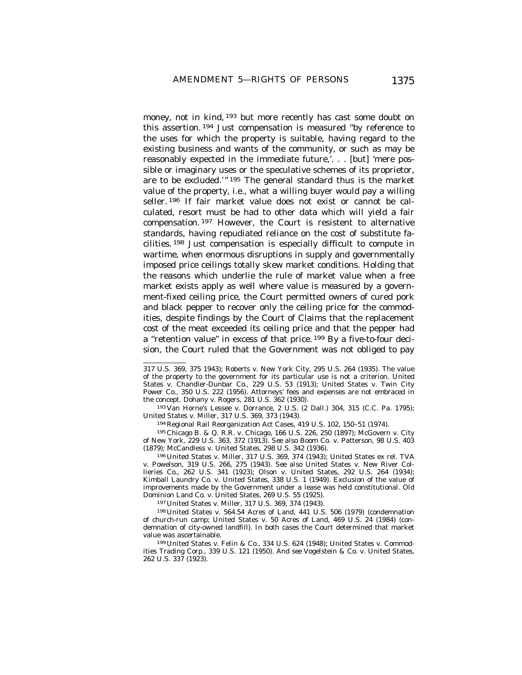money, not in kind, 193 but more recently has cast some doubt on this assertion. 194 Just compensation is measured ''by reference to the uses for which the property is suitable, having regard to the existing business and wants of the community, or such as may be reasonably expected in the immediate future,'. . . [but] 'mere possible or imaginary uses or the speculative schemes of its proprietor, are to be excluded.'"<sup>195</sup> The general standard thus is the market value of the property, i.e., what a willing buyer would pay a willing seller. 196 If fair market value does not exist or cannot be calculated, resort must be had to other data which will yield a fair compensation. 197 However, the Court is resistent to alternative standards, having repudiated reliance on the cost of substitute facilities. 198 Just compensation is especially difficult to compute in wartime, when enormous disruptions in supply and governmentally imposed price ceilings totally skew market conditions. Holding that the reasons which underlie the rule of market value when a free market exists apply as well where value is measured by a government-fixed ceiling price, the Court permitted owners of cured pork and black pepper to recover only the ceiling price for the commodities, despite findings by the Court of Claims that the replacement cost of the meat exceeded its ceiling price and that the pepper had a ''retention value'' in excess of that price. 199 By a five-to-four decision, the Court ruled that the Government was not obliged to pay

196 United States v. Miller, 317 U.S. 369, 374 (1943); United States ex rel. TVA v. Powelson, 319 U.S. 266, 275 (1943). *See also* United States v. New River Collieries Co., 262 U.S. 341 (1923); Olson v. United States, 292 U.S. 264 (1934); Kimball Laundry Co. v. United States, 338 U.S. 1 (1949). Exclusion of the value of improvements made by the Government under a lease was held constitutional. Old Dominion Land Co. v. United States, 269 U.S. 55 (1925).

197 United States v. Miller, 317 U.S. 369, 374 (1943).

198 United States v. 564.54 Acres of Land, 441 U.S. 506 (1979) (condemnation of church-run camp; United States v. 50 Acres of Land, 469 U.S. 24 (1984) (condemnation of city-owned landfill). In both cases the Court determined that market value was ascertainable.

199 United States v. Felin & Co., 334 U.S. 624 (1948); United States v. Commodities Trading Corp., 339 U.S. 121 (1950). *And see* Vogelstein & Co. v. United States, 262 U.S. 337 (1923).

<sup>317</sup> U.S. 369, 375 1943); Roberts v. New York City, 295 U.S. 264 (1935). The value of the property to the government for its particular use is not a criterion. United States v. Chandler-Dunbar Co., 229 U.S. 53 (1913); United States v. Twin City Power Co., 350 U.S. 222 (1956). Attorneys' fees and expenses are not embraced in the concept. Dohany v. Rogers, 281 U.S. 362 (1930).

<sup>193</sup> Van Horne's Lessee v. Dorrance, 2 U.S. (2 Dall.) 304, 315 (C.C. Pa. 1795); United States v. Miller, 317 U.S. 369, 373 (1943).

<sup>194</sup> Regional Rail Reorganization Act Cases, 419 U.S. 102, 150–51 (1974).

<sup>195</sup> Chicago B. & Q. R.R. v. Chicago, 166 U.S. 226, 250 (1897); McGovern v. City of New York, 229 U.S. 363, 372 (1913). *See also* Boom Co. v. Patterson, 98 U.S. 403 (1879); McCandless v. United States, 298 U.S. 342 (1936).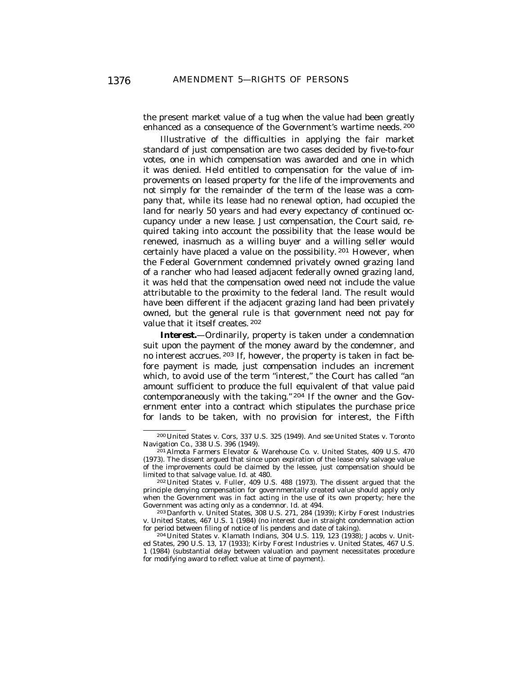the present market value of a tug when the value had been greatly enhanced as a consequence of the Government's wartime needs. 200

Illustrative of the difficulties in applying the fair market standard of just compensation are two cases decided by five-to-four votes, one in which compensation was awarded and one in which it was denied. Held entitled to compensation for the value of improvements on leased property for the life of the improvements and not simply for the remainder of the term of the lease was a company that, while its lease had no renewal option, had occupied the land for nearly 50 years and had every expectancy of continued occupancy under a new lease. Just compensation, the Court said, required taking into account the possibility that the lease would be renewed, inasmuch as a willing buyer and a willing seller would certainly have placed a value on the possibility. 201 However, when the Federal Government condemned privately owned grazing land of a rancher who had leased adjacent federally owned grazing land, it was held that the compensation owed need not include the value attributable to the proximity to the federal land. The result would have been different if the adjacent grazing land had been privately owned, but the general rule is that government need not pay for value that it itself creates. 202

*Interest.*—Ordinarily, property is taken under a condemnation suit upon the payment of the money award by the condemner, and no interest accrues. 203 If, however, the property is taken in fact before payment is made, just compensation includes an increment which, to avoid use of the term "interest," the Court has called "an amount sufficient to produce the full equivalent of that value paid contemporaneously with the taking.'' 204 If the owner and the Government enter into a contract which stipulates the purchase price for lands to be taken, with no provision for interest, the Fifth

<sup>200</sup> United States v. Cors, 337 U.S. 325 (1949). *And see* United States v. Toronto Navigation Co., 338 U.S. 396 (1949).

<sup>201</sup> Almota Farmers Elevator & Warehouse Co. v. United States, 409 U.S. 470 (1973). The dissent argued that since upon expiration of the lease only salvage value of the improvements could be claimed by the lessee, just compensation should be limited to that salvage value. Id. at 480.

<sup>202</sup> United States v. Fuller, 409 U.S. 488 (1973). The dissent argued that the principle denying compensation for governmentally created value should apply only when the Government was in fact acting in the use of its own property; here the Government was acting only as a condemnor. Id. at 494.

<sup>203</sup>Danforth v. United States, 308 U.S. 271, 284 (1939); Kirby Forest Industries v. United States, 467 U.S. 1 (1984) (no interest due in straight condemnation action for period between filing of notice of *lis pendens* and date of taking).

<sup>204</sup> United States v. Klamath Indians, 304 U.S. 119, 123 (1938); Jacobs v. United States, 290 U.S. 13, 17 (1933); Kirby Forest Industries v. United States, 467 U.S. 1 (1984) (substantial delay between valuation and payment necessitates procedure for modifying award to reflect value at time of payment).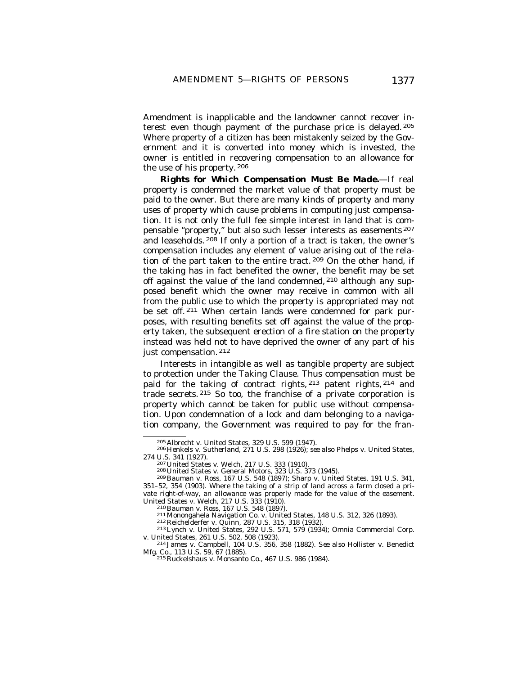Amendment is inapplicable and the landowner cannot recover interest even though payment of the purchase price is delayed. 205 Where property of a citizen has been mistakenly seized by the Government and it is converted into money which is invested, the owner is entitled in recovering compensation to an allowance for the use of his property. 206

*Rights for Which Compensation Must Be Made.*—If real property is condemned the market value of that property must be paid to the owner. But there are many kinds of property and many uses of property which cause problems in computing just compensation. It is not only the full fee simple interest in land that is compensable ''property,'' but also such lesser interests as easements 207 and leaseholds. <sup>208</sup> If only a portion of a tract is taken, the owner's compensation includes any element of value arising out of the relation of the part taken to the entire tract. 209 On the other hand, if the taking has in fact benefited the owner, the benefit may be set off against the value of the land condemned, 210 although any supposed benefit which the owner may receive in common with all from the public use to which the property is appropriated may not be set off. 211 When certain lands were condemned for park purposes, with resulting benefits set off against the value of the property taken, the subsequent erection of a fire station on the property instead was held not to have deprived the owner of any part of his just compensation. 212

Interests in intangible as well as tangible property are subject to protection under the Taking Clause. Thus compensation must be paid for the taking of contract rights, 213 patent rights, 214 and trade secrets. 215 So too, the franchise of a private corporation is property which cannot be taken for public use without compensation. Upon condemnation of a lock and dam belonging to a navigation company, the Government was required to pay for the fran-

<sup>205</sup> Albrecht v. United States, 329 U.S. 599 (1947). <sup>206</sup> Henkels v. Sutherland, 271 U.S. 298 (1926); *see also* Phelps v. United States,

<sup>&</sup>lt;sup>207</sup> United States v. Welch, 217 U.S. 333 (1910).<br><sup>208</sup> United States v. General Motors, 323 U.S. 373 (1945). 209 Bauman v. Ross, 167 U.S. 548 (1897); Sharp v. United States, 191 U.S. 341, 351–52, 354 (1903). Where the taking of a strip of land across a farm closed a private right-of-way, an allowance was properly made for the value of the easement.

<sup>&</sup>lt;sup>210</sup> Bauman v. Ross, 167 U.S. 548 (1897).<br><sup>211</sup> Monongahela Navigation Co. v. United States, 148 U.S. 312, 326 (1893).<br><sup>212</sup> Reichelderfer v. Quinn, 287 U.S. 315, 318 (1932).<br><sup>213</sup> Lynch v. United States, 292 U.S. 571, 5

v. United States, 261 U.S. 502, 508 (1923). <sup>214</sup> James v. Campbell, 104 U.S. 356, 358 (1882). *See also* Hollister v. Benedict

<sup>&</sup>lt;sup>215</sup> Ruckelshaus v. Monsanto Co., 467 U.S. 986 (1984).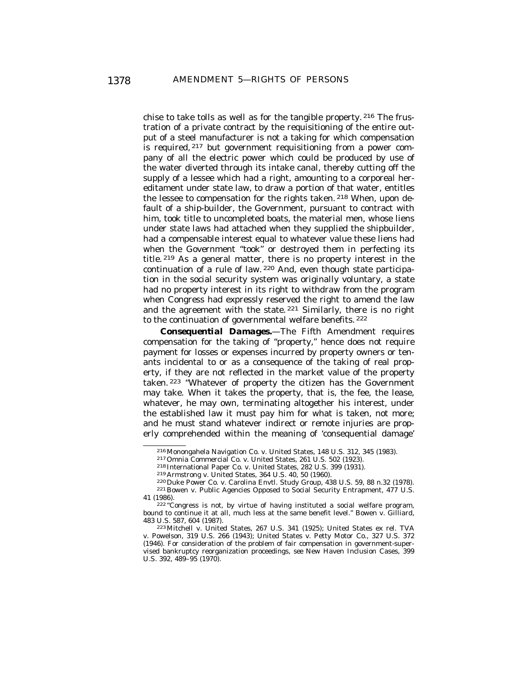chise to take tolls as well as for the tangible property. 216 The frustration of a private contract by the requisitioning of the entire output of a steel manufacturer is not a taking for which compensation is required, 217 but government requisitioning from a power company of all the electric power which could be produced by use of the water diverted through its intake canal, thereby cutting off the supply of a lessee which had a right, amounting to a corporeal hereditament under state law, to draw a portion of that water, entitles the lessee to compensation for the rights taken. 218 When, upon default of a ship-builder, the Government, pursuant to contract with him, took title to uncompleted boats, the material men, whose liens under state laws had attached when they supplied the shipbuilder, had a compensable interest equal to whatever value these liens had when the Government "took" or destroyed them in perfecting its title. 219 As a general matter, there is no property interest in the continuation of a rule of law. 220 And, even though state participation in the social security system was originally voluntary, a state had no property interest in its right to withdraw from the program when Congress had expressly reserved the right to amend the law and the agreement with the state. 221 Similarly, there is no right to the continuation of governmental welfare benefits. 222

*Consequential Damages.*—The Fifth Amendment requires compensation for the taking of ''property,'' hence does not require payment for losses or expenses incurred by property owners or tenants incidental to or as a consequence of the taking of real property, if they are not reflected in the market value of the property taken. 223 ''Whatever of property the citizen has the Government may take. When it takes the property, that is, the fee, the lease, whatever, he may own, terminating altogether his interest, under the established law it must pay him for what is taken, not more; and he must stand whatever indirect or remote injuries are properly comprehended within the meaning of 'consequential damage'

<sup>216</sup>Monongahela Navigation Co. v. United States, 148 U.S. 312, 345 (1983).

<sup>217</sup>Omnia Commercial Co. v. United States, 261 U.S. 502 (1923).

<sup>218</sup> International Paper Co. v. United States, 282 U.S. 399 (1931).

<sup>219</sup> Armstrong v. United States, 364 U.S. 40, 50 (1960).

<sup>220</sup>Duke Power Co. v. Carolina Envtl. Study Group, 438 U.S. 59, 88 n.32 (1978). 221 Bowen v. Public Agencies Opposed to Social Security Entrapment, 477 U.S.

<sup>41 (1986).</sup>

<sup>222</sup> ''Congress is not, by virtue of having instituted a social welfare program, bound to continue it at all, much less at the same benefit level.'' Bowen v. Gilliard, 483 U.S. 587, 604 (1987).

<sup>223</sup>Mitchell v. United States, 267 U.S. 341 (1925); United States ex rel. TVA v. Powelson, 319 U.S. 266 (1943); United States v. Petty Motor Co., 327 U.S. 372 (1946). For consideration of the problem of fair compensation in government-supervised bankruptcy reorganization proceedings, *see* New Haven Inclusion Cases, 399 U.S. 392, 489–95 (1970).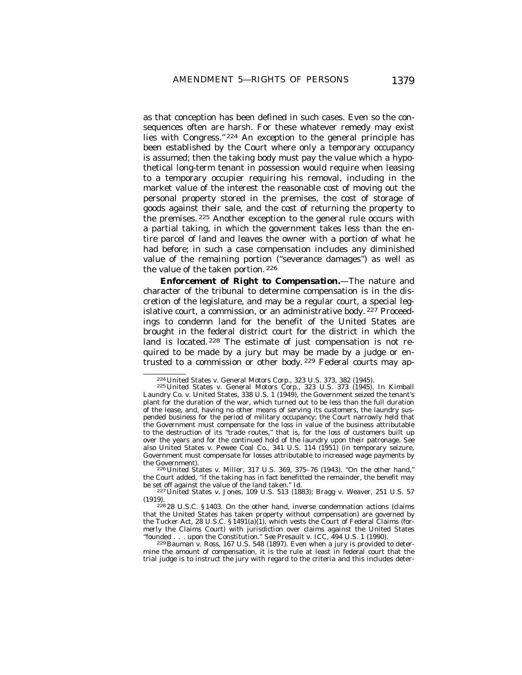as that conception has been defined in such cases. Even so the consequences often are harsh. For these whatever remedy may exist lies with Congress.'' 224 An exception to the general principle has been established by the Court where only a temporary occupancy is assumed; then the taking body must pay the value which a hypothetical long-term tenant in possession would require when leasing to a temporary occupier requiring his removal, including in the market value of the interest the reasonable cost of moving out the personal property stored in the premises, the cost of storage of goods against their sale, and the cost of returning the property to the premises. 225 Another exception to the general rule occurs with a partial taking, in which the government takes less than the entire parcel of land and leaves the owner with a portion of what he had before; in such a case compensation includes any diminished value of the remaining portion (''severance damages'') as well as the value of the taken portion. 226

*Enforcement of Right to Compensation.*—The nature and character of the tribunal to determine compensation is in the discretion of the legislature, and may be a regular court, a special legislative court, a commission, or an administrative body. 227 Proceedings to condemn land for the benefit of the United States are brought in the federal district court for the district in which the land is located. 228 The estimate of just compensation is not required to be made by a jury but may be made by a judge or entrusted to a commission or other body. 229 Federal courts may ap-

<sup>224</sup> United States v. General Motors Corp., 323 U.S. 373, 382 (1945). <sup>225</sup> United States v. General Motors Corp., 323 U.S. 373 (1945). In Kimball Laundry Co. v. United States, 338 U.S. 1 (1949), the Government seized the tenant's plant for the duration of the war, which turned out to be less than the full duration of the lease, and, having no other means of serving its customers, the laundry suspended business for the period of military occupancy; the Court narrowly held that the Government must compensate for the loss in value of the business attributable to the destruction of its ''trade routes,'' that is, for the loss of customers built up over the years and for the continued hold of the laundry upon their patronage. *See also* United States v. Pewee Coal Co., 341 U.S. 114 (1951) (in temporary seizure, Government must compensate for losses attributable to increased wage payments by

 $226$  United States v. Miller, 317 U.S. 369, 375–76 (1943). "On the other hand," the Court added, "if the taking has in fact benefitted the remainder, the benefit may be set off against the value of the land taken." Id.

<sup>&</sup>lt;sup>227</sup> United States v. Jones, 109 U.S. 513 (1883); Bragg v. Weaver, 251 U.S. 57 (1919).  $\frac{228}{28}$  U.S.C. § 1403. On the other hand, inverse condemnation actions (claims)

that the United States has taken property without compensation) are governed by the Tucker Act, 28 U.S.C.  $\S 1491(a)(1)$ , which vests the Court of Federal Claims (formerly the Claims Court) with jurisdiction over claims against the United States ''founded . . . upon the Constitution.'' *See* Presault v. ICC, 494 U.S. 1 (1990). <sup>229</sup> Bauman v. Ross, 167 U.S. 548 (1897). Even when a jury is provided to deter-

mine the amount of compensation, it is the rule at least in federal court that the trial judge is to instruct the jury with regard to the criteria and this includes deter-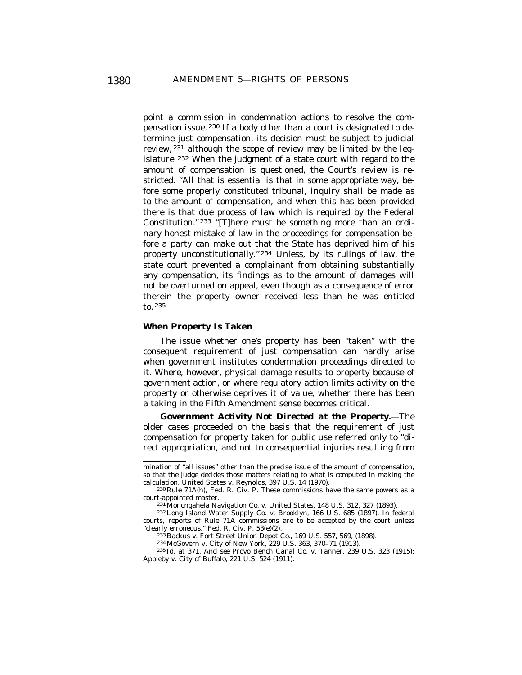point a commission in condemnation actions to resolve the compensation issue. 230 If a body other than a court is designated to determine just compensation, its decision must be subject to judicial review, 231 although the scope of review may be limited by the legislature. 232 When the judgment of a state court with regard to the amount of compensation is questioned, the Court's review is restricted. ''All that is essential is that in some appropriate way, before some properly constituted tribunal, inquiry shall be made as to the amount of compensation, and when this has been provided there is that due process of law which is required by the Federal Constitution."<sup>233</sup> "[T]here must be something more than an ordinary honest mistake of law in the proceedings for compensation before a party can make out that the State has deprived him of his property unconstitutionally."<sup>234</sup> Unless, by its rulings of law, the state court prevented a complainant from obtaining substantially any compensation, its findings as to the amount of damages will not be overturned on appeal, even though as a consequence of error therein the property owner received less than he was entitled to. 235

## **When Property Is Taken**

The issue whether one's property has been "taken" with the consequent requirement of just compensation can hardly arise when government institutes condemnation proceedings directed to it. Where, however, physical damage results to property because of government action, or where regulatory action limits activity on the property or otherwise deprives it of value, whether there has been a taking in the Fifth Amendment sense becomes critical.

*Government Activity Not Directed at the Property.*—The older cases proceeded on the basis that the requirement of just compensation for property taken for public use referred only to ''direct appropriation, and not to consequential injuries resulting from

mination of ''all issues'' other than the precise issue of the amount of compensation, so that the judge decides those matters relating to what is computed in making the calculation. United States v. Reynolds, 397 U.S. 14 (1970).

 $2^{230}$  Rule 71A(h), Fed. R. Civ. P. These commissions have the same powers as a court-appointed master.

<sup>231</sup>Monongahela Navigation Co. v. United States, 148 U.S. 312, 327 (1893).

<sup>232</sup>Long Island Water Supply Co. v. Brooklyn, 166 U.S. 685 (1897). In federal courts, reports of Rule 71A commissions are to be accepted by the court unless "clearly erroneous." Fed. R. Civ. P. 53(e)(2).

<sup>233</sup> Backus v. Fort Street Union Depot Co., 169 U.S. 557, 569, (1898).

<sup>234</sup>McGovern v. City of New York, 229 U.S. 363, 370–71 (1913).

<sup>235</sup> Id. at 371. *And see* Provo Bench Canal Co. v. Tanner, 239 U.S. 323 (1915); Appleby v. City of Buffalo, 221 U.S. 524 (1911).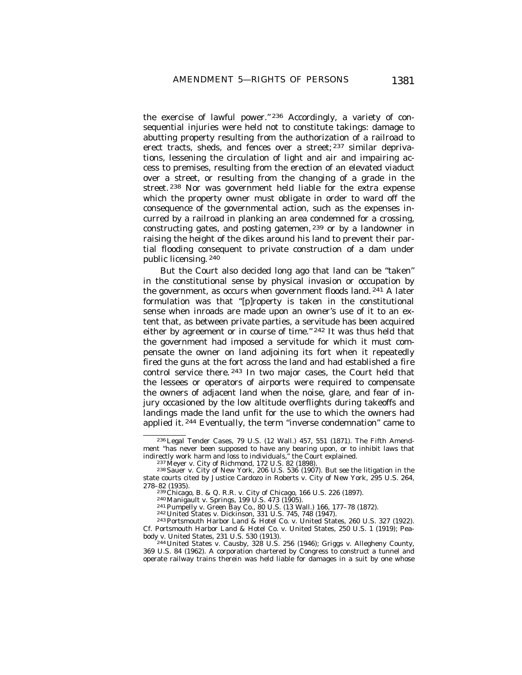the exercise of lawful power."<sup>236</sup> Accordingly, a variety of consequential injuries were held not to constitute takings: damage to abutting property resulting from the authorization of a railroad to erect tracts, sheds, and fences over a street; 237 similar deprivations, lessening the circulation of light and air and impairing access to premises, resulting from the erection of an elevated viaduct over a street, or resulting from the changing of a grade in the street. 238 Nor was government held liable for the extra expense which the property owner must obligate in order to ward off the consequence of the governmental action, such as the expenses incurred by a railroad in planking an area condemned for a crossing, constructing gates, and posting gatemen, 239 or by a landowner in raising the height of the dikes around his land to prevent their partial flooding consequent to private construction of a dam under public licensing. 240

But the Court also decided long ago that land can be ''taken'' in the constitutional sense by physical invasion or occupation by the government, as occurs when government floods land. 241 A later formulation was that ''[p]roperty is taken in the constitutional sense when inroads are made upon an owner's use of it to an extent that, as between private parties, a servitude has been acquired either by agreement or in course of time." <sup>242</sup> It was thus held that the government had imposed a servitude for which it must compensate the owner on land adjoining its fort when it repeatedly fired the guns at the fort across the land and had established a fire control service there. 243 In two major cases, the Court held that the lessees or operators of airports were required to compensate the owners of adjacent land when the noise, glare, and fear of injury occasioned by the low altitude overflights during takeoffs and landings made the land unfit for the use to which the owners had applied it. 244 Eventually, the term ''inverse condemnation'' came to

<sup>236</sup>Legal Tender Cases, 79 U.S. (12 Wall.) 457, 551 (1871). The Fifth Amendment "has never been supposed to have any bearing upon, or to inhibit laws that indirectly work harm and loss to individuals," the Court explained.

indirectly work harm and loss to individuals,'' the Court explained. 237Meyer v. City of Richmond, 172 U.S. 82 (1898). 238Sauer v. City of New York, 206 U.S. 536 (1907). *But see* the litigation in the state courts cited by Justice Cardozo in Roberts v. City of New York, 295 U.S. 264,

<sup>-02 (1933).&</sup>lt;br>
239 Chicago, B. & Q. R.R. v. City of Chicago, 166 U.S. 226 (1897).<br>
240 Manigault v. Springs, 199 U.S. 473 (1905).<br>
241 Pumpelly v. Green Bay Co., 80 U.S. (13 Wall.) 166, 177–78 (1872).<br>
242 United States v. D *Cf.* Portsmouth Harbor Land & Hotel Co. v. United States, 250 U.S. 1 (1919); Pea-body v. United States, 231 U.S. 530 (1913).

<sup>&</sup>lt;sup>244</sup> United States v. Causby, 328 U.S. 256 (1946); Griggs v. Allegheny County, 369 U.S. 84 (1962). A corporation chartered by Congress to construct a tunnel and operate railway trains therein was held liable for damages in a suit by one whose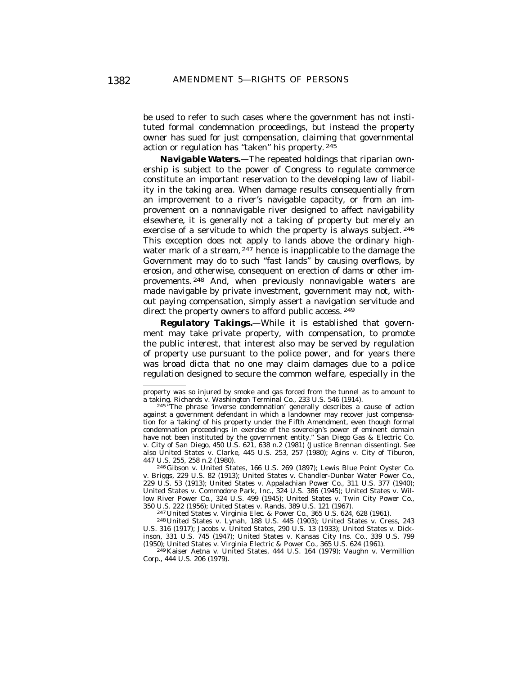be used to refer to such cases where the government has not instituted formal condemnation proceedings, but instead the property owner has sued for just compensation, claiming that governmental action or regulation has "taken" his property. 245

*Navigable Waters.*—The repeated holdings that riparian ownership is subject to the power of Congress to regulate commerce constitute an important reservation to the developing law of liability in the taking area. When damage results consequentially from an improvement to a river's navigable capacity, or from an improvement on a nonnavigable river designed to affect navigability elsewhere, it is generally not a taking of property but merely an exercise of a servitude to which the property is always subject. 246 This exception does not apply to lands above the ordinary highwater mark of a stream, 247 hence is inapplicable to the damage the Government may do to such "fast lands" by causing overflows, by erosion, and otherwise, consequent on erection of dams or other improvements. 248 And, when previously nonnavigable waters are made navigable by private investment, government may not, without paying compensation, simply assert a navigation servitude and direct the property owners to afford public access. 249

*Regulatory Takings.*—While it is established that government may take private property, with compensation, to promote the public interest, that interest also may be served by regulation of property use pursuant to the police power, and for years there was broad dicta that no one may claim damages due to a police regulation designed to secure the common welfare, especially in the

<sup>247</sup> United States v. Virginia Elec. & Power Co., 365 U.S. 624, 628 (1961).

248 United States v. Lynah, 188 U.S. 445 (1903); United States v. Cress, 243 U.S. 316 (1917); Jacobs v. United States, 290 U.S. 13 (1933); United States v. Dickinson, 331 U.S. 745 (1947); United States v. Kansas City Ins. Co., 339 U.S. 799 (1950); United States v. Virginia Electric & Power Co., 365 U.S. 624 (1961).

249Kaiser Aetna v. United States, 444 U.S. 164 (1979); Vaughn v. Vermillion Corp., 444 U.S. 206 (1979).

property was so injured by smoke and gas forced from the tunnel as to amount to a taking. Richards v. Washington Terminal Co., 233 U.S. 546 (1914).

 $245$  "The phrase 'inverse condemnation' generally describes a cause of action against a government defendant in which a landowner may recover just compensation for a 'taking' of his property under the Fifth Amendment, even though formal condemnation proceedings in exercise of the sovereign's power of eminent domain have not been instituted by the government entity." San Diego Gas & Electric Co. v. City of San Diego, 450 U.S. 621, 638 n.2 (1981) (Justice Brennan dissenting). *See also* United States v. Clarke, 445 U.S. 253, 257 (1980); Agins v. City of Tiburon,

<sup>447</sup> U.S. 255, 258 n.2 (1980). 246Gibson v. United States, 166 U.S. 269 (1897); Lewis Blue Point Oyster Co. v. Briggs, 229 U.S. 82 (1913); United States v. Chandler-Dunbar Water Power Co., 229 U.S. 53 (1913); United States v. Appalachian Power Co., 311 U.S. 377 (1940); United States v. Commodore Park, Inc., 324 U.S. 386 (1945); United States v. Willow River Power Co., 324 U.S. 499 (1945); United States v. Twin City Power Co., 350 U.S. 222 (1956); United States v. Rands, 389 U.S. 121 (1967).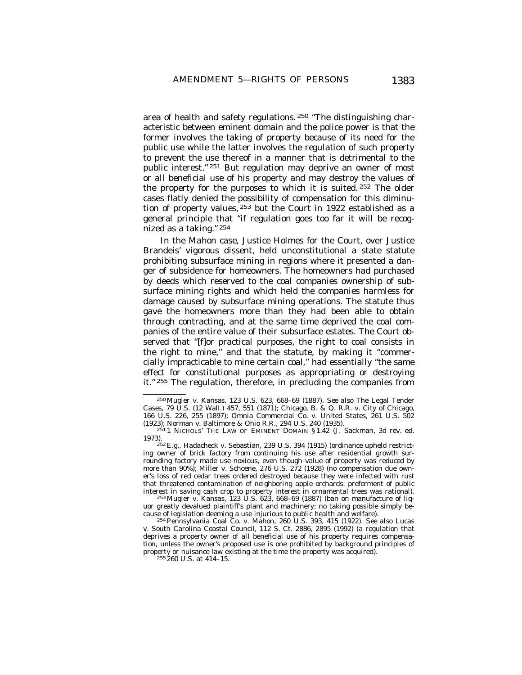area of health and safety regulations. 250 ''The distinguishing characteristic between eminent domain and the police power is that the former involves the *taking* of property because of its need for the public use while the latter involves the *regulation* of such property to prevent the use thereof in a manner that is detrimental to the public interest.'' 251 But regulation may deprive an owner of most or all beneficial use of his property and may destroy the values of the property for the purposes to which it is suited. 252 The older cases flatly denied the possibility of compensation for this diminution of property values, 253 but the Court in 1922 established as a general principle that ''if regulation goes too far it will be recognized as a taking.'' 254

In the *Mahon* case, Justice Holmes for the Court, over Justice Brandeis' vigorous dissent, held unconstitutional a state statute prohibiting subsurface mining in regions where it presented a danger of subsidence for homeowners. The homeowners had purchased by deeds which reserved to the coal companies ownership of subsurface mining rights and which held the companies harmless for damage caused by subsurface mining operations. The statute thus gave the homeowners more than they had been able to obtain through contracting, and at the same time deprived the coal companies of the entire value of their subsurface estates. The Court observed that "[f]or practical purposes, the right to coal consists in the right to mine,'' and that the statute, by making it ''commercially impracticable to mine certain coal,'' had essentially ''the same effect for constitutional purposes as appropriating or destroying it.'' 255 The regulation, therefore, in precluding the companies from

uor greatly devalued plaintiff's plant and machinery; no taking possible simply because of legislation deeming a use injurious to public health and welfare). 254Pennsylvania Coal Co. v. Mahon, 260 U.S. 393, 415 (1922). *See also* Lucas

v. South Carolina Coastal Council, 112 S. Ct. 2886, 2895 (1992) (a regulation that deprives a property owner of *all* beneficial use of his property requires compensation, unless the owner's proposed use is one prohibited by background principles of property or nuisance law existing at the time the property was acquired). <sup>255</sup> 260 U.S. at 414–15.

<sup>250</sup>Mugler v. Kansas, 123 U.S. 623, 668–69 (1887). *See also* The Legal Tender Cases, 79 U.S. (12 Wall.) 457, 551 (1871); Chicago, B. & Q. R.R. v. City of Chicago, 166 U.S. 226, 255 (1897); Omnia Commercial Co. v. United States, 261 U.S. 502 (1923); Norman v. Baltimore & Ohio R.R., 294 U.S. 240 (1935).

 $(251)$  NICHOLS' THE LAW OF EMINENT DOMAIN § 1.42 (J. Sackman, 3d rev. ed. 1973).<br><sup>252</sup> E.g., Hadacheck v. Sebastian, 239 U.S. 394 (1915) (ordinance upheld restrict-

ing owner of brick factory from continuing his use after residential growth surrounding factory made use noxious, even though value of property was reduced by more than 90%); Miller v. Schoene, 276 U.S. 272 (1928) (no compensation due owner's loss of red cedar trees ordered destroyed because they were infected with rust that threatened contamination of neighboring apple orchards: preferment of public interest in saving cash crop to property interest in ornamental trees was rational).<br><sup>253</sup>Mugler v. Kansas, 123 U.S. 623, 668–69 (1887) (ban on manufacture of liq-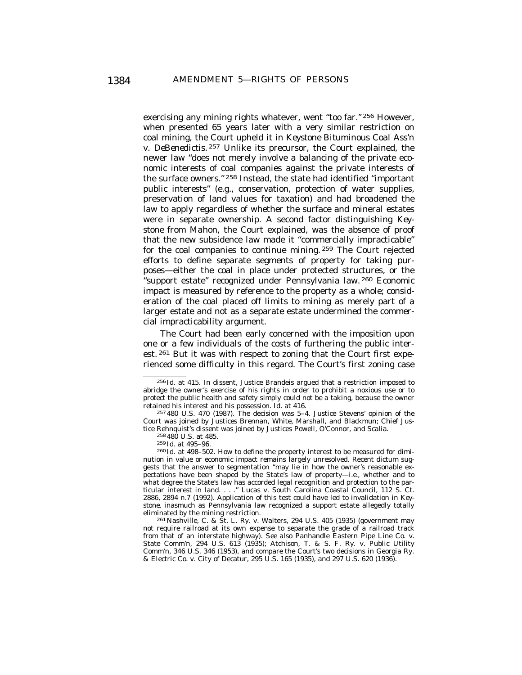exercising any mining rights whatever, went "too far." <sup>256</sup> However, when presented 65 years later with a very similar restriction on coal mining, the Court upheld it in *Keystone Bituminous Coal Ass'n v. DeBenedictis*. 257 Unlike its precursor, the Court explained, the newer law ''does not merely involve a balancing of the private economic interests of coal companies against the private interests of the surface owners.'' 258 Instead, the state had identified ''important public interests" (e.g., conservation, protection of water supplies, preservation of land values for taxation) and had broadened the law to apply regardless of whether the surface and mineral estates were in separate ownership. A second factor distinguishing *Keystone* from *Mahon*, the Court explained, was the absence of proof that the new subsidence law made it ''commercially impracticable'' for the coal companies to continue mining. 259 The Court rejected efforts to define separate segments of property for taking purposes—either the coal in place under protected structures, or the ''support estate'' recognized under Pennsylvania law. 260 Economic impact is measured by reference to the property as a whole; consideration of the coal placed off limits to mining as merely part of a larger estate and not as a separate estate undermined the commercial impracticability argument.

The Court had been early concerned with the imposition upon one or a few individuals of the costs of furthering the public interest. 261 But it was with respect to zoning that the Court first experienced some difficulty in this regard. The Court's first zoning case

<sup>256</sup> Id. at 415. In dissent, Justice Brandeis argued that a restriction imposed to abridge the owner's exercise of his rights in order to prohibit a noxious use or to protect the public health and safety simply could not be a taking, because the owner retained his interest and his possession. Id. at 416.

<sup>257</sup> 480 U.S. 470 (1987). The decision was 5–4. Justice Stevens' opinion of the Court was joined by Justices Brennan, White, Marshall, and Blackmun; Chief Justice Rehnquist's dissent was joined by Justices Powell, O'Connor, and Scalia.

<sup>258</sup> 480 U.S. at 485.

<sup>259</sup> Id. at 495–96.

<sup>260</sup> Id. at 498–502. How to define the property interest to be measured for diminution in value or economic impact remains largely unresolved. Recent dictum suggests that the answer to segmentation ''may lie in how the owner's reasonable expectations have been shaped by the State's law of property—*i.e.*, whether and to what degree the State's law has accorded legal recognition and protection to the particular interest in land. . . .'' Lucas v. South Carolina Coastal Council, 112 S. Ct. 2886, 2894 n.7 (1992). Application of this test could have led to invalidation in *Keystone*, inasmuch as Pennsylvania law recognized a support estate allegedly totally eliminated by the mining restriction.

<sup>261</sup> Nashville, C. & St. L. Ry. v. Walters, 294 U.S. 405 (1935) (government may not require railroad at its own expense to separate the grade of a railroad track from that of an interstate highway). *See also* Panhandle Eastern Pipe Line Co. v. State Comm'n, 294 U.S. 613 (1935); Atchison, T. & S. F. Ry. v. Public Utility Comm'n, 346 U.S. 346 (1953), and *compare* the Court's two decisions in Georgia Ry. & Electric Co. v. City of Decatur, 295 U.S. 165 (1935), and 297 U.S. 620 (1936).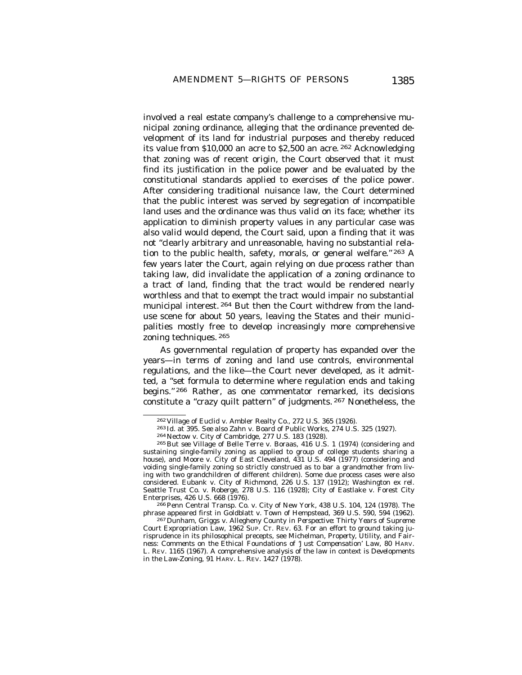involved a real estate company's challenge to a comprehensive municipal zoning ordinance, alleging that the ordinance prevented development of its land for industrial purposes and thereby reduced its value from \$10,000 an acre to \$2,500 an acre. 262 Acknowledging that zoning was of recent origin, the Court observed that it must find its justification in the police power and be evaluated by the constitutional standards applied to exercises of the police power. After considering traditional nuisance law, the Court determined that the public interest was served by segregation of incompatible land uses and the ordinance was thus valid on its face; whether its application to diminish property values in any particular case was also valid would depend, the Court said, upon a finding that it was not ''clearly arbitrary and unreasonable, having no substantial relation to the public health, safety, morals, or general welfare." 263 A few years later the Court, again relying on due process rather than taking law, did invalidate the application of a zoning ordinance to a tract of land, finding that the tract would be rendered nearly worthless and that to exempt the tract would impair no substantial municipal interest. 264 But then the Court withdrew from the landuse scene for about 50 years, leaving the States and their municipalities mostly free to develop increasingly more comprehensive zoning techniques. 265

As governmental regulation of property has expanded over the years—in terms of zoning and land use controls, environmental regulations, and the like—the Court never developed, as it admitted, a ''set formula to determine where regulation ends and taking begins.'' 266 Rather, as one commentator remarked, its decisions constitute a ''crazy quilt pattern'' of judgments. 267 Nonetheless, the

266 Penn Central Transp. Co. v. City of New York, 438 U.S. 104, 124 (1978). The phrase appeared first in Goldblatt v. Town of Hempstead, 369 U.S. 590, 594 (1962).

<sup>262</sup> Village of Euclid v. Ambler Realty Co., 272 U.S. 365 (1926).

<sup>263</sup> Id. at 395. *See also* Zahn v. Board of Public Works, 274 U.S. 325 (1927).

<sup>264</sup> Nectow v. City of Cambridge, 277 U.S. 183 (1928).

<sup>265</sup> *But see* Village of Belle Terre v. Boraas, 416 U.S. 1 (1974) (considering and sustaining single-family zoning as applied to group of college students sharing a house), and Moore v. City of East Cleveland, 431 U.S. 494 (1977) (considering and voiding single-family zoning so strictly construed as to bar a grandmother from living with two grandchildren of different children). Some due process cases were also considered. Eubank v. City of Richmond, 226 U.S. 137 (1912); Washington ex rel. Seattle Trust Co. v. Roberge, 278 U.S. 116 (1928); City of Eastlake v. Forest City Enterprises, 426 U.S. 668 (1976).

<sup>267</sup>Dunham, Griggs v. Allegheny County *in Perspective: Thirty Years of Supreme Court Expropriation Law*, 1962 SUP. CT. REV. 63. For an effort to ground taking jurisprudence in its philosophical precepts, see Michelman, *Property, Utility, and Fairness: Comments on the Ethical Foundations of 'Just Compensation' Law*, 80 HARV. L. REV. 1165 (1967). A comprehensive analysis of the law in context is *Developments in the Law-Zoning*, 91 HARV. L. REV. 1427 (1978).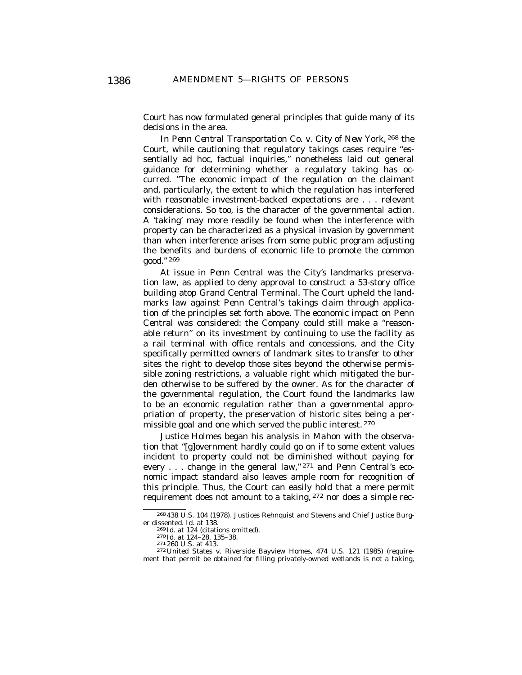Court has now formulated general principles that guide many of its decisions in the area.

In *Penn Central Transportation Co. v. City of New York*, 268 the Court, while cautioning that regulatory takings cases require "essentially ad hoc, factual inquiries," nonetheless laid out general guidance for determining whether a regulatory taking has occurred. ''The economic impact of the regulation on the claimant and, particularly, the extent to which the regulation has interfered with reasonable investment-backed expectations are . . . relevant considerations. So too, is the character of the governmental action. A 'taking' may more readily be found when the interference with property can be characterized as a physical invasion by government than when interference arises from some public program adjusting the benefits and burdens of economic life to promote the common good.'' 269

At issue in *Penn Central* was the City's landmarks preservation law, as applied to deny approval to construct a 53-story office building atop Grand Central Terminal. The Court upheld the landmarks law against Penn Central's takings claim through application of the principles set forth above. The economic impact on Penn Central was considered: the Company could still make a ''reasonable return'' on its investment by continuing to use the facility as a rail terminal with office rentals and concessions, and the City specifically permitted owners of landmark sites to transfer to other sites the right to develop those sites beyond the otherwise permissible zoning restrictions, a valuable right which mitigated the burden otherwise to be suffered by the owner. As for the character of the governmental regulation, the Court found the landmarks law to be an economic regulation rather than a governmental appropriation of property, the preservation of historic sites being a permissible goal and one which served the public interest. 270

Justice Holmes began his analysis in *Mahon* with the observation that ''[g]overnment hardly could go on if to some extent values incident to property could not be diminished without paying for every . . . change in the general law,'' 271 and *Penn Central's* economic impact standard also leaves ample room for recognition of this principle. Thus, the Court can easily hold that a mere permit requirement does not amount to a taking, 272 nor does a simple rec-

 $^{268}\,438$  U.S. 104 (1978). Justices Rehnquist and Stevens and Chief Justice Burger dissented. Id. at 138.

<sup>&</sup>lt;sup>269</sup> Id. at 124 (citations omitted). <sup>270</sup> Id. at 124–28, 135–38. <sup>271</sup> 260 U.S. at 413. <sup>272</sup> United States v. Riverside Bayview Homes, 474 U.S. 121 (1985) (requirement that permit be obtained for filling privately-owned wetlands is not a taking,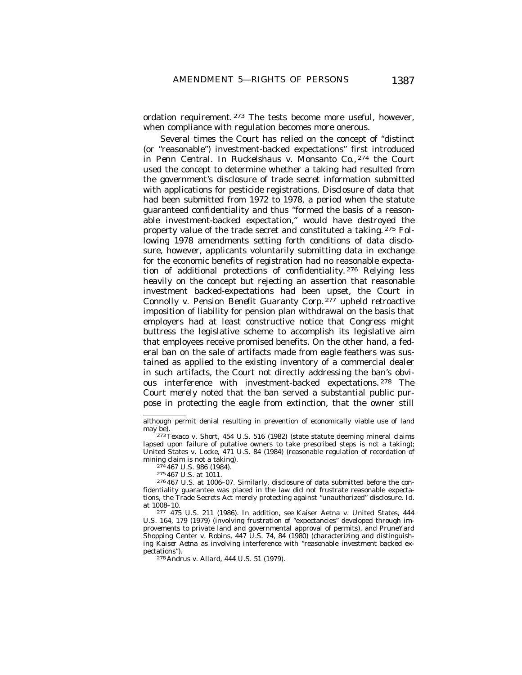ordation requirement. 273 The tests become more useful, however, when compliance with regulation becomes more onerous.

Several times the Court has relied on the concept of ''distinct (or ''reasonable'') investment-backed expectations'' first introduced in *Penn Central*. In *Ruckelshaus v. Monsanto Co.*, 274 the Court used the concept to determine whether a taking had resulted from the government's disclosure of trade secret information submitted with applications for pesticide registrations. Disclosure of data that had been submitted from 1972 to 1978, a period when the statute guaranteed confidentiality and thus ''formed the basis of a reasonable investment-backed expectation,'' would have destroyed the property value of the trade secret and constituted a taking. 275 Following 1978 amendments setting forth conditions of data disclosure, however, applicants voluntarily submitting data in exchange for the economic benefits of registration had no reasonable expectation of additional protections of confidentiality. 276 Relying less heavily on the concept but rejecting an assertion that reasonable investment backed-expectations had been upset, the Court in *Connolly v. Pension Benefit Guaranty Corp.* 277 upheld retroactive imposition of liability for pension plan withdrawal on the basis that employers had at least constructive notice that Congress might buttress the legislative scheme to accomplish its legislative aim that employees receive promised benefits. On the other hand, a federal ban on the sale of artifacts made from eagle feathers was sustained as applied to the existing inventory of a commercial dealer in such artifacts, the Court not directly addressing the ban's obvious interference with investment-backed expectations. 278 The Court merely noted that the ban served a substantial public purpose in protecting the eagle from extinction, that the owner still

although permit denial resulting in prevention of economically viable use of land may be).

<sup>273</sup>Texaco v. Short, 454 U.S. 516 (1982) (state statute deeming mineral claims lapsed upon failure of putative owners to take prescribed steps is not a taking); United States v. Locke, 471 U.S. 84 (1984) (reasonable regulation of recordation of mining claim is not a taking).

<sup>274</sup> 467 U.S. 986 (1984).

<sup>275</sup> 467 U.S. at 1011.

<sup>276</sup> 467 U.S. at 1006–07. Similarly, disclosure of data submitted before the confidentiality guarantee was placed in the law did not frustrate reasonable expectations, the Trade Secrets Act merely protecting against ''unauthorized'' disclosure. Id. at 1008–10.

<sup>277</sup> 475 U.S. 211 (1986). In addition, *see* Kaiser Aetna v. United States, 444 U.S. 164, 179 (1979) (involving frustration of ''expectancies'' developed through improvements to private land and governmental approval of permits), and PruneYard Shopping Center v. Robins, 447 U.S. 74, 84 (1980) (characterizing and distinguishing *Kaiser Aetna* as involving interference with ''reasonable investment backed expectations'').

<sup>278</sup> Andrus v. Allard, 444 U.S. 51 (1979).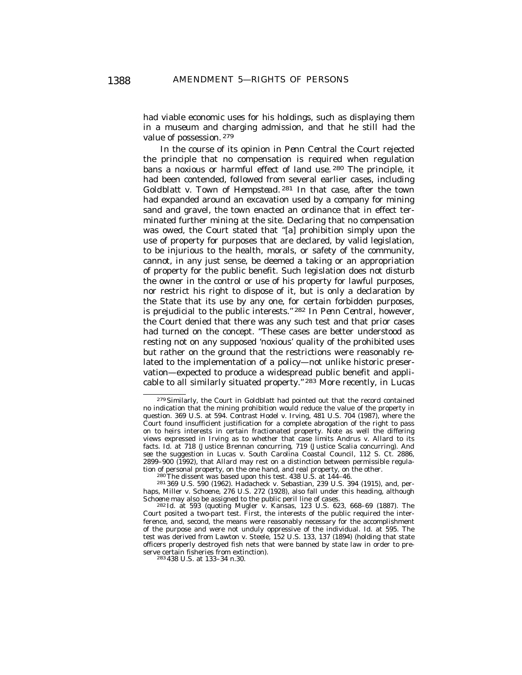had viable economic uses for his holdings, such as displaying them in a museum and charging admission, and that he still had the value of possession. 279

In the course of its opinion in *Penn Central* the Court rejected the principle that no compensation is required when regulation bans a noxious or harmful effect of land use. 280 The principle, it had been contended, followed from several earlier cases, including *Goldblatt v. Town of Hempstead*. 281 In that case, after the town had expanded around an excavation used by a company for mining sand and gravel, the town enacted an ordinance that in effect terminated further mining at the site. Declaring that no compensation was owed, the Court stated that ''[a] prohibition simply upon the use of property for purposes that are declared, by valid legislation, to be injurious to the health, morals, or safety of the community, cannot, in any just sense, be deemed a taking or an appropriation of property for the public benefit. Such legislation does not disturb the owner in the control or use of his property for lawful purposes, nor restrict his right to dispose of it, but is only a declaration by the State that its use by any one, for certain forbidden purposes, is prejudicial to the public interests.'' 282 In *Penn Central*, however, the Court denied that there was any such test and that prior cases had turned on the concept. ''These cases are better understood as resting not on any supposed 'noxious' quality of the prohibited uses but rather on the ground that the restrictions were reasonably related to the implementation of a policy—not unlike historic preservation—expected to produce a widespread public benefit and applicable to all similarly situated property.'' 283 More recently, in *Lucas*

<sup>279</sup>Similarly, the Court in *Goldblatt* had pointed out that the record contained no indication that the mining prohibition would reduce the value of the property in question. 369 U.S. at 594. *Contrast* Hodel v. Irving, 481 U.S. 704 (1987), where the Court found insufficient justification for a complete abrogation of the right to pass on to heirs interests in certain fractionated property. Note as well the differing views expressed in *Irving* as to whether that case limits *Andrus v. Allard* to its facts. Id. at 718 (Justice Brennan concurring, 719 (Justice Scalia concurring). *And see* the suggestion in Lucas v. South Carolina Coastal Council, 112 S. Ct. 2886, 2899–900 (1992), that *Allard* may rest on a distinction between permissible regulation of personal property, on the one hand, and real property, on the other.<br><sup>280</sup>The dissent was based upon this test. 438 U.S. at 144–46.<br><sup>281</sup> 369 U.S. 590 (1962). Hadacheck v. Sebastian, 239 U.S. 394 (1915), and, per-

haps, Miller v. Schoene, 276 U.S. 272 (1928), also fall under this heading, although *Schoene* may also be assigned to the public peril line of cases.<br><sup>282</sup> Id. at 593 (quoting Mugler v. Kansas, 123 U.S. 623, 668–69 (1887). The

Court posited a two-part test. First, the interests of the public required the interference, and, second, the means were reasonably necessary for the accomplishment of the purpose and were not unduly oppressive of the individual. Id. at 595. The test was derived from Lawton v. Steele, 152 U.S. 133, 137 (1894) (holding that state officers properly destroyed fish nets that were banned by state law in order to preserve certain fisheries from extinction). <sup>283</sup> 438 U.S. at 133–34 n.30.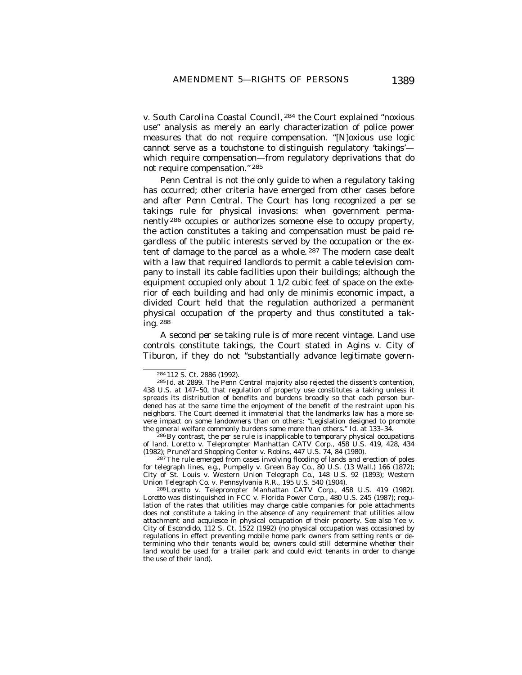*v. South Carolina Coastal Council*, 284 the Court explained ''noxious use'' analysis as merely an early characterization of police power measures that do not require compensation. ''[N]oxious use logic cannot serve as a touchstone to distinguish regulatory 'takings' which require compensation—from regulatory deprivations that do not require compensation.'' 285

*Penn Central* is not the only guide to when a regulatory taking has occurred; other criteria have emerged from other cases before and after *Penn Central*. The Court has long recognized a *per se* takings rule for physical invasions: when government permanently 286 occupies or authorizes someone else to occupy property, the action constitutes a taking and compensation must be paid regardless of the public interests served by the occupation or the extent of damage to the parcel as a whole. 287 The modern case dealt with a law that required landlords to permit a cable television company to install its cable facilities upon their buildings; although the equipment occupied only about 1 1/2 cubic feet of space on the exterior of each building and had only de minimis economic impact, a divided Court held that the regulation authorized a permanent physical occupation of the property and thus constituted a taking. 288

A second *per se* taking rule is of more recent vintage. Land use controls constitute takings, the Court stated in *Agins v. City of Tiburon*, if they do not ''substantially advance legitimate govern-

286 By contrast, the *per se* rule is inapplicable to *temporary* physical occupations of land. Loretto v. Teleprompter Manhattan CATV Corp., 458 U.S. 419, 428, 434 (1982); PruneYard Shopping Center v. Robins, 447 U.S. 74, 84 (1980).

287The rule emerged from cases involving flooding of lands and erection of poles for telegraph lines, e.g., Pumpelly v. Green Bay Co., 80 U.S. (13 Wall.) 166 (1872); City of St. Louis v. Western Union Telegraph Co., 148 U.S. 92 (1893); Western Union Telegraph Co. v. Pennsylvania R.R., 195 U.S. 540 (1904).

288Loretto v. Teleprompter Manhattan CATV Corp., 458 U.S. 419 (1982). *Loretto* was distinguished in FCC v. Florida Power Corp., 480 U.S. 245 (1987); regulation of the rates that utilities may charge cable companies for pole attachments does not constitute a taking in the absence of any requirement that utilities allow attachment and acquiesce in physical occupation of their property. *See also* Yee v. City of Escondido, 112 S. Ct. 1522 (1992) (no physical occupation was occasioned by regulations in effect preventing mobile home park owners from setting rents or determining who their tenants would be; owners could still determine whether their land would be used for a trailer park and could evict tenants in order to change the use of their land).

<sup>284</sup> 112 S. Ct. 2886 (1992).

<sup>285</sup> Id. at 2899. The *Penn Central* majority also rejected the dissent's contention, 438 U.S. at 147–50, that regulation of property use constitutes a taking unless it spreads its distribution of benefits and burdens broadly so that each person burdened has at the same time the enjoyment of the benefit of the restraint upon his neighbors. The Court deemed it immaterial that the landmarks law has a more severe impact on some landowners than on others: ''Legislation designed to promote the general welfare commonly burdens some more than others.'' Id. at 133–34.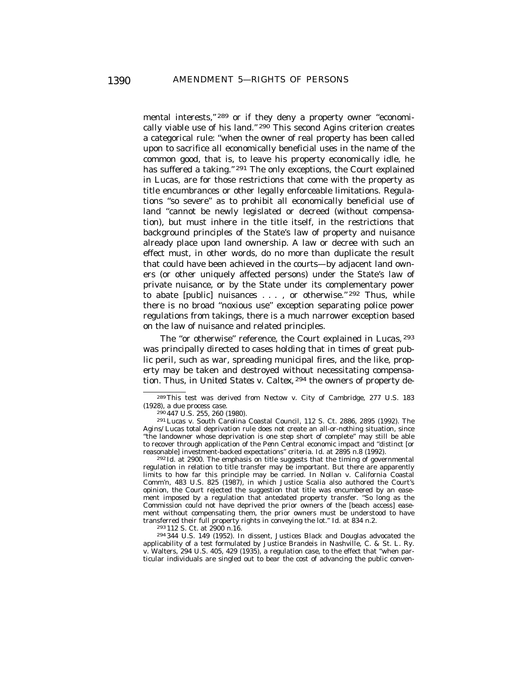mental interests,"<sup>289</sup> or if they deny a property owner "economically viable use of his land.'' 290 This second *Agins* criterion creates a categorical rule: ''when the owner of real property has been called upon to sacrifice *all* economically beneficial uses in the name of the common good, that is, to leave his property economically idle, he has suffered a taking." <sup>291</sup> The only exceptions, the Court explained in *Lucas*, are for those restrictions that come with the property as title encumbrances or other legally enforceable limitations. Regulations ''so severe'' as to prohibit all economically beneficial use of land "cannot be newly legislated or decreed (without compensation), but must inhere in the title itself, in the restrictions that background principles of the State's law of property and nuisance already place upon land ownership. A law or decree with such an effect must, in other words, do no more than duplicate the result that could have been achieved in the courts—by adjacent land owners (or other uniquely affected persons) under the State's law of private nuisance, or by the State under its complementary power to abate [public] nuisances . . . , or otherwise."<sup>292</sup> Thus, while there is no broad ''noxious use'' exception separating police power regulations from takings, there is a much narrower exception based on the law of nuisance and related principles.

The "or otherwise" reference, the Court explained in *Lucas*, 293 was principally directed to cases holding that in times of great public peril, such as war, spreading municipal fires, and the like, property may be taken and destroyed without necessitating compensation. Thus, in *United States v. Caltex*, 294 the owners of property de-

292 Id. at 2900. The emphasis on title suggests that the timing of governmental regulation in relation to title transfer may be important. But there are apparently limits to how far this principle may be carried. In Nollan v. California Coastal Comm'n, 483 U.S. 825 (1987), in which Justice Scalia also authored the Court's opinion, the Court rejected the suggestion that title was encumbered by an easement imposed by a regulation that antedated property transfer. ''So long as the Commission could not have deprived the prior owners of the [beach access] easement without compensating them, the prior owners must be understood to have transferred their full property rights in conveying the lot.'' Id. at 834 n.2.

293 112 S. Ct. at 2900 n.16.

294 344 U.S. 149 (1952). In dissent, Justices Black and Douglas advocated the applicability of a test formulated by Justice Brandeis in Nashville, C. & St. L. Ry. v. Walters, 294 U.S. 405, 429 (1935), a regulation case, to the effect that ''when particular individuals are singled out to bear the cost of advancing the public conven-

<sup>289</sup>This test was derived from Nectow v. City of Cambridge, 277 U.S. 183 (1928), a due process case.

<sup>290</sup> 447 U.S. 255, 260 (1980).

<sup>291</sup>Lucas v. South Carolina Coastal Council, 112 S. Ct. 2886, 2895 (1992). The *Agins/Lucas* total deprivation rule does not create an all-or-nothing situation, since ''the landowner whose deprivation is one step short of complete'' may still be able to recover through application of the *Penn Central* economic impact and ''distinct [or reasonable] investment-backed expectations'' criteria. Id. at 2895 n.8 (1992).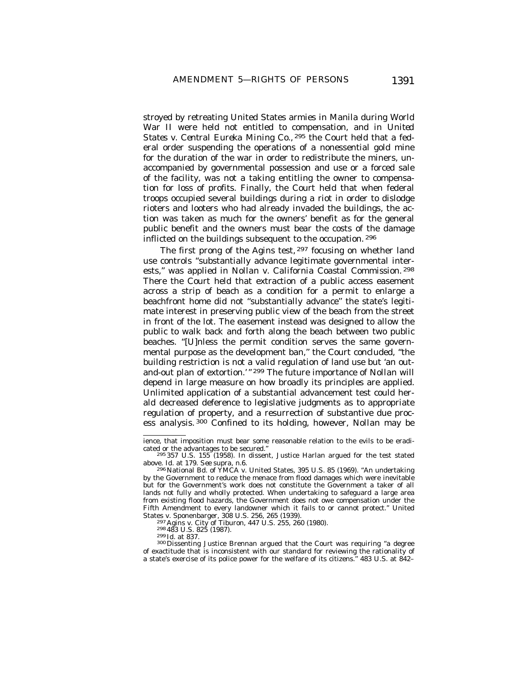stroyed by retreating United States armies in Manila during World War II were held not entitled to compensation, and in *United States v. Central Eureka Mining Co.*, 295 the Court held that a federal order suspending the operations of a nonessential gold mine for the duration of the war in order to redistribute the miners, unaccompanied by governmental possession and use or a forced sale of the facility, was not a taking entitling the owner to compensation for loss of profits. Finally, the Court held that when federal troops occupied several buildings during a riot in order to dislodge rioters and looters who had already invaded the buildings, the action was taken as much for the owners' benefit as for the general public benefit and the owners must bear the costs of the damage inflicted on the buildings subsequent to the occupation. 296

The first prong of the *Agins* test, 297 focusing on whether land use controls ''substantially advance legitimate governmental interests,'' was applied in *Nollan v. California Coastal Commission*. 298 There the Court held that extraction of a public access easement across a strip of beach as a condition for a permit to enlarge a beachfront home did not ''substantially advance'' the state's legitimate interest in preserving public view of the beach from the street in front of the lot. The easement instead was designed to allow the public to walk back and forth along the beach between two public beaches. ''[U]nless the permit condition serves the same governmental purpose as the development ban," the Court concluded, "the building restriction is not a valid regulation of land use but 'an outand-out plan of extortion.' '' 299 The future importance of *Nollan* will depend in large measure on how broadly its principles are applied. Unlimited application of a substantial advancement test could herald decreased deference to legislative judgments as to appropriate regulation of property, and a resurrection of substantive due process analysis. 300 Confined to its holding, however, *Nollan* may be

ience, that imposition must bear some reasonable relation to the evils to be eradi-

 $295\,357$  U.S. 155 (1958). In dissent, Justice Harlan argued for the test stated above. Id. at 179. See supra, n.6.

<sup>&</sup>lt;sup>296</sup> National Bd. of YMCA v. United States, 395 U.S. 85 (1969). "An undertaking by the Government to reduce the menace from flood damages which were inevitable but for the Government's work does not constitute the Government a taker of all lands not fully and wholly protected. When undertaking to safeguard a large area from existing flood hazards, the Government does not owe compensation under the Fifth Amendment to every landowner which it fails to or cannot protect." United States v. Sponenbarger, 308 U.S. 256, 265 (1939).

For Spins v. City of Tiburon, 447 U.S. 255, 260 (1980). 298 483 U.S. 825 (1987). 299 Id. at 837.  $\frac{299 \text{ Id.}}{300 \text{ Dissenting} }$  Justice Brennan argued that the Court was requiring "a degree of exactitude that is inconsistent with our standard for reviewing the rationality of a state's exercise of its police power for the welfare of its citizens.'' 483 U.S. at 842–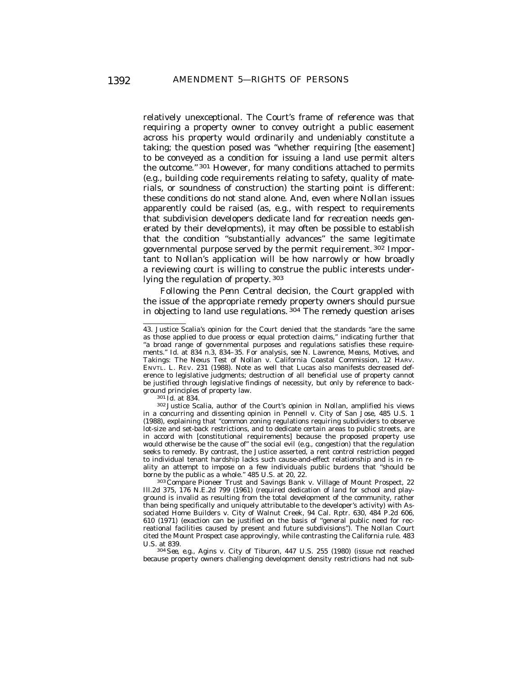relatively unexceptional. The Court's frame of reference was that requiring a property owner to convey outright a public easement across his property would ordinarily and undeniably constitute a taking; the question posed was ''whether requiring [the easement] to be conveyed as a condition for issuing a land use permit alters the outcome.'' 301 However, for many conditions attached to permits (e.g., building code requirements relating to safety, quality of materials, or soundness of construction) the starting point is different: these conditions do not stand alone. And, even where *Nollan* issues apparently could be raised (as, e.g., with respect to requirements that subdivision developers dedicate land for recreation needs generated by their developments), it may often be possible to establish that the condition ''substantially advances'' the same legitimate governmental purpose served by the permit requirement. 302 Important to *Nollan's* application will be how narrowly or how broadly a reviewing court is willing to construe the public interests underlying the regulation of property. 303

Following the *Penn Central* decision, the Court grappled with the issue of the appropriate remedy property owners should pursue in objecting to land use regulations. 304 The remedy question arises

301 Id. at 834.

304*See, e.g.*, Agins v. City of Tiburon, 447 U.S. 255 (1980) (issue not reached because property owners challenging development density restrictions had not sub-

<sup>43.</sup> Justice Scalia's opinion for the Court denied that the standards ''are the same as those applied to due process or equal protection claims,'' indicating further that "a broad range of governmental purposes and regulations satisfies these requirements.'' Id. at 834 n.3, 834–35. For analysis, *see* N. Lawrence, *Means, Motives, and Takings: The Nexus Test of* Nollan v. California Coastal Commission, 12 HARV. ENVTL. L. REV. 231 (1988). Note as well that *Lucas* also manifests decreased deference to legislative judgments; destruction of all beneficial use of property cannot be justified through legislative findings of necessity, but only by reference to background principles of property law.

<sup>302</sup> Justice Scalia, author of the Court's opinion in *Nollan*, amplified his views in a concurring and dissenting opinion in Pennell v. City of San Jose, 485 U.S. 1 (1988), explaining that ''common zoning regulations requiring subdividers to observe lot-size and set-back restrictions, and to dedicate certain areas to public streets, are in accord with [constitutional requirements] because the proposed property use would otherwise be the cause of" the social evil (e.g., congestion) that the regulation seeks to remedy. By contrast, the Justice asserted, a rent control restriction pegged to individual tenant hardship lacks such cause-and-effect relationship and is in reality an attempt to impose on a few individuals public burdens that ''should be borne by the public as a whole.'' 485 U.S. at 20, 22.

<sup>303</sup> *Compare* Pioneer Trust and Savings Bank v. Village of Mount Prospect, 22 Ill.2d 375, 176 N.E.2d 799 (1961) (required dedication of land for school and playground is invalid as resulting from the total development of the community, rather than being specifically and uniquely attributable to the developer's activity) *with* Associated Home Builders v. City of Walnut Creek, 94 Cal. Rptr. 630, 484 P.2d 606, 610 (1971) (exaction can be justified on the basis of ''general public need for recreational facilities caused by present and future subdivisions''). The *Nollan* Court cited the *Mount Prospect* case approvingly, while contrasting the California rule. 483 U.S. at 839.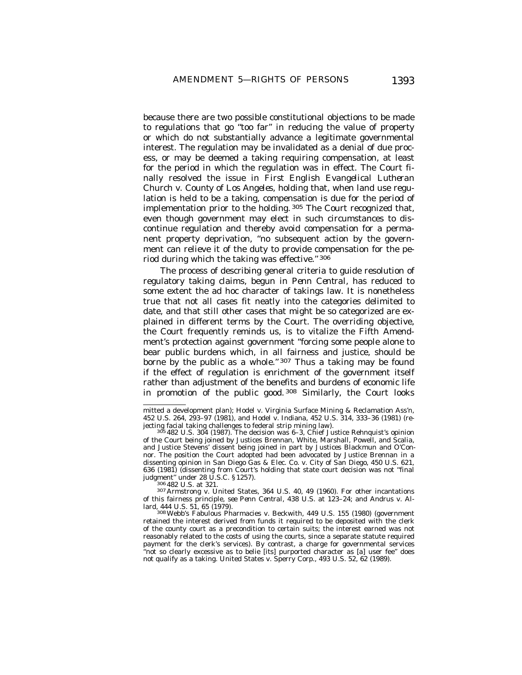because there are two possible constitutional objections to be made to regulations that go ''too far'' in reducing the value of property or which do not substantially advance a legitimate governmental interest. The regulation may be invalidated as a denial of due process, or may be deemed a taking requiring compensation, at least for the period in which the regulation was in effect. The Court finally resolved the issue in *First English Evangelical Lutheran Church v. County of Los Angeles*, holding that, when land use regulation is held to be a taking, compensation is due for the period of implementation prior to the holding. 305 The Court recognized that, even though government may elect in such circumstances to discontinue regulation and thereby avoid compensation for a permanent property deprivation, ''no subsequent action by the government can relieve it of the duty to provide compensation for the period during which the taking was effective.'' 306

The process of describing general criteria to guide resolution of regulatory taking claims, begun in *Penn Central*, has reduced to some extent the ad hoc character of takings law. It is nonetheless true that not all cases fit neatly into the categories delimited to date, and that still other cases that might be so categorized are explained in different terms by the Court. The overriding objective, the Court frequently reminds us, is to vitalize the Fifth Amendment's protection against government ''forcing some people alone to bear public burdens which, in all fairness and justice, should be borne by the public as a whole." 307 Thus a taking may be found if the effect of regulation is enrichment of the government itself rather than adjustment of the benefits and burdens of economic life in promotion of the public good. 308 Similarly, the Court looks

mitted a development plan); Hodel v. Virginia Surface Mining & Reclamation Ass'n, 452 U.S. 264, 293–97 (1981), and Hodel v. Indiana, 452 U.S. 314, 333–36 (1981) (re-

jecting facial taking challenges to federal strip mining law).<br><sup>305</sup> 482 U.S. 304 (1987). The decision was 6–3, Chief Justice Rehnquist's opinion of the Court being joined by Justices Brennan, White, Marshall, Powell, and Scalia, and Justice Stevens' dissent being joined in part by Justices Blackmun and O'Connor. The position the Court adopted had been advocated by Justice Brennan in a dissenting opinion in San Diego Gas & Elec. Co. v. City of San Diego, 450 U.S. 621, 636 (1981) (dissenting from Court's holding that state court decision was not ''final

 $^{306}$  482 U.S. at 321.  $^{307}$  Armstrong v. United States, 364 U.S. 40, 49 (1960). For other incantations of this fairness principle, *see Penn Central*, 438 U.S. at 123–24; and Andrus v. Al-

<sup>&</sup>lt;sup>308</sup> Webb's Fabulous Pharmacies v. Beckwith, 449 U.S. 155 (1980) (government retained the interest derived from funds it required to be deposited with the clerk of the county court as a precondition to certain suits; the interest earned was not reasonably related to the costs of using the courts, since a separate statute required payment for the clerk's services). By contrast, a charge for governmental services "not so clearly excessive as to belie [its] purported character as [a] user fee" does not qualify as a taking. United States v. Sperry Corp., 493 U.S. 52, 62 (1989).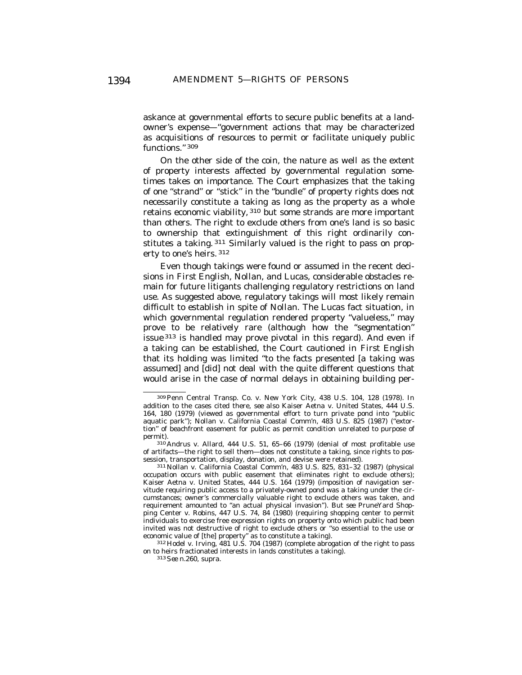askance at governmental efforts to secure public benefits at a landowner's expense—''government actions that may be characterized as acquisitions of resources to permit or facilitate uniquely public functions." 309

On the other side of the coin, the nature as well as the extent of property interests affected by governmental regulation sometimes takes on importance. The Court emphasizes that the taking of one ''strand'' or ''stick'' in the ''bundle'' of property rights does not necessarily constitute a taking as long as the property as a whole retains economic viability, 310 but some strands are more important than others. The right to exclude others from one's land is so basic to ownership that extinguishment of this right ordinarily constitutes a taking. 311 Similarly valued is the right to pass on property to one's heirs. 312

Even though takings were found or assumed in the recent decisions in *First English*, *Nollan*, and *Lucas*, considerable obstacles remain for future litigants challenging regulatory restrictions on land use. As suggested above, regulatory takings will most likely remain difficult to establish in spite of *Nollan*. The *Lucas* fact situation, in which governmental regulation rendered property "valueless," may prove to be relatively rare (although how the ''segmentation'' issue 313 is handled may prove pivotal in this regard). And even if a taking can be established, the Court cautioned in *First English* that its holding was limited ''to the facts presented [a taking was assumed] and [did] not deal with the quite different questions that would arise in the case of normal delays in obtaining building per-

<sup>309</sup>Penn Central Transp. Co. v. New York City, 438 U.S. 104, 128 (1978). In addition to the cases cited there, *see also* Kaiser Aetna v. United States, 444 U.S. 164, 180 (1979) (viewed as governmental effort to turn private pond into ''public aquatic park"); Nollan v. California Coastal Comm'n, 483 U.S. 825 (1987) ("extortion'' of beachfront easement for public as permit condition unrelated to purpose of permit).

<sup>310</sup> Andrus v. Allard, 444 U.S. 51, 65–66 (1979) (denial of most profitable use of artifacts—the right to sell them—does not constitute a taking, since rights to possession, transportation, display, donation, and devise were retained).

<sup>311</sup> Nollan v. California Coastal Comm'n, 483 U.S. 825, 831–32 (1987) (physical occupation occurs with public easement that eliminates right to exclude others); Kaiser Aetna v. United States, 444 U.S. 164 (1979) (imposition of navigation servitude requiring public access to a privately-owned pond was a taking under the circumstances; owner's commercially valuable right to exclude others was taken, and requirement amounted to ''an actual physical invasion''). *But see* PruneYard Shopping Center v. Robins, 447 U.S. 74, 84 (1980) (requiring shopping center to permit individuals to exercise free expression rights on property onto which public had been invited was not destructive of right to exclude others or ''so essential to the use or economic value of [the] property'' as to constitute a taking).

<sup>312</sup> Hodel v. Irving, 481 U.S. 704 (1987) (complete abrogation of the right to pass on to heirs fractionated interests in lands constitutes a taking).

<sup>313</sup>*See* n.260, supra.